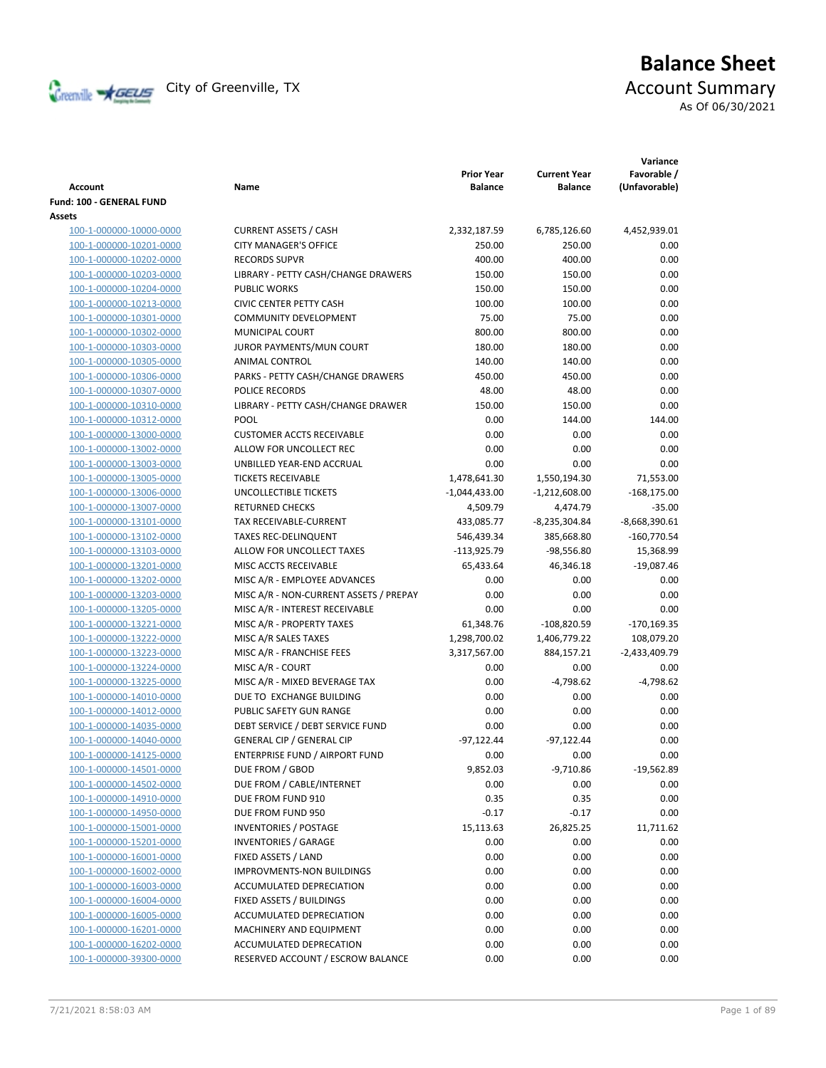

# **Balance Sheet** Creenville Strategy City of Greenville, TX Account Summary

As Of 06/30/2021

| Account                  | Name                                   | <b>Prior Year</b><br><b>Balance</b> | <b>Current Year</b><br>Balance | Variance<br>Favorable /<br>(Unfavorable) |
|--------------------------|----------------------------------------|-------------------------------------|--------------------------------|------------------------------------------|
| Fund: 100 - GENERAL FUND |                                        |                                     |                                |                                          |
| Assets                   |                                        |                                     |                                |                                          |
| 100-1-000000-10000-0000  | <b>CURRENT ASSETS / CASH</b>           | 2,332,187.59                        | 6,785,126.60                   | 4,452,939.01                             |
| 100-1-000000-10201-0000  | <b>CITY MANAGER'S OFFICE</b>           | 250.00                              | 250.00                         | 0.00                                     |
| 100-1-000000-10202-0000  | <b>RECORDS SUPVR</b>                   | 400.00                              | 400.00                         | 0.00                                     |
| 100-1-000000-10203-0000  | LIBRARY - PETTY CASH/CHANGE DRAWERS    | 150.00                              | 150.00                         | 0.00                                     |
| 100-1-000000-10204-0000  | <b>PUBLIC WORKS</b>                    | 150.00                              | 150.00                         | 0.00                                     |
| 100-1-000000-10213-0000  | <b>CIVIC CENTER PETTY CASH</b>         | 100.00                              | 100.00                         | 0.00                                     |
| 100-1-000000-10301-0000  | <b>COMMUNITY DEVELOPMENT</b>           | 75.00                               | 75.00                          | 0.00                                     |
| 100-1-000000-10302-0000  | MUNICIPAL COURT                        | 800.00                              | 800.00                         | 0.00                                     |
| 100-1-000000-10303-0000  | JUROR PAYMENTS/MUN COURT               | 180.00                              | 180.00                         | 0.00                                     |
| 100-1-000000-10305-0000  | ANIMAL CONTROL                         | 140.00                              | 140.00                         | 0.00                                     |
| 100-1-000000-10306-0000  | PARKS - PETTY CASH/CHANGE DRAWERS      | 450.00                              | 450.00                         | 0.00                                     |
| 100-1-000000-10307-0000  | POLICE RECORDS                         | 48.00                               | 48.00                          | 0.00                                     |
| 100-1-000000-10310-0000  | LIBRARY - PETTY CASH/CHANGE DRAWER     | 150.00                              | 150.00                         | 0.00                                     |
| 100-1-000000-10312-0000  | <b>POOL</b>                            | 0.00                                | 144.00                         | 144.00                                   |
| 100-1-000000-13000-0000  | <b>CUSTOMER ACCTS RECEIVABLE</b>       | 0.00                                | 0.00                           | 0.00                                     |
| 100-1-000000-13002-0000  | ALLOW FOR UNCOLLECT REC                | 0.00                                | 0.00                           | 0.00                                     |
| 100-1-000000-13003-0000  | UNBILLED YEAR-END ACCRUAL              | 0.00                                | 0.00                           | 0.00                                     |
| 100-1-000000-13005-0000  | <b>TICKETS RECEIVABLE</b>              | 1,478,641.30                        | 1,550,194.30                   | 71,553.00                                |
| 100-1-000000-13006-0000  | UNCOLLECTIBLE TICKETS                  | $-1,044,433.00$                     | $-1,212,608.00$                | $-168,175.00$                            |
| 100-1-000000-13007-0000  | <b>RETURNED CHECKS</b>                 | 4,509.79                            | 4,474.79                       | $-35.00$                                 |
| 100-1-000000-13101-0000  | TAX RECEIVABLE-CURRENT                 | 433,085.77                          | $-8,235,304.84$                | $-8,668,390.61$                          |
| 100-1-000000-13102-0000  | <b>TAXES REC-DELINQUENT</b>            | 546,439.34                          | 385,668.80                     | $-160,770.54$                            |
| 100-1-000000-13103-0000  | ALLOW FOR UNCOLLECT TAXES              | $-113,925.79$                       | $-98,556.80$                   | 15,368.99                                |
| 100-1-000000-13201-0000  | MISC ACCTS RECEIVABLE                  | 65,433.64                           | 46,346.18                      | $-19,087.46$                             |
| 100-1-000000-13202-0000  | MISC A/R - EMPLOYEE ADVANCES           | 0.00                                | 0.00                           | 0.00                                     |
| 100-1-000000-13203-0000  | MISC A/R - NON-CURRENT ASSETS / PREPAY | 0.00                                | 0.00                           | 0.00                                     |
| 100-1-000000-13205-0000  | MISC A/R - INTEREST RECEIVABLE         | 0.00                                | 0.00                           | 0.00                                     |
| 100-1-000000-13221-0000  | MISC A/R - PROPERTY TAXES              | 61,348.76                           | $-108,820.59$                  | $-170,169.35$                            |
| 100-1-000000-13222-0000  | MISC A/R SALES TAXES                   | 1,298,700.02                        | 1,406,779.22                   | 108,079.20                               |
| 100-1-000000-13223-0000  | MISC A/R - FRANCHISE FEES              | 3,317,567.00                        | 884,157.21                     | $-2,433,409.79$                          |
| 100-1-000000-13224-0000  | MISC A/R - COURT                       | 0.00                                | 0.00                           | 0.00                                     |
| 100-1-000000-13225-0000  | MISC A/R - MIXED BEVERAGE TAX          | 0.00                                | $-4,798.62$                    | $-4,798.62$                              |
| 100-1-000000-14010-0000  | DUE TO EXCHANGE BUILDING               | 0.00                                | 0.00                           | 0.00                                     |
| 100-1-000000-14012-0000  | PUBLIC SAFETY GUN RANGE                | 0.00                                | 0.00                           | 0.00                                     |
| 100-1-000000-14035-0000  | DEBT SERVICE / DEBT SERVICE FUND       | 0.00                                | 0.00                           | 0.00                                     |
| 100-1-000000-14040-0000  | <b>GENERAL CIP / GENERAL CIP</b>       | $-97,122.44$                        | $-97,122.44$                   | 0.00                                     |
| 100-1-000000-14125-0000  | ENTERPRISE FUND / AIRPORT FUND         | 0.00                                | 0.00                           | 0.00                                     |
| 100-1-000000-14501-0000  | DUE FROM / GBOD                        | 9,852.03                            | $-9,710.86$                    | $-19,562.89$                             |
| 100-1-000000-14502-0000  | DUE FROM / CABLE/INTERNET              | 0.00                                | 0.00                           | 0.00                                     |
| 100-1-000000-14910-0000  | DUE FROM FUND 910                      | 0.35                                | 0.35                           | 0.00                                     |
| 100-1-000000-14950-0000  | DUE FROM FUND 950                      | $-0.17$                             | $-0.17$                        | 0.00                                     |
| 100-1-000000-15001-0000  | <b>INVENTORIES / POSTAGE</b>           | 15,113.63                           | 26,825.25                      | 11,711.62                                |
| 100-1-000000-15201-0000  | <b>INVENTORIES / GARAGE</b>            | 0.00                                | 0.00                           | 0.00                                     |
| 100-1-000000-16001-0000  | FIXED ASSETS / LAND                    | 0.00                                | 0.00                           | 0.00                                     |
| 100-1-000000-16002-0000  | <b>IMPROVMENTS-NON BUILDINGS</b>       | 0.00                                | 0.00                           | 0.00                                     |
| 100-1-000000-16003-0000  | ACCUMULATED DEPRECIATION               | 0.00                                | 0.00                           | 0.00                                     |
| 100-1-000000-16004-0000  | FIXED ASSETS / BUILDINGS               | 0.00                                | 0.00                           | 0.00                                     |
| 100-1-000000-16005-0000  | ACCUMULATED DEPRECIATION               | 0.00                                | 0.00                           | 0.00                                     |
| 100-1-000000-16201-0000  | MACHINERY AND EQUIPMENT                | 0.00                                | 0.00                           | 0.00                                     |
| 100-1-000000-16202-0000  | ACCUMULATED DEPRECATION                | 0.00                                | 0.00                           | 0.00                                     |
|                          |                                        |                                     |                                |                                          |
| 100-1-000000-39300-0000  | RESERVED ACCOUNT / ESCROW BALANCE      | 0.00                                | 0.00                           | 0.00                                     |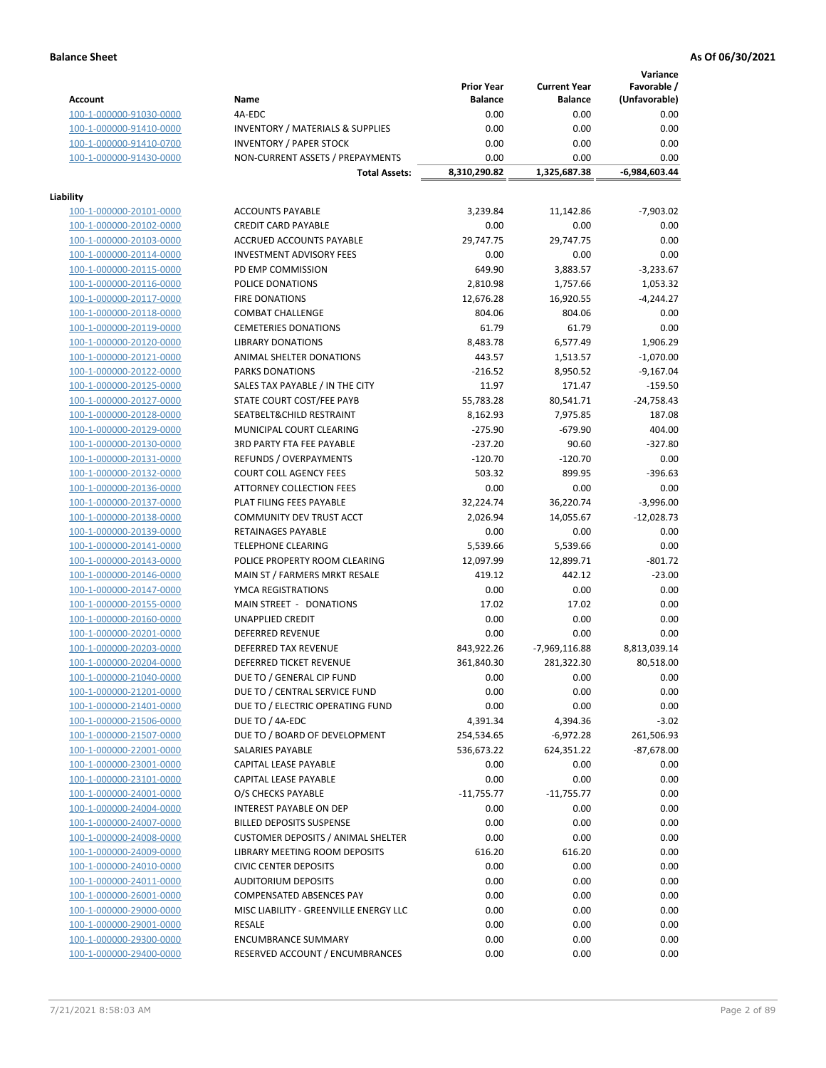## **Balance Sheet As Of 06/30/2021**

**Variance**

|                         |                                             | <b>Prior Year</b> | <b>Current Year</b> | Favorable /     |
|-------------------------|---------------------------------------------|-------------------|---------------------|-----------------|
| <b>Account</b>          | Name                                        | <b>Balance</b>    | <b>Balance</b>      | (Unfavorable)   |
| 100-1-000000-91030-0000 | 4A-EDC                                      | 0.00              | 0.00                | 0.00            |
| 100-1-000000-91410-0000 | <b>INVENTORY / MATERIALS &amp; SUPPLIES</b> | 0.00              | 0.00                | 0.00            |
| 100-1-000000-91410-0700 | <b>INVENTORY / PAPER STOCK</b>              | 0.00              | 0.00                | 0.00            |
| 100-1-000000-91430-0000 | NON-CURRENT ASSETS / PREPAYMENTS            | 0.00              | 0.00                | 0.00            |
|                         | <b>Total Assets:</b>                        | 8,310,290.82      | 1,325,687.38        | $-6,984,603.44$ |
|                         |                                             |                   |                     |                 |
| Liability               |                                             |                   |                     |                 |
| 100-1-000000-20101-0000 | <b>ACCOUNTS PAYABLE</b>                     | 3,239.84          | 11,142.86           | $-7,903.02$     |
| 100-1-000000-20102-0000 | <b>CREDIT CARD PAYABLE</b>                  | 0.00              | 0.00                | 0.00            |
| 100-1-000000-20103-0000 | <b>ACCRUED ACCOUNTS PAYABLE</b>             | 29,747.75         | 29,747.75           | 0.00            |
| 100-1-000000-20114-0000 | <b>INVESTMENT ADVISORY FEES</b>             | 0.00              | 0.00                | 0.00            |
| 100-1-000000-20115-0000 | PD EMP COMMISSION                           | 649.90            | 3,883.57            | $-3,233.67$     |
| 100-1-000000-20116-0000 | POLICE DONATIONS                            | 2,810.98          | 1,757.66            | 1,053.32        |
| 100-1-000000-20117-0000 | <b>FIRE DONATIONS</b>                       | 12,676.28         | 16,920.55           | $-4,244.27$     |
| 100-1-000000-20118-0000 | <b>COMBAT CHALLENGE</b>                     | 804.06            | 804.06              | 0.00            |
| 100-1-000000-20119-0000 | <b>CEMETERIES DONATIONS</b>                 | 61.79             | 61.79               | 0.00            |
| 100-1-000000-20120-0000 | <b>LIBRARY DONATIONS</b>                    | 8,483.78          | 6,577.49            | 1,906.29        |
| 100-1-000000-20121-0000 | <b>ANIMAL SHELTER DONATIONS</b>             | 443.57            | 1,513.57            | $-1,070.00$     |
| 100-1-000000-20122-0000 | PARKS DONATIONS                             | $-216.52$         | 8,950.52            | $-9,167.04$     |
| 100-1-000000-20125-0000 | SALES TAX PAYABLE / IN THE CITY             | 11.97             | 171.47              | $-159.50$       |
| 100-1-000000-20127-0000 | STATE COURT COST/FEE PAYB                   | 55,783.28         | 80,541.71           | $-24,758.43$    |
| 100-1-000000-20128-0000 | SEATBELT&CHILD RESTRAINT                    | 8,162.93          | 7,975.85            | 187.08          |
| 100-1-000000-20129-0000 | MUNICIPAL COURT CLEARING                    | $-275.90$         | $-679.90$           | 404.00          |
| 100-1-000000-20130-0000 | <b>3RD PARTY FTA FEE PAYABLE</b>            | $-237.20$         | 90.60               | $-327.80$       |
| 100-1-000000-20131-0000 | <b>REFUNDS / OVERPAYMENTS</b>               | $-120.70$         | $-120.70$           | 0.00            |
| 100-1-000000-20132-0000 | <b>COURT COLL AGENCY FEES</b>               | 503.32            | 899.95              | $-396.63$       |
| 100-1-000000-20136-0000 | ATTORNEY COLLECTION FEES                    | 0.00              | 0.00                | 0.00            |
| 100-1-000000-20137-0000 | PLAT FILING FEES PAYABLE                    | 32,224.74         | 36,220.74           | $-3,996.00$     |
| 100-1-000000-20138-0000 | COMMUNITY DEV TRUST ACCT                    | 2,026.94          | 14,055.67           | $-12,028.73$    |
| 100-1-000000-20139-0000 | RETAINAGES PAYABLE                          | 0.00              | 0.00                | 0.00            |
| 100-1-000000-20141-0000 | <b>TELEPHONE CLEARING</b>                   | 5,539.66          | 5,539.66            | 0.00            |
| 100-1-000000-20143-0000 | POLICE PROPERTY ROOM CLEARING               | 12,097.99         | 12,899.71           | $-801.72$       |
| 100-1-000000-20146-0000 | MAIN ST / FARMERS MRKT RESALE               | 419.12            | 442.12              | $-23.00$        |
| 100-1-000000-20147-0000 | YMCA REGISTRATIONS                          | 0.00              | 0.00                | 0.00            |
| 100-1-000000-20155-0000 | MAIN STREET - DONATIONS                     | 17.02             | 17.02               | 0.00            |
| 100-1-000000-20160-0000 | <b>UNAPPLIED CREDIT</b>                     | 0.00              | 0.00                | 0.00            |
| 100-1-000000-20201-0000 | <b>DEFERRED REVENUE</b>                     | 0.00              | 0.00                | 0.00            |
| 100-1-000000-20203-0000 | DEFERRED TAX REVENUE                        | 843,922.26        | $-7,969,116.88$     | 8,813,039.14    |
| 100-1-000000-20204-0000 | DEFERRED TICKET REVENUE                     | 361,840.30        | 281,322.30          | 80,518.00       |
| 100-1-000000-21040-0000 | DUE TO / GENERAL CIP FUND                   | 0.00              | 0.00                | 0.00            |
| 100-1-000000-21201-0000 | DUE TO / CENTRAL SERVICE FUND               | 0.00              | 0.00                | 0.00            |
| 100-1-000000-21401-0000 | DUE TO / ELECTRIC OPERATING FUND            | 0.00              | 0.00                | 0.00            |
| 100-1-000000-21506-0000 | DUE TO / 4A-EDC                             | 4,391.34          | 4,394.36            | $-3.02$         |
| 100-1-000000-21507-0000 | DUE TO / BOARD OF DEVELOPMENT               | 254,534.65        | -6,972.28           | 261,506.93      |
| 100-1-000000-22001-0000 | SALARIES PAYABLE                            | 536,673.22        | 624,351.22          | $-87,678.00$    |
| 100-1-000000-23001-0000 | CAPITAL LEASE PAYABLE                       | 0.00              | 0.00                | 0.00            |
| 100-1-000000-23101-0000 | CAPITAL LEASE PAYABLE                       | 0.00              | 0.00                | 0.00            |
| 100-1-000000-24001-0000 | O/S CHECKS PAYABLE                          | $-11,755.77$      | $-11,755.77$        | 0.00            |
| 100-1-000000-24004-0000 | INTEREST PAYABLE ON DEP                     | 0.00              | 0.00                | 0.00            |
| 100-1-000000-24007-0000 | <b>BILLED DEPOSITS SUSPENSE</b>             | 0.00              | 0.00                | 0.00            |
| 100-1-000000-24008-0000 | <b>CUSTOMER DEPOSITS / ANIMAL SHELTER</b>   | 0.00              | 0.00                | 0.00            |
| 100-1-000000-24009-0000 | LIBRARY MEETING ROOM DEPOSITS               | 616.20            | 616.20              | 0.00            |
| 100-1-000000-24010-0000 | <b>CIVIC CENTER DEPOSITS</b>                | 0.00              | 0.00                | 0.00            |
| 100-1-000000-24011-0000 | <b>AUDITORIUM DEPOSITS</b>                  | 0.00              | 0.00                | 0.00            |
| 100-1-000000-26001-0000 | <b>COMPENSATED ABSENCES PAY</b>             | 0.00              | 0.00                | 0.00            |
| 100-1-000000-29000-0000 | MISC LIABILITY - GREENVILLE ENERGY LLC      | 0.00              | 0.00                | 0.00            |
| 100-1-000000-29001-0000 | RESALE                                      | 0.00              | 0.00                | 0.00            |
| 100-1-000000-29300-0000 | <b>ENCUMBRANCE SUMMARY</b>                  | 0.00              | 0.00                | 0.00            |
| 100-1-000000-29400-0000 | RESERVED ACCOUNT / ENCUMBRANCES             | 0.00              | 0.00                | 0.00            |
|                         |                                             |                   |                     |                 |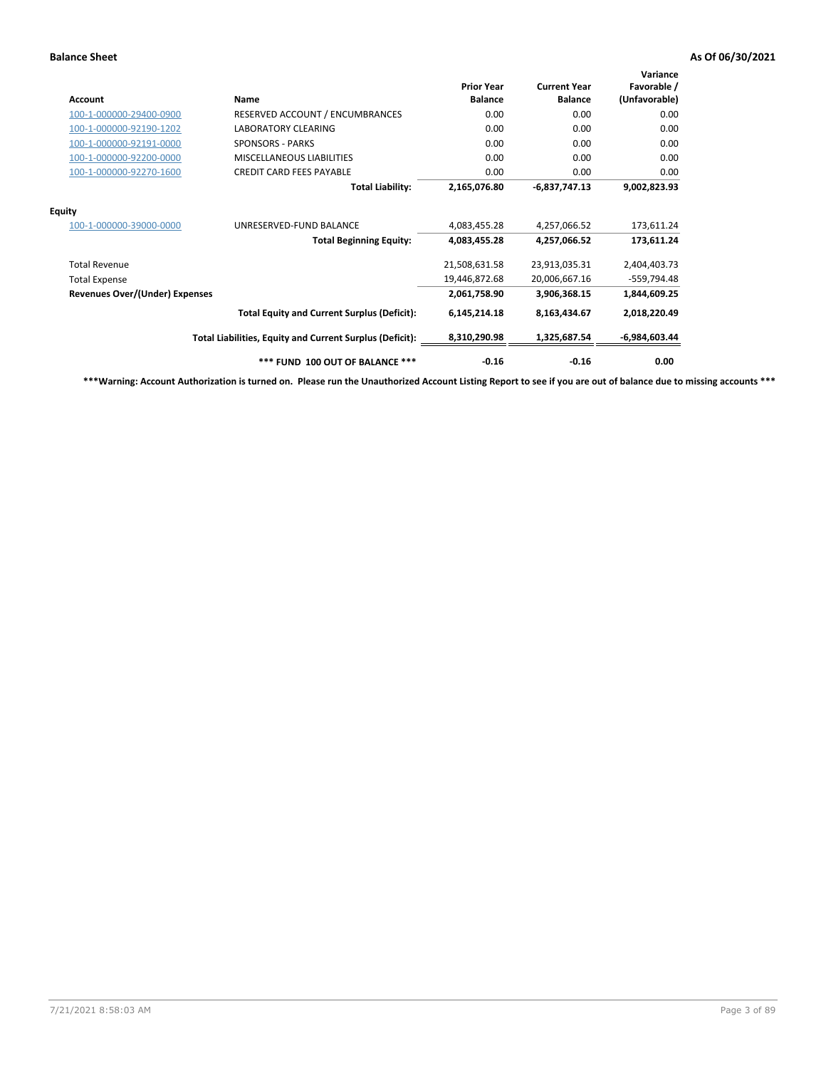## **Balance Sheet As Of 06/30/2021**

| Account                        | Name                                                     | <b>Prior Year</b><br><b>Balance</b> | <b>Current Year</b><br><b>Balance</b> | Variance<br>Favorable /<br>(Unfavorable) |
|--------------------------------|----------------------------------------------------------|-------------------------------------|---------------------------------------|------------------------------------------|
| 100-1-000000-29400-0900        | RESERVED ACCOUNT / ENCUMBRANCES                          | 0.00                                | 0.00                                  | 0.00                                     |
| 100-1-000000-92190-1202        | <b>LABORATORY CLEARING</b>                               | 0.00                                | 0.00                                  | 0.00                                     |
| 100-1-000000-92191-0000        | <b>SPONSORS - PARKS</b>                                  | 0.00                                | 0.00                                  | 0.00                                     |
| 100-1-000000-92200-0000        | MISCELLANEOUS LIABILITIES                                | 0.00                                | 0.00                                  | 0.00                                     |
| 100-1-000000-92270-1600        | <b>CREDIT CARD FEES PAYABLE</b>                          | 0.00                                | 0.00                                  | 0.00                                     |
|                                | <b>Total Liability:</b>                                  | 2,165,076.80                        | $-6,837,747.13$                       | 9,002,823.93                             |
| <b>Equity</b>                  |                                                          |                                     |                                       |                                          |
| 100-1-000000-39000-0000        | UNRESERVED-FUND BALANCE                                  | 4,083,455.28                        | 4,257,066.52                          | 173,611.24                               |
|                                | <b>Total Beginning Equity:</b>                           | 4,083,455.28                        | 4,257,066.52                          | 173,611.24                               |
| <b>Total Revenue</b>           |                                                          | 21,508,631.58                       | 23,913,035.31                         | 2,404,403.73                             |
| <b>Total Expense</b>           |                                                          | 19,446,872.68                       | 20,006,667.16                         | -559,794.48                              |
| Revenues Over/(Under) Expenses |                                                          | 2,061,758.90                        | 3,906,368.15                          | 1,844,609.25                             |
|                                | <b>Total Equity and Current Surplus (Deficit):</b>       | 6,145,214.18                        | 8,163,434.67                          | 2,018,220.49                             |
|                                | Total Liabilities, Equity and Current Surplus (Deficit): | 8,310,290.98                        | 1,325,687.54                          | $-6,984,603.44$                          |
|                                | *** FUND 100 OUT OF BALANCE ***                          | $-0.16$                             | $-0.16$                               | 0.00                                     |

**\*\*\*Warning: Account Authorization is turned on. Please run the Unauthorized Account Listing Report to see if you are out of balance due to missing accounts \*\*\***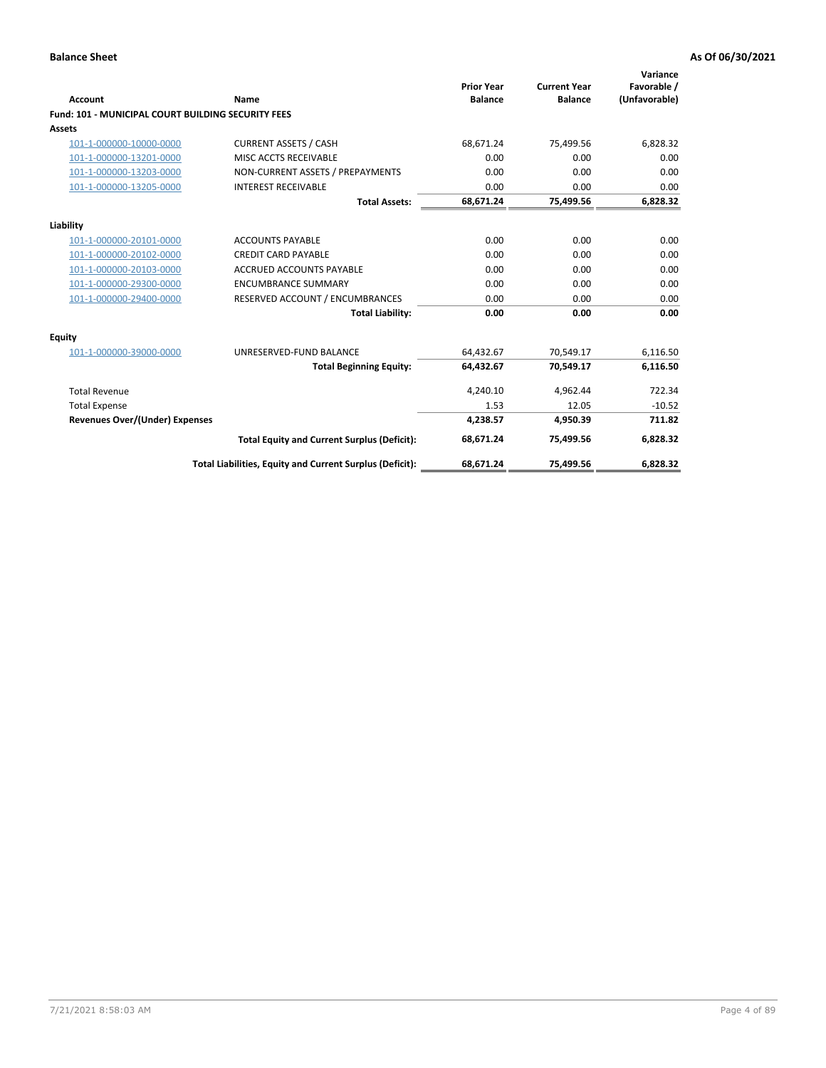| Account                                                   | Name                                                     | <b>Prior Year</b><br><b>Balance</b> | <b>Current Year</b><br><b>Balance</b> | Variance<br>Favorable /<br>(Unfavorable) |
|-----------------------------------------------------------|----------------------------------------------------------|-------------------------------------|---------------------------------------|------------------------------------------|
| <b>Fund: 101 - MUNICIPAL COURT BUILDING SECURITY FEES</b> |                                                          |                                     |                                       |                                          |
| Assets                                                    |                                                          |                                     |                                       |                                          |
| 101-1-000000-10000-0000                                   | <b>CURRENT ASSETS / CASH</b>                             | 68,671.24                           | 75,499.56                             | 6,828.32                                 |
| 101-1-000000-13201-0000                                   | MISC ACCTS RECEIVABLE                                    | 0.00                                | 0.00                                  | 0.00                                     |
| 101-1-000000-13203-0000                                   | NON-CURRENT ASSETS / PREPAYMENTS                         | 0.00                                | 0.00                                  | 0.00                                     |
| 101-1-000000-13205-0000                                   | <b>INTEREST RECEIVABLE</b>                               | 0.00                                | 0.00                                  | 0.00                                     |
|                                                           | <b>Total Assets:</b>                                     | 68,671.24                           | 75,499.56                             | 6,828.32                                 |
| Liability                                                 |                                                          |                                     |                                       |                                          |
| 101-1-000000-20101-0000                                   | <b>ACCOUNTS PAYABLE</b>                                  | 0.00                                | 0.00                                  | 0.00                                     |
| 101-1-000000-20102-0000                                   | <b>CREDIT CARD PAYABLE</b>                               | 0.00                                | 0.00                                  | 0.00                                     |
| 101-1-000000-20103-0000                                   | <b>ACCRUED ACCOUNTS PAYABLE</b>                          | 0.00                                | 0.00                                  | 0.00                                     |
| 101-1-000000-29300-0000                                   | <b>ENCUMBRANCE SUMMARY</b>                               | 0.00                                | 0.00                                  | 0.00                                     |
| 101-1-000000-29400-0000                                   | RESERVED ACCOUNT / ENCUMBRANCES                          | 0.00                                | 0.00                                  | 0.00                                     |
|                                                           | <b>Total Liability:</b>                                  | 0.00                                | 0.00                                  | 0.00                                     |
| <b>Equity</b>                                             |                                                          |                                     |                                       |                                          |
| 101-1-000000-39000-0000                                   | UNRESERVED-FUND BALANCE                                  | 64,432.67                           | 70,549.17                             | 6,116.50                                 |
|                                                           | <b>Total Beginning Equity:</b>                           | 64,432.67                           | 70,549.17                             | 6,116.50                                 |
| <b>Total Revenue</b>                                      |                                                          | 4,240.10                            | 4,962.44                              | 722.34                                   |
| <b>Total Expense</b>                                      |                                                          | 1.53                                | 12.05                                 | $-10.52$                                 |
| <b>Revenues Over/(Under) Expenses</b>                     |                                                          | 4,238.57                            | 4.950.39                              | 711.82                                   |
|                                                           | <b>Total Equity and Current Surplus (Deficit):</b>       | 68.671.24                           | 75.499.56                             | 6,828.32                                 |
|                                                           | Total Liabilities, Equity and Current Surplus (Deficit): | 68,671.24                           | 75,499.56                             | 6,828.32                                 |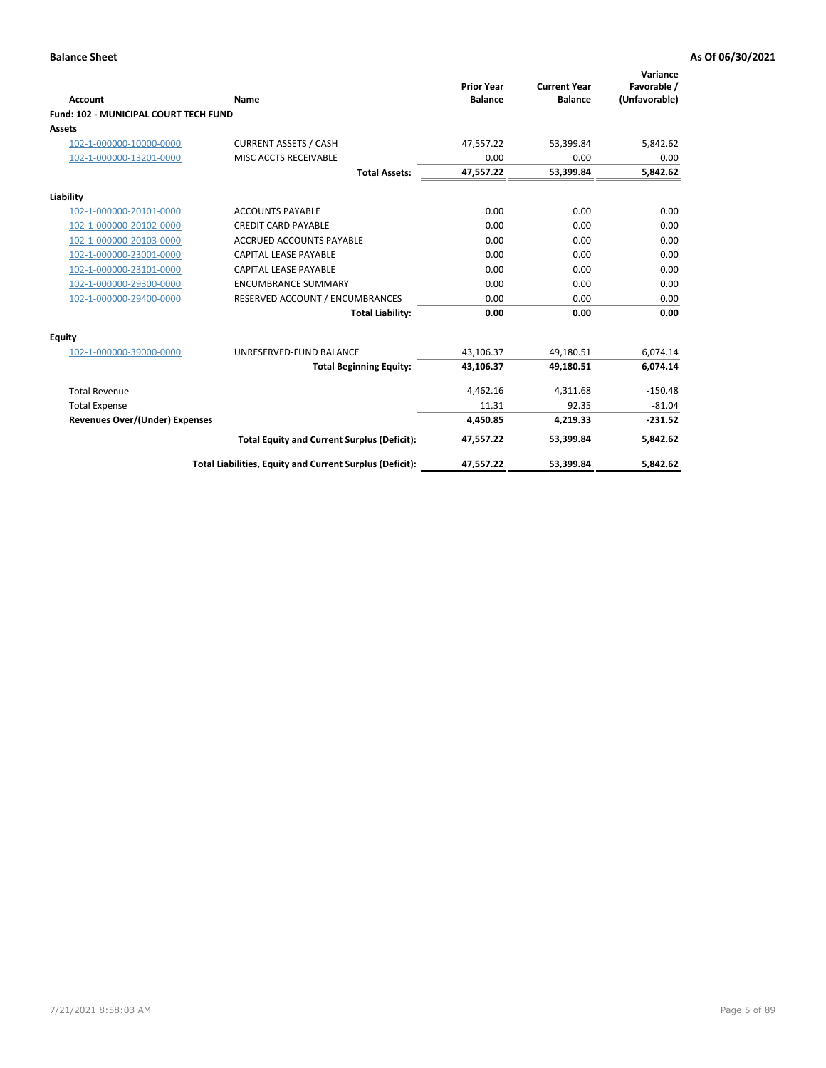| <b>Account</b>                               | <b>Name</b>                                              | <b>Prior Year</b><br><b>Balance</b> | <b>Current Year</b><br><b>Balance</b> | Variance<br>Favorable /<br>(Unfavorable) |
|----------------------------------------------|----------------------------------------------------------|-------------------------------------|---------------------------------------|------------------------------------------|
| <b>Fund: 102 - MUNICIPAL COURT TECH FUND</b> |                                                          |                                     |                                       |                                          |
| Assets                                       |                                                          |                                     |                                       |                                          |
| 102-1-000000-10000-0000                      | <b>CURRENT ASSETS / CASH</b>                             | 47,557.22                           | 53,399.84                             | 5,842.62                                 |
| 102-1-000000-13201-0000                      | MISC ACCTS RECEIVABLE                                    | 0.00                                | 0.00                                  | 0.00                                     |
|                                              | <b>Total Assets:</b>                                     | 47,557.22                           | 53,399.84                             | 5,842.62                                 |
| Liability                                    |                                                          |                                     |                                       |                                          |
| 102-1-000000-20101-0000                      | <b>ACCOUNTS PAYABLE</b>                                  | 0.00                                | 0.00                                  | 0.00                                     |
| 102-1-000000-20102-0000                      | <b>CREDIT CARD PAYABLE</b>                               | 0.00                                | 0.00                                  | 0.00                                     |
| 102-1-000000-20103-0000                      | <b>ACCRUED ACCOUNTS PAYABLE</b>                          | 0.00                                | 0.00                                  | 0.00                                     |
| 102-1-000000-23001-0000                      | <b>CAPITAL LEASE PAYABLE</b>                             | 0.00                                | 0.00                                  | 0.00                                     |
| 102-1-000000-23101-0000                      | <b>CAPITAL LEASE PAYABLE</b>                             | 0.00                                | 0.00                                  | 0.00                                     |
| 102-1-000000-29300-0000                      | <b>ENCUMBRANCE SUMMARY</b>                               | 0.00                                | 0.00                                  | 0.00                                     |
| 102-1-000000-29400-0000                      | RESERVED ACCOUNT / ENCUMBRANCES                          | 0.00                                | 0.00                                  | 0.00                                     |
|                                              | <b>Total Liability:</b>                                  | 0.00                                | 0.00                                  | 0.00                                     |
| Equity                                       |                                                          |                                     |                                       |                                          |
| 102-1-000000-39000-0000                      | UNRESERVED-FUND BALANCE                                  | 43,106.37                           | 49,180.51                             | 6,074.14                                 |
|                                              | <b>Total Beginning Equity:</b>                           | 43,106.37                           | 49,180.51                             | 6,074.14                                 |
| <b>Total Revenue</b>                         |                                                          | 4,462.16                            | 4,311.68                              | $-150.48$                                |
| <b>Total Expense</b>                         |                                                          | 11.31                               | 92.35                                 | $-81.04$                                 |
| <b>Revenues Over/(Under) Expenses</b>        |                                                          | 4,450.85                            | 4,219.33                              | $-231.52$                                |
|                                              | <b>Total Equity and Current Surplus (Deficit):</b>       | 47,557.22                           | 53.399.84                             | 5,842.62                                 |
|                                              | Total Liabilities, Equity and Current Surplus (Deficit): | 47,557.22                           | 53,399.84                             | 5,842.62                                 |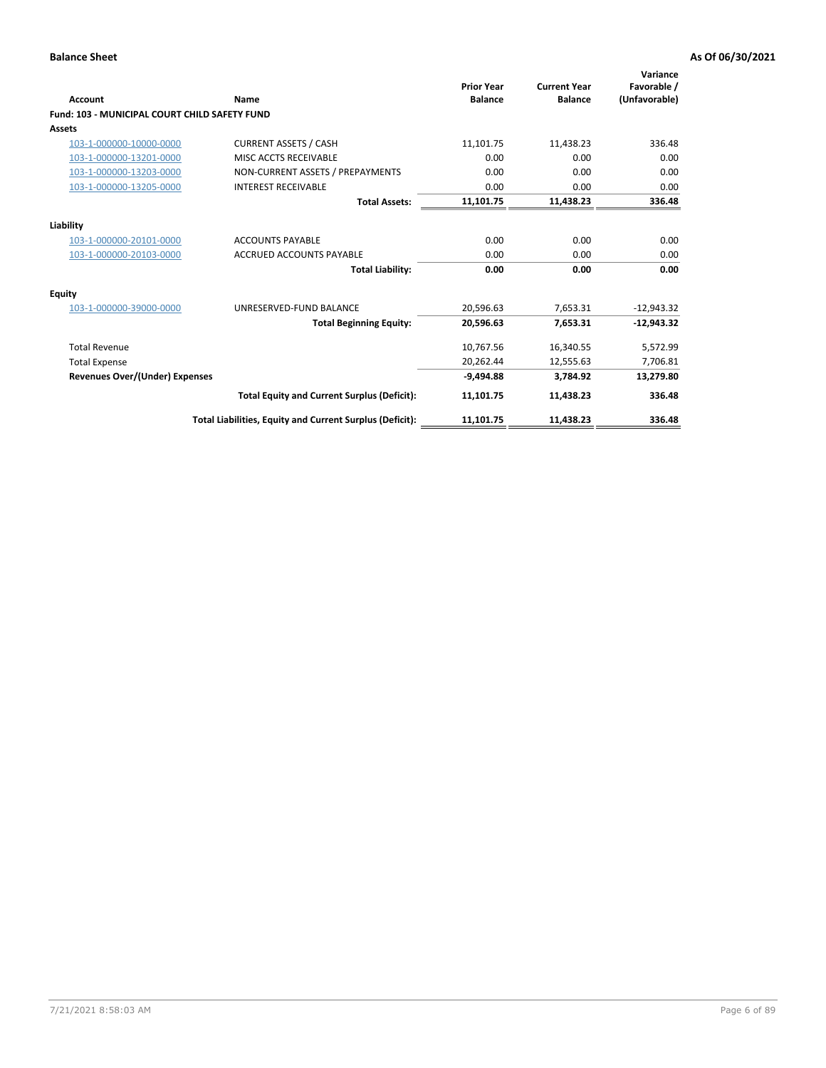## **Balance Sheet As Of 06/30/2021**

| <b>Account</b>                                | Name                                                     | <b>Prior Year</b><br><b>Balance</b> | <b>Current Year</b><br><b>Balance</b> | Variance<br>Favorable /<br>(Unfavorable) |
|-----------------------------------------------|----------------------------------------------------------|-------------------------------------|---------------------------------------|------------------------------------------|
| Fund: 103 - MUNICIPAL COURT CHILD SAFETY FUND |                                                          |                                     |                                       |                                          |
| <b>Assets</b>                                 |                                                          |                                     |                                       |                                          |
| 103-1-000000-10000-0000                       | <b>CURRENT ASSETS / CASH</b>                             | 11,101.75                           | 11,438.23                             | 336.48                                   |
| 103-1-000000-13201-0000                       | MISC ACCTS RECEIVABLE                                    | 0.00                                | 0.00                                  | 0.00                                     |
| 103-1-000000-13203-0000                       | NON-CURRENT ASSETS / PREPAYMENTS                         | 0.00                                | 0.00                                  | 0.00                                     |
| 103-1-000000-13205-0000                       | <b>INTEREST RECEIVABLE</b>                               | 0.00                                | 0.00                                  | 0.00                                     |
|                                               | <b>Total Assets:</b>                                     | 11,101.75                           | 11,438.23                             | 336.48                                   |
| Liability                                     |                                                          |                                     |                                       |                                          |
| 103-1-000000-20101-0000                       | <b>ACCOUNTS PAYABLE</b>                                  | 0.00                                | 0.00                                  | 0.00                                     |
| 103-1-000000-20103-0000                       | ACCRUED ACCOUNTS PAYABLE                                 | 0.00                                | 0.00                                  | 0.00                                     |
|                                               | <b>Total Liability:</b>                                  | 0.00                                | 0.00                                  | 0.00                                     |
| Equity                                        |                                                          |                                     |                                       |                                          |
| 103-1-000000-39000-0000                       | UNRESERVED-FUND BALANCE                                  | 20,596.63                           | 7,653.31                              | $-12,943.32$                             |
|                                               | <b>Total Beginning Equity:</b>                           | 20,596.63                           | 7.653.31                              | $-12.943.32$                             |
| <b>Total Revenue</b>                          |                                                          | 10,767.56                           | 16,340.55                             | 5,572.99                                 |
| <b>Total Expense</b>                          |                                                          | 20,262.44                           | 12,555.63                             | 7,706.81                                 |
| <b>Revenues Over/(Under) Expenses</b>         |                                                          | $-9.494.88$                         | 3.784.92                              | 13,279.80                                |
|                                               | <b>Total Equity and Current Surplus (Deficit):</b>       | 11,101.75                           | 11,438.23                             | 336.48                                   |
|                                               | Total Liabilities, Equity and Current Surplus (Deficit): | 11,101.75                           | 11,438.23                             | 336.48                                   |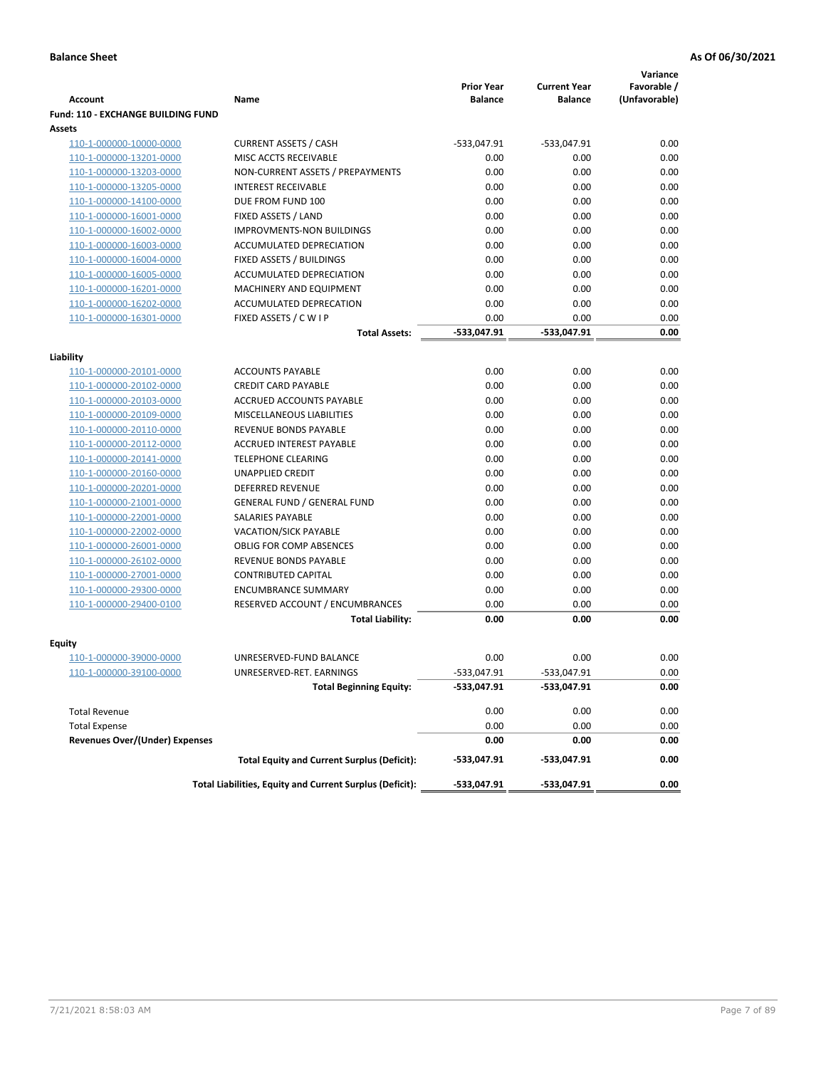|                                           |                                                          |                                     |                                       | Variance                     |
|-------------------------------------------|----------------------------------------------------------|-------------------------------------|---------------------------------------|------------------------------|
| <b>Account</b>                            | Name                                                     | <b>Prior Year</b><br><b>Balance</b> | <b>Current Year</b><br><b>Balance</b> | Favorable /<br>(Unfavorable) |
| <b>Fund: 110 - EXCHANGE BUILDING FUND</b> |                                                          |                                     |                                       |                              |
| Assets                                    |                                                          |                                     |                                       |                              |
| 110-1-000000-10000-0000                   | <b>CURRENT ASSETS / CASH</b>                             | -533,047.91                         | -533,047.91                           | 0.00                         |
| 110-1-000000-13201-0000                   | MISC ACCTS RECEIVABLE                                    | 0.00                                | 0.00                                  | 0.00                         |
| 110-1-000000-13203-0000                   | NON-CURRENT ASSETS / PREPAYMENTS                         | 0.00                                | 0.00                                  | 0.00                         |
| 110-1-000000-13205-0000                   | <b>INTEREST RECEIVABLE</b>                               | 0.00                                | 0.00                                  | 0.00                         |
| 110-1-000000-14100-0000                   | DUE FROM FUND 100                                        | 0.00                                | 0.00                                  | 0.00                         |
| 110-1-000000-16001-0000                   | FIXED ASSETS / LAND                                      | 0.00                                | 0.00                                  | 0.00                         |
| 110-1-000000-16002-0000                   | <b>IMPROVMENTS-NON BUILDINGS</b>                         | 0.00                                | 0.00                                  | 0.00                         |
| 110-1-000000-16003-0000                   | ACCUMULATED DEPRECIATION                                 | 0.00                                | 0.00                                  | 0.00                         |
| 110-1-000000-16004-0000                   | FIXED ASSETS / BUILDINGS                                 | 0.00                                | 0.00                                  | 0.00                         |
| 110-1-000000-16005-0000                   | ACCUMULATED DEPRECIATION                                 | 0.00                                | 0.00                                  | 0.00                         |
| 110-1-000000-16201-0000                   | <b>MACHINERY AND EQUIPMENT</b>                           | 0.00                                | 0.00                                  | 0.00                         |
| 110-1-000000-16202-0000                   | ACCUMULATED DEPRECATION                                  | 0.00                                | 0.00                                  | 0.00                         |
| 110-1-000000-16301-0000                   | FIXED ASSETS / C W I P                                   | 0.00                                | 0.00                                  | 0.00                         |
|                                           | <b>Total Assets:</b>                                     | $-533,047.91$                       | -533,047.91                           | 0.00                         |
| Liability                                 |                                                          |                                     |                                       |                              |
| 110-1-000000-20101-0000                   | <b>ACCOUNTS PAYABLE</b>                                  | 0.00                                | 0.00                                  | 0.00                         |
| 110-1-000000-20102-0000                   | <b>CREDIT CARD PAYABLE</b>                               | 0.00                                | 0.00                                  | 0.00                         |
| 110-1-000000-20103-0000                   | ACCRUED ACCOUNTS PAYABLE                                 | 0.00                                | 0.00                                  | 0.00                         |
| 110-1-000000-20109-0000                   | MISCELLANEOUS LIABILITIES                                | 0.00                                | 0.00                                  | 0.00                         |
| 110-1-000000-20110-0000                   | REVENUE BONDS PAYABLE                                    | 0.00                                | 0.00                                  | 0.00                         |
| 110-1-000000-20112-0000                   | ACCRUED INTEREST PAYABLE                                 | 0.00                                | 0.00                                  | 0.00                         |
| 110-1-000000-20141-0000                   | <b>TELEPHONE CLEARING</b>                                | 0.00                                | 0.00                                  | 0.00                         |
| 110-1-000000-20160-0000                   | <b>UNAPPLIED CREDIT</b>                                  | 0.00                                | 0.00                                  | 0.00                         |
| 110-1-000000-20201-0000                   | <b>DEFERRED REVENUE</b>                                  | 0.00                                | 0.00                                  | 0.00                         |
| 110-1-000000-21001-0000                   | <b>GENERAL FUND / GENERAL FUND</b>                       | 0.00                                | 0.00                                  | 0.00                         |
| 110-1-000000-22001-0000                   | SALARIES PAYABLE                                         | 0.00                                | 0.00                                  | 0.00                         |
| 110-1-000000-22002-0000                   | <b>VACATION/SICK PAYABLE</b>                             | 0.00                                | 0.00                                  | 0.00                         |
| 110-1-000000-26001-0000                   | <b>OBLIG FOR COMP ABSENCES</b>                           | 0.00                                | 0.00                                  | 0.00                         |
| 110-1-000000-26102-0000                   | REVENUE BONDS PAYABLE                                    | 0.00                                | 0.00                                  | 0.00                         |
| 110-1-000000-27001-0000                   | <b>CONTRIBUTED CAPITAL</b>                               | 0.00                                | 0.00                                  | 0.00                         |
| 110-1-000000-29300-0000                   | <b>ENCUMBRANCE SUMMARY</b>                               | 0.00                                | 0.00                                  | 0.00                         |
| 110-1-000000-29400-0100                   | RESERVED ACCOUNT / ENCUMBRANCES                          | 0.00                                | 0.00                                  | 0.00                         |
|                                           | <b>Total Liability:</b>                                  | 0.00                                | 0.00                                  | 0.00                         |
| <b>Equity</b>                             |                                                          |                                     |                                       |                              |
| 110-1-000000-39000-0000                   | UNRESERVED-FUND BALANCE                                  | 0.00                                | 0.00                                  | 0.00                         |
| 110-1-000000-39100-0000                   | UNRESERVED-RET. EARNINGS                                 | $-533,047.91$                       | -533,047.91                           | 0.00                         |
|                                           | <b>Total Beginning Equity:</b>                           | -533,047.91                         | -533,047.91                           | 0.00                         |
|                                           |                                                          |                                     |                                       |                              |
| <b>Total Revenue</b>                      |                                                          | 0.00                                | 0.00                                  | 0.00                         |
| <b>Total Expense</b>                      |                                                          | 0.00                                | 0.00                                  | 0.00                         |
| <b>Revenues Over/(Under) Expenses</b>     |                                                          | 0.00                                | 0.00                                  | 0.00                         |
|                                           | <b>Total Equity and Current Surplus (Deficit):</b>       | -533,047.91                         | -533,047.91                           | 0.00                         |
|                                           | Total Liabilities, Equity and Current Surplus (Deficit): | -533,047.91                         | -533,047.91                           | 0.00                         |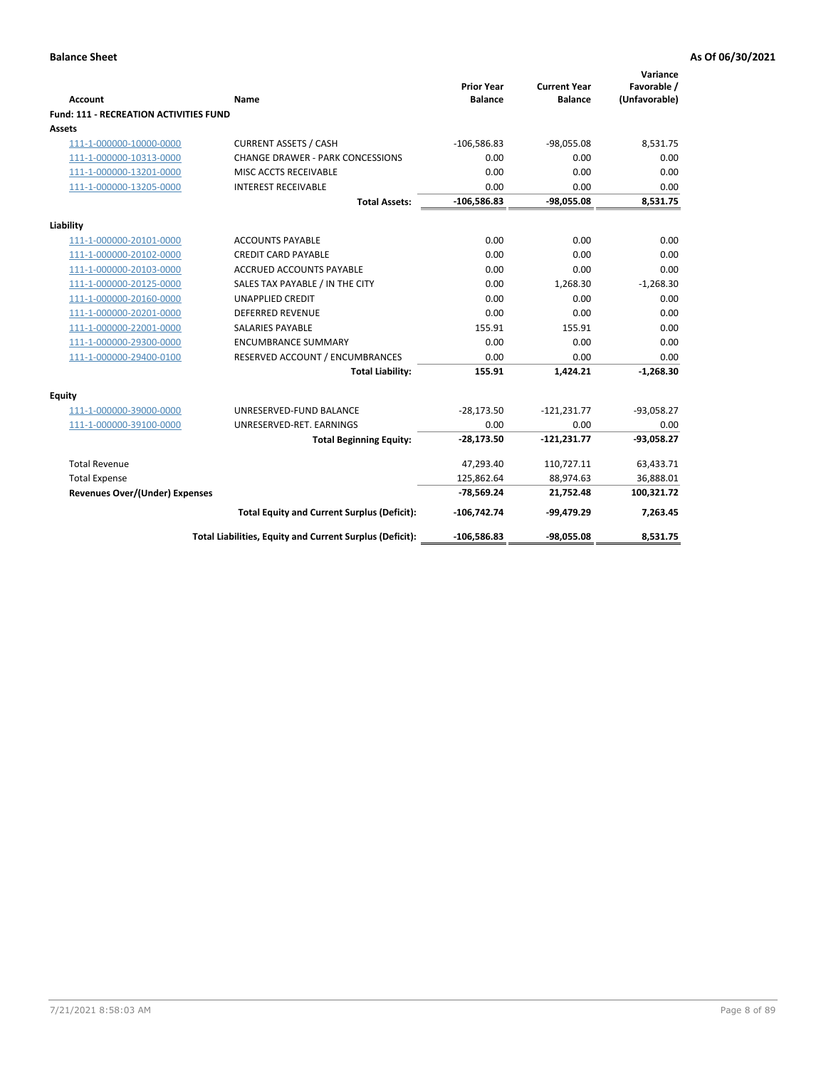| <b>Account</b>                                | Name                                                     | <b>Prior Year</b><br><b>Balance</b> | <b>Current Year</b><br><b>Balance</b> | Variance<br>Favorable /<br>(Unfavorable) |
|-----------------------------------------------|----------------------------------------------------------|-------------------------------------|---------------------------------------|------------------------------------------|
| <b>Fund: 111 - RECREATION ACTIVITIES FUND</b> |                                                          |                                     |                                       |                                          |
| Assets                                        |                                                          |                                     |                                       |                                          |
| 111-1-000000-10000-0000                       | <b>CURRENT ASSETS / CASH</b>                             | $-106,586.83$                       | $-98,055.08$                          | 8,531.75                                 |
| 111-1-000000-10313-0000                       | <b>CHANGE DRAWER - PARK CONCESSIONS</b>                  | 0.00                                | 0.00                                  | 0.00                                     |
| 111-1-000000-13201-0000                       | MISC ACCTS RECEIVABLE                                    | 0.00                                | 0.00                                  | 0.00                                     |
| 111-1-000000-13205-0000                       | <b>INTEREST RECEIVABLE</b>                               | 0.00                                | 0.00                                  | 0.00                                     |
|                                               | <b>Total Assets:</b>                                     | $-106,586.83$                       | $-98,055.08$                          | 8,531.75                                 |
| Liability                                     |                                                          |                                     |                                       |                                          |
| 111-1-000000-20101-0000                       | <b>ACCOUNTS PAYABLE</b>                                  | 0.00                                | 0.00                                  | 0.00                                     |
| 111-1-000000-20102-0000                       | <b>CREDIT CARD PAYABLE</b>                               | 0.00                                | 0.00                                  | 0.00                                     |
| 111-1-000000-20103-0000                       | <b>ACCRUED ACCOUNTS PAYABLE</b>                          | 0.00                                | 0.00                                  | 0.00                                     |
| 111-1-000000-20125-0000                       | SALES TAX PAYABLE / IN THE CITY                          | 0.00                                | 1,268.30                              | $-1,268.30$                              |
| 111-1-000000-20160-0000                       | <b>UNAPPLIED CREDIT</b>                                  | 0.00                                | 0.00                                  | 0.00                                     |
| 111-1-000000-20201-0000                       | <b>DEFERRED REVENUE</b>                                  | 0.00                                | 0.00                                  | 0.00                                     |
| 111-1-000000-22001-0000                       | SALARIES PAYABLE                                         | 155.91                              | 155.91                                | 0.00                                     |
| 111-1-000000-29300-0000                       | <b>ENCUMBRANCE SUMMARY</b>                               | 0.00                                | 0.00                                  | 0.00                                     |
| 111-1-000000-29400-0100                       | RESERVED ACCOUNT / ENCUMBRANCES                          | 0.00                                | 0.00                                  | 0.00                                     |
|                                               | <b>Total Liability:</b>                                  | 155.91                              | 1.424.21                              | $-1,268.30$                              |
| Equity                                        |                                                          |                                     |                                       |                                          |
| 111-1-000000-39000-0000                       | UNRESERVED-FUND BALANCE                                  | $-28,173.50$                        | $-121,231.77$                         | $-93,058.27$                             |
| 111-1-000000-39100-0000                       | UNRESERVED-RET. EARNINGS                                 | 0.00                                | 0.00                                  | 0.00                                     |
|                                               | <b>Total Beginning Equity:</b>                           | $-28,173.50$                        | $-121,231.77$                         | $-93,058.27$                             |
| <b>Total Revenue</b>                          |                                                          | 47,293.40                           | 110,727.11                            | 63,433.71                                |
| <b>Total Expense</b>                          |                                                          | 125,862.64                          | 88,974.63                             | 36,888.01                                |
| <b>Revenues Over/(Under) Expenses</b>         |                                                          | $-78,569.24$                        | 21,752.48                             | 100,321.72                               |
|                                               | <b>Total Equity and Current Surplus (Deficit):</b>       | $-106,742.74$                       | -99,479.29                            | 7,263.45                                 |
|                                               | Total Liabilities, Equity and Current Surplus (Deficit): | $-106,586.83$                       | $-98,055.08$                          | 8,531.75                                 |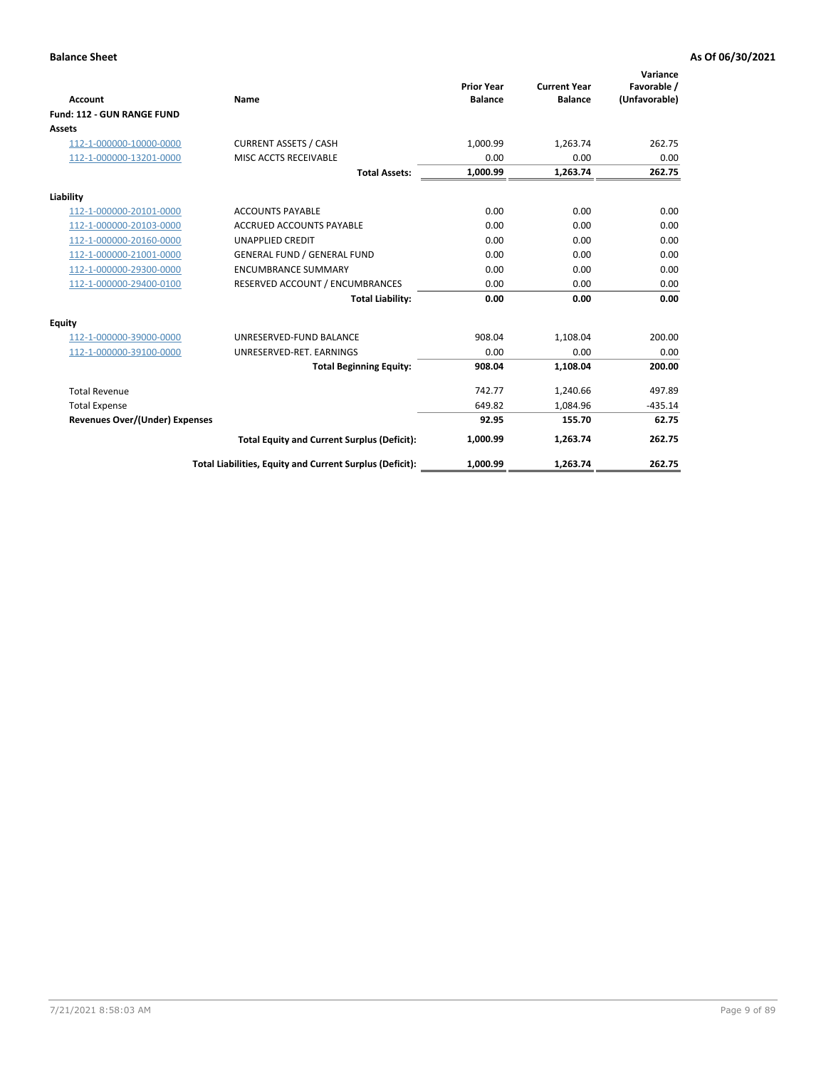|                                       |                                                          |                                     |                                       | Variance                     |
|---------------------------------------|----------------------------------------------------------|-------------------------------------|---------------------------------------|------------------------------|
| <b>Account</b>                        | Name                                                     | <b>Prior Year</b><br><b>Balance</b> | <b>Current Year</b><br><b>Balance</b> | Favorable /<br>(Unfavorable) |
| Fund: 112 - GUN RANGE FUND            |                                                          |                                     |                                       |                              |
| <b>Assets</b>                         |                                                          |                                     |                                       |                              |
| 112-1-000000-10000-0000               | <b>CURRENT ASSETS / CASH</b>                             | 1,000.99                            | 1,263.74                              | 262.75                       |
| 112-1-000000-13201-0000               | MISC ACCTS RECEIVABLE                                    | 0.00                                | 0.00                                  | 0.00                         |
|                                       | <b>Total Assets:</b>                                     | 1,000.99                            | 1,263.74                              | 262.75                       |
| Liability                             |                                                          |                                     |                                       |                              |
| 112-1-000000-20101-0000               | <b>ACCOUNTS PAYABLE</b>                                  | 0.00                                | 0.00                                  | 0.00                         |
| 112-1-000000-20103-0000               | <b>ACCRUED ACCOUNTS PAYABLE</b>                          | 0.00                                | 0.00                                  | 0.00                         |
| 112-1-000000-20160-0000               | <b>UNAPPLIED CREDIT</b>                                  | 0.00                                | 0.00                                  | 0.00                         |
| 112-1-000000-21001-0000               | <b>GENERAL FUND / GENERAL FUND</b>                       | 0.00                                | 0.00                                  | 0.00                         |
| 112-1-000000-29300-0000               | <b>ENCUMBRANCE SUMMARY</b>                               | 0.00                                | 0.00                                  | 0.00                         |
| 112-1-000000-29400-0100               | RESERVED ACCOUNT / ENCUMBRANCES                          | 0.00                                | 0.00                                  | 0.00                         |
|                                       | <b>Total Liability:</b>                                  | 0.00                                | 0.00                                  | 0.00                         |
| <b>Equity</b>                         |                                                          |                                     |                                       |                              |
| 112-1-000000-39000-0000               | UNRESERVED-FUND BALANCE                                  | 908.04                              | 1,108.04                              | 200.00                       |
| 112-1-000000-39100-0000               | UNRESERVED-RET. EARNINGS                                 | 0.00                                | 0.00                                  | 0.00                         |
|                                       | <b>Total Beginning Equity:</b>                           | 908.04                              | 1,108.04                              | 200.00                       |
| <b>Total Revenue</b>                  |                                                          | 742.77                              | 1,240.66                              | 497.89                       |
| <b>Total Expense</b>                  |                                                          | 649.82                              | 1,084.96                              | $-435.14$                    |
| <b>Revenues Over/(Under) Expenses</b> |                                                          | 92.95                               | 155.70                                | 62.75                        |
|                                       | <b>Total Equity and Current Surplus (Deficit):</b>       | 1,000.99                            | 1,263.74                              | 262.75                       |
|                                       | Total Liabilities, Equity and Current Surplus (Deficit): | 1,000.99                            | 1,263.74                              | 262.75                       |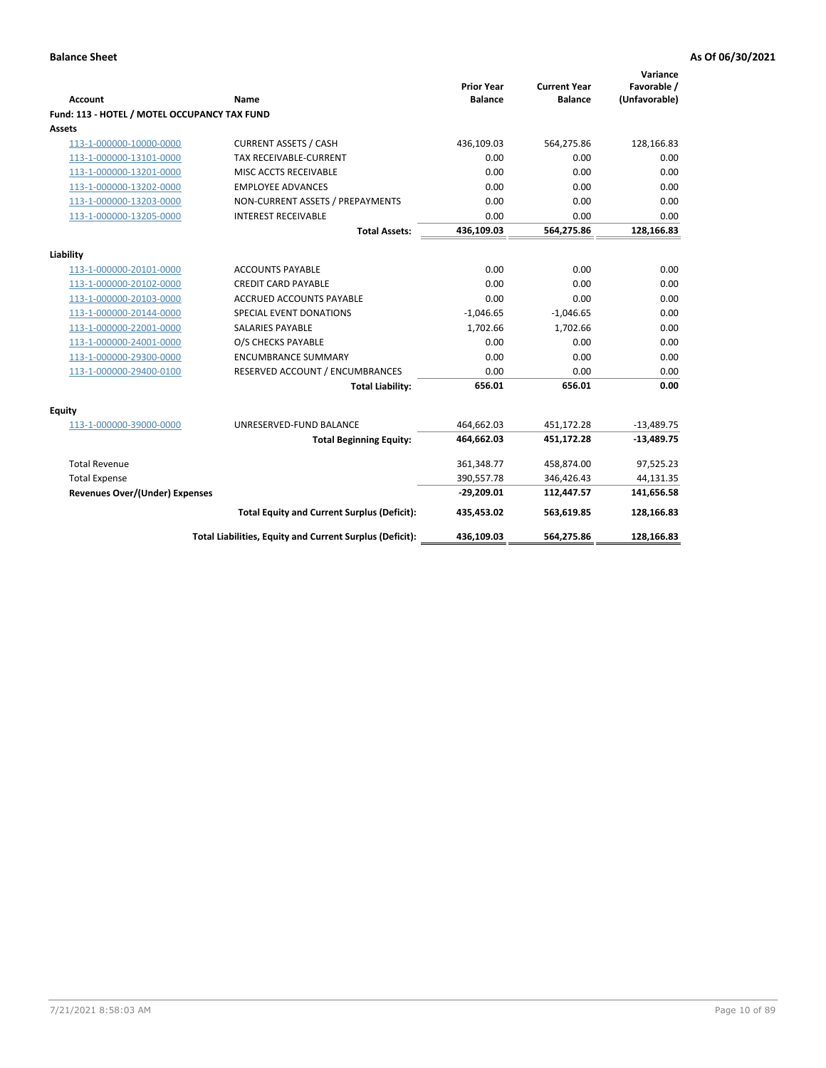| <b>Account</b>                               | <b>Name</b>                                              | <b>Prior Year</b><br><b>Balance</b> | <b>Current Year</b><br><b>Balance</b> | Variance<br>Favorable /<br>(Unfavorable) |
|----------------------------------------------|----------------------------------------------------------|-------------------------------------|---------------------------------------|------------------------------------------|
| Fund: 113 - HOTEL / MOTEL OCCUPANCY TAX FUND |                                                          |                                     |                                       |                                          |
| Assets                                       |                                                          |                                     |                                       |                                          |
| 113-1-000000-10000-0000                      | <b>CURRENT ASSETS / CASH</b>                             | 436,109.03                          | 564,275.86                            | 128,166.83                               |
| 113-1-000000-13101-0000                      | TAX RECEIVABLE-CURRENT                                   | 0.00                                | 0.00                                  | 0.00                                     |
| 113-1-000000-13201-0000                      | MISC ACCTS RECEIVABLE                                    | 0.00                                | 0.00                                  | 0.00                                     |
| 113-1-000000-13202-0000                      | <b>EMPLOYEE ADVANCES</b>                                 | 0.00                                | 0.00                                  | 0.00                                     |
| 113-1-000000-13203-0000                      | NON-CURRENT ASSETS / PREPAYMENTS                         | 0.00                                | 0.00                                  | 0.00                                     |
| 113-1-000000-13205-0000                      | <b>INTEREST RECEIVABLE</b>                               | 0.00                                | 0.00                                  | 0.00                                     |
|                                              | <b>Total Assets:</b>                                     | 436,109.03                          | 564,275.86                            | 128,166.83                               |
| Liability                                    |                                                          |                                     |                                       |                                          |
| 113-1-000000-20101-0000                      | <b>ACCOUNTS PAYABLE</b>                                  | 0.00                                | 0.00                                  | 0.00                                     |
| 113-1-000000-20102-0000                      | <b>CREDIT CARD PAYABLE</b>                               | 0.00                                | 0.00                                  | 0.00                                     |
| 113-1-000000-20103-0000                      | ACCRUED ACCOUNTS PAYABLE                                 | 0.00                                | 0.00                                  | 0.00                                     |
| 113-1-000000-20144-0000                      | SPECIAL EVENT DONATIONS                                  | $-1,046.65$                         | $-1,046.65$                           | 0.00                                     |
| 113-1-000000-22001-0000                      | <b>SALARIES PAYABLE</b>                                  | 1,702.66                            | 1,702.66                              | 0.00                                     |
| 113-1-000000-24001-0000                      | O/S CHECKS PAYABLE                                       | 0.00                                | 0.00                                  | 0.00                                     |
| 113-1-000000-29300-0000                      | <b>ENCUMBRANCE SUMMARY</b>                               | 0.00                                | 0.00                                  | 0.00                                     |
| 113-1-000000-29400-0100                      | RESERVED ACCOUNT / ENCUMBRANCES                          | 0.00                                | 0.00                                  | 0.00                                     |
|                                              | <b>Total Liability:</b>                                  | 656.01                              | 656.01                                | 0.00                                     |
| Equity                                       |                                                          |                                     |                                       |                                          |
| 113-1-000000-39000-0000                      | UNRESERVED-FUND BALANCE                                  | 464,662.03                          | 451,172.28                            | $-13,489.75$                             |
|                                              | <b>Total Beginning Equity:</b>                           | 464,662.03                          | 451,172.28                            | $-13,489.75$                             |
| <b>Total Revenue</b>                         |                                                          | 361,348.77                          | 458,874.00                            | 97,525.23                                |
| <b>Total Expense</b>                         |                                                          | 390,557.78                          | 346,426.43                            | 44,131.35                                |
| <b>Revenues Over/(Under) Expenses</b>        |                                                          | $-29,209.01$                        | 112,447.57                            | 141,656.58                               |
|                                              | <b>Total Equity and Current Surplus (Deficit):</b>       | 435,453.02                          | 563,619.85                            | 128,166.83                               |
|                                              | Total Liabilities, Equity and Current Surplus (Deficit): | 436,109.03                          | 564,275.86                            | 128,166.83                               |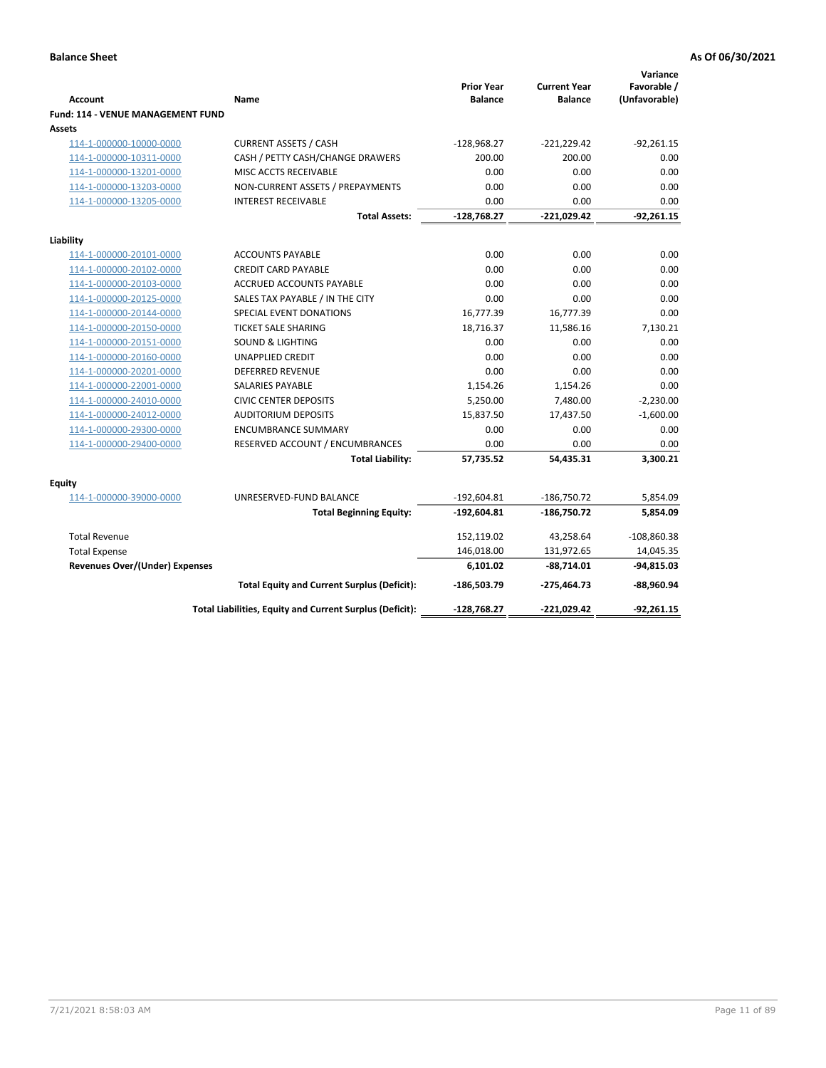| <b>Account</b>                                     | Name                                                     | <b>Prior Year</b><br><b>Balance</b> | <b>Current Year</b><br><b>Balance</b> | Variance<br>Favorable /<br>(Unfavorable) |
|----------------------------------------------------|----------------------------------------------------------|-------------------------------------|---------------------------------------|------------------------------------------|
| <b>Fund: 114 - VENUE MANAGEMENT FUND</b><br>Assets |                                                          |                                     |                                       |                                          |
| 114-1-000000-10000-0000                            | <b>CURRENT ASSETS / CASH</b>                             | $-128,968.27$                       | $-221,229.42$                         | $-92,261.15$                             |
| 114-1-000000-10311-0000                            | CASH / PETTY CASH/CHANGE DRAWERS                         | 200.00                              | 200.00                                | 0.00                                     |
| 114-1-000000-13201-0000                            | MISC ACCTS RECEIVABLE                                    | 0.00                                | 0.00                                  | 0.00                                     |
| 114-1-000000-13203-0000                            | NON-CURRENT ASSETS / PREPAYMENTS                         | 0.00                                | 0.00                                  | 0.00                                     |
| 114-1-000000-13205-0000                            | <b>INTEREST RECEIVABLE</b>                               | 0.00                                | 0.00                                  | 0.00                                     |
|                                                    | <b>Total Assets:</b>                                     | $-128,768.27$                       | $-221,029.42$                         | $-92,261.15$                             |
| Liability                                          |                                                          |                                     |                                       |                                          |
| 114-1-000000-20101-0000                            | <b>ACCOUNTS PAYABLE</b>                                  | 0.00                                | 0.00                                  | 0.00                                     |
| 114-1-000000-20102-0000                            | <b>CREDIT CARD PAYABLE</b>                               | 0.00                                | 0.00                                  | 0.00                                     |
| 114-1-000000-20103-0000                            | <b>ACCRUED ACCOUNTS PAYABLE</b>                          | 0.00                                | 0.00                                  | 0.00                                     |
| 114-1-000000-20125-0000                            | SALES TAX PAYABLE / IN THE CITY                          | 0.00                                | 0.00                                  | 0.00                                     |
| 114-1-000000-20144-0000                            | SPECIAL EVENT DONATIONS                                  | 16,777.39                           | 16,777.39                             | 0.00                                     |
| 114-1-000000-20150-0000                            | <b>TICKET SALE SHARING</b>                               | 18,716.37                           | 11,586.16                             | 7,130.21                                 |
| 114-1-000000-20151-0000                            | <b>SOUND &amp; LIGHTING</b>                              | 0.00                                | 0.00                                  | 0.00                                     |
| 114-1-000000-20160-0000                            | <b>UNAPPLIED CREDIT</b>                                  | 0.00                                | 0.00                                  | 0.00                                     |
| 114-1-000000-20201-0000                            | <b>DEFERRED REVENUE</b>                                  | 0.00                                | 0.00                                  | 0.00                                     |
| 114-1-000000-22001-0000                            | SALARIES PAYABLE                                         | 1,154.26                            | 1,154.26                              | 0.00                                     |
| 114-1-000000-24010-0000                            | <b>CIVIC CENTER DEPOSITS</b>                             | 5,250.00                            | 7,480.00                              | $-2,230.00$                              |
| 114-1-000000-24012-0000                            | <b>AUDITORIUM DEPOSITS</b>                               | 15,837.50                           | 17,437.50                             | $-1,600.00$                              |
| 114-1-000000-29300-0000                            | <b>ENCUMBRANCE SUMMARY</b>                               | 0.00                                | 0.00                                  | 0.00                                     |
| 114-1-000000-29400-0000                            | RESERVED ACCOUNT / ENCUMBRANCES                          | 0.00                                | 0.00                                  | 0.00                                     |
|                                                    | <b>Total Liability:</b>                                  | 57,735.52                           | 54,435.31                             | 3,300.21                                 |
| Equity                                             |                                                          |                                     |                                       |                                          |
| 114-1-000000-39000-0000                            | UNRESERVED-FUND BALANCE                                  | $-192,604.81$                       | $-186,750.72$                         | 5,854.09                                 |
|                                                    | <b>Total Beginning Equity:</b>                           | $-192,604.81$                       | -186,750.72                           | 5,854.09                                 |
| <b>Total Revenue</b>                               |                                                          | 152,119.02                          | 43,258.64                             | $-108,860.38$                            |
| <b>Total Expense</b>                               |                                                          | 146,018.00                          | 131,972.65                            | 14,045.35                                |
| <b>Revenues Over/(Under) Expenses</b>              |                                                          | 6,101.02                            | $-88,714.01$                          | $-94,815.03$                             |
|                                                    | <b>Total Equity and Current Surplus (Deficit):</b>       | $-186,503.79$                       | -275,464.73                           | -88,960.94                               |
|                                                    | Total Liabilities, Equity and Current Surplus (Deficit): | -128,768.27                         | $-221,029.42$                         | $-92,261.15$                             |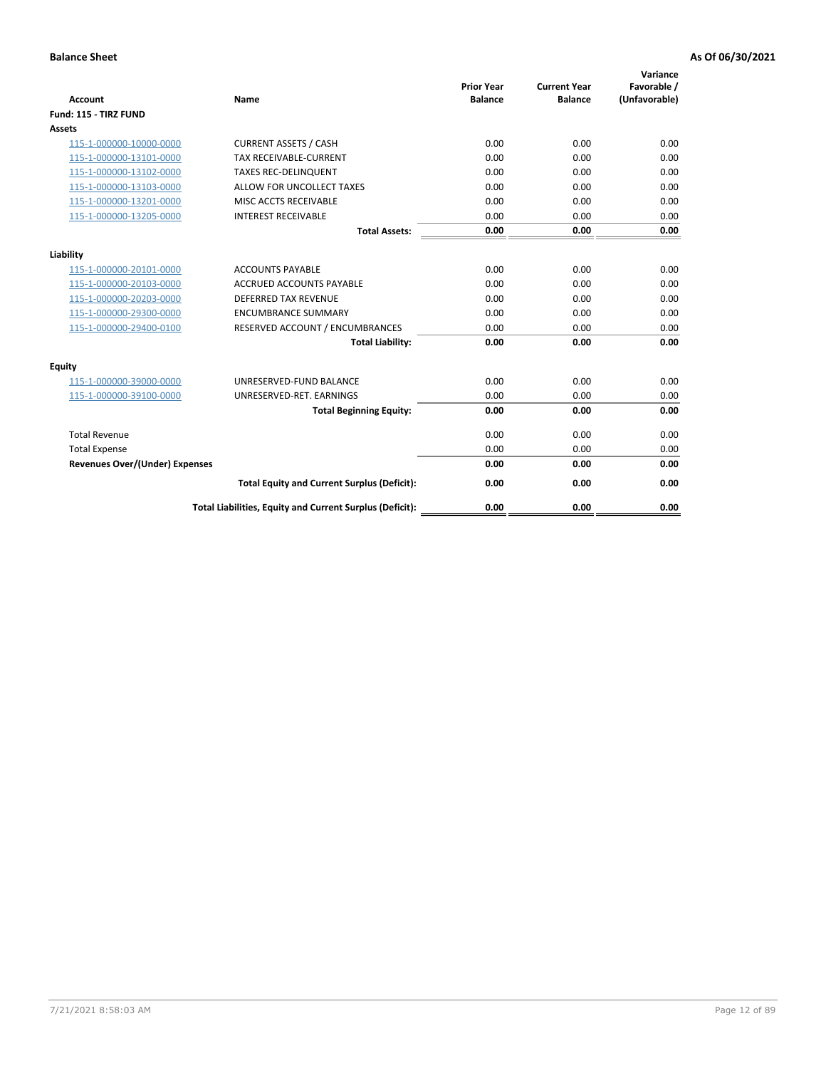| <b>Account</b>                        | Name                                                     | <b>Prior Year</b><br><b>Balance</b> | <b>Current Year</b><br><b>Balance</b> | Variance<br>Favorable /<br>(Unfavorable) |
|---------------------------------------|----------------------------------------------------------|-------------------------------------|---------------------------------------|------------------------------------------|
| Fund: 115 - TIRZ FUND                 |                                                          |                                     |                                       |                                          |
| <b>Assets</b>                         |                                                          |                                     |                                       |                                          |
| 115-1-000000-10000-0000               | <b>CURRENT ASSETS / CASH</b>                             | 0.00                                | 0.00                                  | 0.00                                     |
| 115-1-000000-13101-0000               | <b>TAX RECEIVABLE-CURRENT</b>                            | 0.00                                | 0.00                                  | 0.00                                     |
| 115-1-000000-13102-0000               | <b>TAXES REC-DELINQUENT</b>                              | 0.00                                | 0.00                                  | 0.00                                     |
| 115-1-000000-13103-0000               | ALLOW FOR UNCOLLECT TAXES                                | 0.00                                | 0.00                                  | 0.00                                     |
| 115-1-000000-13201-0000               | MISC ACCTS RECEIVABLE                                    | 0.00                                | 0.00                                  | 0.00                                     |
| 115-1-000000-13205-0000               | <b>INTEREST RECEIVABLE</b>                               | 0.00                                | 0.00                                  | 0.00                                     |
|                                       | <b>Total Assets:</b>                                     | 0.00                                | 0.00                                  | 0.00                                     |
| Liability                             |                                                          |                                     |                                       |                                          |
| 115-1-000000-20101-0000               | <b>ACCOUNTS PAYABLE</b>                                  | 0.00                                | 0.00                                  | 0.00                                     |
| 115-1-000000-20103-0000               | <b>ACCRUED ACCOUNTS PAYABLE</b>                          | 0.00                                | 0.00                                  | 0.00                                     |
| 115-1-000000-20203-0000               | <b>DEFERRED TAX REVENUE</b>                              | 0.00                                | 0.00                                  | 0.00                                     |
| 115-1-000000-29300-0000               | <b>ENCUMBRANCE SUMMARY</b>                               | 0.00                                | 0.00                                  | 0.00                                     |
| 115-1-000000-29400-0100               | RESERVED ACCOUNT / ENCUMBRANCES                          | 0.00                                | 0.00                                  | 0.00                                     |
|                                       | <b>Total Liability:</b>                                  | 0.00                                | 0.00                                  | 0.00                                     |
| Equity                                |                                                          |                                     |                                       |                                          |
| 115-1-000000-39000-0000               | UNRESERVED-FUND BALANCE                                  | 0.00                                | 0.00                                  | 0.00                                     |
| 115-1-000000-39100-0000               | UNRESERVED-RET. EARNINGS                                 | 0.00                                | 0.00                                  | 0.00                                     |
|                                       | <b>Total Beginning Equity:</b>                           | 0.00                                | 0.00                                  | 0.00                                     |
| <b>Total Revenue</b>                  |                                                          | 0.00                                | 0.00                                  | 0.00                                     |
| <b>Total Expense</b>                  |                                                          | 0.00                                | 0.00                                  | 0.00                                     |
| <b>Revenues Over/(Under) Expenses</b> |                                                          | 0.00                                | 0.00                                  | 0.00                                     |
|                                       | <b>Total Equity and Current Surplus (Deficit):</b>       | 0.00                                | 0.00                                  | 0.00                                     |
|                                       | Total Liabilities, Equity and Current Surplus (Deficit): | 0.00                                | 0.00                                  | 0.00                                     |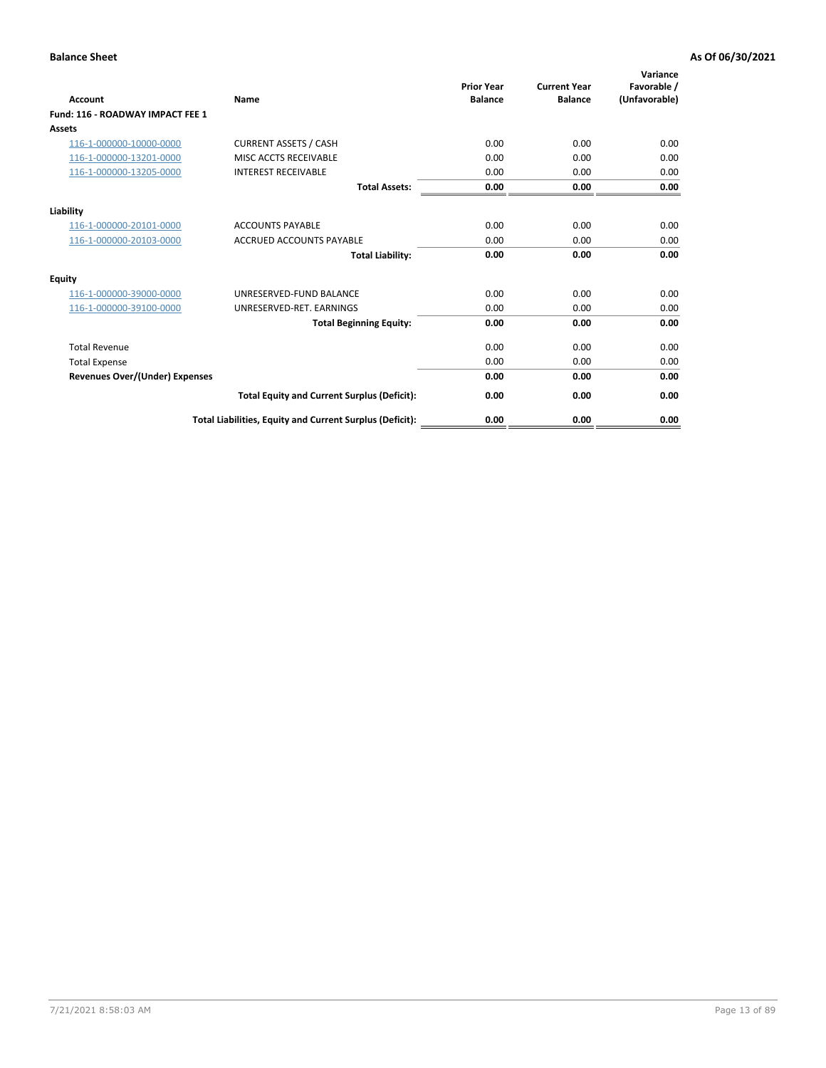| Account                               | <b>Name</b>                                              | <b>Prior Year</b><br><b>Balance</b> | <b>Current Year</b><br><b>Balance</b> | Variance<br>Favorable /<br>(Unfavorable) |
|---------------------------------------|----------------------------------------------------------|-------------------------------------|---------------------------------------|------------------------------------------|
| Fund: 116 - ROADWAY IMPACT FEE 1      |                                                          |                                     |                                       |                                          |
| Assets                                |                                                          |                                     |                                       |                                          |
| 116-1-000000-10000-0000               | <b>CURRENT ASSETS / CASH</b>                             | 0.00                                | 0.00                                  | 0.00                                     |
| 116-1-000000-13201-0000               | MISC ACCTS RECEIVABLE                                    | 0.00                                | 0.00                                  | 0.00                                     |
| 116-1-000000-13205-0000               | <b>INTEREST RECEIVABLE</b>                               | 0.00                                | 0.00                                  | 0.00                                     |
|                                       | <b>Total Assets:</b>                                     | 0.00                                | 0.00                                  | 0.00                                     |
| Liability                             |                                                          |                                     |                                       |                                          |
| 116-1-000000-20101-0000               | <b>ACCOUNTS PAYABLE</b>                                  | 0.00                                | 0.00                                  | 0.00                                     |
| 116-1-000000-20103-0000               | <b>ACCRUED ACCOUNTS PAYABLE</b>                          | 0.00                                | 0.00                                  | 0.00                                     |
|                                       | <b>Total Liability:</b>                                  | 0.00                                | 0.00                                  | 0.00                                     |
| Equity                                |                                                          |                                     |                                       |                                          |
| 116-1-000000-39000-0000               | UNRESERVED-FUND BALANCE                                  | 0.00                                | 0.00                                  | 0.00                                     |
| 116-1-000000-39100-0000               | UNRESERVED-RET. EARNINGS                                 | 0.00                                | 0.00                                  | 0.00                                     |
|                                       | <b>Total Beginning Equity:</b>                           | 0.00                                | 0.00                                  | 0.00                                     |
| <b>Total Revenue</b>                  |                                                          | 0.00                                | 0.00                                  | 0.00                                     |
| <b>Total Expense</b>                  |                                                          | 0.00                                | 0.00                                  | 0.00                                     |
| <b>Revenues Over/(Under) Expenses</b> |                                                          | 0.00                                | 0.00                                  | 0.00                                     |
|                                       | <b>Total Equity and Current Surplus (Deficit):</b>       | 0.00                                | 0.00                                  | 0.00                                     |
|                                       | Total Liabilities, Equity and Current Surplus (Deficit): | 0.00                                | 0.00                                  | 0.00                                     |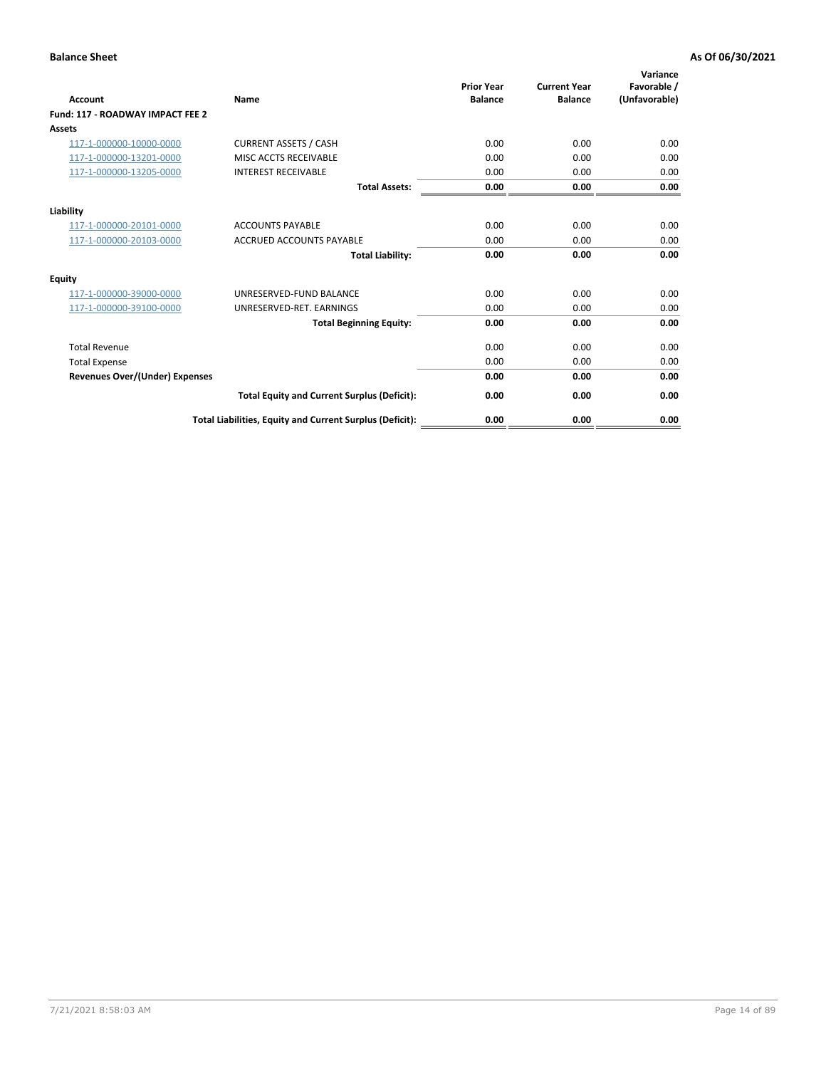| Account                               | <b>Name</b>                                              | <b>Prior Year</b><br><b>Balance</b> | <b>Current Year</b><br><b>Balance</b> | Variance<br>Favorable /<br>(Unfavorable) |
|---------------------------------------|----------------------------------------------------------|-------------------------------------|---------------------------------------|------------------------------------------|
| Fund: 117 - ROADWAY IMPACT FEE 2      |                                                          |                                     |                                       |                                          |
| Assets                                |                                                          |                                     |                                       |                                          |
| 117-1-000000-10000-0000               | <b>CURRENT ASSETS / CASH</b>                             | 0.00                                | 0.00                                  | 0.00                                     |
| 117-1-000000-13201-0000               | MISC ACCTS RECEIVABLE                                    | 0.00                                | 0.00                                  | 0.00                                     |
| 117-1-000000-13205-0000               | <b>INTEREST RECEIVABLE</b>                               | 0.00                                | 0.00                                  | 0.00                                     |
|                                       | <b>Total Assets:</b>                                     | 0.00                                | 0.00                                  | 0.00                                     |
| Liability                             |                                                          |                                     |                                       |                                          |
| 117-1-000000-20101-0000               | <b>ACCOUNTS PAYABLE</b>                                  | 0.00                                | 0.00                                  | 0.00                                     |
| 117-1-000000-20103-0000               | <b>ACCRUED ACCOUNTS PAYABLE</b>                          | 0.00                                | 0.00                                  | 0.00                                     |
|                                       | <b>Total Liability:</b>                                  | 0.00                                | 0.00                                  | 0.00                                     |
| Equity                                |                                                          |                                     |                                       |                                          |
| 117-1-000000-39000-0000               | UNRESERVED-FUND BALANCE                                  | 0.00                                | 0.00                                  | 0.00                                     |
| 117-1-000000-39100-0000               | UNRESERVED-RET. EARNINGS                                 | 0.00                                | 0.00                                  | 0.00                                     |
|                                       | <b>Total Beginning Equity:</b>                           | 0.00                                | 0.00                                  | 0.00                                     |
| <b>Total Revenue</b>                  |                                                          | 0.00                                | 0.00                                  | 0.00                                     |
| <b>Total Expense</b>                  |                                                          | 0.00                                | 0.00                                  | 0.00                                     |
| <b>Revenues Over/(Under) Expenses</b> |                                                          | 0.00                                | 0.00                                  | 0.00                                     |
|                                       | <b>Total Equity and Current Surplus (Deficit):</b>       | 0.00                                | 0.00                                  | 0.00                                     |
|                                       | Total Liabilities, Equity and Current Surplus (Deficit): | 0.00                                | 0.00                                  | 0.00                                     |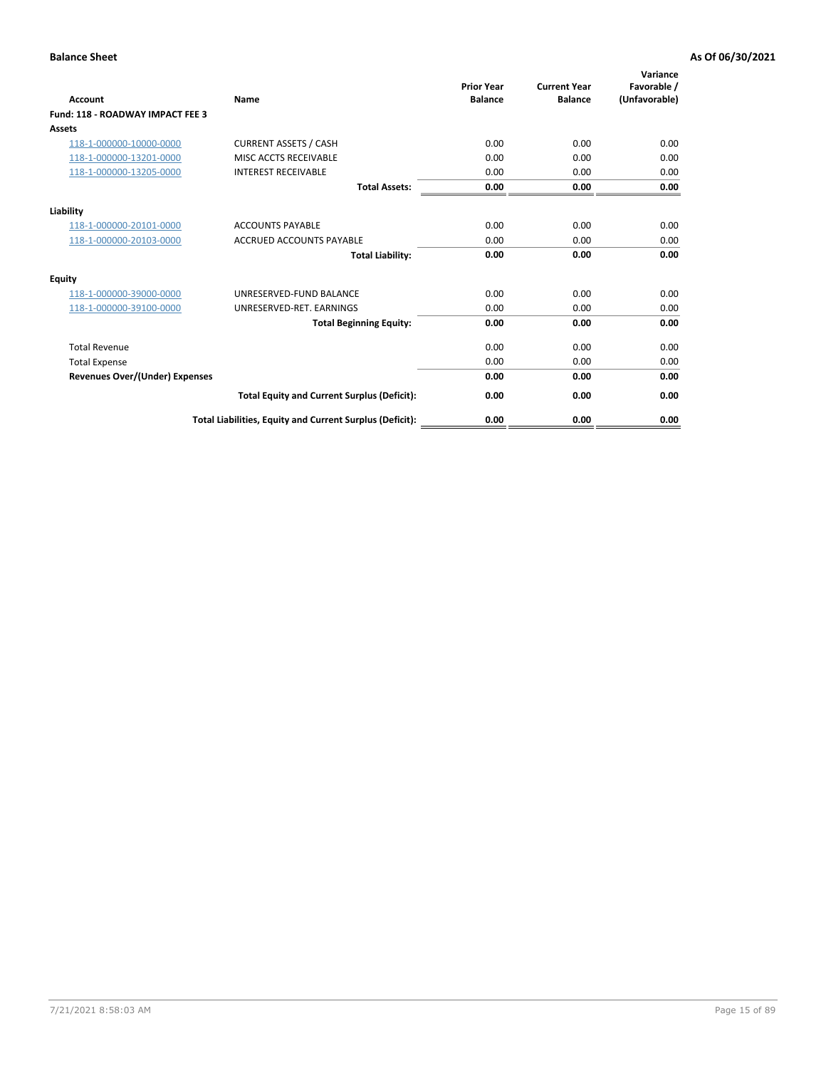| Account                                 | <b>Name</b>                                              | <b>Prior Year</b><br><b>Balance</b> | <b>Current Year</b><br><b>Balance</b> | Variance<br>Favorable /<br>(Unfavorable) |
|-----------------------------------------|----------------------------------------------------------|-------------------------------------|---------------------------------------|------------------------------------------|
| <b>Fund: 118 - ROADWAY IMPACT FEE 3</b> |                                                          |                                     |                                       |                                          |
| Assets                                  |                                                          |                                     |                                       |                                          |
| 118-1-000000-10000-0000                 | <b>CURRENT ASSETS / CASH</b>                             | 0.00                                | 0.00                                  | 0.00                                     |
| 118-1-000000-13201-0000                 | MISC ACCTS RECEIVABLE                                    | 0.00                                | 0.00                                  | 0.00                                     |
| 118-1-000000-13205-0000                 | <b>INTEREST RECEIVABLE</b>                               | 0.00                                | 0.00                                  | 0.00                                     |
|                                         | <b>Total Assets:</b>                                     | 0.00                                | 0.00                                  | 0.00                                     |
| Liability                               |                                                          |                                     |                                       |                                          |
| 118-1-000000-20101-0000                 | <b>ACCOUNTS PAYABLE</b>                                  | 0.00                                | 0.00                                  | 0.00                                     |
| 118-1-000000-20103-0000                 | <b>ACCRUED ACCOUNTS PAYABLE</b>                          | 0.00                                | 0.00                                  | 0.00                                     |
|                                         | <b>Total Liability:</b>                                  | 0.00                                | 0.00                                  | 0.00                                     |
| Equity                                  |                                                          |                                     |                                       |                                          |
| 118-1-000000-39000-0000                 | UNRESERVED-FUND BALANCE                                  | 0.00                                | 0.00                                  | 0.00                                     |
| 118-1-000000-39100-0000                 | UNRESERVED-RET. EARNINGS                                 | 0.00                                | 0.00                                  | 0.00                                     |
|                                         | <b>Total Beginning Equity:</b>                           | 0.00                                | 0.00                                  | 0.00                                     |
| <b>Total Revenue</b>                    |                                                          | 0.00                                | 0.00                                  | 0.00                                     |
| <b>Total Expense</b>                    |                                                          | 0.00                                | 0.00                                  | 0.00                                     |
| <b>Revenues Over/(Under) Expenses</b>   |                                                          | 0.00                                | 0.00                                  | 0.00                                     |
|                                         | <b>Total Equity and Current Surplus (Deficit):</b>       | 0.00                                | 0.00                                  | 0.00                                     |
|                                         | Total Liabilities, Equity and Current Surplus (Deficit): | 0.00                                | 0.00                                  | 0.00                                     |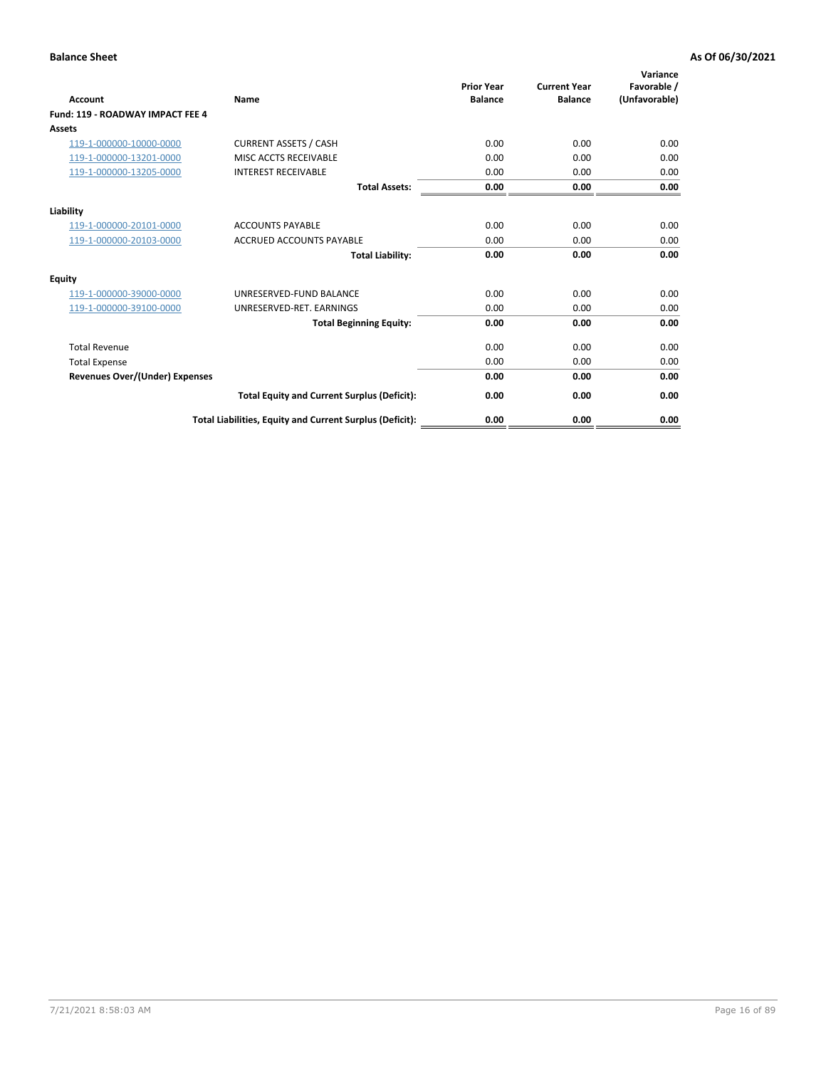| Account                               | Name                                                     | <b>Prior Year</b><br><b>Balance</b> | <b>Current Year</b><br><b>Balance</b> | Variance<br>Favorable /<br>(Unfavorable) |
|---------------------------------------|----------------------------------------------------------|-------------------------------------|---------------------------------------|------------------------------------------|
| Fund: 119 - ROADWAY IMPACT FEE 4      |                                                          |                                     |                                       |                                          |
| Assets                                |                                                          |                                     |                                       |                                          |
| 119-1-000000-10000-0000               | <b>CURRENT ASSETS / CASH</b>                             | 0.00                                | 0.00                                  | 0.00                                     |
| 119-1-000000-13201-0000               | MISC ACCTS RECEIVABLE                                    | 0.00                                | 0.00                                  | 0.00                                     |
| 119-1-000000-13205-0000               | <b>INTEREST RECEIVABLE</b>                               | 0.00                                | 0.00                                  | 0.00                                     |
|                                       | <b>Total Assets:</b>                                     | 0.00                                | 0.00                                  | 0.00                                     |
| Liability                             |                                                          |                                     |                                       |                                          |
| 119-1-000000-20101-0000               | <b>ACCOUNTS PAYABLE</b>                                  | 0.00                                | 0.00                                  | 0.00                                     |
| 119-1-000000-20103-0000               | <b>ACCRUED ACCOUNTS PAYABLE</b>                          | 0.00                                | 0.00                                  | 0.00                                     |
|                                       | <b>Total Liability:</b>                                  | 0.00                                | 0.00                                  | 0.00                                     |
| Equity                                |                                                          |                                     |                                       |                                          |
| 119-1-000000-39000-0000               | UNRESERVED-FUND BALANCE                                  | 0.00                                | 0.00                                  | 0.00                                     |
| 119-1-000000-39100-0000               | UNRESERVED-RET. EARNINGS                                 | 0.00                                | 0.00                                  | 0.00                                     |
|                                       | <b>Total Beginning Equity:</b>                           | 0.00                                | 0.00                                  | 0.00                                     |
| <b>Total Revenue</b>                  |                                                          | 0.00                                | 0.00                                  | 0.00                                     |
| <b>Total Expense</b>                  |                                                          | 0.00                                | 0.00                                  | 0.00                                     |
| <b>Revenues Over/(Under) Expenses</b> |                                                          | 0.00                                | 0.00                                  | 0.00                                     |
|                                       | <b>Total Equity and Current Surplus (Deficit):</b>       | 0.00                                | 0.00                                  | 0.00                                     |
|                                       | Total Liabilities, Equity and Current Surplus (Deficit): | 0.00                                | 0.00                                  | 0.00                                     |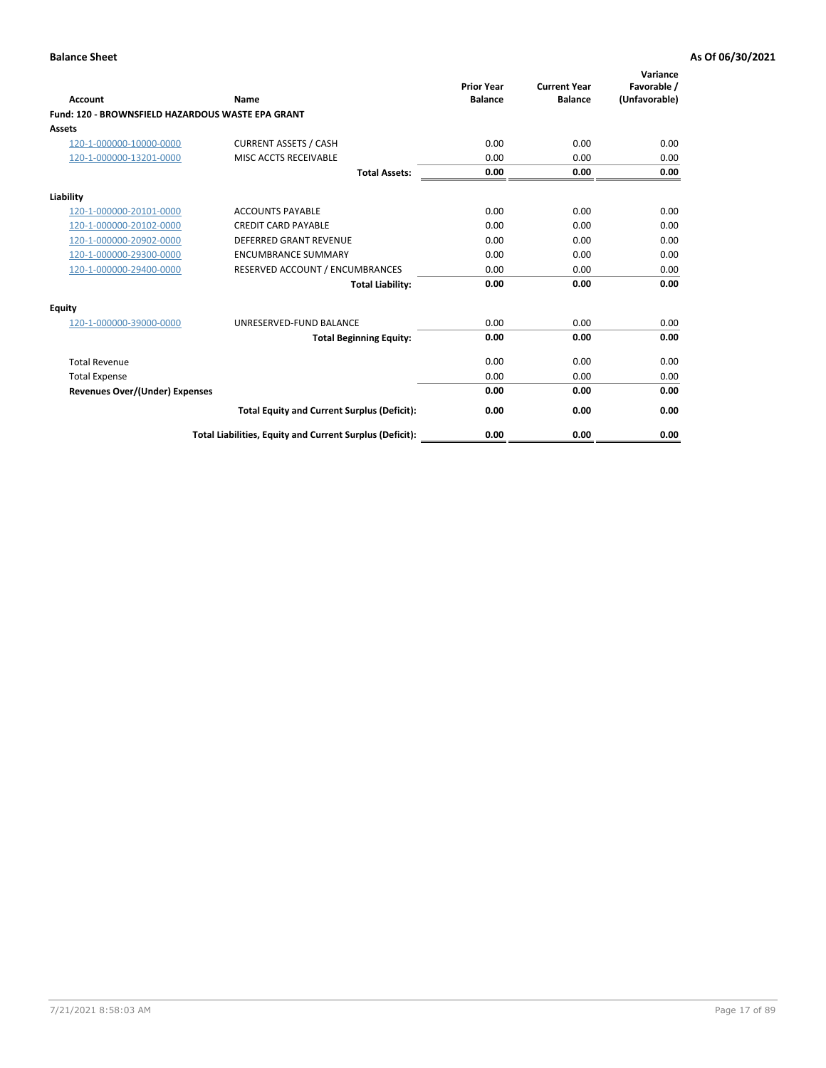| Account                                           | Name                                                     | <b>Prior Year</b><br><b>Balance</b> | <b>Current Year</b><br><b>Balance</b> | Variance<br>Favorable /<br>(Unfavorable) |
|---------------------------------------------------|----------------------------------------------------------|-------------------------------------|---------------------------------------|------------------------------------------|
| Fund: 120 - BROWNSFIELD HAZARDOUS WASTE EPA GRANT |                                                          |                                     |                                       |                                          |
| <b>Assets</b>                                     |                                                          |                                     |                                       |                                          |
| 120-1-000000-10000-0000                           | <b>CURRENT ASSETS / CASH</b>                             | 0.00                                | 0.00                                  | 0.00                                     |
| 120-1-000000-13201-0000                           | MISC ACCTS RECEIVABLE                                    | 0.00                                | 0.00                                  | 0.00                                     |
|                                                   | <b>Total Assets:</b>                                     | 0.00                                | 0.00                                  | 0.00                                     |
| Liability                                         |                                                          |                                     |                                       |                                          |
| 120-1-000000-20101-0000                           | <b>ACCOUNTS PAYABLE</b>                                  | 0.00                                | 0.00                                  | 0.00                                     |
| 120-1-000000-20102-0000                           | <b>CREDIT CARD PAYABLE</b>                               | 0.00                                | 0.00                                  | 0.00                                     |
| 120-1-000000-20902-0000                           | <b>DEFERRED GRANT REVENUE</b>                            | 0.00                                | 0.00                                  | 0.00                                     |
| 120-1-000000-29300-0000                           | <b>ENCUMBRANCE SUMMARY</b>                               | 0.00                                | 0.00                                  | 0.00                                     |
| 120-1-000000-29400-0000                           | RESERVED ACCOUNT / ENCUMBRANCES                          | 0.00                                | 0.00                                  | 0.00                                     |
|                                                   | <b>Total Liability:</b>                                  | 0.00                                | 0.00                                  | 0.00                                     |
| Equity                                            |                                                          |                                     |                                       |                                          |
| 120-1-000000-39000-0000                           | UNRESERVED-FUND BALANCE                                  | 0.00                                | 0.00                                  | 0.00                                     |
|                                                   | <b>Total Beginning Equity:</b>                           | 0.00                                | 0.00                                  | 0.00                                     |
| <b>Total Revenue</b>                              |                                                          | 0.00                                | 0.00                                  | 0.00                                     |
| <b>Total Expense</b>                              |                                                          | 0.00                                | 0.00                                  | 0.00                                     |
| <b>Revenues Over/(Under) Expenses</b>             |                                                          | 0.00                                | 0.00                                  | 0.00                                     |
|                                                   | <b>Total Equity and Current Surplus (Deficit):</b>       | 0.00                                | 0.00                                  | 0.00                                     |
|                                                   | Total Liabilities, Equity and Current Surplus (Deficit): | 0.00                                | 0.00                                  | 0.00                                     |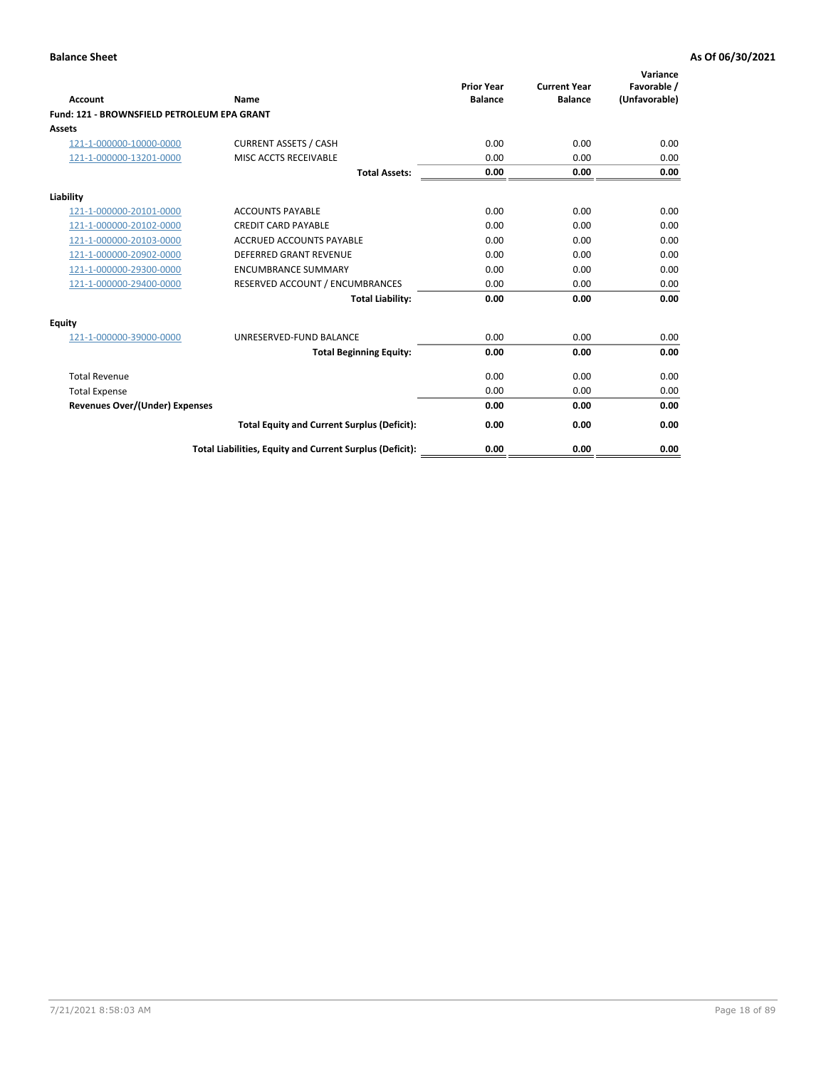| <b>Account</b>                              | Name                                                     | <b>Prior Year</b><br><b>Balance</b> | <b>Current Year</b><br><b>Balance</b> | Variance<br>Favorable /<br>(Unfavorable) |
|---------------------------------------------|----------------------------------------------------------|-------------------------------------|---------------------------------------|------------------------------------------|
| Fund: 121 - BROWNSFIELD PETROLEUM EPA GRANT |                                                          |                                     |                                       |                                          |
| Assets                                      |                                                          |                                     |                                       |                                          |
| 121-1-000000-10000-0000                     | <b>CURRENT ASSETS / CASH</b>                             | 0.00                                | 0.00                                  | 0.00                                     |
| 121-1-000000-13201-0000                     | MISC ACCTS RECEIVABLE                                    | 0.00                                | 0.00                                  | 0.00                                     |
|                                             | <b>Total Assets:</b>                                     | 0.00                                | 0.00                                  | 0.00                                     |
| Liability                                   |                                                          |                                     |                                       |                                          |
| 121-1-000000-20101-0000                     | <b>ACCOUNTS PAYABLE</b>                                  | 0.00                                | 0.00                                  | 0.00                                     |
| 121-1-000000-20102-0000                     | <b>CREDIT CARD PAYABLE</b>                               | 0.00                                | 0.00                                  | 0.00                                     |
| 121-1-000000-20103-0000                     | <b>ACCRUED ACCOUNTS PAYABLE</b>                          | 0.00                                | 0.00                                  | 0.00                                     |
| 121-1-000000-20902-0000                     | DEFERRED GRANT REVENUE                                   | 0.00                                | 0.00                                  | 0.00                                     |
| 121-1-000000-29300-0000                     | <b>ENCUMBRANCE SUMMARY</b>                               | 0.00                                | 0.00                                  | 0.00                                     |
| 121-1-000000-29400-0000                     | RESERVED ACCOUNT / ENCUMBRANCES                          | 0.00                                | 0.00                                  | 0.00                                     |
|                                             | <b>Total Liability:</b>                                  | 0.00                                | 0.00                                  | 0.00                                     |
| Equity                                      |                                                          |                                     |                                       |                                          |
| 121-1-000000-39000-0000                     | UNRESERVED-FUND BALANCE                                  | 0.00                                | 0.00                                  | 0.00                                     |
|                                             | <b>Total Beginning Equity:</b>                           | 0.00                                | 0.00                                  | 0.00                                     |
| <b>Total Revenue</b>                        |                                                          | 0.00                                | 0.00                                  | 0.00                                     |
| <b>Total Expense</b>                        |                                                          | 0.00                                | 0.00                                  | 0.00                                     |
| <b>Revenues Over/(Under) Expenses</b>       |                                                          | 0.00                                | 0.00                                  | 0.00                                     |
|                                             | <b>Total Equity and Current Surplus (Deficit):</b>       | 0.00                                | 0.00                                  | 0.00                                     |
|                                             | Total Liabilities, Equity and Current Surplus (Deficit): | 0.00                                | 0.00                                  | 0.00                                     |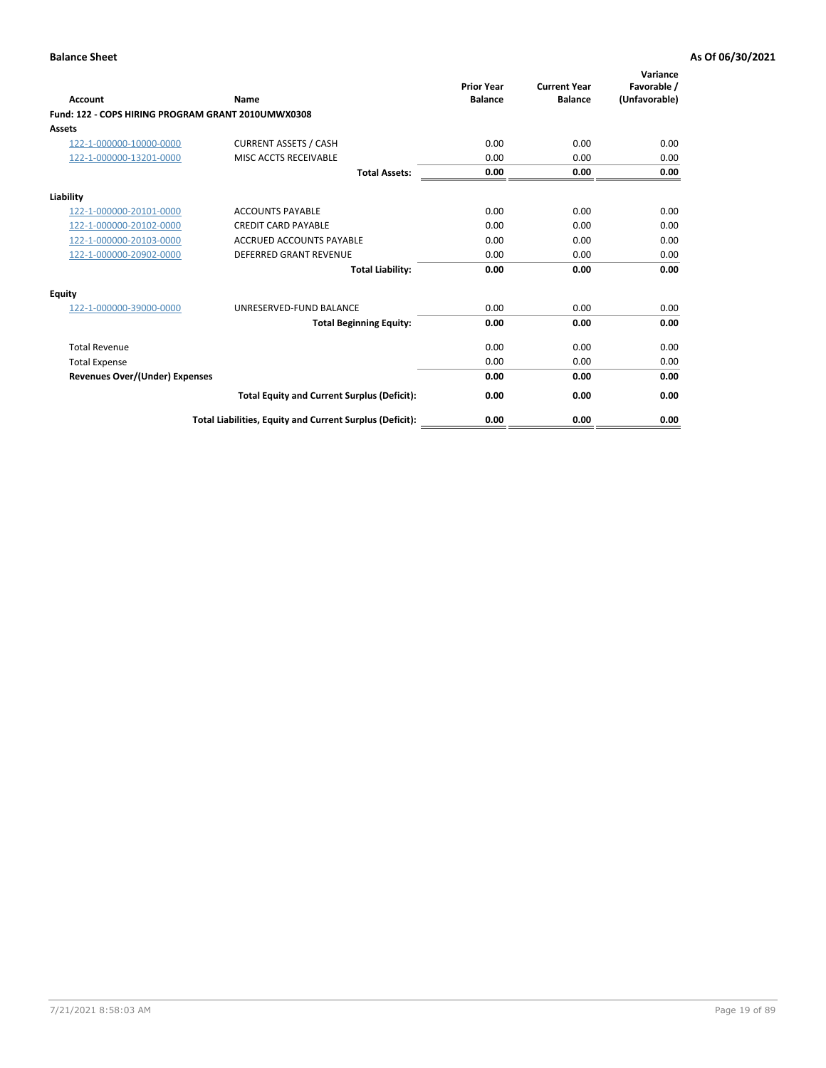| <b>Account</b>                                     | Name                                                     | <b>Prior Year</b><br><b>Balance</b> | <b>Current Year</b><br><b>Balance</b> | Variance<br>Favorable /<br>(Unfavorable) |
|----------------------------------------------------|----------------------------------------------------------|-------------------------------------|---------------------------------------|------------------------------------------|
| Fund: 122 - COPS HIRING PROGRAM GRANT 2010UMWX0308 |                                                          |                                     |                                       |                                          |
| Assets                                             |                                                          |                                     |                                       |                                          |
| 122-1-000000-10000-0000                            | <b>CURRENT ASSETS / CASH</b>                             | 0.00                                | 0.00                                  | 0.00                                     |
| 122-1-000000-13201-0000                            | MISC ACCTS RECEIVABLE                                    | 0.00                                | 0.00                                  | 0.00                                     |
|                                                    | <b>Total Assets:</b>                                     | 0.00                                | 0.00                                  | 0.00                                     |
| Liability                                          |                                                          |                                     |                                       |                                          |
| 122-1-000000-20101-0000                            | <b>ACCOUNTS PAYABLE</b>                                  | 0.00                                | 0.00                                  | 0.00                                     |
| 122-1-000000-20102-0000                            | <b>CREDIT CARD PAYABLE</b>                               | 0.00                                | 0.00                                  | 0.00                                     |
| 122-1-000000-20103-0000                            | <b>ACCRUED ACCOUNTS PAYABLE</b>                          | 0.00                                | 0.00                                  | 0.00                                     |
| 122-1-000000-20902-0000                            | <b>DEFERRED GRANT REVENUE</b>                            | 0.00                                | 0.00                                  | 0.00                                     |
|                                                    | <b>Total Liability:</b>                                  | 0.00                                | 0.00                                  | 0.00                                     |
| Equity                                             |                                                          |                                     |                                       |                                          |
| 122-1-000000-39000-0000                            | UNRESERVED-FUND BALANCE                                  | 0.00                                | 0.00                                  | 0.00                                     |
|                                                    | <b>Total Beginning Equity:</b>                           | 0.00                                | 0.00                                  | 0.00                                     |
| <b>Total Revenue</b>                               |                                                          | 0.00                                | 0.00                                  | 0.00                                     |
| <b>Total Expense</b>                               |                                                          | 0.00                                | 0.00                                  | 0.00                                     |
| <b>Revenues Over/(Under) Expenses</b>              |                                                          | 0.00                                | 0.00                                  | 0.00                                     |
|                                                    | <b>Total Equity and Current Surplus (Deficit):</b>       | 0.00                                | 0.00                                  | 0.00                                     |
|                                                    | Total Liabilities, Equity and Current Surplus (Deficit): | 0.00                                | 0.00                                  | 0.00                                     |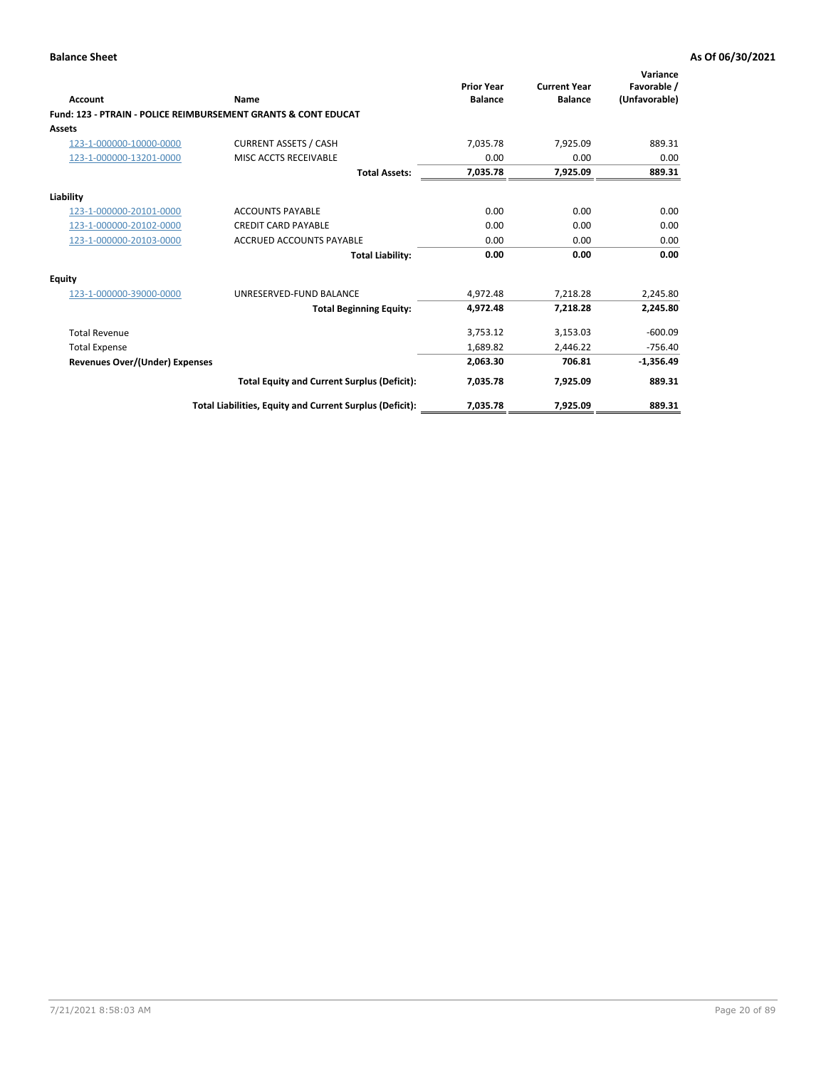| Account                               | Name                                                           | <b>Prior Year</b><br><b>Balance</b> | <b>Current Year</b><br><b>Balance</b> | Variance<br>Favorable /<br>(Unfavorable) |
|---------------------------------------|----------------------------------------------------------------|-------------------------------------|---------------------------------------|------------------------------------------|
|                                       | Fund: 123 - PTRAIN - POLICE REIMBURSEMENT GRANTS & CONT EDUCAT |                                     |                                       |                                          |
| Assets                                |                                                                |                                     |                                       |                                          |
| 123-1-000000-10000-0000               | <b>CURRENT ASSETS / CASH</b>                                   | 7,035.78                            | 7,925.09                              | 889.31                                   |
| 123-1-000000-13201-0000               | MISC ACCTS RECEIVABLE                                          | 0.00                                | 0.00                                  | 0.00                                     |
|                                       | <b>Total Assets:</b>                                           | 7,035.78                            | 7,925.09                              | 889.31                                   |
| Liability                             |                                                                |                                     |                                       |                                          |
| 123-1-000000-20101-0000               | <b>ACCOUNTS PAYABLE</b>                                        | 0.00                                | 0.00                                  | 0.00                                     |
| 123-1-000000-20102-0000               | <b>CREDIT CARD PAYABLE</b>                                     | 0.00                                | 0.00                                  | 0.00                                     |
| 123-1-000000-20103-0000               | <b>ACCRUED ACCOUNTS PAYABLE</b>                                | 0.00                                | 0.00                                  | 0.00                                     |
|                                       | <b>Total Liability:</b>                                        | 0.00                                | 0.00                                  | 0.00                                     |
| Equity                                |                                                                |                                     |                                       |                                          |
| 123-1-000000-39000-0000               | UNRESERVED-FUND BALANCE                                        | 4,972.48                            | 7,218.28                              | 2,245.80                                 |
|                                       | <b>Total Beginning Equity:</b>                                 | 4,972.48                            | 7,218.28                              | 2,245.80                                 |
| <b>Total Revenue</b>                  |                                                                | 3,753.12                            | 3,153.03                              | $-600.09$                                |
| <b>Total Expense</b>                  |                                                                | 1,689.82                            | 2,446.22                              | $-756.40$                                |
| <b>Revenues Over/(Under) Expenses</b> |                                                                | 2,063.30                            | 706.81                                | $-1,356.49$                              |
|                                       | <b>Total Equity and Current Surplus (Deficit):</b>             | 7,035.78                            | 7,925.09                              | 889.31                                   |
|                                       | Total Liabilities, Equity and Current Surplus (Deficit):       | 7,035.78                            | 7,925.09                              | 889.31                                   |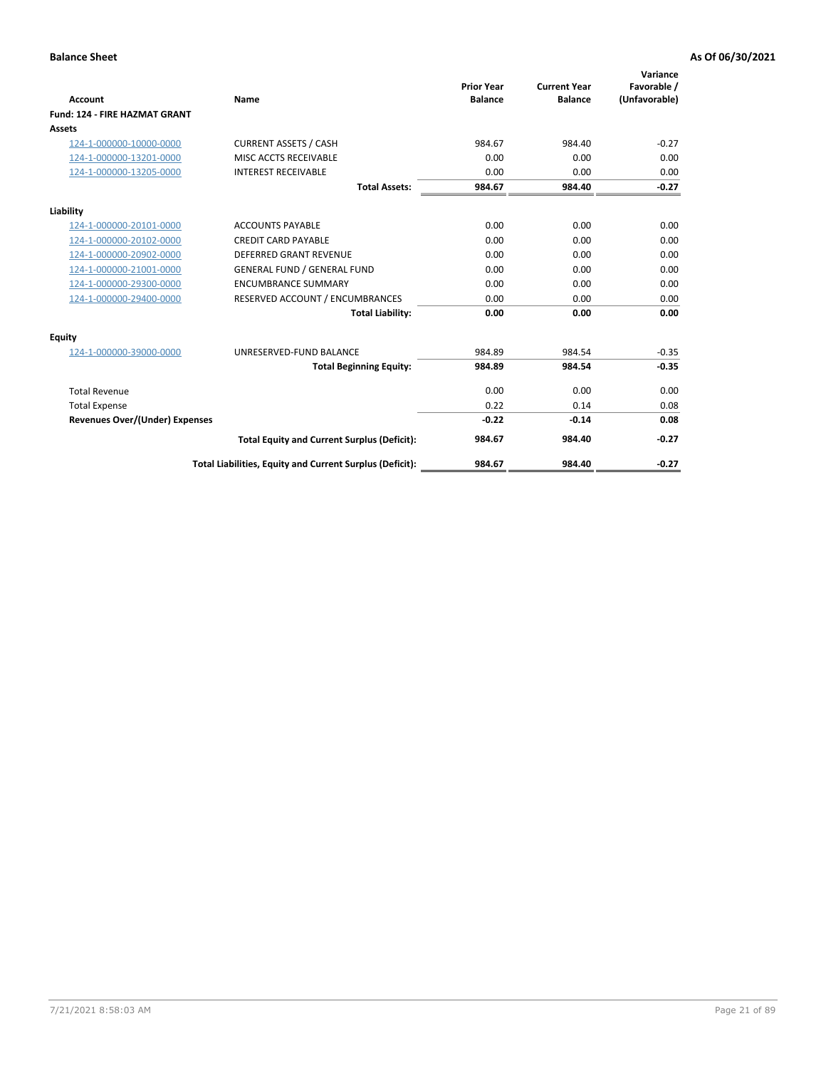|                                       |                                                          |                                     |                                       | Variance                     |
|---------------------------------------|----------------------------------------------------------|-------------------------------------|---------------------------------------|------------------------------|
| <b>Account</b>                        | Name                                                     | <b>Prior Year</b><br><b>Balance</b> | <b>Current Year</b><br><b>Balance</b> | Favorable /<br>(Unfavorable) |
| <b>Fund: 124 - FIRE HAZMAT GRANT</b>  |                                                          |                                     |                                       |                              |
| <b>Assets</b>                         |                                                          |                                     |                                       |                              |
| 124-1-000000-10000-0000               | <b>CURRENT ASSETS / CASH</b>                             | 984.67                              | 984.40                                | $-0.27$                      |
| 124-1-000000-13201-0000               | MISC ACCTS RECEIVABLE                                    | 0.00                                | 0.00                                  | 0.00                         |
| 124-1-000000-13205-0000               | <b>INTEREST RECEIVABLE</b>                               | 0.00                                | 0.00                                  | 0.00                         |
|                                       | <b>Total Assets:</b>                                     | 984.67                              | 984.40                                | $-0.27$                      |
| Liability                             |                                                          |                                     |                                       |                              |
| 124-1-000000-20101-0000               | <b>ACCOUNTS PAYABLE</b>                                  | 0.00                                | 0.00                                  | 0.00                         |
| 124-1-000000-20102-0000               | <b>CREDIT CARD PAYABLE</b>                               | 0.00                                | 0.00                                  | 0.00                         |
| 124-1-000000-20902-0000               | <b>DEFERRED GRANT REVENUE</b>                            | 0.00                                | 0.00                                  | 0.00                         |
| 124-1-000000-21001-0000               | <b>GENERAL FUND / GENERAL FUND</b>                       | 0.00                                | 0.00                                  | 0.00                         |
| 124-1-000000-29300-0000               | <b>ENCUMBRANCE SUMMARY</b>                               | 0.00                                | 0.00                                  | 0.00                         |
| 124-1-000000-29400-0000               | RESERVED ACCOUNT / ENCUMBRANCES                          | 0.00                                | 0.00                                  | 0.00                         |
|                                       | <b>Total Liability:</b>                                  | 0.00                                | 0.00                                  | 0.00                         |
| Equity                                |                                                          |                                     |                                       |                              |
| 124-1-000000-39000-0000               | UNRESERVED-FUND BALANCE                                  | 984.89                              | 984.54                                | $-0.35$                      |
|                                       | <b>Total Beginning Equity:</b>                           | 984.89                              | 984.54                                | $-0.35$                      |
| <b>Total Revenue</b>                  |                                                          | 0.00                                | 0.00                                  | 0.00                         |
| <b>Total Expense</b>                  |                                                          | 0.22                                | 0.14                                  | 0.08                         |
| <b>Revenues Over/(Under) Expenses</b> |                                                          | $-0.22$                             | $-0.14$                               | 0.08                         |
|                                       | <b>Total Equity and Current Surplus (Deficit):</b>       | 984.67                              | 984.40                                | $-0.27$                      |
|                                       | Total Liabilities, Equity and Current Surplus (Deficit): | 984.67                              | 984.40                                | $-0.27$                      |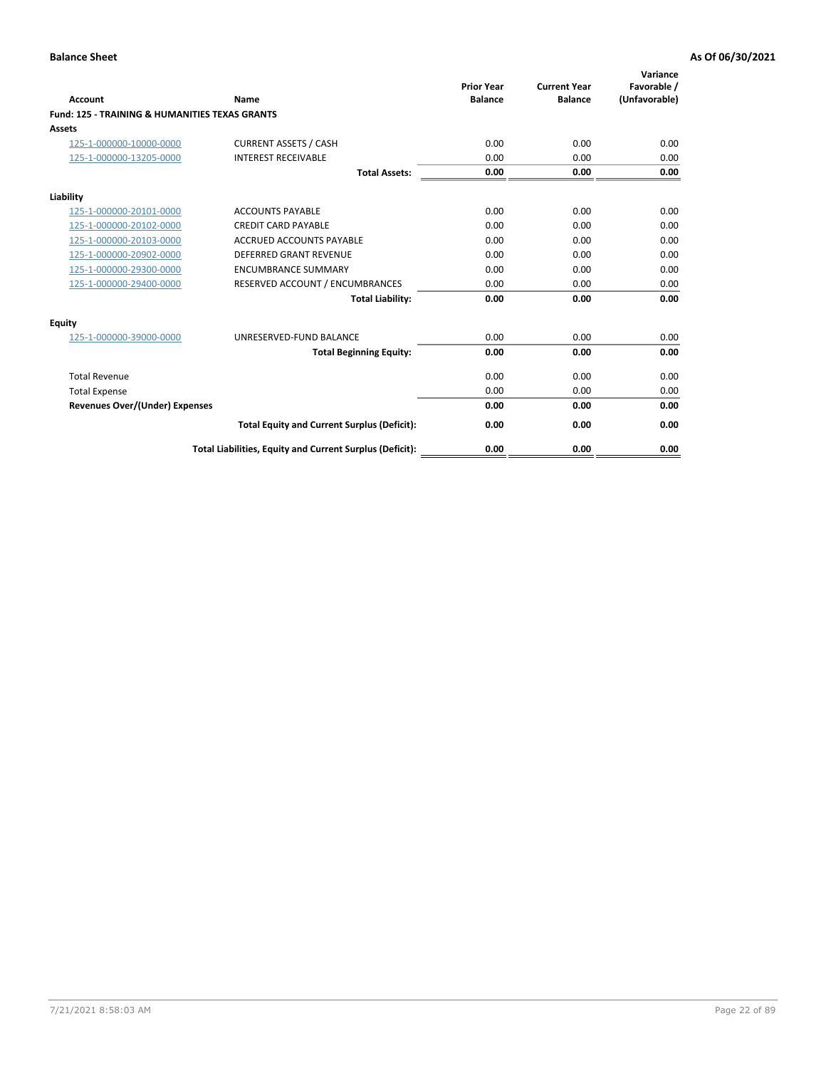| Account                                                   | Name                                                     | <b>Prior Year</b><br><b>Balance</b> | <b>Current Year</b><br><b>Balance</b> | Variance<br>Favorable /<br>(Unfavorable) |
|-----------------------------------------------------------|----------------------------------------------------------|-------------------------------------|---------------------------------------|------------------------------------------|
| <b>Fund: 125 - TRAINING &amp; HUMANITIES TEXAS GRANTS</b> |                                                          |                                     |                                       |                                          |
| <b>Assets</b>                                             |                                                          |                                     |                                       |                                          |
| 125-1-000000-10000-0000                                   | <b>CURRENT ASSETS / CASH</b>                             | 0.00                                | 0.00                                  | 0.00                                     |
| 125-1-000000-13205-0000                                   | <b>INTEREST RECEIVABLE</b>                               | 0.00                                | 0.00                                  | 0.00                                     |
|                                                           | <b>Total Assets:</b>                                     | 0.00                                | 0.00                                  | 0.00                                     |
| Liability                                                 |                                                          |                                     |                                       |                                          |
| 125-1-000000-20101-0000                                   | <b>ACCOUNTS PAYABLE</b>                                  | 0.00                                | 0.00                                  | 0.00                                     |
| 125-1-000000-20102-0000                                   | <b>CREDIT CARD PAYABLE</b>                               | 0.00                                | 0.00                                  | 0.00                                     |
| 125-1-000000-20103-0000                                   | <b>ACCRUED ACCOUNTS PAYABLE</b>                          | 0.00                                | 0.00                                  | 0.00                                     |
| 125-1-000000-20902-0000                                   | <b>DEFERRED GRANT REVENUE</b>                            | 0.00                                | 0.00                                  | 0.00                                     |
| 125-1-000000-29300-0000                                   | <b>ENCUMBRANCE SUMMARY</b>                               | 0.00                                | 0.00                                  | 0.00                                     |
| 125-1-000000-29400-0000                                   | RESERVED ACCOUNT / ENCUMBRANCES                          | 0.00                                | 0.00                                  | 0.00                                     |
|                                                           | <b>Total Liability:</b>                                  | 0.00                                | 0.00                                  | 0.00                                     |
| <b>Equity</b>                                             |                                                          |                                     |                                       |                                          |
| 125-1-000000-39000-0000                                   | UNRESERVED-FUND BALANCE                                  | 0.00                                | 0.00                                  | 0.00                                     |
|                                                           | <b>Total Beginning Equity:</b>                           | 0.00                                | 0.00                                  | 0.00                                     |
| <b>Total Revenue</b>                                      |                                                          | 0.00                                | 0.00                                  | 0.00                                     |
| <b>Total Expense</b>                                      |                                                          | 0.00                                | 0.00                                  | 0.00                                     |
| <b>Revenues Over/(Under) Expenses</b>                     |                                                          | 0.00                                | 0.00                                  | 0.00                                     |
|                                                           | <b>Total Equity and Current Surplus (Deficit):</b>       | 0.00                                | 0.00                                  | 0.00                                     |
|                                                           | Total Liabilities, Equity and Current Surplus (Deficit): | 0.00                                | 0.00                                  | 0.00                                     |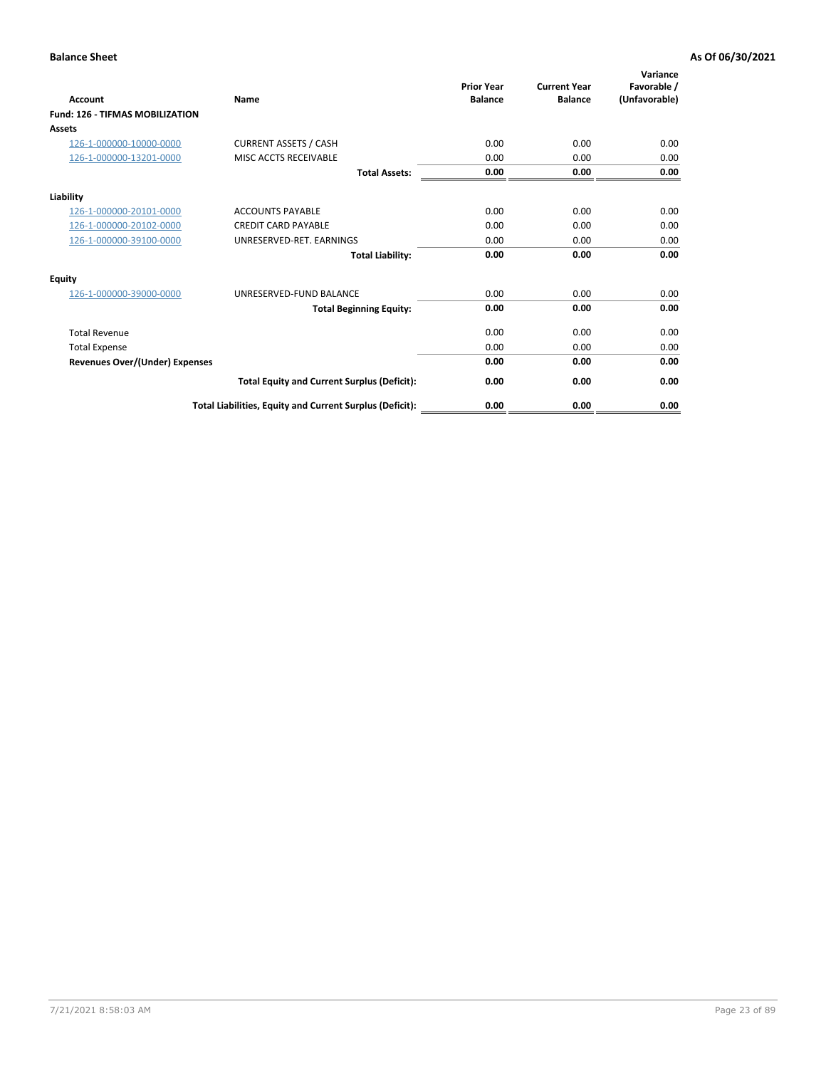| Account                                | Name                                                     | <b>Prior Year</b><br><b>Balance</b> | <b>Current Year</b><br><b>Balance</b> | Variance<br>Favorable /<br>(Unfavorable) |
|----------------------------------------|----------------------------------------------------------|-------------------------------------|---------------------------------------|------------------------------------------|
| <b>Fund: 126 - TIFMAS MOBILIZATION</b> |                                                          |                                     |                                       |                                          |
| Assets                                 |                                                          |                                     |                                       |                                          |
| 126-1-000000-10000-0000                | <b>CURRENT ASSETS / CASH</b>                             | 0.00                                | 0.00                                  | 0.00                                     |
| 126-1-000000-13201-0000                | MISC ACCTS RECEIVABLE                                    | 0.00                                | 0.00                                  | 0.00                                     |
|                                        | <b>Total Assets:</b>                                     | 0.00                                | 0.00                                  | 0.00                                     |
| Liability                              |                                                          |                                     |                                       |                                          |
| 126-1-000000-20101-0000                | <b>ACCOUNTS PAYABLE</b>                                  | 0.00                                | 0.00                                  | 0.00                                     |
| 126-1-000000-20102-0000                | <b>CREDIT CARD PAYABLE</b>                               | 0.00                                | 0.00                                  | 0.00                                     |
| 126-1-000000-39100-0000                | UNRESERVED-RET. EARNINGS                                 | 0.00                                | 0.00                                  | 0.00                                     |
|                                        | <b>Total Liability:</b>                                  | 0.00                                | 0.00                                  | 0.00                                     |
| Equity                                 |                                                          |                                     |                                       |                                          |
| 126-1-000000-39000-0000                | UNRESERVED-FUND BALANCE                                  | 0.00                                | 0.00                                  | 0.00                                     |
|                                        | <b>Total Beginning Equity:</b>                           | 0.00                                | 0.00                                  | 0.00                                     |
| <b>Total Revenue</b>                   |                                                          | 0.00                                | 0.00                                  | 0.00                                     |
| <b>Total Expense</b>                   |                                                          | 0.00                                | 0.00                                  | 0.00                                     |
| <b>Revenues Over/(Under) Expenses</b>  |                                                          | 0.00                                | 0.00                                  | 0.00                                     |
|                                        | <b>Total Equity and Current Surplus (Deficit):</b>       | 0.00                                | 0.00                                  | 0.00                                     |
|                                        | Total Liabilities, Equity and Current Surplus (Deficit): | 0.00                                | 0.00                                  | 0.00                                     |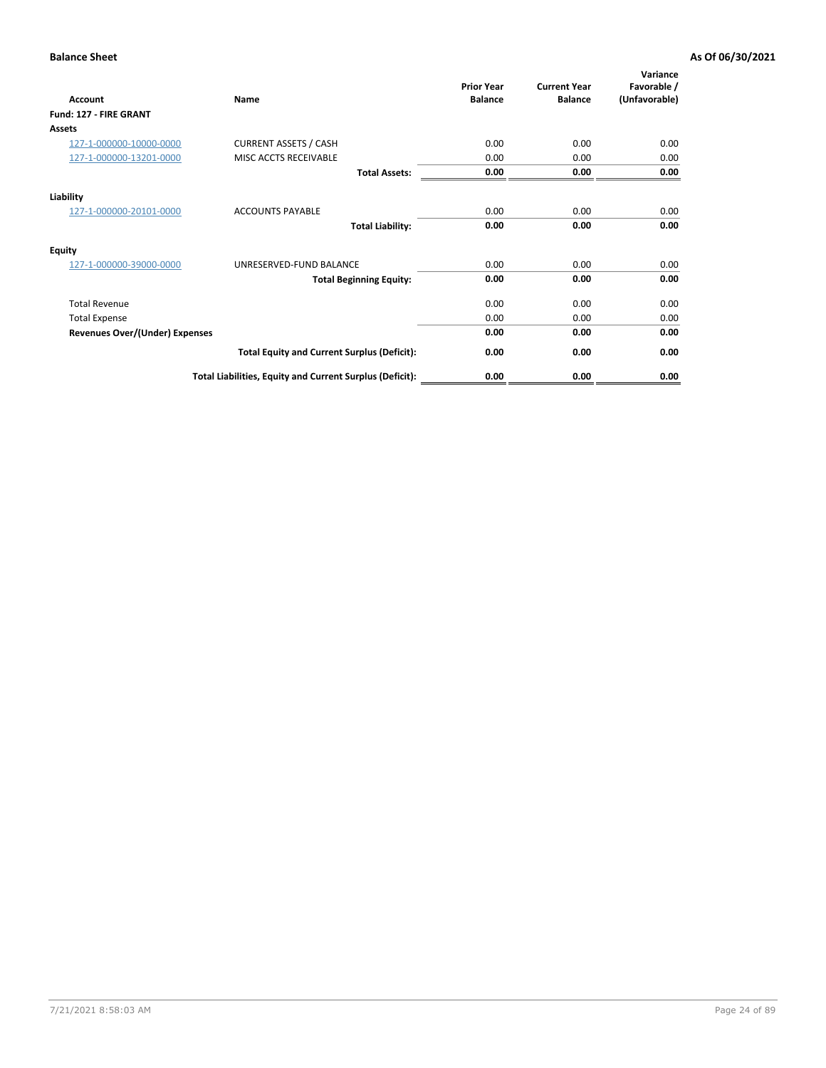| Account                               | Name                                                     | <b>Prior Year</b><br><b>Balance</b> | <b>Current Year</b><br><b>Balance</b> | Variance<br>Favorable /<br>(Unfavorable) |
|---------------------------------------|----------------------------------------------------------|-------------------------------------|---------------------------------------|------------------------------------------|
| Fund: 127 - FIRE GRANT                |                                                          |                                     |                                       |                                          |
| Assets                                |                                                          |                                     |                                       |                                          |
| 127-1-000000-10000-0000               | <b>CURRENT ASSETS / CASH</b>                             | 0.00                                | 0.00                                  | 0.00                                     |
| 127-1-000000-13201-0000               | MISC ACCTS RECEIVABLE                                    | 0.00                                | 0.00                                  | 0.00                                     |
|                                       | <b>Total Assets:</b>                                     | 0.00                                | 0.00                                  | 0.00                                     |
| Liability                             |                                                          |                                     |                                       |                                          |
| 127-1-000000-20101-0000               | <b>ACCOUNTS PAYABLE</b>                                  | 0.00                                | 0.00                                  | 0.00                                     |
|                                       | <b>Total Liability:</b>                                  | 0.00                                | 0.00                                  | 0.00                                     |
| <b>Equity</b>                         |                                                          |                                     |                                       |                                          |
| 127-1-000000-39000-0000               | UNRESERVED-FUND BALANCE                                  | 0.00                                | 0.00                                  | 0.00                                     |
|                                       | <b>Total Beginning Equity:</b>                           | 0.00                                | 0.00                                  | 0.00                                     |
| <b>Total Revenue</b>                  |                                                          | 0.00                                | 0.00                                  | 0.00                                     |
| <b>Total Expense</b>                  |                                                          | 0.00                                | 0.00                                  | 0.00                                     |
| <b>Revenues Over/(Under) Expenses</b> |                                                          | 0.00                                | 0.00                                  | 0.00                                     |
|                                       | <b>Total Equity and Current Surplus (Deficit):</b>       | 0.00                                | 0.00                                  | 0.00                                     |
|                                       | Total Liabilities, Equity and Current Surplus (Deficit): | 0.00                                | 0.00                                  | 0.00                                     |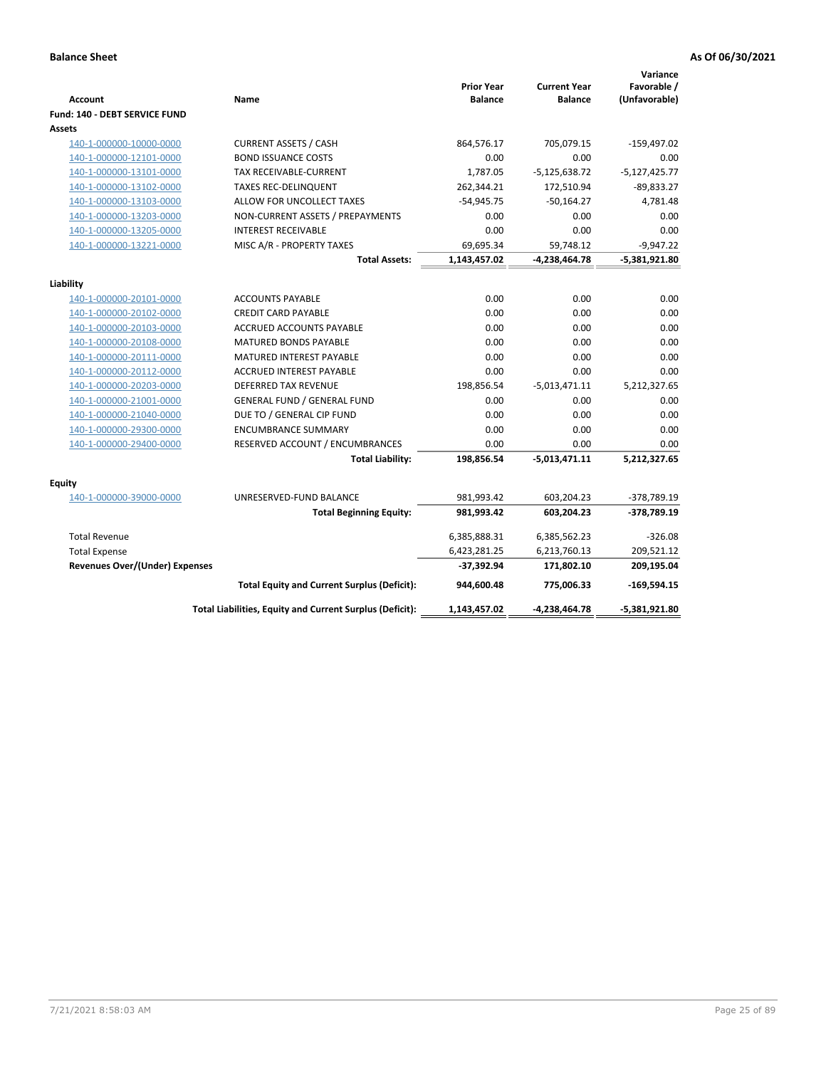| <b>Account</b>                        | Name                                                     | <b>Prior Year</b><br><b>Balance</b> | <b>Current Year</b><br><b>Balance</b> | Variance<br>Favorable /<br>(Unfavorable) |
|---------------------------------------|----------------------------------------------------------|-------------------------------------|---------------------------------------|------------------------------------------|
| Fund: 140 - DEBT SERVICE FUND         |                                                          |                                     |                                       |                                          |
| Assets                                |                                                          |                                     |                                       |                                          |
| 140-1-000000-10000-0000               | <b>CURRENT ASSETS / CASH</b>                             | 864,576.17                          | 705,079.15                            | $-159,497.02$                            |
| 140-1-000000-12101-0000               | <b>BOND ISSUANCE COSTS</b>                               | 0.00                                | 0.00                                  | 0.00                                     |
| 140-1-000000-13101-0000               | <b>TAX RECEIVABLE-CURRENT</b>                            | 1,787.05                            | $-5,125,638.72$                       | $-5,127,425.77$                          |
| 140-1-000000-13102-0000               | <b>TAXES REC-DELINQUENT</b>                              | 262,344.21                          | 172,510.94                            | $-89,833.27$                             |
| 140-1-000000-13103-0000               | ALLOW FOR UNCOLLECT TAXES                                | $-54,945.75$                        | $-50,164.27$                          | 4,781.48                                 |
| 140-1-000000-13203-0000               | NON-CURRENT ASSETS / PREPAYMENTS                         | 0.00                                | 0.00                                  | 0.00                                     |
| 140-1-000000-13205-0000               | <b>INTEREST RECEIVABLE</b>                               | 0.00                                | 0.00                                  | 0.00                                     |
| 140-1-000000-13221-0000               | MISC A/R - PROPERTY TAXES                                | 69,695.34                           | 59,748.12                             | $-9,947.22$                              |
|                                       | <b>Total Assets:</b>                                     | 1,143,457.02                        | $-4,238,464.78$                       | $-5,381,921.80$                          |
| Liability                             |                                                          |                                     |                                       |                                          |
| 140-1-000000-20101-0000               | <b>ACCOUNTS PAYABLE</b>                                  | 0.00                                | 0.00                                  | 0.00                                     |
| 140-1-000000-20102-0000               | <b>CREDIT CARD PAYABLE</b>                               | 0.00                                | 0.00                                  | 0.00                                     |
| 140-1-000000-20103-0000               | ACCRUED ACCOUNTS PAYABLE                                 | 0.00                                | 0.00                                  | 0.00                                     |
| 140-1-000000-20108-0000               | MATURED BONDS PAYABLE                                    | 0.00                                | 0.00                                  | 0.00                                     |
| 140-1-000000-20111-0000               | MATURED INTEREST PAYABLE                                 | 0.00                                | 0.00                                  | 0.00                                     |
| 140-1-000000-20112-0000               | <b>ACCRUED INTEREST PAYABLE</b>                          | 0.00                                | 0.00                                  | 0.00                                     |
| 140-1-000000-20203-0000               | <b>DEFERRED TAX REVENUE</b>                              | 198,856.54                          | $-5,013,471.11$                       | 5,212,327.65                             |
| 140-1-000000-21001-0000               | <b>GENERAL FUND / GENERAL FUND</b>                       | 0.00                                | 0.00                                  | 0.00                                     |
| 140-1-000000-21040-0000               | DUE TO / GENERAL CIP FUND                                | 0.00                                | 0.00                                  | 0.00                                     |
| 140-1-000000-29300-0000               | <b>ENCUMBRANCE SUMMARY</b>                               | 0.00                                | 0.00                                  | 0.00                                     |
| 140-1-000000-29400-0000               | RESERVED ACCOUNT / ENCUMBRANCES                          | 0.00                                | 0.00                                  | 0.00                                     |
|                                       | <b>Total Liability:</b>                                  | 198,856.54                          | $-5,013,471.11$                       | 5,212,327.65                             |
| Equity                                |                                                          |                                     |                                       |                                          |
| 140-1-000000-39000-0000               | UNRESERVED-FUND BALANCE                                  | 981,993.42                          | 603,204.23                            | -378,789.19                              |
|                                       | <b>Total Beginning Equity:</b>                           | 981,993.42                          | 603,204.23                            | -378,789.19                              |
| <b>Total Revenue</b>                  |                                                          | 6,385,888.31                        | 6,385,562.23                          | $-326.08$                                |
|                                       |                                                          |                                     |                                       |                                          |
| <b>Total Expense</b>                  |                                                          | 6,423,281.25                        | 6,213,760.13                          | 209,521.12                               |
| <b>Revenues Over/(Under) Expenses</b> |                                                          | -37,392.94                          | 171,802.10                            | 209,195.04                               |
|                                       | <b>Total Equity and Current Surplus (Deficit):</b>       | 944,600.48                          | 775,006.33                            | $-169,594.15$                            |
|                                       | Total Liabilities, Equity and Current Surplus (Deficit): | 1,143,457.02                        | -4,238,464.78                         | -5,381,921.80                            |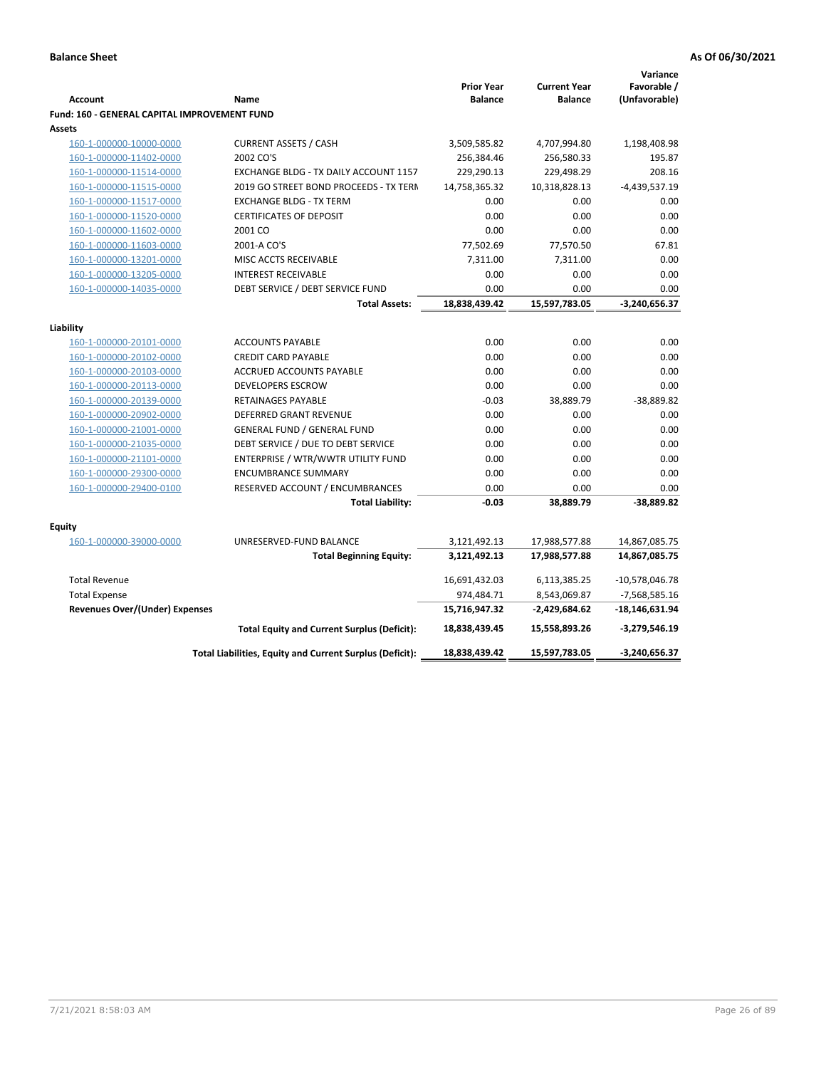|                                                                      |                                                          | <b>Prior Year</b> | <b>Current Year</b> | Variance<br>Favorable / |
|----------------------------------------------------------------------|----------------------------------------------------------|-------------------|---------------------|-------------------------|
| <b>Account</b>                                                       | Name                                                     | <b>Balance</b>    | <b>Balance</b>      | (Unfavorable)           |
| <b>Fund: 160 - GENERAL CAPITAL IMPROVEMENT FUND</b><br><b>Assets</b> |                                                          |                   |                     |                         |
| 160-1-000000-10000-0000                                              | <b>CURRENT ASSETS / CASH</b>                             | 3,509,585.82      | 4,707,994.80        | 1,198,408.98            |
| 160-1-000000-11402-0000                                              | 2002 CO'S                                                | 256,384.46        | 256,580.33          | 195.87                  |
| 160-1-000000-11514-0000                                              | EXCHANGE BLDG - TX DAILY ACCOUNT 1157                    | 229,290.13        | 229,498.29          | 208.16                  |
| 160-1-000000-11515-0000                                              | 2019 GO STREET BOND PROCEEDS - TX TERN                   | 14,758,365.32     | 10,318,828.13       | -4,439,537.19           |
| 160-1-000000-11517-0000                                              | <b>EXCHANGE BLDG - TX TERM</b>                           | 0.00              | 0.00                | 0.00                    |
| 160-1-000000-11520-0000                                              | <b>CERTIFICATES OF DEPOSIT</b>                           | 0.00              | 0.00                | 0.00                    |
| 160-1-000000-11602-0000                                              | 2001 CO                                                  | 0.00              | 0.00                | 0.00                    |
| 160-1-000000-11603-0000                                              | 2001-A CO'S                                              | 77,502.69         | 77,570.50           | 67.81                   |
| 160-1-000000-13201-0000                                              | MISC ACCTS RECEIVABLE                                    | 7,311.00          | 7,311.00            | 0.00                    |
| 160-1-000000-13205-0000                                              | <b>INTEREST RECEIVABLE</b>                               | 0.00              | 0.00                | 0.00                    |
| 160-1-000000-14035-0000                                              | DEBT SERVICE / DEBT SERVICE FUND                         | 0.00              | 0.00                | 0.00                    |
|                                                                      | <b>Total Assets:</b>                                     | 18,838,439.42     | 15,597,783.05       | $-3,240,656.37$         |
|                                                                      |                                                          |                   |                     |                         |
| Liability                                                            |                                                          |                   |                     |                         |
| 160-1-000000-20101-0000                                              | <b>ACCOUNTS PAYABLE</b>                                  | 0.00              | 0.00                | 0.00                    |
| 160-1-000000-20102-0000                                              | <b>CREDIT CARD PAYABLE</b>                               | 0.00              | 0.00                | 0.00                    |
| 160-1-000000-20103-0000                                              | ACCRUED ACCOUNTS PAYABLE                                 | 0.00              | 0.00                | 0.00                    |
| 160-1-000000-20113-0000                                              | <b>DEVELOPERS ESCROW</b>                                 | 0.00              | 0.00                | 0.00                    |
| 160-1-000000-20139-0000                                              | RETAINAGES PAYABLE                                       | $-0.03$           | 38,889.79           | $-38,889.82$            |
| 160-1-000000-20902-0000                                              | DEFERRED GRANT REVENUE                                   | 0.00              | 0.00                | 0.00                    |
| 160-1-000000-21001-0000                                              | <b>GENERAL FUND / GENERAL FUND</b>                       | 0.00              | 0.00                | 0.00                    |
| 160-1-000000-21035-0000                                              | DEBT SERVICE / DUE TO DEBT SERVICE                       | 0.00              | 0.00                | 0.00                    |
| 160-1-000000-21101-0000                                              | ENTERPRISE / WTR/WWTR UTILITY FUND                       | 0.00              | 0.00                | 0.00                    |
| 160-1-000000-29300-0000                                              | <b>ENCUMBRANCE SUMMARY</b>                               | 0.00              | 0.00                | 0.00                    |
| 160-1-000000-29400-0100                                              | RESERVED ACCOUNT / ENCUMBRANCES                          | 0.00              | 0.00                | 0.00                    |
|                                                                      | <b>Total Liability:</b>                                  | $-0.03$           | 38,889.79           | $-38,889.82$            |
|                                                                      |                                                          |                   |                     |                         |
| <b>Equity</b>                                                        |                                                          |                   |                     |                         |
| 160-1-000000-39000-0000                                              | UNRESERVED-FUND BALANCE                                  | 3,121,492.13      | 17,988,577.88       | 14,867,085.75           |
|                                                                      | <b>Total Beginning Equity:</b>                           | 3,121,492.13      | 17,988,577.88       | 14,867,085.75           |
| <b>Total Revenue</b>                                                 |                                                          | 16,691,432.03     | 6,113,385.25        | $-10,578,046.78$        |
| <b>Total Expense</b>                                                 |                                                          | 974,484.71        | 8,543,069.87        | $-7,568,585.16$         |
| <b>Revenues Over/(Under) Expenses</b>                                |                                                          | 15,716,947.32     | -2,429,684.62       | $-18,146,631.94$        |
|                                                                      | <b>Total Equity and Current Surplus (Deficit):</b>       | 18,838,439.45     | 15,558,893.26       | $-3,279,546.19$         |
|                                                                      | Total Liabilities, Equity and Current Surplus (Deficit): | 18,838,439.42     | 15,597,783.05       | $-3,240,656.37$         |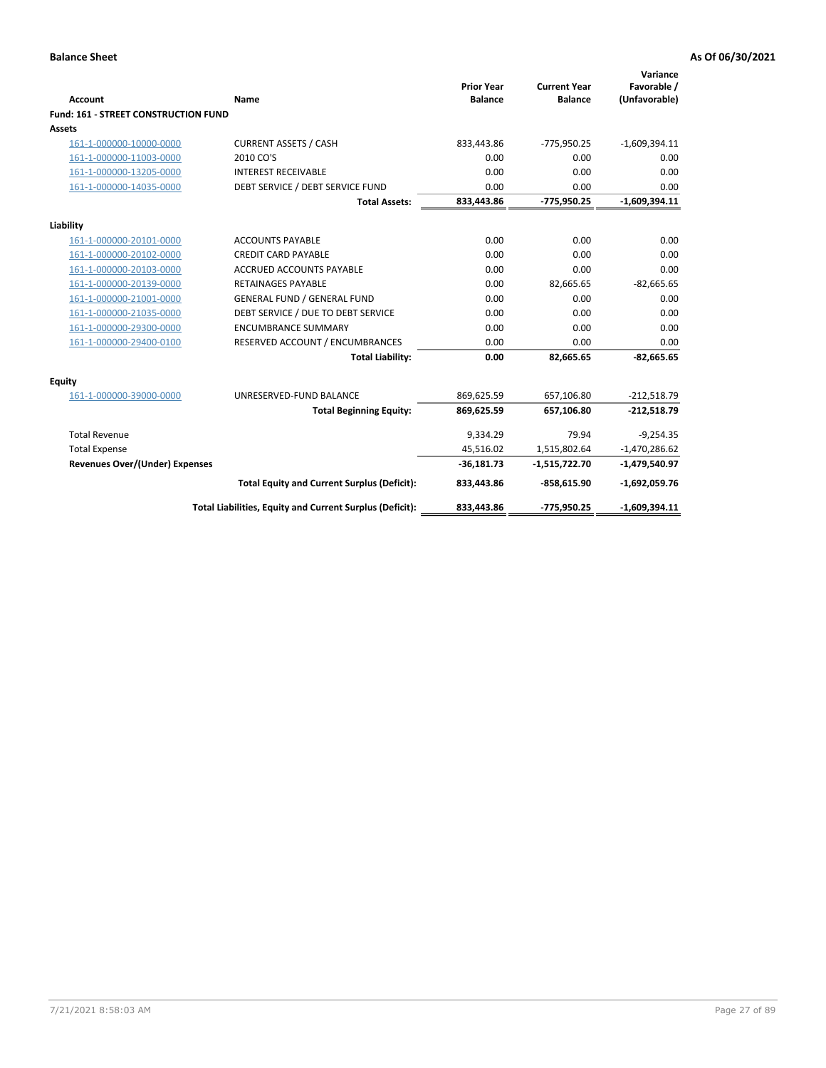| <b>Account</b>                        | <b>Name</b>                                              | <b>Prior Year</b><br><b>Balance</b> | <b>Current Year</b><br><b>Balance</b> | Variance<br>Favorable /<br>(Unfavorable) |
|---------------------------------------|----------------------------------------------------------|-------------------------------------|---------------------------------------|------------------------------------------|
| Fund: 161 - STREET CONSTRUCTION FUND  |                                                          |                                     |                                       |                                          |
| <b>Assets</b>                         |                                                          |                                     |                                       |                                          |
| 161-1-000000-10000-0000               | <b>CURRENT ASSETS / CASH</b>                             | 833,443.86                          | $-775,950.25$                         | $-1,609,394.11$                          |
| 161-1-000000-11003-0000               | 2010 CO'S                                                | 0.00                                | 0.00                                  | 0.00                                     |
| 161-1-000000-13205-0000               | <b>INTEREST RECEIVABLE</b>                               | 0.00                                | 0.00                                  | 0.00                                     |
| 161-1-000000-14035-0000               | DEBT SERVICE / DEBT SERVICE FUND                         | 0.00                                | 0.00                                  | 0.00                                     |
|                                       | <b>Total Assets:</b>                                     | 833,443.86                          | -775,950.25                           | $-1,609,394.11$                          |
| Liability                             |                                                          |                                     |                                       |                                          |
| 161-1-000000-20101-0000               | <b>ACCOUNTS PAYABLE</b>                                  | 0.00                                | 0.00                                  | 0.00                                     |
| 161-1-000000-20102-0000               | <b>CREDIT CARD PAYABLE</b>                               | 0.00                                | 0.00                                  | 0.00                                     |
| 161-1-000000-20103-0000               | <b>ACCRUED ACCOUNTS PAYABLE</b>                          | 0.00                                | 0.00                                  | 0.00                                     |
| 161-1-000000-20139-0000               | <b>RETAINAGES PAYABLE</b>                                | 0.00                                | 82,665.65                             | $-82,665.65$                             |
| 161-1-000000-21001-0000               | <b>GENERAL FUND / GENERAL FUND</b>                       | 0.00                                | 0.00                                  | 0.00                                     |
| 161-1-000000-21035-0000               | DEBT SERVICE / DUE TO DEBT SERVICE                       | 0.00                                | 0.00                                  | 0.00                                     |
| 161-1-000000-29300-0000               | <b>ENCUMBRANCE SUMMARY</b>                               | 0.00                                | 0.00                                  | 0.00                                     |
| 161-1-000000-29400-0100               | RESERVED ACCOUNT / ENCUMBRANCES                          | 0.00                                | 0.00                                  | 0.00                                     |
|                                       | <b>Total Liability:</b>                                  | 0.00                                | 82,665.65                             | $-82,665.65$                             |
| <b>Equity</b>                         |                                                          |                                     |                                       |                                          |
| 161-1-000000-39000-0000               | UNRESERVED-FUND BALANCE                                  | 869,625.59                          | 657,106.80                            | $-212,518.79$                            |
|                                       | <b>Total Beginning Equity:</b>                           | 869,625.59                          | 657,106.80                            | $-212,518.79$                            |
| <b>Total Revenue</b>                  |                                                          | 9,334.29                            | 79.94                                 | $-9,254.35$                              |
| <b>Total Expense</b>                  |                                                          | 45,516.02                           | 1,515,802.64                          | $-1,470,286.62$                          |
| <b>Revenues Over/(Under) Expenses</b> |                                                          | $-36,181.73$                        | $-1,515,722.70$                       | $-1,479,540.97$                          |
|                                       | <b>Total Equity and Current Surplus (Deficit):</b>       | 833,443.86                          | $-858,615.90$                         | $-1,692,059.76$                          |
|                                       | Total Liabilities, Equity and Current Surplus (Deficit): | 833,443.86                          | -775,950.25                           | $-1,609,394.11$                          |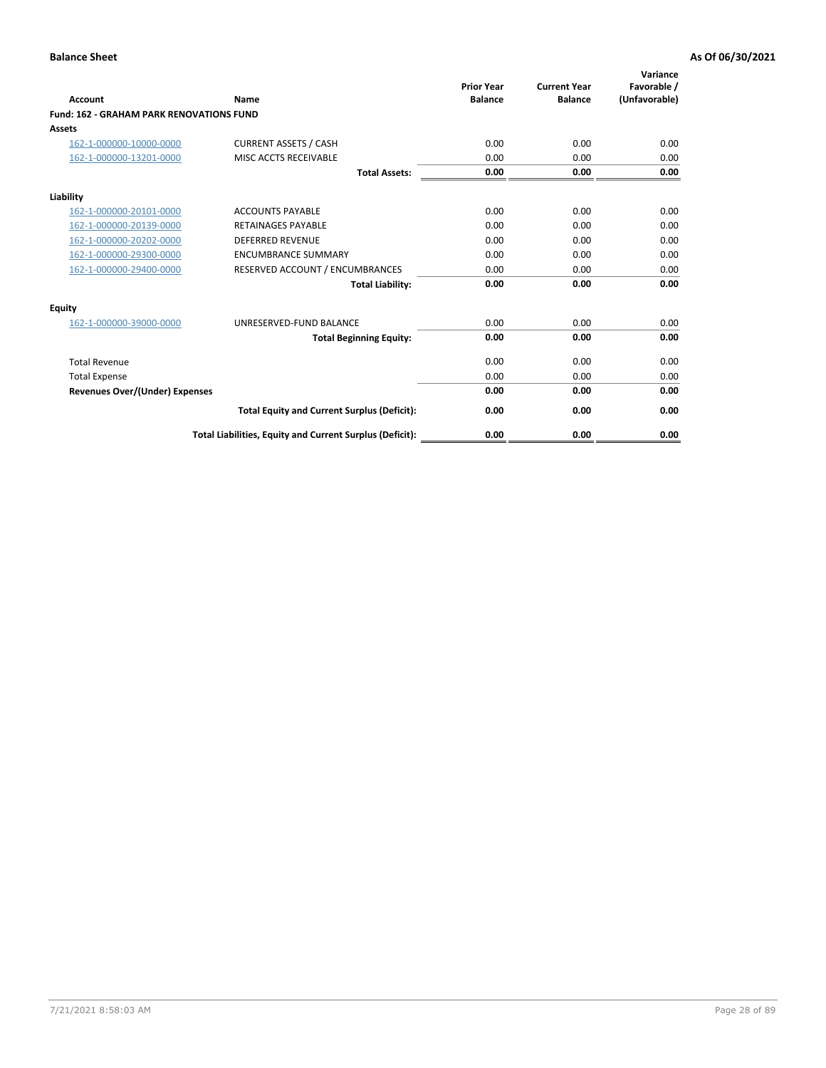| Account                                         | Name                                                     | <b>Prior Year</b><br><b>Balance</b> | <b>Current Year</b><br><b>Balance</b> | Variance<br>Favorable /<br>(Unfavorable) |
|-------------------------------------------------|----------------------------------------------------------|-------------------------------------|---------------------------------------|------------------------------------------|
| <b>Fund: 162 - GRAHAM PARK RENOVATIONS FUND</b> |                                                          |                                     |                                       |                                          |
| <b>Assets</b>                                   |                                                          |                                     |                                       |                                          |
| 162-1-000000-10000-0000                         | <b>CURRENT ASSETS / CASH</b>                             | 0.00                                | 0.00                                  | 0.00                                     |
| 162-1-000000-13201-0000                         | MISC ACCTS RECEIVABLE                                    | 0.00                                | 0.00                                  | 0.00                                     |
|                                                 | <b>Total Assets:</b>                                     | 0.00                                | 0.00                                  | 0.00                                     |
| Liability                                       |                                                          |                                     |                                       |                                          |
| 162-1-000000-20101-0000                         | <b>ACCOUNTS PAYABLE</b>                                  | 0.00                                | 0.00                                  | 0.00                                     |
| 162-1-000000-20139-0000                         | <b>RETAINAGES PAYABLE</b>                                | 0.00                                | 0.00                                  | 0.00                                     |
| 162-1-000000-20202-0000                         | <b>DEFERRED REVENUE</b>                                  | 0.00                                | 0.00                                  | 0.00                                     |
| 162-1-000000-29300-0000                         | <b>ENCUMBRANCE SUMMARY</b>                               | 0.00                                | 0.00                                  | 0.00                                     |
| 162-1-000000-29400-0000                         | RESERVED ACCOUNT / ENCUMBRANCES                          | 0.00                                | 0.00                                  | 0.00                                     |
|                                                 | <b>Total Liability:</b>                                  | 0.00                                | 0.00                                  | 0.00                                     |
| Equity                                          |                                                          |                                     |                                       |                                          |
| 162-1-000000-39000-0000                         | UNRESERVED-FUND BALANCE                                  | 0.00                                | 0.00                                  | 0.00                                     |
|                                                 | <b>Total Beginning Equity:</b>                           | 0.00                                | 0.00                                  | 0.00                                     |
| <b>Total Revenue</b>                            |                                                          | 0.00                                | 0.00                                  | 0.00                                     |
| <b>Total Expense</b>                            |                                                          | 0.00                                | 0.00                                  | 0.00                                     |
| <b>Revenues Over/(Under) Expenses</b>           |                                                          | 0.00                                | 0.00                                  | 0.00                                     |
|                                                 | <b>Total Equity and Current Surplus (Deficit):</b>       | 0.00                                | 0.00                                  | 0.00                                     |
|                                                 | Total Liabilities, Equity and Current Surplus (Deficit): | 0.00                                | 0.00                                  | 0.00                                     |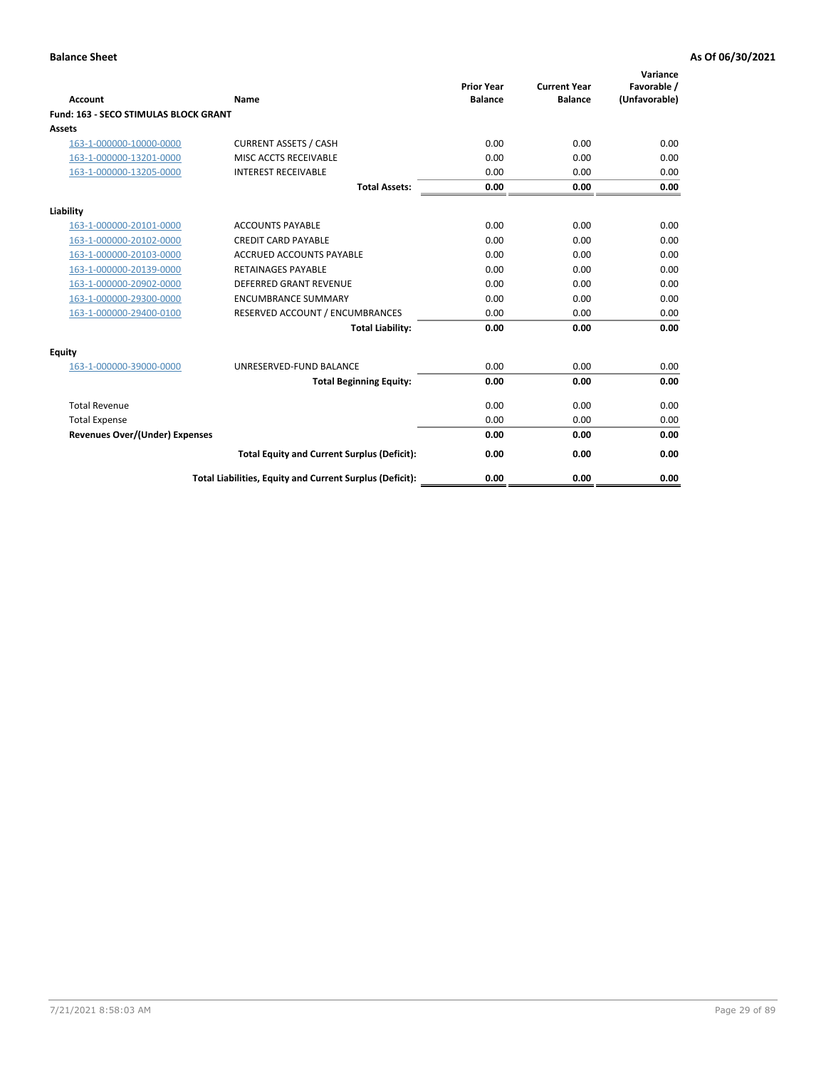| Account                               | Name                                                     | <b>Prior Year</b><br><b>Balance</b> | <b>Current Year</b><br><b>Balance</b> | Variance<br>Favorable /<br>(Unfavorable) |
|---------------------------------------|----------------------------------------------------------|-------------------------------------|---------------------------------------|------------------------------------------|
| Fund: 163 - SECO STIMULAS BLOCK GRANT |                                                          |                                     |                                       |                                          |
| <b>Assets</b>                         |                                                          |                                     |                                       |                                          |
| 163-1-000000-10000-0000               | <b>CURRENT ASSETS / CASH</b>                             | 0.00                                | 0.00                                  | 0.00                                     |
| 163-1-000000-13201-0000               | MISC ACCTS RECEIVABLE                                    | 0.00                                | 0.00                                  | 0.00                                     |
| 163-1-000000-13205-0000               | <b>INTEREST RECEIVABLE</b>                               | 0.00                                | 0.00                                  | 0.00                                     |
|                                       | <b>Total Assets:</b>                                     | 0.00                                | 0.00                                  | 0.00                                     |
| Liability                             |                                                          |                                     |                                       |                                          |
| 163-1-000000-20101-0000               | <b>ACCOUNTS PAYABLE</b>                                  | 0.00                                | 0.00                                  | 0.00                                     |
| 163-1-000000-20102-0000               | <b>CREDIT CARD PAYABLE</b>                               | 0.00                                | 0.00                                  | 0.00                                     |
| 163-1-000000-20103-0000               | <b>ACCRUED ACCOUNTS PAYABLE</b>                          | 0.00                                | 0.00                                  | 0.00                                     |
| 163-1-000000-20139-0000               | <b>RETAINAGES PAYABLE</b>                                | 0.00                                | 0.00                                  | 0.00                                     |
| 163-1-000000-20902-0000               | DEFERRED GRANT REVENUE                                   | 0.00                                | 0.00                                  | 0.00                                     |
| 163-1-000000-29300-0000               | <b>ENCUMBRANCE SUMMARY</b>                               | 0.00                                | 0.00                                  | 0.00                                     |
| 163-1-000000-29400-0100               | RESERVED ACCOUNT / ENCUMBRANCES                          | 0.00                                | 0.00                                  | 0.00                                     |
|                                       | <b>Total Liability:</b>                                  | 0.00                                | 0.00                                  | 0.00                                     |
| <b>Equity</b>                         |                                                          |                                     |                                       |                                          |
| 163-1-000000-39000-0000               | UNRESERVED-FUND BALANCE                                  | 0.00                                | 0.00                                  | 0.00                                     |
|                                       | <b>Total Beginning Equity:</b>                           | 0.00                                | 0.00                                  | 0.00                                     |
| <b>Total Revenue</b>                  |                                                          | 0.00                                | 0.00                                  | 0.00                                     |
| <b>Total Expense</b>                  |                                                          | 0.00                                | 0.00                                  | 0.00                                     |
| <b>Revenues Over/(Under) Expenses</b> |                                                          | 0.00                                | 0.00                                  | 0.00                                     |
|                                       | <b>Total Equity and Current Surplus (Deficit):</b>       | 0.00                                | 0.00                                  | 0.00                                     |
|                                       | Total Liabilities, Equity and Current Surplus (Deficit): | 0.00                                | 0.00                                  | 0.00                                     |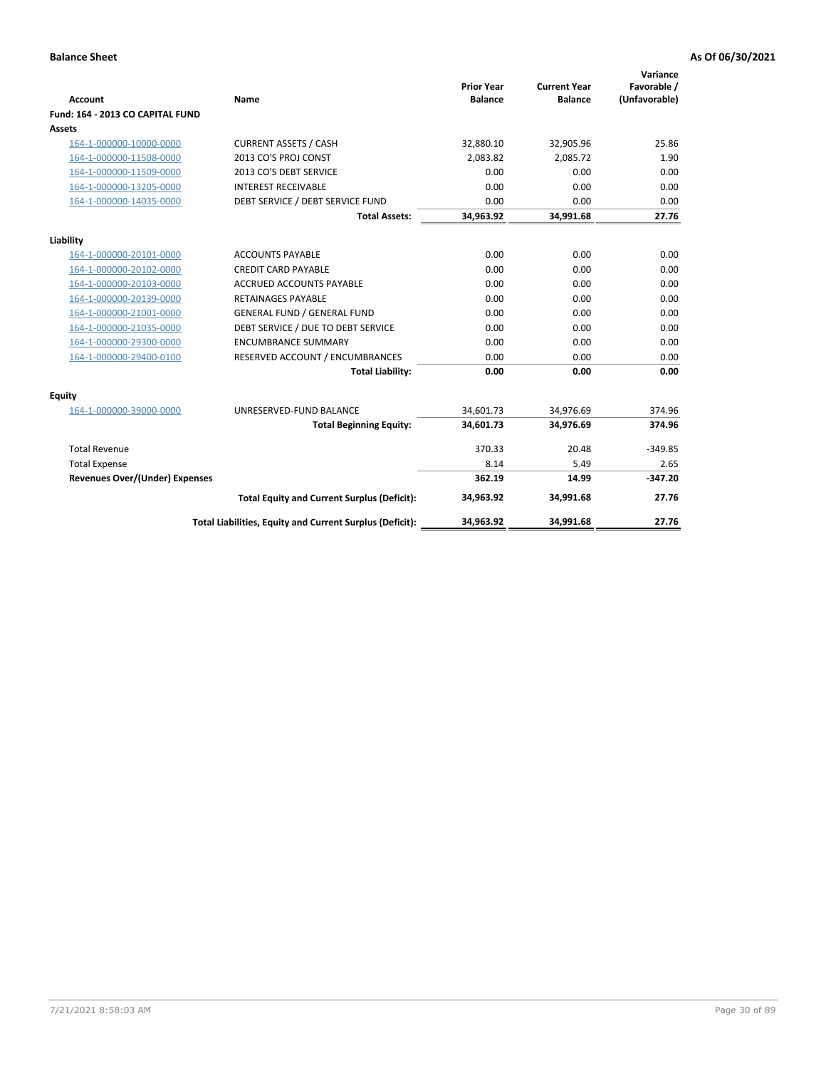| <b>Account</b>                        | <b>Name</b>                                              | <b>Prior Year</b><br><b>Balance</b> | <b>Current Year</b><br><b>Balance</b> | Variance<br>Favorable /<br>(Unfavorable) |
|---------------------------------------|----------------------------------------------------------|-------------------------------------|---------------------------------------|------------------------------------------|
| Fund: 164 - 2013 CO CAPITAL FUND      |                                                          |                                     |                                       |                                          |
| Assets                                |                                                          |                                     |                                       |                                          |
| 164-1-000000-10000-0000               | <b>CURRENT ASSETS / CASH</b>                             | 32,880.10                           | 32,905.96                             | 25.86                                    |
| 164-1-000000-11508-0000               | 2013 CO'S PROJ CONST                                     | 2,083.82                            | 2,085.72                              | 1.90                                     |
| 164-1-000000-11509-0000               | 2013 CO'S DEBT SERVICE                                   | 0.00                                | 0.00                                  | 0.00                                     |
| 164-1-000000-13205-0000               | <b>INTEREST RECEIVABLE</b>                               | 0.00                                | 0.00                                  | 0.00                                     |
| 164-1-000000-14035-0000               | DEBT SERVICE / DEBT SERVICE FUND                         | 0.00                                | 0.00                                  | 0.00                                     |
|                                       | <b>Total Assets:</b>                                     | 34,963.92                           | 34,991.68                             | 27.76                                    |
| Liability                             |                                                          |                                     |                                       |                                          |
| 164-1-000000-20101-0000               | <b>ACCOUNTS PAYABLE</b>                                  | 0.00                                | 0.00                                  | 0.00                                     |
| 164-1-000000-20102-0000               | <b>CREDIT CARD PAYABLE</b>                               | 0.00                                | 0.00                                  | 0.00                                     |
| 164-1-000000-20103-0000               | <b>ACCRUED ACCOUNTS PAYABLE</b>                          | 0.00                                | 0.00                                  | 0.00                                     |
| 164-1-000000-20139-0000               | <b>RETAINAGES PAYABLE</b>                                | 0.00                                | 0.00                                  | 0.00                                     |
| 164-1-000000-21001-0000               | <b>GENERAL FUND / GENERAL FUND</b>                       | 0.00                                | 0.00                                  | 0.00                                     |
| 164-1-000000-21035-0000               | DEBT SERVICE / DUE TO DEBT SERVICE                       | 0.00                                | 0.00                                  | 0.00                                     |
| 164-1-000000-29300-0000               | <b>ENCUMBRANCE SUMMARY</b>                               | 0.00                                | 0.00                                  | 0.00                                     |
| 164-1-000000-29400-0100               | RESERVED ACCOUNT / ENCUMBRANCES                          | 0.00                                | 0.00                                  | 0.00                                     |
|                                       | <b>Total Liability:</b>                                  | 0.00                                | 0.00                                  | 0.00                                     |
| Equity                                |                                                          |                                     |                                       |                                          |
| 164-1-000000-39000-0000               | UNRESERVED-FUND BALANCE                                  | 34,601.73                           | 34,976.69                             | 374.96                                   |
|                                       | <b>Total Beginning Equity:</b>                           | 34,601.73                           | 34,976.69                             | 374.96                                   |
| <b>Total Revenue</b>                  |                                                          | 370.33                              | 20.48                                 | $-349.85$                                |
| <b>Total Expense</b>                  |                                                          | 8.14                                | 5.49                                  | 2.65                                     |
| <b>Revenues Over/(Under) Expenses</b> |                                                          | 362.19                              | 14.99                                 | $-347.20$                                |
|                                       | <b>Total Equity and Current Surplus (Deficit):</b>       | 34,963.92                           | 34,991.68                             | 27.76                                    |
|                                       | Total Liabilities, Equity and Current Surplus (Deficit): | 34,963.92                           | 34,991.68                             | 27.76                                    |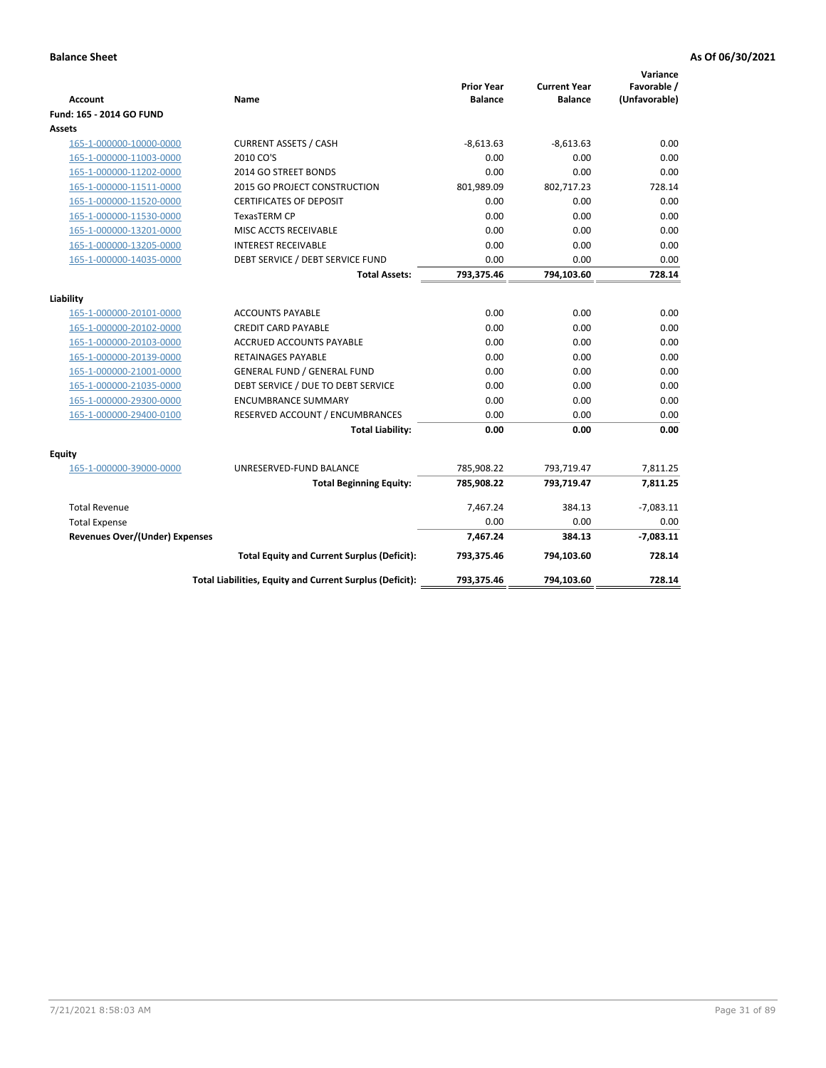| <b>Account</b>                        | Name                                                     | <b>Prior Year</b><br><b>Balance</b> | <b>Current Year</b><br><b>Balance</b> | Variance<br>Favorable /<br>(Unfavorable) |
|---------------------------------------|----------------------------------------------------------|-------------------------------------|---------------------------------------|------------------------------------------|
| Fund: 165 - 2014 GO FUND              |                                                          |                                     |                                       |                                          |
| Assets                                |                                                          |                                     |                                       |                                          |
| 165-1-000000-10000-0000               | <b>CURRENT ASSETS / CASH</b>                             | $-8,613.63$                         | $-8,613.63$                           | 0.00                                     |
| 165-1-000000-11003-0000               | 2010 CO'S                                                | 0.00                                | 0.00                                  | 0.00                                     |
| 165-1-000000-11202-0000               | 2014 GO STREET BONDS                                     | 0.00                                | 0.00                                  | 0.00                                     |
| 165-1-000000-11511-0000               | 2015 GO PROJECT CONSTRUCTION                             | 801,989.09                          | 802,717.23                            | 728.14                                   |
| 165-1-000000-11520-0000               | <b>CERTIFICATES OF DEPOSIT</b>                           | 0.00                                | 0.00                                  | 0.00                                     |
| 165-1-000000-11530-0000               | <b>TexasTERM CP</b>                                      | 0.00                                | 0.00                                  | 0.00                                     |
| 165-1-000000-13201-0000               | MISC ACCTS RECEIVABLE                                    | 0.00                                | 0.00                                  | 0.00                                     |
| 165-1-000000-13205-0000               | <b>INTEREST RECEIVABLE</b>                               | 0.00                                | 0.00                                  | 0.00                                     |
| 165-1-000000-14035-0000               | DEBT SERVICE / DEBT SERVICE FUND                         | 0.00                                | 0.00                                  | 0.00                                     |
|                                       | <b>Total Assets:</b>                                     | 793,375.46                          | 794,103.60                            | 728.14                                   |
| Liability                             |                                                          |                                     |                                       |                                          |
| 165-1-000000-20101-0000               | <b>ACCOUNTS PAYABLE</b>                                  | 0.00                                | 0.00                                  | 0.00                                     |
| 165-1-000000-20102-0000               | <b>CREDIT CARD PAYABLE</b>                               | 0.00                                | 0.00                                  | 0.00                                     |
| 165-1-000000-20103-0000               | <b>ACCRUED ACCOUNTS PAYABLE</b>                          | 0.00                                | 0.00                                  | 0.00                                     |
| 165-1-000000-20139-0000               | <b>RETAINAGES PAYABLE</b>                                | 0.00                                | 0.00                                  | 0.00                                     |
| 165-1-000000-21001-0000               | <b>GENERAL FUND / GENERAL FUND</b>                       | 0.00                                | 0.00                                  | 0.00                                     |
| 165-1-000000-21035-0000               | DEBT SERVICE / DUE TO DEBT SERVICE                       | 0.00                                | 0.00                                  | 0.00                                     |
| 165-1-000000-29300-0000               | <b>ENCUMBRANCE SUMMARY</b>                               | 0.00                                | 0.00                                  | 0.00                                     |
| 165-1-000000-29400-0100               | RESERVED ACCOUNT / ENCUMBRANCES                          | 0.00                                | 0.00                                  | 0.00                                     |
|                                       | <b>Total Liability:</b>                                  | 0.00                                | 0.00                                  | 0.00                                     |
| Fquity                                |                                                          |                                     |                                       |                                          |
| 165-1-000000-39000-0000               | UNRESERVED-FUND BALANCE                                  | 785,908.22                          | 793,719.47                            | 7,811.25                                 |
|                                       | <b>Total Beginning Equity:</b>                           | 785,908.22                          | 793,719.47                            | 7,811.25                                 |
| <b>Total Revenue</b>                  |                                                          | 7,467.24                            | 384.13                                | $-7,083.11$                              |
| <b>Total Expense</b>                  |                                                          | 0.00                                | 0.00                                  | 0.00                                     |
| <b>Revenues Over/(Under) Expenses</b> |                                                          | 7,467.24                            | 384.13                                | $-7,083.11$                              |
|                                       | <b>Total Equity and Current Surplus (Deficit):</b>       | 793,375.46                          | 794,103.60                            | 728.14                                   |
|                                       | Total Liabilities, Equity and Current Surplus (Deficit): | 793,375.46                          | 794,103.60                            | 728.14                                   |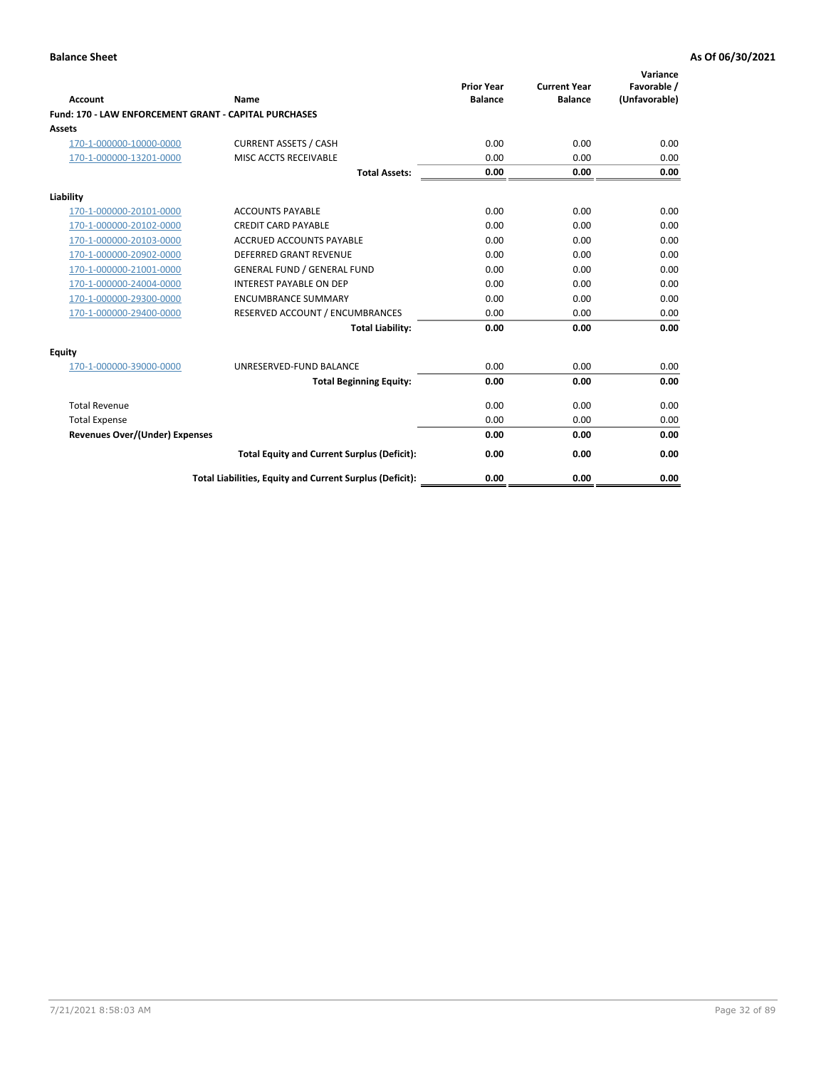|                                                       |                                                          |                                     |                                       | Variance                     |
|-------------------------------------------------------|----------------------------------------------------------|-------------------------------------|---------------------------------------|------------------------------|
| Account                                               | Name                                                     | <b>Prior Year</b><br><b>Balance</b> | <b>Current Year</b><br><b>Balance</b> | Favorable /<br>(Unfavorable) |
| Fund: 170 - LAW ENFORCEMENT GRANT - CAPITAL PURCHASES |                                                          |                                     |                                       |                              |
| Assets                                                |                                                          |                                     |                                       |                              |
| 170-1-000000-10000-0000                               | <b>CURRENT ASSETS / CASH</b>                             | 0.00                                | 0.00                                  | 0.00                         |
| 170-1-000000-13201-0000                               | MISC ACCTS RECEIVABLE                                    | 0.00                                | 0.00                                  | 0.00                         |
|                                                       | <b>Total Assets:</b>                                     | 0.00                                | 0.00                                  | 0.00                         |
| Liability                                             |                                                          |                                     |                                       |                              |
| 170-1-000000-20101-0000                               | <b>ACCOUNTS PAYABLE</b>                                  | 0.00                                | 0.00                                  | 0.00                         |
| 170-1-000000-20102-0000                               | <b>CREDIT CARD PAYABLE</b>                               | 0.00                                | 0.00                                  | 0.00                         |
| 170-1-000000-20103-0000                               | <b>ACCRUED ACCOUNTS PAYABLE</b>                          | 0.00                                | 0.00                                  | 0.00                         |
| 170-1-000000-20902-0000                               | DEFERRED GRANT REVENUE                                   | 0.00                                | 0.00                                  | 0.00                         |
| 170-1-000000-21001-0000                               | <b>GENERAL FUND / GENERAL FUND</b>                       | 0.00                                | 0.00                                  | 0.00                         |
| 170-1-000000-24004-0000                               | <b>INTEREST PAYABLE ON DEP</b>                           | 0.00                                | 0.00                                  | 0.00                         |
| 170-1-000000-29300-0000                               | <b>ENCUMBRANCE SUMMARY</b>                               | 0.00                                | 0.00                                  | 0.00                         |
| 170-1-000000-29400-0000                               | RESERVED ACCOUNT / ENCUMBRANCES                          | 0.00                                | 0.00                                  | 0.00                         |
|                                                       | <b>Total Liability:</b>                                  | 0.00                                | 0.00                                  | 0.00                         |
| Equity                                                |                                                          |                                     |                                       |                              |
| 170-1-000000-39000-0000                               | UNRESERVED-FUND BALANCE                                  | 0.00                                | 0.00                                  | 0.00                         |
|                                                       | <b>Total Beginning Equity:</b>                           | 0.00                                | 0.00                                  | 0.00                         |
| <b>Total Revenue</b>                                  |                                                          | 0.00                                | 0.00                                  | 0.00                         |
| <b>Total Expense</b>                                  |                                                          | 0.00                                | 0.00                                  | 0.00                         |
| <b>Revenues Over/(Under) Expenses</b>                 |                                                          | 0.00                                | 0.00                                  | 0.00                         |
|                                                       | <b>Total Equity and Current Surplus (Deficit):</b>       | 0.00                                | 0.00                                  | 0.00                         |
|                                                       | Total Liabilities, Equity and Current Surplus (Deficit): | 0.00                                | 0.00                                  | 0.00                         |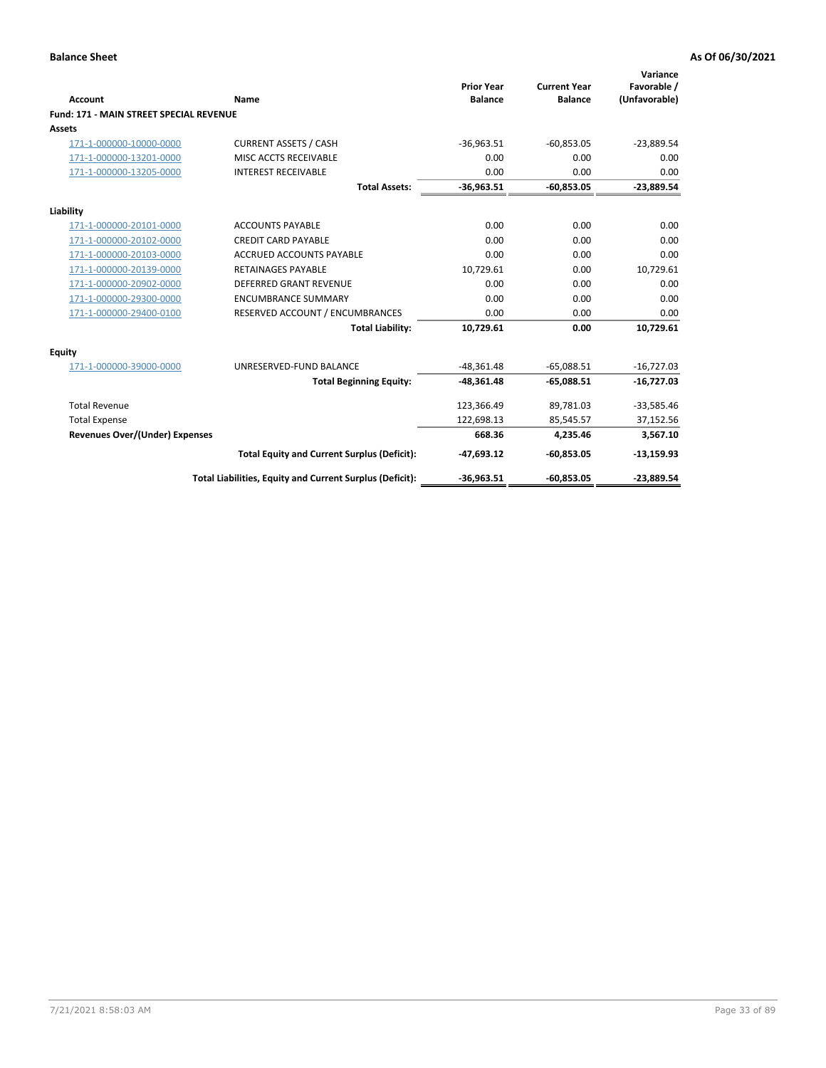| Account                                        | Name                                                     | <b>Prior Year</b><br><b>Balance</b> | <b>Current Year</b><br><b>Balance</b> | Variance<br>Favorable /<br>(Unfavorable) |
|------------------------------------------------|----------------------------------------------------------|-------------------------------------|---------------------------------------|------------------------------------------|
| <b>Fund: 171 - MAIN STREET SPECIAL REVENUE</b> |                                                          |                                     |                                       |                                          |
| Assets                                         |                                                          |                                     |                                       |                                          |
| 171-1-000000-10000-0000                        | <b>CURRENT ASSETS / CASH</b>                             | $-36,963.51$                        | $-60,853.05$                          | $-23,889.54$                             |
| 171-1-000000-13201-0000                        | MISC ACCTS RECEIVABLE                                    | 0.00                                | 0.00                                  | 0.00                                     |
| 171-1-000000-13205-0000                        | <b>INTEREST RECEIVABLE</b>                               | 0.00                                | 0.00                                  | 0.00                                     |
|                                                | <b>Total Assets:</b>                                     | $-36,963.51$                        | $-60,853.05$                          | $-23,889.54$                             |
| Liability                                      |                                                          |                                     |                                       |                                          |
| 171-1-000000-20101-0000                        | <b>ACCOUNTS PAYABLE</b>                                  | 0.00                                | 0.00                                  | 0.00                                     |
| 171-1-000000-20102-0000                        | <b>CREDIT CARD PAYABLE</b>                               | 0.00                                | 0.00                                  | 0.00                                     |
| 171-1-000000-20103-0000                        | <b>ACCRUED ACCOUNTS PAYABLE</b>                          | 0.00                                | 0.00                                  | 0.00                                     |
| 171-1-000000-20139-0000                        | <b>RETAINAGES PAYABLE</b>                                | 10,729.61                           | 0.00                                  | 10,729.61                                |
| 171-1-000000-20902-0000                        | <b>DEFERRED GRANT REVENUE</b>                            | 0.00                                | 0.00                                  | 0.00                                     |
| 171-1-000000-29300-0000                        | <b>ENCUMBRANCE SUMMARY</b>                               | 0.00                                | 0.00                                  | 0.00                                     |
| 171-1-000000-29400-0100                        | RESERVED ACCOUNT / ENCUMBRANCES                          | 0.00                                | 0.00                                  | 0.00                                     |
|                                                | <b>Total Liability:</b>                                  | 10,729.61                           | 0.00                                  | 10,729.61                                |
| <b>Equity</b>                                  |                                                          |                                     |                                       |                                          |
| 171-1-000000-39000-0000                        | UNRESERVED-FUND BALANCE                                  | $-48.361.48$                        | $-65.088.51$                          | $-16,727.03$                             |
|                                                | <b>Total Beginning Equity:</b>                           | $-48,361.48$                        | $-65,088.51$                          | $-16,727.03$                             |
| <b>Total Revenue</b>                           |                                                          | 123,366.49                          | 89,781.03                             | $-33,585.46$                             |
| <b>Total Expense</b>                           |                                                          | 122,698.13                          | 85,545.57                             | 37,152.56                                |
| Revenues Over/(Under) Expenses                 |                                                          | 668.36                              | 4,235.46                              | 3,567.10                                 |
|                                                | <b>Total Equity and Current Surplus (Deficit):</b>       | $-47,693.12$                        | $-60,853.05$                          | $-13,159.93$                             |
|                                                | Total Liabilities, Equity and Current Surplus (Deficit): | $-36.963.51$                        | $-60.853.05$                          | $-23.889.54$                             |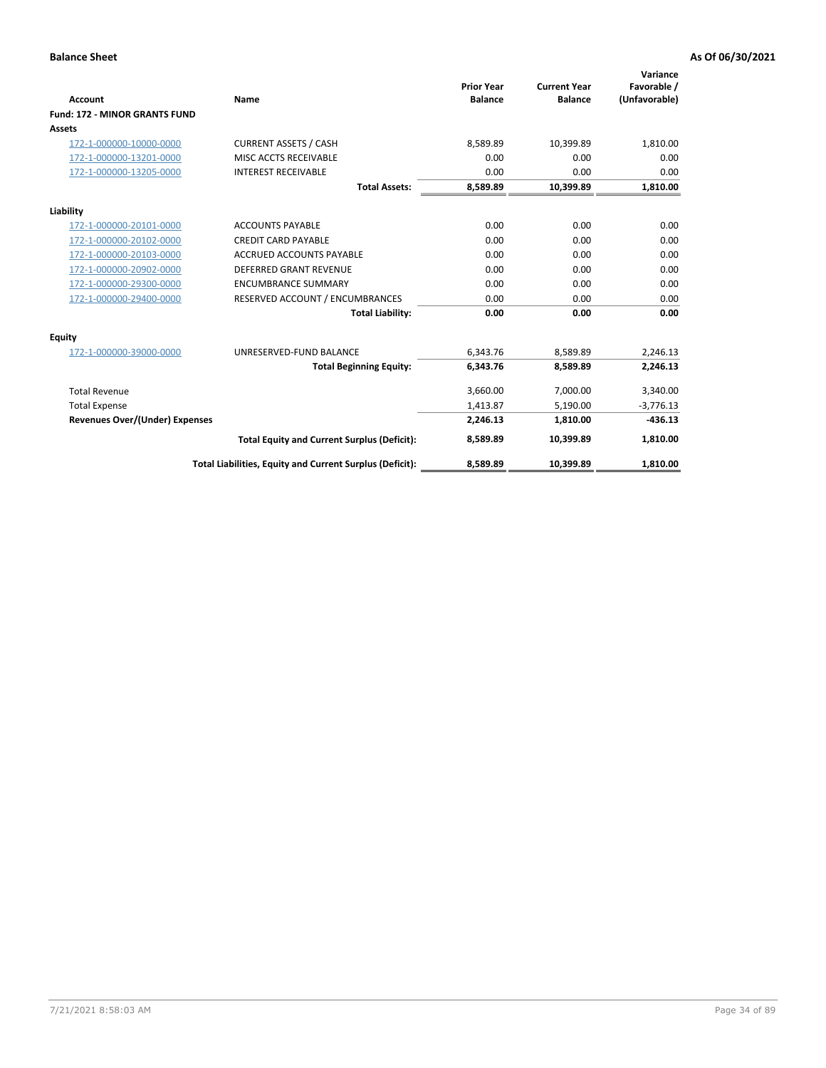|                                       |                                                          |                   |                     | Variance      |
|---------------------------------------|----------------------------------------------------------|-------------------|---------------------|---------------|
|                                       |                                                          | <b>Prior Year</b> | <b>Current Year</b> | Favorable /   |
| <b>Account</b>                        | Name                                                     | <b>Balance</b>    | <b>Balance</b>      | (Unfavorable) |
| <b>Fund: 172 - MINOR GRANTS FUND</b>  |                                                          |                   |                     |               |
| <b>Assets</b>                         |                                                          |                   |                     |               |
| 172-1-000000-10000-0000               | <b>CURRENT ASSETS / CASH</b>                             | 8,589.89          | 10,399.89           | 1,810.00      |
| 172-1-000000-13201-0000               | MISC ACCTS RECEIVABLE                                    | 0.00              | 0.00                | 0.00          |
| 172-1-000000-13205-0000               | <b>INTEREST RECEIVABLE</b>                               | 0.00              | 0.00                | 0.00          |
|                                       | <b>Total Assets:</b>                                     | 8,589.89          | 10,399.89           | 1,810.00      |
| Liability                             |                                                          |                   |                     |               |
| 172-1-000000-20101-0000               | <b>ACCOUNTS PAYABLE</b>                                  | 0.00              | 0.00                | 0.00          |
| 172-1-000000-20102-0000               | <b>CREDIT CARD PAYABLE</b>                               | 0.00              | 0.00                | 0.00          |
| 172-1-000000-20103-0000               | <b>ACCRUED ACCOUNTS PAYABLE</b>                          | 0.00              | 0.00                | 0.00          |
| 172-1-000000-20902-0000               | <b>DEFERRED GRANT REVENUE</b>                            | 0.00              | 0.00                | 0.00          |
| 172-1-000000-29300-0000               | <b>ENCUMBRANCE SUMMARY</b>                               | 0.00              | 0.00                | 0.00          |
| 172-1-000000-29400-0000               | RESERVED ACCOUNT / ENCUMBRANCES                          | 0.00              | 0.00                | 0.00          |
|                                       | <b>Total Liability:</b>                                  | 0.00              | 0.00                | 0.00          |
| Equity                                |                                                          |                   |                     |               |
| 172-1-000000-39000-0000               | UNRESERVED-FUND BALANCE                                  | 6.343.76          | 8.589.89            | 2,246.13      |
|                                       | <b>Total Beginning Equity:</b>                           | 6,343.76          | 8,589.89            | 2,246.13      |
| <b>Total Revenue</b>                  |                                                          | 3,660.00          | 7,000.00            | 3,340.00      |
| <b>Total Expense</b>                  |                                                          | 1,413.87          | 5,190.00            | $-3,776.13$   |
| <b>Revenues Over/(Under) Expenses</b> |                                                          | 2,246.13          | 1,810.00            | $-436.13$     |
|                                       | <b>Total Equity and Current Surplus (Deficit):</b>       | 8,589.89          | 10.399.89           | 1,810.00      |
|                                       | Total Liabilities, Equity and Current Surplus (Deficit): | 8,589.89          | 10,399.89           | 1,810.00      |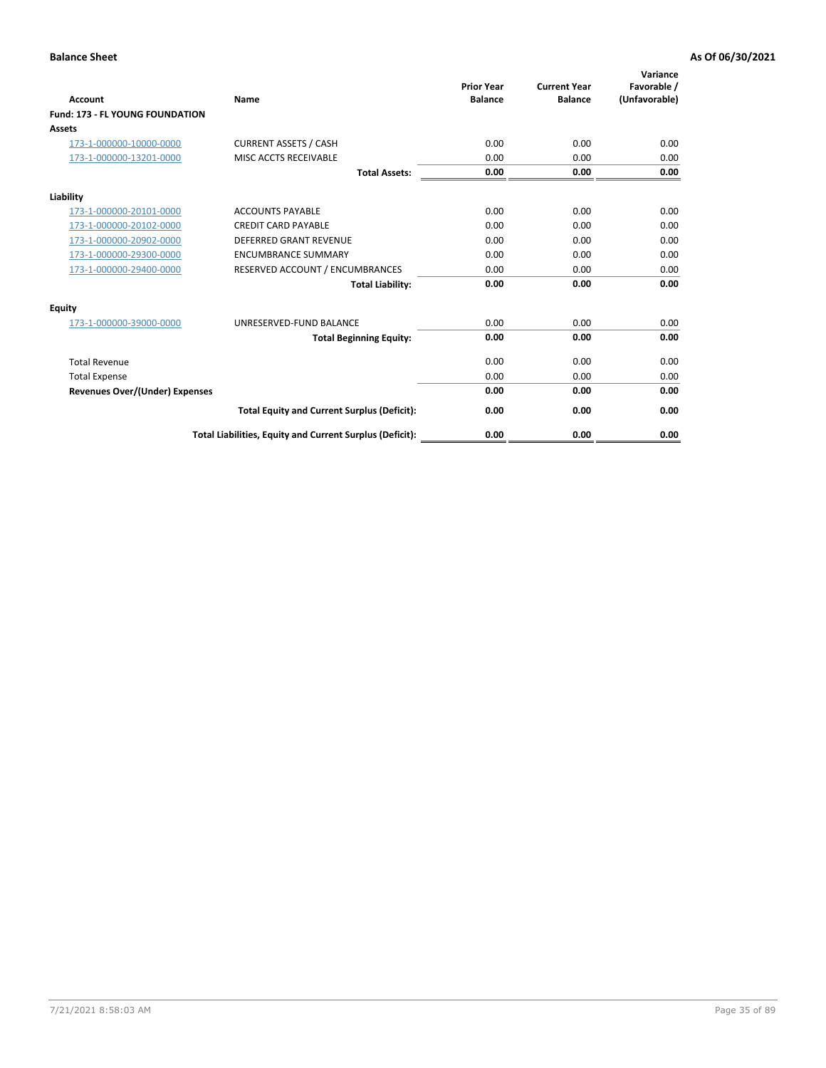| <b>Account</b>                         | <b>Name</b>                                              | <b>Prior Year</b><br><b>Balance</b> | <b>Current Year</b><br><b>Balance</b> | Variance<br>Favorable /<br>(Unfavorable) |
|----------------------------------------|----------------------------------------------------------|-------------------------------------|---------------------------------------|------------------------------------------|
| <b>Fund: 173 - FL YOUNG FOUNDATION</b> |                                                          |                                     |                                       |                                          |
| Assets                                 |                                                          |                                     |                                       |                                          |
| 173-1-000000-10000-0000                | <b>CURRENT ASSETS / CASH</b>                             | 0.00                                | 0.00                                  | 0.00                                     |
| 173-1-000000-13201-0000                | MISC ACCTS RECEIVABLE                                    | 0.00                                | 0.00                                  | 0.00                                     |
|                                        | <b>Total Assets:</b>                                     | 0.00                                | 0.00                                  | 0.00                                     |
| Liability                              |                                                          |                                     |                                       |                                          |
| 173-1-000000-20101-0000                | <b>ACCOUNTS PAYABLE</b>                                  | 0.00                                | 0.00                                  | 0.00                                     |
| 173-1-000000-20102-0000                | <b>CREDIT CARD PAYABLE</b>                               | 0.00                                | 0.00                                  | 0.00                                     |
| 173-1-000000-20902-0000                | <b>DEFERRED GRANT REVENUE</b>                            | 0.00                                | 0.00                                  | 0.00                                     |
| 173-1-000000-29300-0000                | <b>ENCUMBRANCE SUMMARY</b>                               | 0.00                                | 0.00                                  | 0.00                                     |
| 173-1-000000-29400-0000                | RESERVED ACCOUNT / ENCUMBRANCES                          | 0.00                                | 0.00                                  | 0.00                                     |
|                                        | <b>Total Liability:</b>                                  | 0.00                                | 0.00                                  | 0.00                                     |
| Equity                                 |                                                          |                                     |                                       |                                          |
| 173-1-000000-39000-0000                | UNRESERVED-FUND BALANCE                                  | 0.00                                | 0.00                                  | 0.00                                     |
|                                        | <b>Total Beginning Equity:</b>                           | 0.00                                | 0.00                                  | 0.00                                     |
| <b>Total Revenue</b>                   |                                                          | 0.00                                | 0.00                                  | 0.00                                     |
| <b>Total Expense</b>                   |                                                          | 0.00                                | 0.00                                  | 0.00                                     |
| <b>Revenues Over/(Under) Expenses</b>  |                                                          | 0.00                                | 0.00                                  | 0.00                                     |
|                                        | <b>Total Equity and Current Surplus (Deficit):</b>       | 0.00                                | 0.00                                  | 0.00                                     |
|                                        | Total Liabilities, Equity and Current Surplus (Deficit): | 0.00                                | 0.00                                  | 0.00                                     |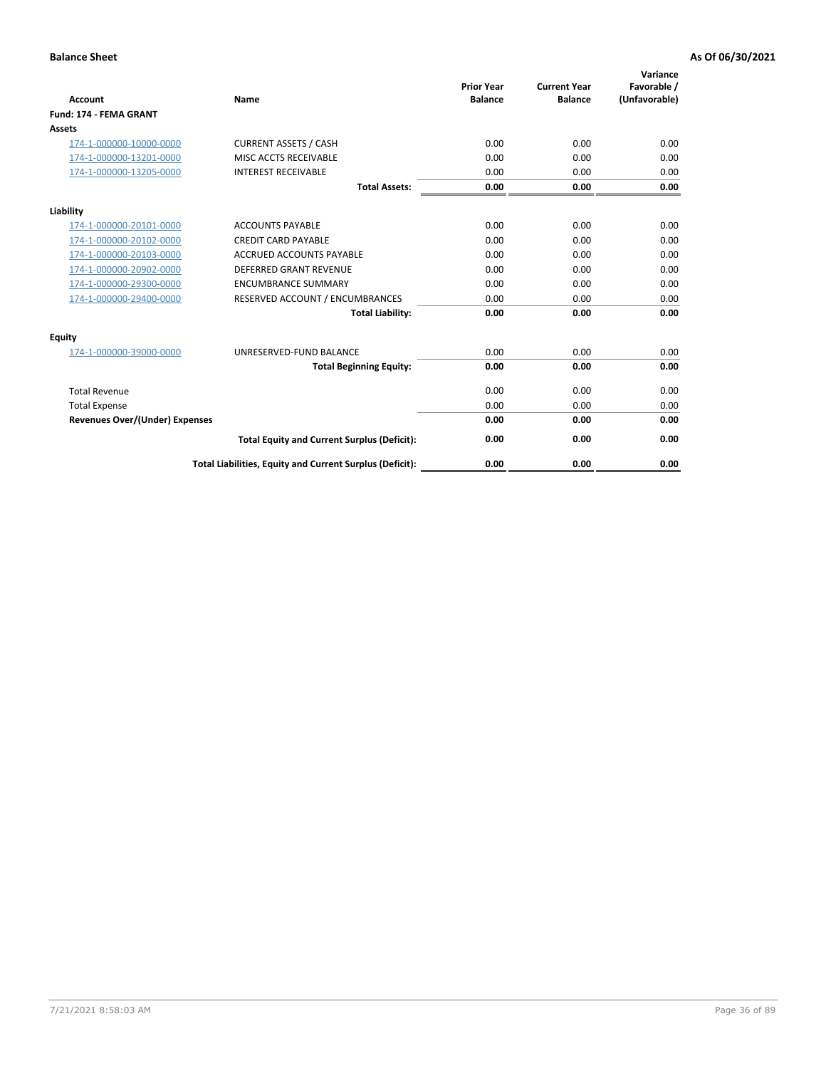| <b>Account</b>                        | Name                                                     | <b>Prior Year</b><br><b>Balance</b> | <b>Current Year</b><br><b>Balance</b> | Variance<br>Favorable /<br>(Unfavorable) |
|---------------------------------------|----------------------------------------------------------|-------------------------------------|---------------------------------------|------------------------------------------|
| <b>Fund: 174 - FEMA GRANT</b>         |                                                          |                                     |                                       |                                          |
| Assets                                |                                                          |                                     |                                       |                                          |
| 174-1-000000-10000-0000               | <b>CURRENT ASSETS / CASH</b>                             | 0.00                                | 0.00                                  | 0.00                                     |
| 174-1-000000-13201-0000               | MISC ACCTS RECEIVABLE                                    | 0.00                                | 0.00                                  | 0.00                                     |
| 174-1-000000-13205-0000               | <b>INTEREST RECEIVABLE</b>                               | 0.00                                | 0.00                                  | 0.00                                     |
|                                       | <b>Total Assets:</b>                                     | 0.00                                | 0.00                                  | 0.00                                     |
| Liability                             |                                                          |                                     |                                       |                                          |
| 174-1-000000-20101-0000               | <b>ACCOUNTS PAYABLE</b>                                  | 0.00                                | 0.00                                  | 0.00                                     |
| 174-1-000000-20102-0000               | <b>CREDIT CARD PAYABLE</b>                               | 0.00                                | 0.00                                  | 0.00                                     |
| 174-1-000000-20103-0000               | ACCRUED ACCOUNTS PAYABLE                                 | 0.00                                | 0.00                                  | 0.00                                     |
| 174-1-000000-20902-0000               | <b>DEFERRED GRANT REVENUE</b>                            | 0.00                                | 0.00                                  | 0.00                                     |
| 174-1-000000-29300-0000               | <b>ENCUMBRANCE SUMMARY</b>                               | 0.00                                | 0.00                                  | 0.00                                     |
| 174-1-000000-29400-0000               | RESERVED ACCOUNT / ENCUMBRANCES                          | 0.00                                | 0.00                                  | 0.00                                     |
|                                       | <b>Total Liability:</b>                                  | 0.00                                | 0.00                                  | 0.00                                     |
| <b>Equity</b>                         |                                                          |                                     |                                       |                                          |
| 174-1-000000-39000-0000               | UNRESERVED-FUND BALANCE                                  | 0.00                                | 0.00                                  | 0.00                                     |
|                                       | <b>Total Beginning Equity:</b>                           | 0.00                                | 0.00                                  | 0.00                                     |
| <b>Total Revenue</b>                  |                                                          | 0.00                                | 0.00                                  | 0.00                                     |
| <b>Total Expense</b>                  |                                                          | 0.00                                | 0.00                                  | 0.00                                     |
| <b>Revenues Over/(Under) Expenses</b> |                                                          | 0.00                                | 0.00                                  | 0.00                                     |
|                                       | <b>Total Equity and Current Surplus (Deficit):</b>       | 0.00                                | 0.00                                  | 0.00                                     |
|                                       | Total Liabilities, Equity and Current Surplus (Deficit): | 0.00                                | 0.00                                  | 0.00                                     |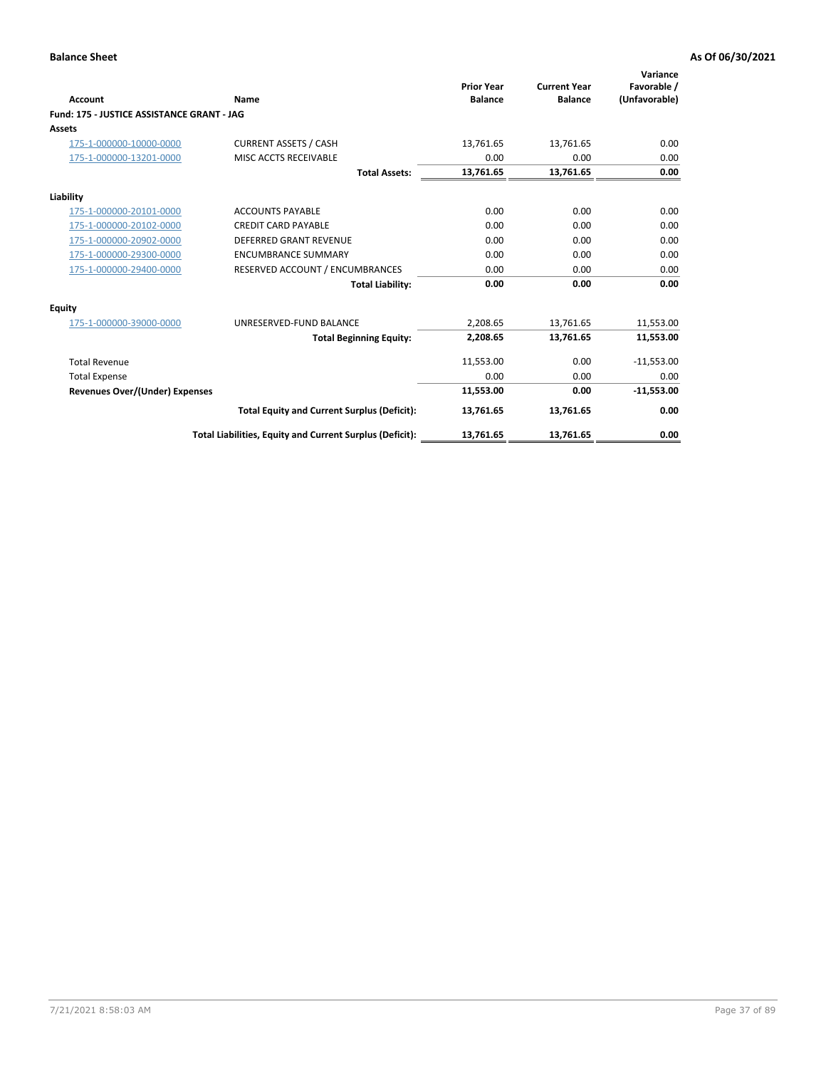|                                            |                                                          | <b>Prior Year</b> | <b>Current Year</b> | Variance<br>Favorable / |
|--------------------------------------------|----------------------------------------------------------|-------------------|---------------------|-------------------------|
| Account                                    | Name                                                     | <b>Balance</b>    | <b>Balance</b>      | (Unfavorable)           |
| Fund: 175 - JUSTICE ASSISTANCE GRANT - JAG |                                                          |                   |                     |                         |
| Assets                                     |                                                          |                   |                     |                         |
| 175-1-000000-10000-0000                    | <b>CURRENT ASSETS / CASH</b>                             | 13,761.65         | 13,761.65           | 0.00                    |
| 175-1-000000-13201-0000                    | MISC ACCTS RECEIVABLE                                    | 0.00              | 0.00                | 0.00                    |
|                                            | <b>Total Assets:</b>                                     | 13,761.65         | 13,761.65           | 0.00                    |
| Liability                                  |                                                          |                   |                     |                         |
| 175-1-000000-20101-0000                    | <b>ACCOUNTS PAYABLE</b>                                  | 0.00              | 0.00                | 0.00                    |
| 175-1-000000-20102-0000                    | <b>CREDIT CARD PAYABLE</b>                               | 0.00              | 0.00                | 0.00                    |
| 175-1-000000-20902-0000                    | <b>DEFERRED GRANT REVENUE</b>                            | 0.00              | 0.00                | 0.00                    |
| 175-1-000000-29300-0000                    | <b>ENCUMBRANCE SUMMARY</b>                               | 0.00              | 0.00                | 0.00                    |
| 175-1-000000-29400-0000                    | RESERVED ACCOUNT / ENCUMBRANCES                          | 0.00              | 0.00                | 0.00                    |
|                                            | <b>Total Liability:</b>                                  | 0.00              | 0.00                | 0.00                    |
| Equity                                     |                                                          |                   |                     |                         |
| 175-1-000000-39000-0000                    | UNRESERVED-FUND BALANCE                                  | 2,208.65          | 13,761.65           | 11,553.00               |
|                                            | <b>Total Beginning Equity:</b>                           | 2,208.65          | 13,761.65           | 11,553.00               |
| <b>Total Revenue</b>                       |                                                          | 11,553.00         | 0.00                | $-11,553.00$            |
| <b>Total Expense</b>                       |                                                          | 0.00              | 0.00                | 0.00                    |
| <b>Revenues Over/(Under) Expenses</b>      |                                                          | 11,553.00         | 0.00                | $-11,553.00$            |
|                                            | <b>Total Equity and Current Surplus (Deficit):</b>       | 13,761.65         | 13,761.65           | 0.00                    |
|                                            | Total Liabilities, Equity and Current Surplus (Deficit): | 13,761.65         | 13,761.65           | 0.00                    |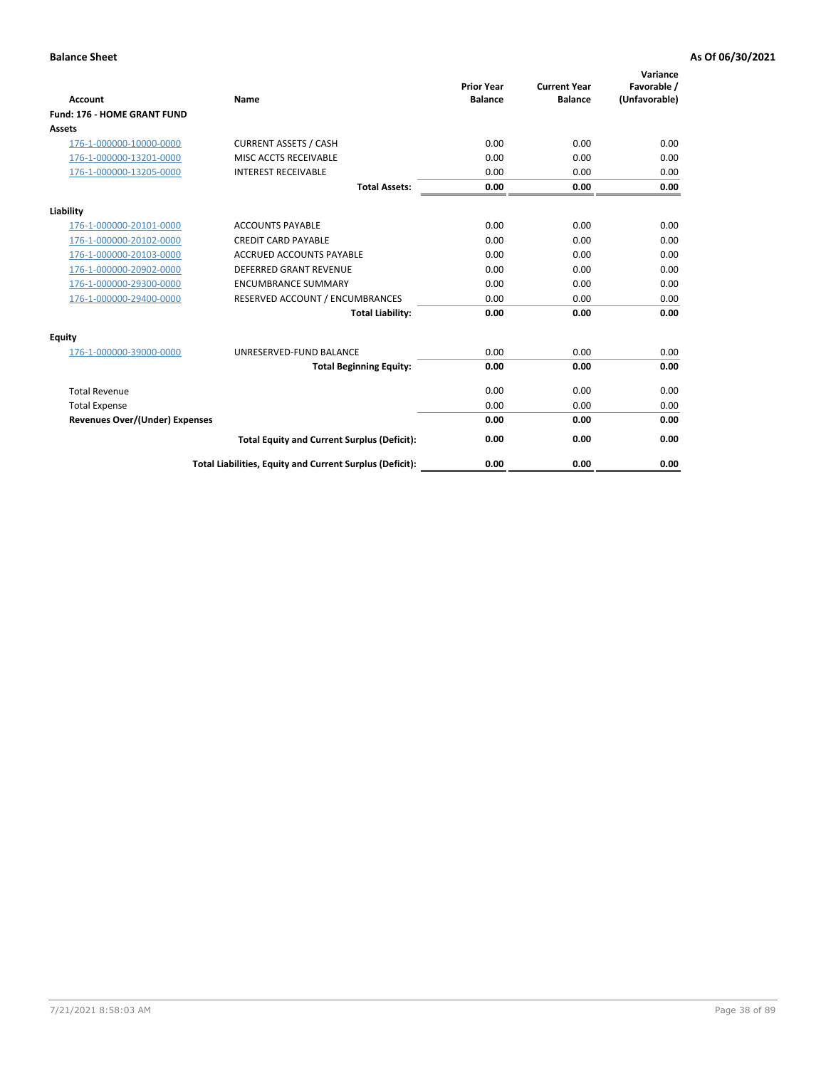| Account                               | Name                                                     | <b>Prior Year</b><br><b>Balance</b> | <b>Current Year</b><br><b>Balance</b> | Variance<br>Favorable /<br>(Unfavorable) |
|---------------------------------------|----------------------------------------------------------|-------------------------------------|---------------------------------------|------------------------------------------|
| Fund: 176 - HOME GRANT FUND           |                                                          |                                     |                                       |                                          |
| Assets                                |                                                          |                                     |                                       |                                          |
| 176-1-000000-10000-0000               | <b>CURRENT ASSETS / CASH</b>                             | 0.00                                | 0.00                                  | 0.00                                     |
| 176-1-000000-13201-0000               | MISC ACCTS RECEIVABLE                                    | 0.00                                | 0.00                                  | 0.00                                     |
| 176-1-000000-13205-0000               | <b>INTEREST RECEIVABLE</b>                               | 0.00                                | 0.00                                  | 0.00                                     |
|                                       | <b>Total Assets:</b>                                     | 0.00                                | 0.00                                  | 0.00                                     |
| Liability                             |                                                          |                                     |                                       |                                          |
| 176-1-000000-20101-0000               | <b>ACCOUNTS PAYABLE</b>                                  | 0.00                                | 0.00                                  | 0.00                                     |
| 176-1-000000-20102-0000               | <b>CREDIT CARD PAYABLE</b>                               | 0.00                                | 0.00                                  | 0.00                                     |
| 176-1-000000-20103-0000               | <b>ACCRUED ACCOUNTS PAYABLE</b>                          | 0.00                                | 0.00                                  | 0.00                                     |
| 176-1-000000-20902-0000               | <b>DEFERRED GRANT REVENUE</b>                            | 0.00                                | 0.00                                  | 0.00                                     |
| 176-1-000000-29300-0000               | <b>ENCUMBRANCE SUMMARY</b>                               | 0.00                                | 0.00                                  | 0.00                                     |
| 176-1-000000-29400-0000               | RESERVED ACCOUNT / ENCUMBRANCES                          | 0.00                                | 0.00                                  | 0.00                                     |
|                                       | <b>Total Liability:</b>                                  | 0.00                                | 0.00                                  | 0.00                                     |
| <b>Equity</b>                         |                                                          |                                     |                                       |                                          |
| 176-1-000000-39000-0000               | UNRESERVED-FUND BALANCE                                  | 0.00                                | 0.00                                  | 0.00                                     |
|                                       | <b>Total Beginning Equity:</b>                           | 0.00                                | 0.00                                  | 0.00                                     |
| <b>Total Revenue</b>                  |                                                          | 0.00                                | 0.00                                  | 0.00                                     |
| <b>Total Expense</b>                  |                                                          | 0.00                                | 0.00                                  | 0.00                                     |
| <b>Revenues Over/(Under) Expenses</b> |                                                          | 0.00                                | 0.00                                  | 0.00                                     |
|                                       | <b>Total Equity and Current Surplus (Deficit):</b>       | 0.00                                | 0.00                                  | 0.00                                     |
|                                       | Total Liabilities, Equity and Current Surplus (Deficit): | 0.00                                | 0.00                                  | 0.00                                     |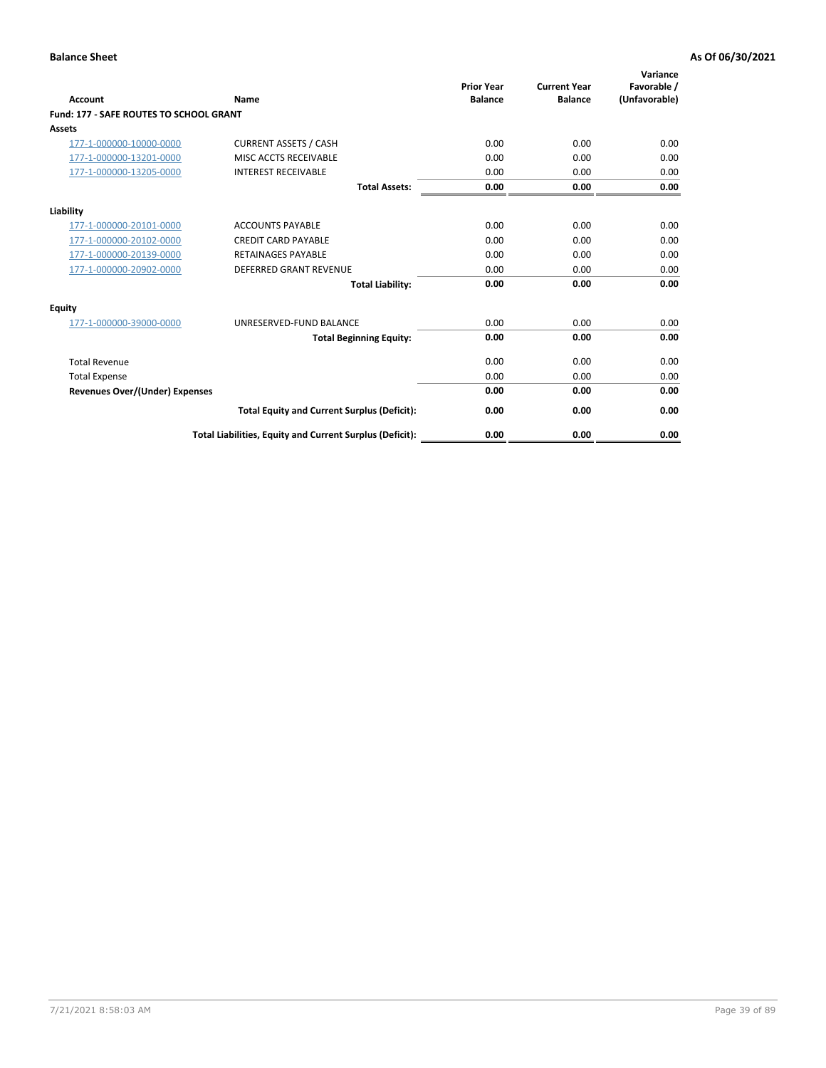| Account                                        | Name                                                     | <b>Prior Year</b><br><b>Balance</b> | <b>Current Year</b><br><b>Balance</b> | Variance<br>Favorable /<br>(Unfavorable) |
|------------------------------------------------|----------------------------------------------------------|-------------------------------------|---------------------------------------|------------------------------------------|
| <b>Fund: 177 - SAFE ROUTES TO SCHOOL GRANT</b> |                                                          |                                     |                                       |                                          |
| <b>Assets</b>                                  |                                                          |                                     |                                       |                                          |
| 177-1-000000-10000-0000                        | <b>CURRENT ASSETS / CASH</b>                             | 0.00                                | 0.00                                  | 0.00                                     |
| 177-1-000000-13201-0000                        | MISC ACCTS RECEIVABLE                                    | 0.00                                | 0.00                                  | 0.00                                     |
| 177-1-000000-13205-0000                        | <b>INTEREST RECEIVABLE</b>                               | 0.00                                | 0.00                                  | 0.00                                     |
|                                                | <b>Total Assets:</b>                                     | 0.00                                | 0.00                                  | 0.00                                     |
| Liability                                      |                                                          |                                     |                                       |                                          |
| 177-1-000000-20101-0000                        | <b>ACCOUNTS PAYABLE</b>                                  | 0.00                                | 0.00                                  | 0.00                                     |
| 177-1-000000-20102-0000                        | <b>CREDIT CARD PAYABLE</b>                               | 0.00                                | 0.00                                  | 0.00                                     |
| 177-1-000000-20139-0000                        | <b>RETAINAGES PAYABLE</b>                                | 0.00                                | 0.00                                  | 0.00                                     |
| 177-1-000000-20902-0000                        | <b>DEFERRED GRANT REVENUE</b>                            | 0.00                                | 0.00                                  | 0.00                                     |
|                                                | <b>Total Liability:</b>                                  | 0.00                                | 0.00                                  | 0.00                                     |
| Equity                                         |                                                          |                                     |                                       |                                          |
| 177-1-000000-39000-0000                        | UNRESERVED-FUND BALANCE                                  | 0.00                                | 0.00                                  | 0.00                                     |
|                                                | <b>Total Beginning Equity:</b>                           | 0.00                                | 0.00                                  | 0.00                                     |
| <b>Total Revenue</b>                           |                                                          | 0.00                                | 0.00                                  | 0.00                                     |
| <b>Total Expense</b>                           |                                                          | 0.00                                | 0.00                                  | 0.00                                     |
| <b>Revenues Over/(Under) Expenses</b>          |                                                          | 0.00                                | 0.00                                  | 0.00                                     |
|                                                | <b>Total Equity and Current Surplus (Deficit):</b>       | 0.00                                | 0.00                                  | 0.00                                     |
|                                                | Total Liabilities, Equity and Current Surplus (Deficit): | 0.00                                | 0.00                                  | 0.00                                     |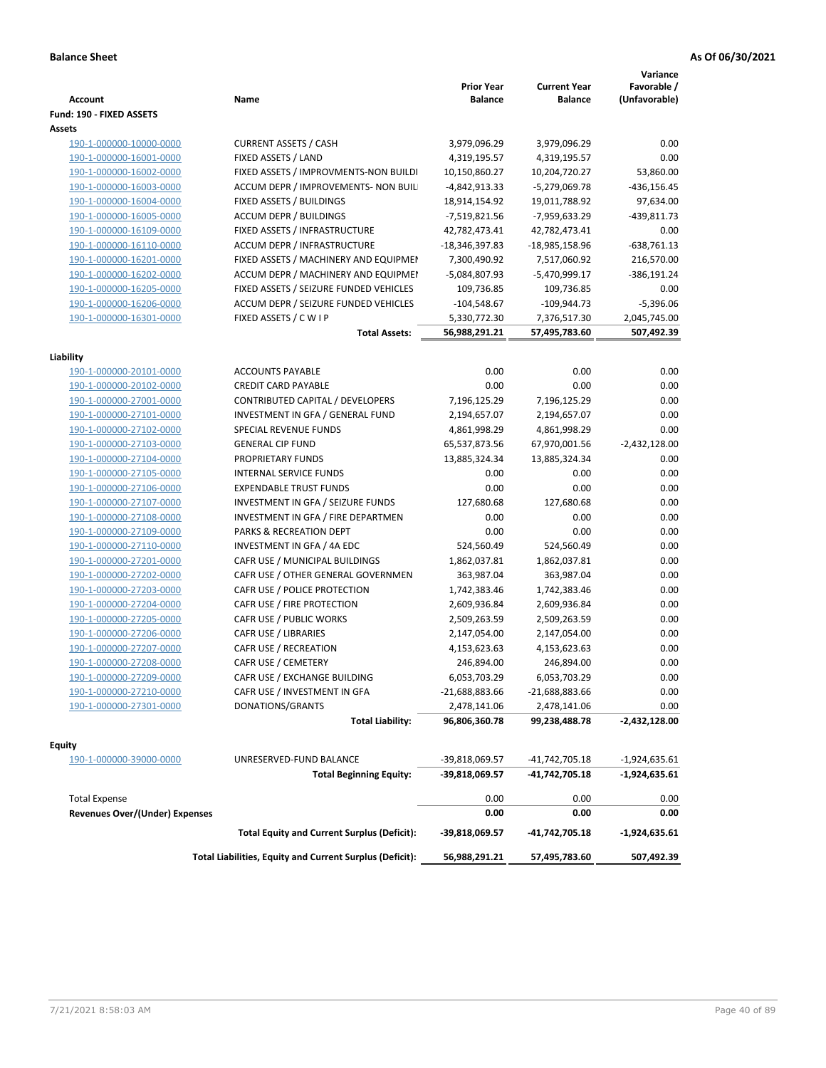| <b>Account</b>                        | Name                                                     | <b>Prior Year</b><br>Balance | <b>Current Year</b><br><b>Balance</b> | Variance<br>Favorable /<br>(Unfavorable) |
|---------------------------------------|----------------------------------------------------------|------------------------------|---------------------------------------|------------------------------------------|
| Fund: 190 - FIXED ASSETS              |                                                          |                              |                                       |                                          |
| Assets                                |                                                          |                              |                                       |                                          |
| 190-1-000000-10000-0000               | <b>CURRENT ASSETS / CASH</b>                             | 3,979,096.29                 | 3,979,096.29                          | 0.00                                     |
| 190-1-000000-16001-0000               | FIXED ASSETS / LAND                                      | 4,319,195.57                 | 4,319,195.57                          | 0.00                                     |
| 190-1-000000-16002-0000               | FIXED ASSETS / IMPROVMENTS-NON BUILDI                    | 10,150,860.27                | 10,204,720.27                         | 53,860.00                                |
| 190-1-000000-16003-0000               | ACCUM DEPR / IMPROVEMENTS- NON BUIL                      | -4,842,913.33                | -5,279,069.78                         | $-436, 156.45$                           |
| 190-1-000000-16004-0000               | FIXED ASSETS / BUILDINGS                                 | 18,914,154.92                | 19,011,788.92                         | 97,634.00                                |
| 190-1-000000-16005-0000               | ACCUM DEPR / BUILDINGS                                   | -7,519,821.56                | -7,959,633.29                         | -439,811.73                              |
| 190-1-000000-16109-0000               | FIXED ASSETS / INFRASTRUCTURE                            | 42,782,473.41                | 42,782,473.41                         | 0.00                                     |
| 190-1-000000-16110-0000               | <b>ACCUM DEPR / INFRASTRUCTURE</b>                       | -18,346,397.83               | -18,985,158.96                        | $-638,761.13$                            |
| 190-1-000000-16201-0000               | FIXED ASSETS / MACHINERY AND EQUIPMEN                    | 7,300,490.92                 | 7,517,060.92                          | 216,570.00                               |
| 190-1-000000-16202-0000               | ACCUM DEPR / MACHINERY AND EQUIPMEI                      | -5,084,807.93                | -5,470,999.17                         | -386,191.24                              |
| 190-1-000000-16205-0000               | FIXED ASSETS / SEIZURE FUNDED VEHICLES                   | 109,736.85                   | 109,736.85                            | 0.00                                     |
| 190-1-000000-16206-0000               | ACCUM DEPR / SEIZURE FUNDED VEHICLES                     | $-104,548.67$                | $-109,944.73$                         | $-5,396.06$                              |
| 190-1-000000-16301-0000               | FIXED ASSETS / C W I P                                   | 5,330,772.30                 | 7,376,517.30                          | 2,045,745.00                             |
|                                       | <b>Total Assets:</b>                                     | 56,988,291.21                | 57,495,783.60                         | 507,492.39                               |
|                                       |                                                          |                              |                                       |                                          |
| Liability                             |                                                          |                              |                                       |                                          |
| 190-1-000000-20101-0000               | <b>ACCOUNTS PAYABLE</b>                                  | 0.00                         | 0.00                                  | 0.00                                     |
| 190-1-000000-20102-0000               | <b>CREDIT CARD PAYABLE</b>                               | 0.00                         | 0.00                                  | 0.00                                     |
| 190-1-000000-27001-0000               | CONTRIBUTED CAPITAL / DEVELOPERS                         | 7,196,125.29                 | 7,196,125.29                          | 0.00                                     |
| 190-1-000000-27101-0000               | INVESTMENT IN GFA / GENERAL FUND                         | 2,194,657.07                 | 2,194,657.07                          | 0.00                                     |
| 190-1-000000-27102-0000               | SPECIAL REVENUE FUNDS                                    | 4,861,998.29                 | 4,861,998.29                          | 0.00                                     |
| 190-1-000000-27103-0000               | <b>GENERAL CIP FUND</b>                                  | 65,537,873.56                | 67,970,001.56                         | $-2,432,128.00$                          |
| 190-1-000000-27104-0000               | PROPRIETARY FUNDS                                        | 13,885,324.34                | 13,885,324.34                         | 0.00                                     |
| 190-1-000000-27105-0000               | <b>INTERNAL SERVICE FUNDS</b>                            | 0.00                         | 0.00                                  | 0.00                                     |
| 190-1-000000-27106-0000               | <b>EXPENDABLE TRUST FUNDS</b>                            | 0.00                         | 0.00                                  | 0.00                                     |
| 190-1-000000-27107-0000               | INVESTMENT IN GFA / SEIZURE FUNDS                        | 127,680.68                   | 127,680.68                            | 0.00                                     |
| 190-1-000000-27108-0000               | INVESTMENT IN GFA / FIRE DEPARTMEN                       | 0.00                         | 0.00                                  | 0.00                                     |
| 190-1-000000-27109-0000               | PARKS & RECREATION DEPT                                  | 0.00                         | 0.00                                  | 0.00                                     |
| 190-1-000000-27110-0000               | INVESTMENT IN GFA / 4A EDC                               | 524,560.49                   | 524,560.49                            | 0.00                                     |
| 190-1-000000-27201-0000               | CAFR USE / MUNICIPAL BUILDINGS                           | 1,862,037.81                 | 1,862,037.81                          | 0.00                                     |
| 190-1-000000-27202-0000               | CAFR USE / OTHER GENERAL GOVERNMEN                       | 363,987.04                   | 363,987.04                            | 0.00                                     |
| 190-1-000000-27203-0000               | CAFR USE / POLICE PROTECTION                             | 1,742,383.46                 | 1,742,383.46                          | 0.00                                     |
| 190-1-000000-27204-0000               | CAFR USE / FIRE PROTECTION                               | 2,609,936.84                 | 2,609,936.84                          | 0.00                                     |
| 190-1-000000-27205-0000               | CAFR USE / PUBLIC WORKS                                  | 2,509,263.59                 | 2,509,263.59                          | 0.00                                     |
| 190-1-000000-27206-0000               | CAFR USE / LIBRARIES                                     | 2,147,054.00                 | 2,147,054.00                          | 0.00                                     |
| 190-1-000000-27207-0000               | CAFR USE / RECREATION                                    | 4,153,623.63                 | 4,153,623.63                          | 0.00                                     |
| 190-1-000000-27208-0000               | CAFR USE / CEMETERY                                      | 246,894.00                   | 246,894.00                            | 0.00                                     |
| 190-1-000000-27209-0000               | CAFR USE / EXCHANGE BUILDING                             | 6,053,703.29                 | 6,053,703.29                          | 0.00                                     |
| 190-1-000000-27210-0000               | CAFR USE / INVESTMENT IN GFA                             | $-21,688,883.66$             | $-21,688,883.66$                      | 0.00                                     |
| 190-1-000000-27301-0000               | DONATIONS/GRANTS                                         | 2,478,141.06                 | 2,478,141.06                          | 0.00                                     |
|                                       | <b>Total Liability:</b>                                  | 96,806,360.78                | 99,238,488.78                         | -2,432,128.00                            |
|                                       |                                                          |                              |                                       |                                          |
| Equity                                |                                                          |                              |                                       |                                          |
| 190-1-000000-39000-0000               | UNRESERVED-FUND BALANCE                                  | -39,818,069.57               | -41,742,705.18                        | $-1,924,635.61$                          |
|                                       | <b>Total Beginning Equity:</b>                           | -39,818,069.57               | -41,742,705.18                        | -1,924,635.61                            |
| <b>Total Expense</b>                  |                                                          | 0.00                         | 0.00                                  | 0.00                                     |
| <b>Revenues Over/(Under) Expenses</b> |                                                          | 0.00                         | 0.00                                  | 0.00                                     |
|                                       |                                                          |                              |                                       |                                          |
|                                       | <b>Total Equity and Current Surplus (Deficit):</b>       | -39,818,069.57               | -41,742,705.18                        | $-1,924,635.61$                          |
|                                       | Total Liabilities, Equity and Current Surplus (Deficit): | 56,988,291.21                | 57,495,783.60                         | 507,492.39                               |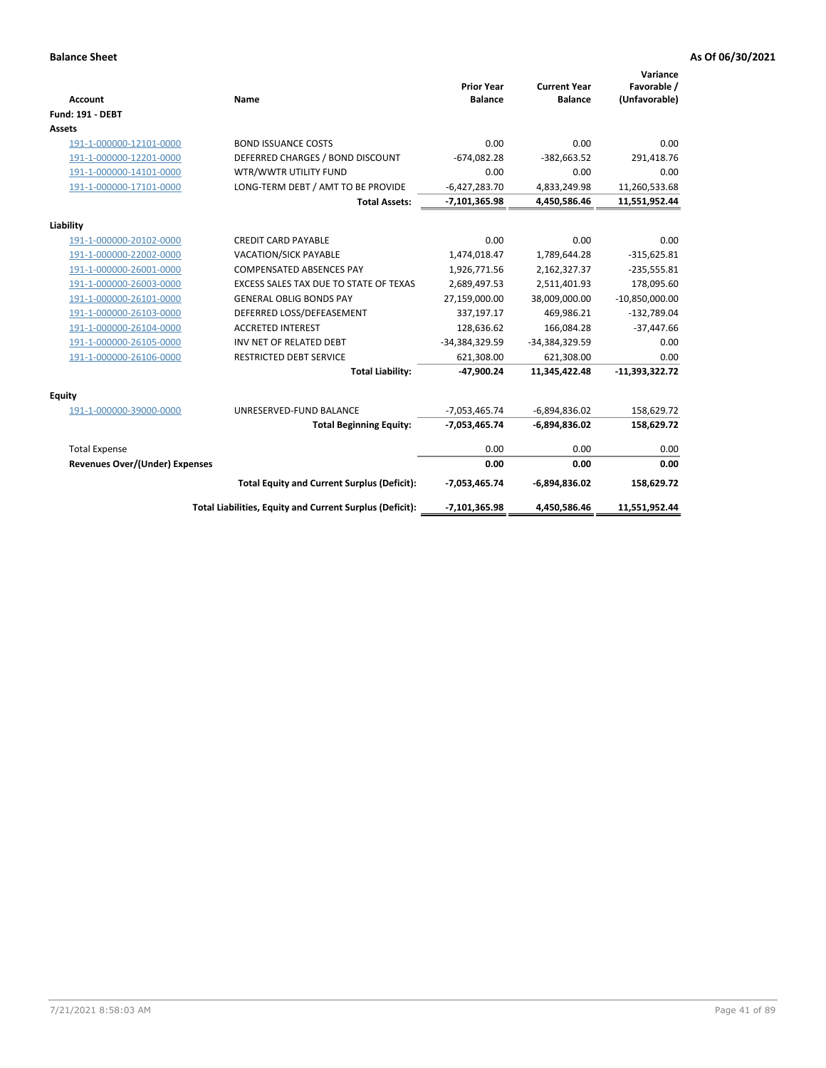| <b>Account</b>                 | <b>Name</b>                                              | <b>Prior Year</b><br><b>Balance</b> | <b>Current Year</b><br><b>Balance</b> | Variance<br>Favorable /<br>(Unfavorable) |
|--------------------------------|----------------------------------------------------------|-------------------------------------|---------------------------------------|------------------------------------------|
| <b>Fund: 191 - DEBT</b>        |                                                          |                                     |                                       |                                          |
| Assets                         |                                                          |                                     |                                       |                                          |
| 191-1-000000-12101-0000        | <b>BOND ISSUANCE COSTS</b>                               | 0.00                                | 0.00                                  | 0.00                                     |
| 191-1-000000-12201-0000        | DEFERRED CHARGES / BOND DISCOUNT                         | $-674,082.28$                       | $-382,663.52$                         | 291,418.76                               |
| 191-1-000000-14101-0000        | WTR/WWTR UTILITY FUND                                    | 0.00                                | 0.00                                  | 0.00                                     |
| 191-1-000000-17101-0000        | LONG-TERM DEBT / AMT TO BE PROVIDE                       | $-6,427,283.70$                     | 4,833,249.98                          | 11,260,533.68                            |
|                                | <b>Total Assets:</b>                                     | $-7,101,365.98$                     | 4,450,586.46                          | 11,551,952.44                            |
| Liability                      |                                                          |                                     |                                       |                                          |
| 191-1-000000-20102-0000        | <b>CREDIT CARD PAYABLE</b>                               | 0.00                                | 0.00                                  | 0.00                                     |
| 191-1-000000-22002-0000        | <b>VACATION/SICK PAYABLE</b>                             | 1,474,018.47                        | 1,789,644.28                          | $-315,625.81$                            |
| 191-1-000000-26001-0000        | <b>COMPENSATED ABSENCES PAY</b>                          | 1,926,771.56                        | 2,162,327.37                          | $-235,555.81$                            |
| 191-1-000000-26003-0000        | EXCESS SALES TAX DUE TO STATE OF TEXAS                   | 2,689,497.53                        | 2,511,401.93                          | 178,095.60                               |
| 191-1-000000-26101-0000        | <b>GENERAL OBLIG BONDS PAY</b>                           | 27,159,000.00                       | 38,009,000.00                         | $-10,850,000.00$                         |
| 191-1-000000-26103-0000        | DEFERRED LOSS/DEFEASEMENT                                | 337,197.17                          | 469,986.21                            | $-132,789.04$                            |
| 191-1-000000-26104-0000        | <b>ACCRETED INTEREST</b>                                 | 128,636.62                          | 166,084.28                            | $-37,447.66$                             |
| 191-1-000000-26105-0000        | INV NET OF RELATED DEBT                                  | -34,384,329.59                      | -34,384,329.59                        | 0.00                                     |
| 191-1-000000-26106-0000        | <b>RESTRICTED DEBT SERVICE</b>                           | 621,308.00                          | 621,308.00                            | 0.00                                     |
|                                | <b>Total Liability:</b>                                  | $-47,900.24$                        | 11,345,422.48                         | $-11,393,322.72$                         |
| Equity                         |                                                          |                                     |                                       |                                          |
| 191-1-000000-39000-0000        | UNRESERVED-FUND BALANCE                                  | $-7,053,465.74$                     | $-6,894,836.02$                       | 158,629.72                               |
|                                | <b>Total Beginning Equity:</b>                           | $-7,053,465.74$                     | $-6,894,836.02$                       | 158,629.72                               |
| <b>Total Expense</b>           |                                                          | 0.00                                | 0.00                                  | 0.00                                     |
| Revenues Over/(Under) Expenses |                                                          | 0.00                                | 0.00                                  | 0.00                                     |
|                                | <b>Total Equity and Current Surplus (Deficit):</b>       | $-7,053,465.74$                     | $-6,894,836.02$                       | 158,629.72                               |
|                                | Total Liabilities, Equity and Current Surplus (Deficit): | -7,101,365.98                       | 4,450,586.46                          | 11,551,952.44                            |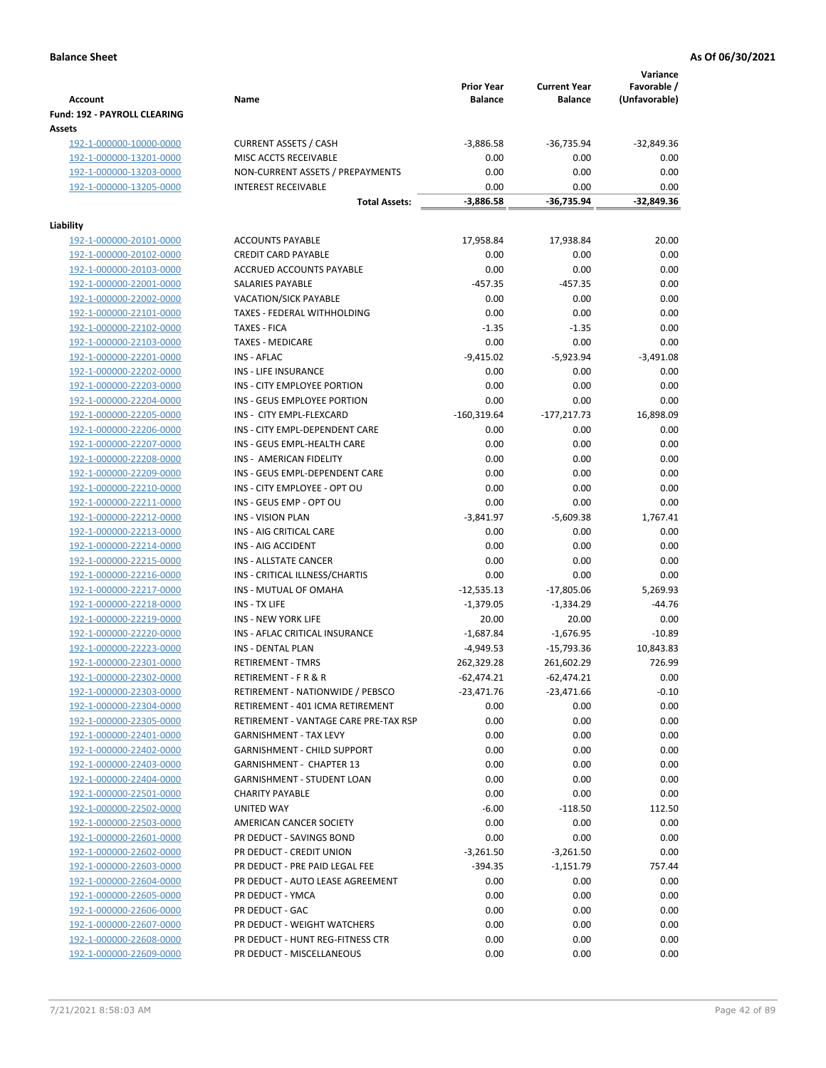|                                                    |                                                           | <b>Prior Year</b>   | <b>Current Year</b>  | Variance<br>Favorable / |
|----------------------------------------------------|-----------------------------------------------------------|---------------------|----------------------|-------------------------|
| <b>Account</b>                                     | Name                                                      | <b>Balance</b>      | <b>Balance</b>       | (Unfavorable)           |
| Fund: 192 - PAYROLL CLEARING                       |                                                           |                     |                      |                         |
| Assets                                             |                                                           |                     |                      |                         |
| 192-1-000000-10000-0000                            | <b>CURRENT ASSETS / CASH</b>                              | $-3,886.58$         | $-36,735.94$         | $-32,849.36$            |
| 192-1-000000-13201-0000                            | MISC ACCTS RECEIVABLE                                     | 0.00                | 0.00                 | 0.00                    |
| 192-1-000000-13203-0000                            | NON-CURRENT ASSETS / PREPAYMENTS                          | 0.00                | 0.00                 | 0.00                    |
| 192-1-000000-13205-0000                            | <b>INTEREST RECEIVABLE</b>                                | 0.00<br>$-3,886.58$ | 0.00<br>$-36,735.94$ | 0.00<br>$-32,849.36$    |
|                                                    | <b>Total Assets:</b>                                      |                     |                      |                         |
| Liability                                          |                                                           |                     |                      |                         |
| 192-1-000000-20101-0000                            | <b>ACCOUNTS PAYABLE</b>                                   | 17,958.84           | 17,938.84            | 20.00                   |
| 192-1-000000-20102-0000                            | <b>CREDIT CARD PAYABLE</b>                                | 0.00                | 0.00                 | 0.00                    |
| 192-1-000000-20103-0000                            | ACCRUED ACCOUNTS PAYABLE                                  | 0.00                | 0.00                 | 0.00                    |
| 192-1-000000-22001-0000                            | SALARIES PAYABLE                                          | $-457.35$           | $-457.35$            | 0.00                    |
| 192-1-000000-22002-0000                            | <b>VACATION/SICK PAYABLE</b>                              | 0.00                | 0.00                 | 0.00                    |
| 192-1-000000-22101-0000                            | TAXES - FEDERAL WITHHOLDING                               | 0.00                | 0.00                 | 0.00                    |
| 192-1-000000-22102-0000                            | <b>TAXES - FICA</b>                                       | $-1.35$             | $-1.35$              | 0.00                    |
| 192-1-000000-22103-0000                            | <b>TAXES - MEDICARE</b>                                   | 0.00                | 0.00                 | 0.00                    |
| 192-1-000000-22201-0000                            | INS - AFLAC                                               | $-9,415.02$         | $-5,923.94$          | $-3,491.08$             |
| 192-1-000000-22202-0000                            | <b>INS - LIFE INSURANCE</b>                               | 0.00                | 0.00                 | 0.00                    |
| 192-1-000000-22203-0000                            | INS - CITY EMPLOYEE PORTION                               | 0.00                | 0.00                 | 0.00                    |
| 192-1-000000-22204-0000                            | INS - GEUS EMPLOYEE PORTION                               | 0.00                | 0.00                 | 0.00                    |
| 192-1-000000-22205-0000                            | INS - CITY EMPL-FLEXCARD                                  | $-160,319.64$       | $-177,217.73$        | 16,898.09               |
| 192-1-000000-22206-0000                            | INS - CITY EMPL-DEPENDENT CARE                            | 0.00                | 0.00                 | 0.00                    |
| 192-1-000000-22207-0000                            | INS - GEUS EMPL-HEALTH CARE                               | 0.00                | 0.00                 | 0.00                    |
| 192-1-000000-22208-0000                            | INS - AMERICAN FIDELITY<br>INS - GEUS EMPL-DEPENDENT CARE | 0.00<br>0.00        | 0.00<br>0.00         | 0.00<br>0.00            |
| 192-1-000000-22209-0000                            | INS - CITY EMPLOYEE - OPT OU                              | 0.00                | 0.00                 | 0.00                    |
| 192-1-000000-22210-0000<br>192-1-000000-22211-0000 | INS - GEUS EMP - OPT OU                                   | 0.00                | 0.00                 | 0.00                    |
| 192-1-000000-22212-0000                            | <b>INS - VISION PLAN</b>                                  | $-3,841.97$         | $-5,609.38$          | 1,767.41                |
| 192-1-000000-22213-0000                            | INS - AIG CRITICAL CARE                                   | 0.00                | 0.00                 | 0.00                    |
| 192-1-000000-22214-0000                            | INS - AIG ACCIDENT                                        | 0.00                | 0.00                 | 0.00                    |
| 192-1-000000-22215-0000                            | <b>INS - ALLSTATE CANCER</b>                              | 0.00                | 0.00                 | 0.00                    |
| 192-1-000000-22216-0000                            | INS - CRITICAL ILLNESS/CHARTIS                            | 0.00                | 0.00                 | 0.00                    |
| 192-1-000000-22217-0000                            | <b>INS - MUTUAL OF OMAHA</b>                              | $-12,535.13$        | $-17,805.06$         | 5,269.93                |
| 192-1-000000-22218-0000                            | INS - TX LIFE                                             | $-1,379.05$         | $-1,334.29$          | $-44.76$                |
| 192-1-000000-22219-0000                            | <b>INS - NEW YORK LIFE</b>                                | 20.00               | 20.00                | 0.00                    |
| 192-1-000000-22220-0000                            | INS - AFLAC CRITICAL INSURANCE                            | $-1,687.84$         | $-1,676.95$          | $-10.89$                |
| 192-1-000000-22223-0000                            | INS - DENTAL PLAN                                         | $-4,949.53$         | $-15,793.36$         | 10,843.83               |
| 192-1-000000-22301-0000                            | <b>RETIREMENT - TMRS</b>                                  | 262,329.28          | 261,602.29           | 726.99                  |
| 192-1-000000-22302-0000                            | RETIREMENT - F R & R                                      | -62,474.21          | $-62,474.21$         | 0.00                    |
| 192-1-000000-22303-0000                            | RETIREMENT - NATIONWIDE / PEBSCO                          | $-23,471.76$        | $-23,471.66$         | $-0.10$                 |
| 192-1-000000-22304-0000                            | RETIREMENT - 401 ICMA RETIREMENT                          | 0.00                | 0.00                 | 0.00                    |
| 192-1-000000-22305-0000                            | RETIREMENT - VANTAGE CARE PRE-TAX RSP                     | 0.00                | 0.00                 | 0.00                    |
| 192-1-000000-22401-0000                            | <b>GARNISHMENT - TAX LEVY</b>                             | 0.00                | 0.00                 | 0.00                    |
| 192-1-000000-22402-0000                            | <b>GARNISHMENT - CHILD SUPPORT</b>                        | 0.00                | 0.00                 | 0.00                    |
| 192-1-000000-22403-0000                            | GARNISHMENT - CHAPTER 13                                  | 0.00                | 0.00                 | 0.00                    |
| 192-1-000000-22404-0000                            | <b>GARNISHMENT - STUDENT LOAN</b>                         | 0.00                | 0.00                 | 0.00                    |
| 192-1-000000-22501-0000                            | <b>CHARITY PAYABLE</b>                                    | 0.00                | 0.00                 | 0.00                    |
| 192-1-000000-22502-0000                            | UNITED WAY                                                | $-6.00$             | $-118.50$            | 112.50                  |
| 192-1-000000-22503-0000                            | AMERICAN CANCER SOCIETY                                   | 0.00                | 0.00                 | 0.00                    |
| 192-1-000000-22601-0000                            | PR DEDUCT - SAVINGS BOND                                  | 0.00                | 0.00                 | 0.00                    |
| 192-1-000000-22602-0000                            | PR DEDUCT - CREDIT UNION                                  | $-3,261.50$         | $-3,261.50$          | 0.00                    |
| 192-1-000000-22603-0000                            | PR DEDUCT - PRE PAID LEGAL FEE                            | $-394.35$           | $-1,151.79$          | 757.44                  |
| 192-1-000000-22604-0000                            | PR DEDUCT - AUTO LEASE AGREEMENT                          | 0.00                | 0.00                 | 0.00                    |
| 192-1-000000-22605-0000                            | PR DEDUCT - YMCA                                          | 0.00                | 0.00                 | 0.00                    |
| 192-1-000000-22606-0000                            | PR DEDUCT - GAC                                           | 0.00                | 0.00                 | 0.00                    |
| 192-1-000000-22607-0000                            | PR DEDUCT - WEIGHT WATCHERS                               | 0.00                | 0.00                 | 0.00                    |
| 192-1-000000-22608-0000                            | PR DEDUCT - HUNT REG-FITNESS CTR                          | 0.00                | 0.00                 | 0.00                    |
| 192-1-000000-22609-0000                            | PR DEDUCT - MISCELLANEOUS                                 | 0.00                | 0.00                 | 0.00                    |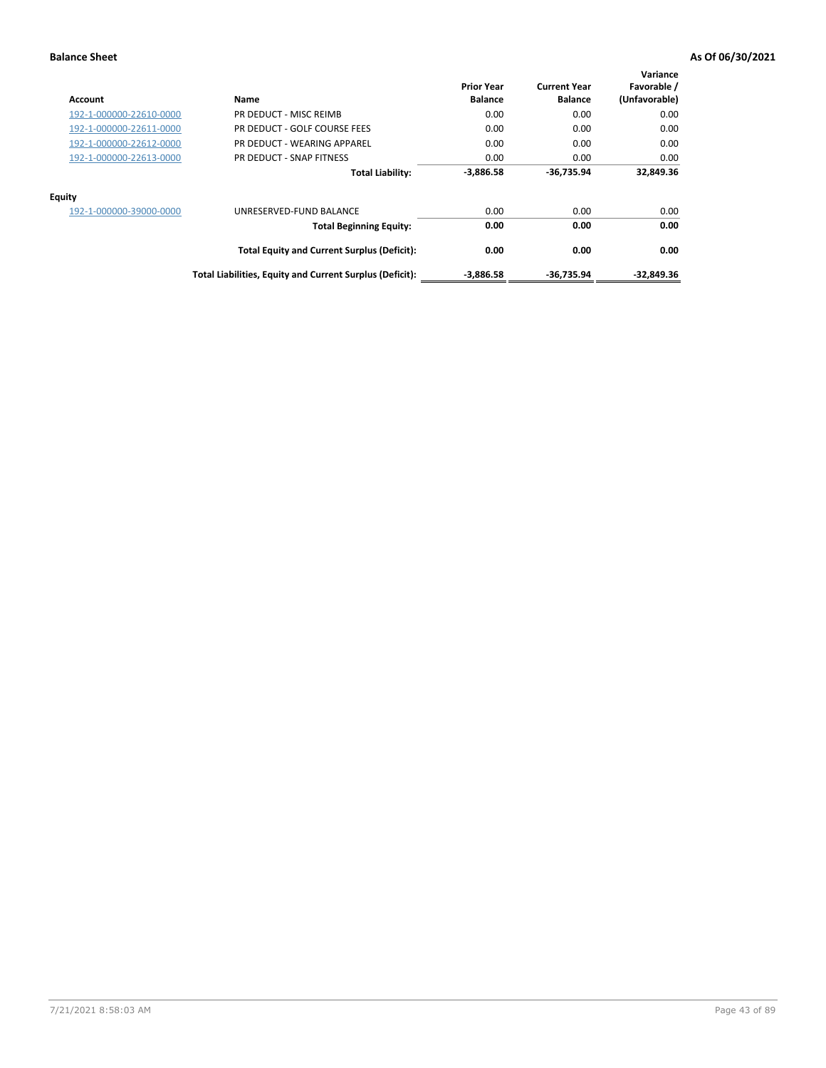| Account                 | Name                                                     | <b>Prior Year</b><br><b>Balance</b> | <b>Current Year</b><br><b>Balance</b> | Variance<br>Favorable /<br>(Unfavorable) |
|-------------------------|----------------------------------------------------------|-------------------------------------|---------------------------------------|------------------------------------------|
| 192-1-000000-22610-0000 | PR DEDUCT - MISC REIMB                                   | 0.00                                | 0.00                                  | 0.00                                     |
| 192-1-000000-22611-0000 | PR DEDUCT - GOLF COURSE FEES                             | 0.00                                | 0.00                                  | 0.00                                     |
| 192-1-000000-22612-0000 | PR DEDUCT - WEARING APPAREL                              | 0.00                                | 0.00                                  | 0.00                                     |
| 192-1-000000-22613-0000 | PR DEDUCT - SNAP FITNESS                                 | 0.00                                | 0.00                                  | 0.00                                     |
|                         | <b>Total Liability:</b>                                  | $-3,886.58$                         | -36,735.94                            | 32,849.36                                |
| <b>Equity</b>           |                                                          |                                     |                                       |                                          |
| 192-1-000000-39000-0000 | UNRESERVED-FUND BALANCE                                  | 0.00                                | 0.00                                  | 0.00                                     |
|                         | <b>Total Beginning Equity:</b>                           | 0.00                                | 0.00                                  | 0.00                                     |
|                         | <b>Total Equity and Current Surplus (Deficit):</b>       | 0.00                                | 0.00                                  | 0.00                                     |
|                         | Total Liabilities, Equity and Current Surplus (Deficit): | $-3,886.58$                         | -36,735.94                            | -32,849.36                               |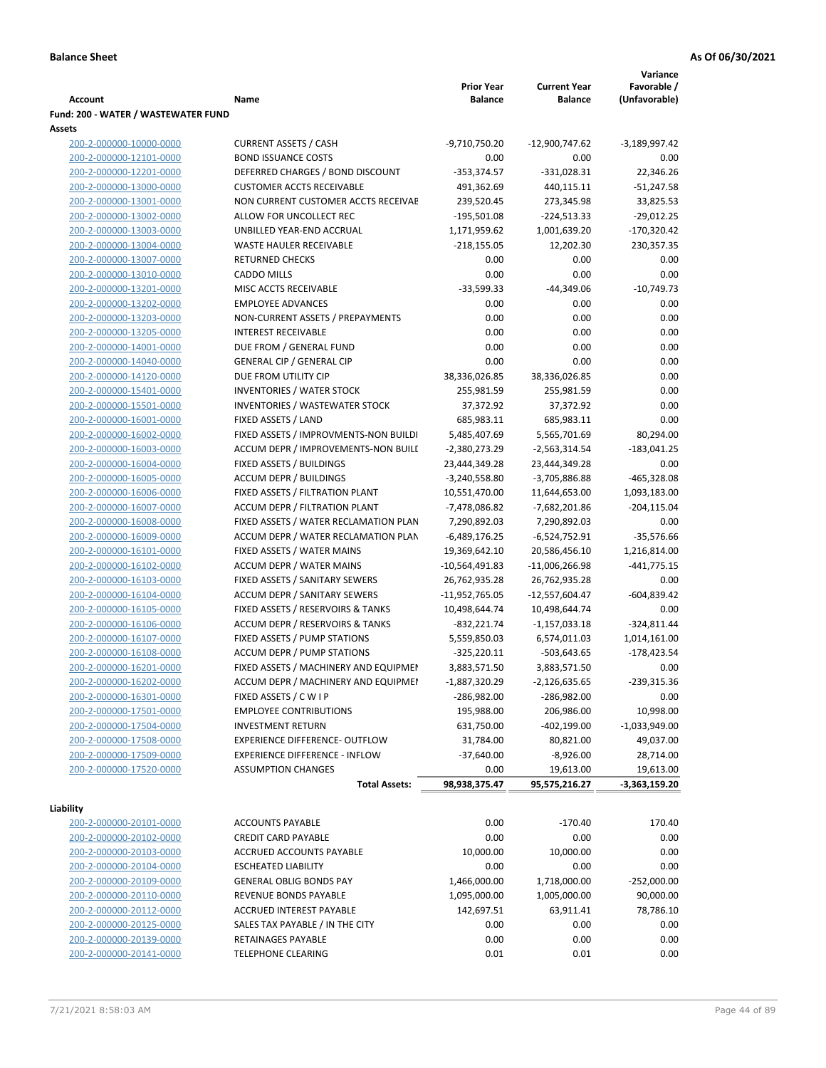|                                     |                                       |                               |                     | Variance        |
|-------------------------------------|---------------------------------------|-------------------------------|---------------------|-----------------|
|                                     |                                       | <b>Prior Year</b>             | <b>Current Year</b> | Favorable /     |
| Account                             | Name                                  | <b>Balance</b>                | <b>Balance</b>      | (Unfavorable)   |
| Fund: 200 - WATER / WASTEWATER FUND |                                       |                               |                     |                 |
| Assets                              |                                       |                               |                     |                 |
| 200-2-000000-10000-0000             | <b>CURRENT ASSETS / CASH</b>          | -9,710,750.20                 | -12,900,747.62      | -3,189,997.42   |
| 200-2-000000-12101-0000             | <b>BOND ISSUANCE COSTS</b>            | 0.00                          | 0.00                | 0.00            |
| 200-2-000000-12201-0000             | DEFERRED CHARGES / BOND DISCOUNT      | $-353,374.57$                 | $-331,028.31$       | 22,346.26       |
| 200-2-000000-13000-0000             | <b>CUSTOMER ACCTS RECEIVABLE</b>      | 491,362.69                    | 440,115.11          | $-51,247.58$    |
| 200-2-000000-13001-0000             | NON CURRENT CUSTOMER ACCTS RECEIVAE   | 239,520.45                    | 273,345.98          | 33,825.53       |
| 200-2-000000-13002-0000             | ALLOW FOR UNCOLLECT REC               | $-195,501.08$                 | $-224,513.33$       | $-29,012.25$    |
| 200-2-000000-13003-0000             | UNBILLED YEAR-END ACCRUAL             | 1,171,959.62                  | 1,001,639.20        | -170,320.42     |
| 200-2-000000-13004-0000             | <b>WASTE HAULER RECEIVABLE</b>        | $-218,155.05$                 | 12,202.30           | 230,357.35      |
| 200-2-000000-13007-0000             | <b>RETURNED CHECKS</b>                | 0.00                          | 0.00                | 0.00            |
| 200-2-000000-13010-0000             | <b>CADDO MILLS</b>                    | 0.00                          | 0.00                | 0.00            |
| 200-2-000000-13201-0000             | MISC ACCTS RECEIVABLE                 | $-33,599.33$                  | $-44,349.06$        | $-10,749.73$    |
| 200-2-000000-13202-0000             | <b>EMPLOYEE ADVANCES</b>              | 0.00                          | 0.00                | 0.00            |
| 200-2-000000-13203-0000             | NON-CURRENT ASSETS / PREPAYMENTS      | 0.00                          | 0.00                | 0.00            |
| 200-2-000000-13205-0000             | <b>INTEREST RECEIVABLE</b>            | 0.00                          | 0.00                | 0.00            |
| 200-2-000000-14001-0000             | DUE FROM / GENERAL FUND               | 0.00                          | 0.00                | 0.00            |
| 200-2-000000-14040-0000             | <b>GENERAL CIP / GENERAL CIP</b>      | 0.00                          | 0.00                | 0.00            |
| 200-2-000000-14120-0000             | DUE FROM UTILITY CIP                  | 38,336,026.85                 | 38,336,026.85       | 0.00            |
| 200-2-000000-15401-0000             | <b>INVENTORIES / WATER STOCK</b>      | 255,981.59                    | 255,981.59          | 0.00            |
| 200-2-000000-15501-0000             | <b>INVENTORIES / WASTEWATER STOCK</b> | 37,372.92                     | 37,372.92           | 0.00            |
| 200-2-000000-16001-0000             | FIXED ASSETS / LAND                   | 685,983.11                    | 685,983.11          | 0.00            |
| 200-2-000000-16002-0000             | FIXED ASSETS / IMPROVMENTS-NON BUILDI | 5,485,407.69                  | 5,565,701.69        | 80,294.00       |
| 200-2-000000-16003-0000             | ACCUM DEPR / IMPROVEMENTS-NON BUILI   | $-2,380,273.29$               | -2,563,314.54       | $-183,041.25$   |
| 200-2-000000-16004-0000             | FIXED ASSETS / BUILDINGS              | 23,444,349.28                 | 23,444,349.28       | 0.00            |
| 200-2-000000-16005-0000             | <b>ACCUM DEPR / BUILDINGS</b>         | $-3,240,558.80$               | -3,705,886.88       | -465,328.08     |
| 200-2-000000-16006-0000             | FIXED ASSETS / FILTRATION PLANT       | 10,551,470.00                 | 11,644,653.00       | 1,093,183.00    |
| 200-2-000000-16007-0000             | ACCUM DEPR / FILTRATION PLANT         | -7,478,086.82                 | -7,682,201.86       | $-204, 115.04$  |
| 200-2-000000-16008-0000             | FIXED ASSETS / WATER RECLAMATION PLAN | 7,290,892.03                  | 7,290,892.03        | 0.00            |
| 200-2-000000-16009-0000             | ACCUM DEPR / WATER RECLAMATION PLAN   | $-6,489,176.25$               | $-6,524,752.91$     | $-35,576.66$    |
| 200-2-000000-16101-0000             | FIXED ASSETS / WATER MAINS            | 19,369,642.10                 | 20,586,456.10       | 1,216,814.00    |
| 200-2-000000-16102-0000             | <b>ACCUM DEPR / WATER MAINS</b>       | -10,564,491.83                | $-11,006,266.98$    | $-441,775.15$   |
| 200-2-000000-16103-0000             | FIXED ASSETS / SANITARY SEWERS        | 26,762,935.28                 | 26,762,935.28       | 0.00            |
| 200-2-000000-16104-0000             | <b>ACCUM DEPR / SANITARY SEWERS</b>   | $-11,952,765.05$              | -12,557,604.47      | $-604,839.42$   |
| 200-2-000000-16105-0000             | FIXED ASSETS / RESERVOIRS & TANKS     | 10,498,644.74                 | 10,498,644.74       | 0.00            |
| 200-2-000000-16106-0000             | ACCUM DEPR / RESERVOIRS & TANKS       | $-832,221.74$                 | $-1,157,033.18$     | $-324,811.44$   |
| 200-2-000000-16107-0000             | FIXED ASSETS / PUMP STATIONS          |                               | 6,574,011.03        | 1,014,161.00    |
| 200-2-000000-16108-0000             | <b>ACCUM DEPR / PUMP STATIONS</b>     | 5,559,850.03<br>$-325,220.11$ | $-503,643.65$       | $-178,423.54$   |
|                                     | FIXED ASSETS / MACHINERY AND EQUIPMEN | 3,883,571.50                  |                     | 0.00            |
| 200-2-000000-16201-0000             |                                       |                               | 3,883,571.50        |                 |
| 200-2-000000-16202-0000             | ACCUM DEPR / MACHINERY AND EQUIPMEI   | -1,887,320.29                 | $-2,126,635.65$     | $-239,315.36$   |
| 200-2-000000-16301-0000             | FIXED ASSETS / C W I P                | $-286,982.00$                 | $-286,982.00$       | 0.00            |
| 200-2-000000-17501-0000             | <b>EMPLOYEE CONTRIBUTIONS</b>         | 195,988.00                    | 206,986.00          | 10,998.00       |
| 200-2-000000-17504-0000             | <b>INVESTMENT RETURN</b>              | 631,750.00                    | $-402,199.00$       | $-1,033,949.00$ |
| 200-2-000000-17508-0000             | EXPERIENCE DIFFERENCE- OUTFLOW        | 31,784.00                     | 80,821.00           | 49,037.00       |
| 200-2-000000-17509-0000             | <b>EXPERIENCE DIFFERENCE - INFLOW</b> | $-37,640.00$                  | $-8,926.00$         | 28,714.00       |
| 200-2-000000-17520-0000             | <b>ASSUMPTION CHANGES</b>             | 0.00                          | 19,613.00           | 19,613.00       |
|                                     | <b>Total Assets:</b>                  | 98,938,375.47                 | 95,575,216.27       | -3,363,159.20   |
| Liability                           |                                       |                               |                     |                 |
| 200-2-000000-20101-0000             | <b>ACCOUNTS PAYABLE</b>               | 0.00                          | $-170.40$           | 170.40          |
| 200-2-000000-20102-0000             | <b>CREDIT CARD PAYABLE</b>            | 0.00                          | 0.00                | 0.00            |
| 200-2-000000-20103-0000             | ACCRUED ACCOUNTS PAYABLE              | 10,000.00                     | 10,000.00           | 0.00            |
| 200-2-000000-20104-0000             | <b>ESCHEATED LIABILITY</b>            | 0.00                          | 0.00                | 0.00            |
| 200-2-000000-20109-0000             | <b>GENERAL OBLIG BONDS PAY</b>        | 1,466,000.00                  | 1,718,000.00        | $-252,000.00$   |
| 200-2-000000-20110-0000             | REVENUE BONDS PAYABLE                 | 1,095,000.00                  | 1,005,000.00        | 90,000.00       |
| 200-2-000000-20112-0000             | ACCRUED INTEREST PAYABLE              | 142,697.51                    | 63,911.41           | 78,786.10       |
| 200-2-000000-20125-0000             | SALES TAX PAYABLE / IN THE CITY       | 0.00                          | 0.00                | 0.00            |
| 200-2-000000-20139-0000             | RETAINAGES PAYABLE                    | 0.00                          | 0.00                | 0.00            |
| 200-2-000000-20141-0000             | TELEPHONE CLEARING                    | 0.01                          | 0.01                | 0.00            |
|                                     |                                       |                               |                     |                 |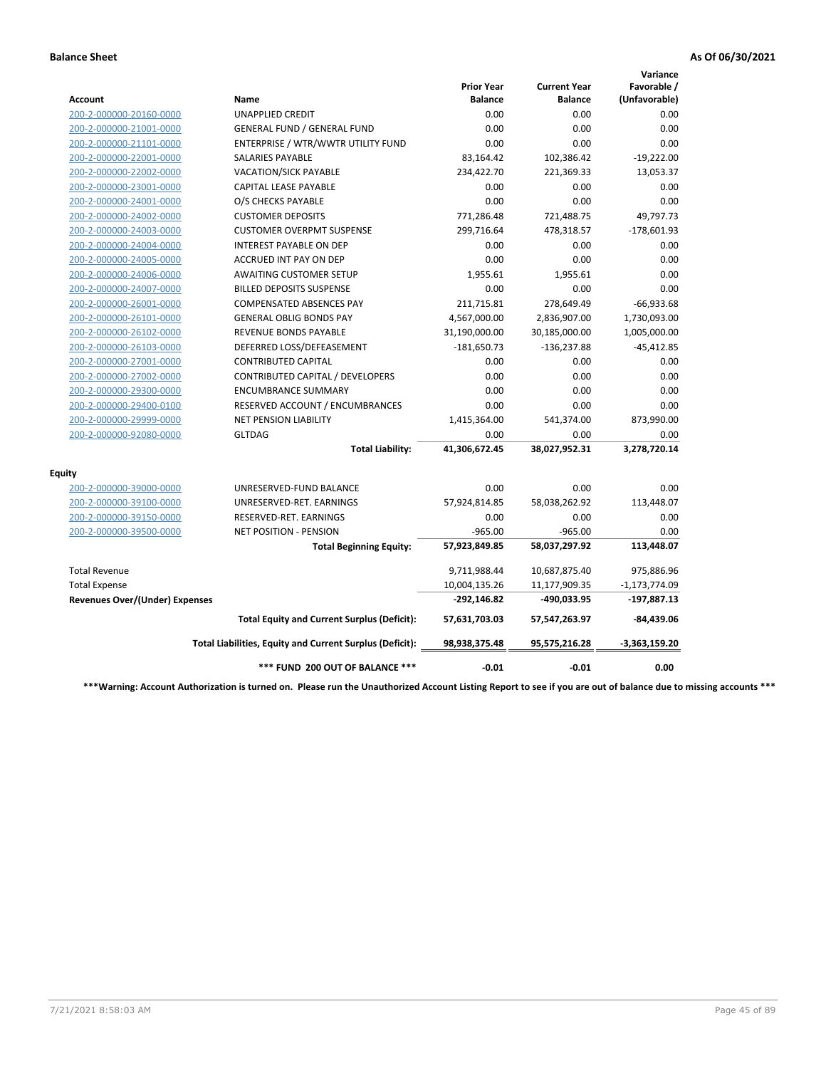|                                       |                                                          |                                     |                                       | Variance                     |
|---------------------------------------|----------------------------------------------------------|-------------------------------------|---------------------------------------|------------------------------|
| Account                               | Name                                                     | <b>Prior Year</b><br><b>Balance</b> | <b>Current Year</b><br><b>Balance</b> | Favorable /<br>(Unfavorable) |
| 200-2-000000-20160-0000               | <b>UNAPPLIED CREDIT</b>                                  | 0.00                                | 0.00                                  | 0.00                         |
| 200-2-000000-21001-0000               | <b>GENERAL FUND / GENERAL FUND</b>                       | 0.00                                | 0.00                                  | 0.00                         |
| 200-2-000000-21101-0000               | ENTERPRISE / WTR/WWTR UTILITY FUND                       | 0.00                                | 0.00                                  | 0.00                         |
| 200-2-000000-22001-0000               | SALARIES PAYABLE                                         | 83,164.42                           | 102,386.42                            | $-19,222.00$                 |
| 200-2-000000-22002-0000               | <b>VACATION/SICK PAYABLE</b>                             | 234,422.70                          | 221,369.33                            | 13,053.37                    |
| 200-2-000000-23001-0000               | CAPITAL LEASE PAYABLE                                    | 0.00                                | 0.00                                  | 0.00                         |
| 200-2-000000-24001-0000               | O/S CHECKS PAYABLE                                       | 0.00                                | 0.00                                  | 0.00                         |
| 200-2-000000-24002-0000               | <b>CUSTOMER DEPOSITS</b>                                 | 771,286.48                          | 721,488.75                            | 49,797.73                    |
| 200-2-000000-24003-0000               | <b>CUSTOMER OVERPMT SUSPENSE</b>                         | 299,716.64                          | 478,318.57                            | $-178,601.93$                |
| 200-2-000000-24004-0000               | <b>INTEREST PAYABLE ON DEP</b>                           | 0.00                                | 0.00                                  | 0.00                         |
| 200-2-000000-24005-0000               | <b>ACCRUED INT PAY ON DEP</b>                            | 0.00                                | 0.00                                  | 0.00                         |
| 200-2-000000-24006-0000               | <b>AWAITING CUSTOMER SETUP</b>                           | 1,955.61                            | 1,955.61                              | 0.00                         |
| 200-2-000000-24007-0000               | <b>BILLED DEPOSITS SUSPENSE</b>                          | 0.00                                | 0.00                                  | 0.00                         |
| 200-2-000000-26001-0000               | <b>COMPENSATED ABSENCES PAY</b>                          | 211,715.81                          | 278,649.49                            | $-66,933.68$                 |
| 200-2-000000-26101-0000               | <b>GENERAL OBLIG BONDS PAY</b>                           | 4,567,000.00                        | 2,836,907.00                          | 1,730,093.00                 |
| 200-2-000000-26102-0000               | <b>REVENUE BONDS PAYABLE</b>                             | 31,190,000.00                       | 30,185,000.00                         | 1,005,000.00                 |
| 200-2-000000-26103-0000               | DEFERRED LOSS/DEFEASEMENT                                | $-181,650.73$                       | $-136,237.88$                         | $-45,412.85$                 |
| 200-2-000000-27001-0000               | <b>CONTRIBUTED CAPITAL</b>                               | 0.00                                | 0.00                                  | 0.00                         |
| 200-2-000000-27002-0000               | CONTRIBUTED CAPITAL / DEVELOPERS                         | 0.00                                | 0.00                                  | 0.00                         |
| 200-2-000000-29300-0000               | <b>ENCUMBRANCE SUMMARY</b>                               | 0.00                                | 0.00                                  | 0.00                         |
| 200-2-000000-29400-0100               | RESERVED ACCOUNT / ENCUMBRANCES                          | 0.00                                | 0.00                                  | 0.00                         |
| 200-2-000000-29999-0000               | <b>NET PENSION LIABILITY</b>                             | 1,415,364.00                        | 541,374.00                            | 873,990.00                   |
| 200-2-000000-92080-0000               | <b>GLTDAG</b>                                            | 0.00                                | 0.00                                  | 0.00                         |
|                                       | <b>Total Liability:</b>                                  | 41,306,672.45                       | 38,027,952.31                         | 3,278,720.14                 |
| <b>Equity</b>                         |                                                          |                                     |                                       |                              |
| 200-2-000000-39000-0000               | UNRESERVED-FUND BALANCE                                  | 0.00                                | 0.00                                  | 0.00                         |
| 200-2-000000-39100-0000               | UNRESERVED-RET. EARNINGS                                 | 57,924,814.85                       | 58,038,262.92                         | 113,448.07                   |
| 200-2-000000-39150-0000               | RESERVED-RET. EARNINGS                                   | 0.00                                | 0.00                                  | 0.00                         |
| 200-2-000000-39500-0000               | NET POSITION - PENSION                                   | $-965.00$                           | $-965.00$                             | 0.00                         |
|                                       | <b>Total Beginning Equity:</b>                           | 57,923,849.85                       | 58,037,297.92                         | 113,448.07                   |
| <b>Total Revenue</b>                  |                                                          | 9,711,988.44                        | 10,687,875.40                         | 975,886.96                   |
| <b>Total Expense</b>                  |                                                          | 10,004,135.26                       | 11,177,909.35                         | $-1,173,774.09$              |
| <b>Revenues Over/(Under) Expenses</b> |                                                          | $-292,146.82$                       | -490,033.95                           | $-197,887.13$                |
|                                       | <b>Total Equity and Current Surplus (Deficit):</b>       | 57,631,703.03                       | 57,547,263.97                         | $-84,439.06$                 |
|                                       | Total Liabilities, Equity and Current Surplus (Deficit): | 98,938,375.48                       | 95,575,216.28                         | $-3,363,159.20$              |
|                                       | *** FUND 200 OUT OF BALANCE ***                          | $-0.01$                             | $-0.01$                               | 0.00                         |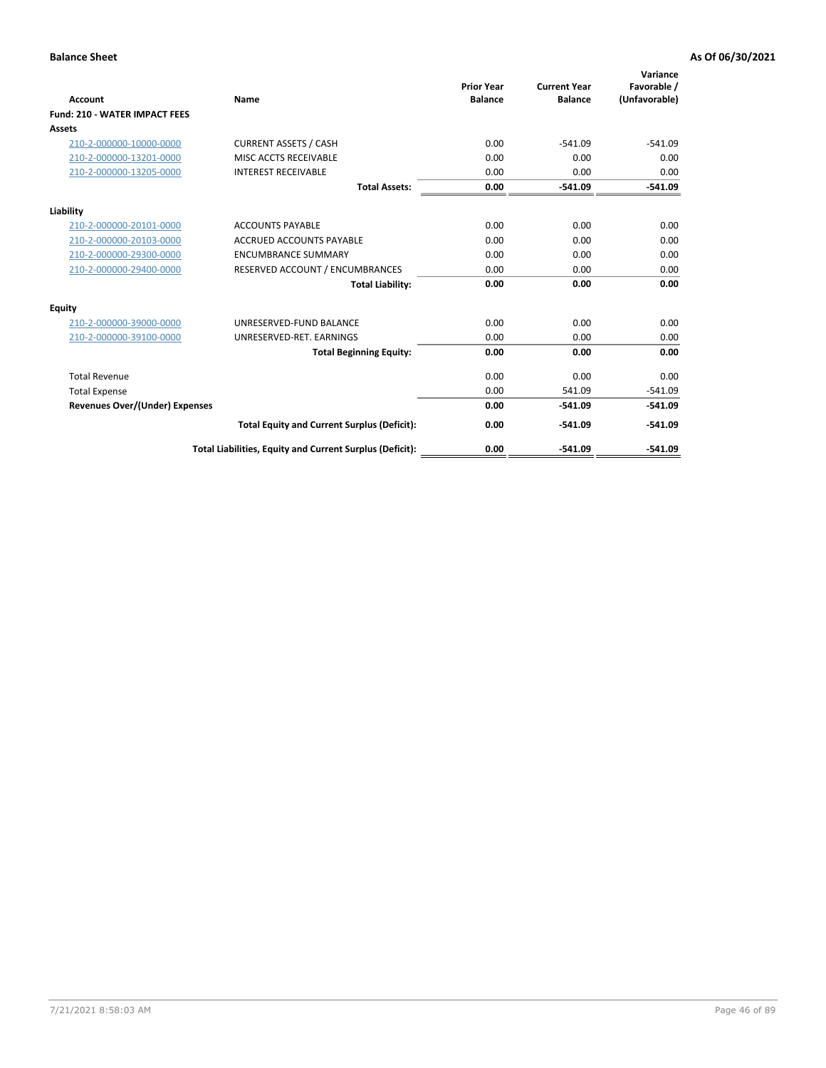| <b>Account</b>                        | Name                                                     | <b>Prior Year</b><br><b>Balance</b> | <b>Current Year</b><br><b>Balance</b> | Variance<br>Favorable /<br>(Unfavorable) |
|---------------------------------------|----------------------------------------------------------|-------------------------------------|---------------------------------------|------------------------------------------|
| <b>Fund: 210 - WATER IMPACT FEES</b>  |                                                          |                                     |                                       |                                          |
| Assets                                |                                                          |                                     |                                       |                                          |
| 210-2-000000-10000-0000               | <b>CURRENT ASSETS / CASH</b>                             | 0.00                                | $-541.09$                             | $-541.09$                                |
| 210-2-000000-13201-0000               | MISC ACCTS RECEIVABLE                                    | 0.00                                | 0.00                                  | 0.00                                     |
| 210-2-000000-13205-0000               | <b>INTEREST RECEIVABLE</b>                               | 0.00                                | 0.00                                  | 0.00                                     |
|                                       | <b>Total Assets:</b>                                     | 0.00                                | $-541.09$                             | $-541.09$                                |
| Liability                             |                                                          |                                     |                                       |                                          |
| 210-2-000000-20101-0000               | <b>ACCOUNTS PAYABLE</b>                                  | 0.00                                | 0.00                                  | 0.00                                     |
| 210-2-000000-20103-0000               | <b>ACCRUED ACCOUNTS PAYABLE</b>                          | 0.00                                | 0.00                                  | 0.00                                     |
| 210-2-000000-29300-0000               | <b>ENCUMBRANCE SUMMARY</b>                               | 0.00                                | 0.00                                  | 0.00                                     |
| 210-2-000000-29400-0000               | RESERVED ACCOUNT / ENCUMBRANCES                          | 0.00                                | 0.00                                  | 0.00                                     |
|                                       | <b>Total Liability:</b>                                  | 0.00                                | 0.00                                  | 0.00                                     |
| <b>Equity</b>                         |                                                          |                                     |                                       |                                          |
| 210-2-000000-39000-0000               | UNRESERVED-FUND BALANCE                                  | 0.00                                | 0.00                                  | 0.00                                     |
| 210-2-000000-39100-0000               | UNRESERVED-RET. EARNINGS                                 | 0.00                                | 0.00                                  | 0.00                                     |
|                                       | <b>Total Beginning Equity:</b>                           | 0.00                                | 0.00                                  | 0.00                                     |
| <b>Total Revenue</b>                  |                                                          | 0.00                                | 0.00                                  | 0.00                                     |
| <b>Total Expense</b>                  |                                                          | 0.00                                | 541.09                                | $-541.09$                                |
| <b>Revenues Over/(Under) Expenses</b> |                                                          | 0.00                                | $-541.09$                             | $-541.09$                                |
|                                       | <b>Total Equity and Current Surplus (Deficit):</b>       | 0.00                                | $-541.09$                             | $-541.09$                                |
|                                       | Total Liabilities, Equity and Current Surplus (Deficit): | 0.00                                | $-541.09$                             | $-541.09$                                |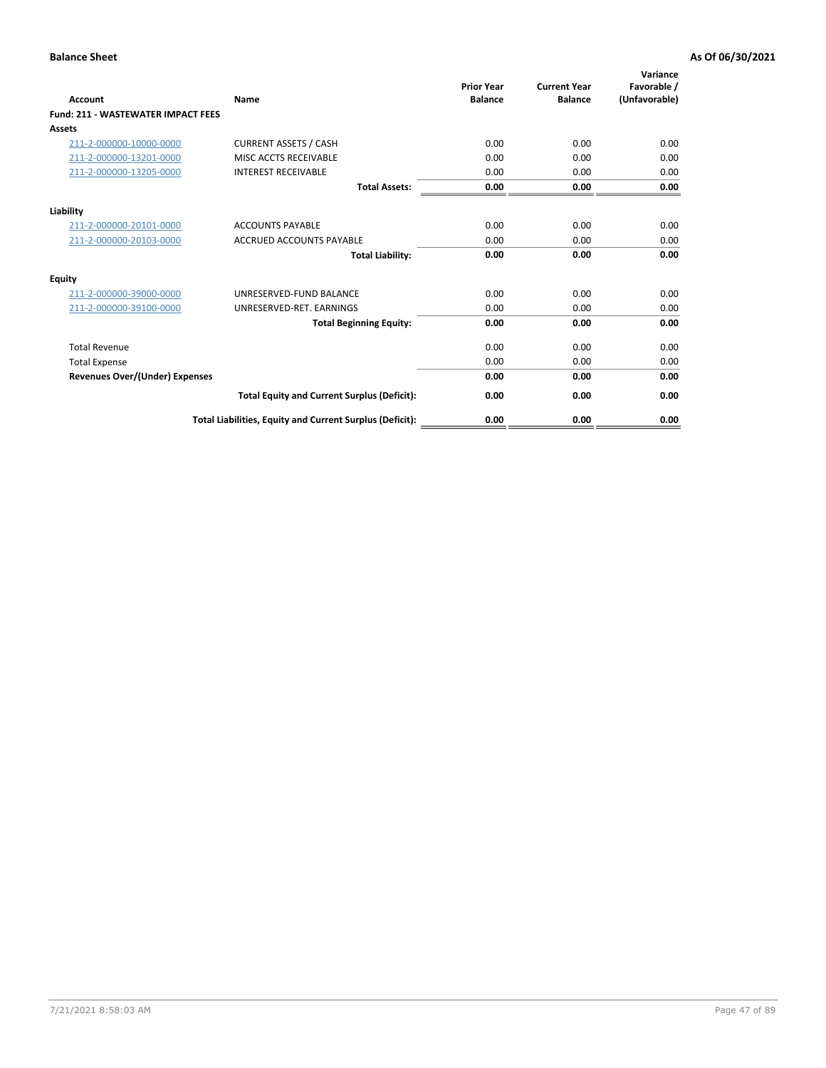| Account                                   | Name                                                     | <b>Prior Year</b><br><b>Balance</b> | <b>Current Year</b><br><b>Balance</b> | Variance<br>Favorable /<br>(Unfavorable) |
|-------------------------------------------|----------------------------------------------------------|-------------------------------------|---------------------------------------|------------------------------------------|
| <b>Fund: 211 - WASTEWATER IMPACT FEES</b> |                                                          |                                     |                                       |                                          |
| <b>Assets</b>                             |                                                          |                                     |                                       |                                          |
| 211-2-000000-10000-0000                   | <b>CURRENT ASSETS / CASH</b>                             | 0.00                                | 0.00                                  | 0.00                                     |
| 211-2-000000-13201-0000                   | MISC ACCTS RECEIVABLE                                    | 0.00                                | 0.00                                  | 0.00                                     |
| 211-2-000000-13205-0000                   | <b>INTEREST RECEIVABLE</b>                               | 0.00                                | 0.00                                  | 0.00                                     |
|                                           | <b>Total Assets:</b>                                     | 0.00                                | 0.00                                  | 0.00                                     |
| Liability                                 |                                                          |                                     |                                       |                                          |
| 211-2-000000-20101-0000                   | <b>ACCOUNTS PAYABLE</b>                                  | 0.00                                | 0.00                                  | 0.00                                     |
| 211-2-000000-20103-0000                   | <b>ACCRUED ACCOUNTS PAYABLE</b>                          | 0.00                                | 0.00                                  | 0.00                                     |
|                                           | <b>Total Liability:</b>                                  | 0.00                                | 0.00                                  | 0.00                                     |
| <b>Equity</b>                             |                                                          |                                     |                                       |                                          |
| 211-2-000000-39000-0000                   | UNRESERVED-FUND BALANCE                                  | 0.00                                | 0.00                                  | 0.00                                     |
| 211-2-000000-39100-0000                   | UNRESERVED-RET. EARNINGS                                 | 0.00                                | 0.00                                  | 0.00                                     |
|                                           | <b>Total Beginning Equity:</b>                           | 0.00                                | 0.00                                  | 0.00                                     |
| <b>Total Revenue</b>                      |                                                          | 0.00                                | 0.00                                  | 0.00                                     |
| <b>Total Expense</b>                      |                                                          | 0.00                                | 0.00                                  | 0.00                                     |
| <b>Revenues Over/(Under) Expenses</b>     |                                                          | 0.00                                | 0.00                                  | 0.00                                     |
|                                           | <b>Total Equity and Current Surplus (Deficit):</b>       | 0.00                                | 0.00                                  | 0.00                                     |
|                                           | Total Liabilities, Equity and Current Surplus (Deficit): | 0.00                                | 0.00                                  | 0.00                                     |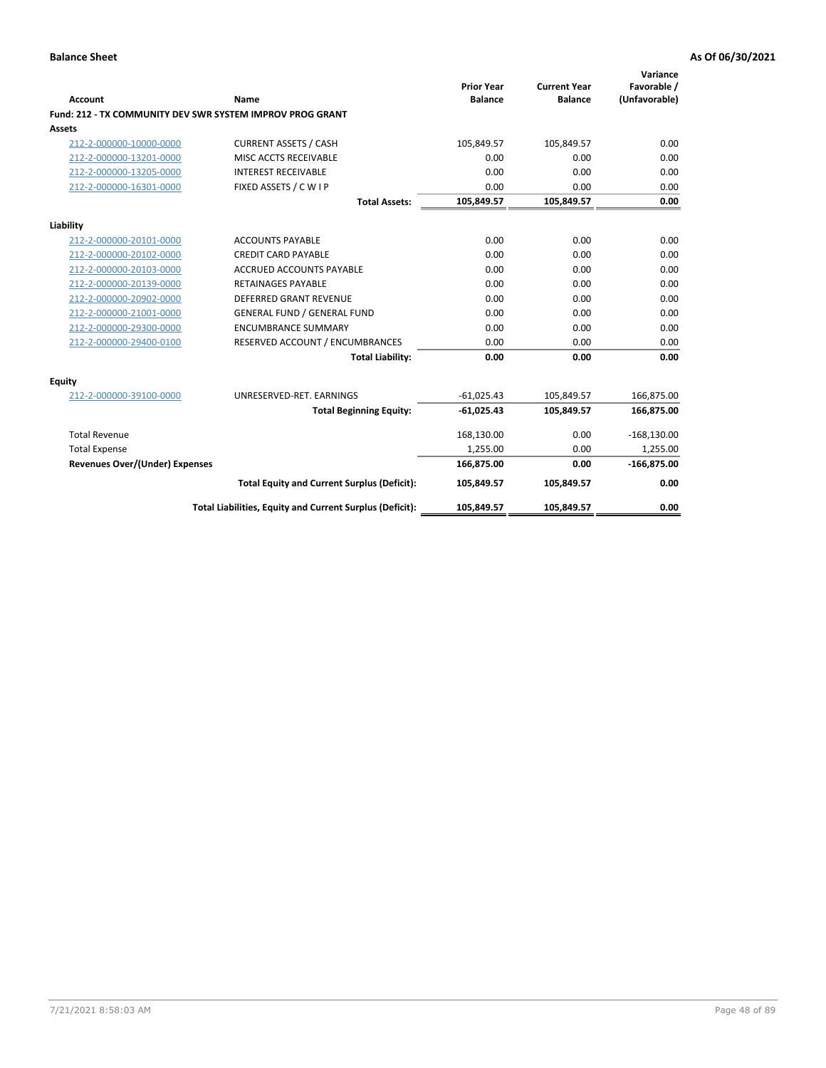| <b>Account</b>                        | Name                                                      | <b>Prior Year</b><br><b>Balance</b> | <b>Current Year</b><br><b>Balance</b> | Variance<br>Favorable /<br>(Unfavorable) |
|---------------------------------------|-----------------------------------------------------------|-------------------------------------|---------------------------------------|------------------------------------------|
|                                       | Fund: 212 - TX COMMUNITY DEV SWR SYSTEM IMPROV PROG GRANT |                                     |                                       |                                          |
| <b>Assets</b>                         |                                                           |                                     |                                       |                                          |
| 212-2-000000-10000-0000               | <b>CURRENT ASSETS / CASH</b>                              | 105,849.57                          | 105,849.57                            | 0.00                                     |
| 212-2-000000-13201-0000               | MISC ACCTS RECEIVABLE                                     | 0.00                                | 0.00                                  | 0.00                                     |
| 212-2-000000-13205-0000               | <b>INTEREST RECEIVABLE</b>                                | 0.00                                | 0.00                                  | 0.00                                     |
| 212-2-000000-16301-0000               | FIXED ASSETS / C W I P                                    | 0.00                                | 0.00                                  | 0.00                                     |
|                                       | <b>Total Assets:</b>                                      | 105,849.57                          | 105,849.57                            | 0.00                                     |
| Liability                             |                                                           |                                     |                                       |                                          |
| 212-2-000000-20101-0000               | <b>ACCOUNTS PAYABLE</b>                                   | 0.00                                | 0.00                                  | 0.00                                     |
| 212-2-000000-20102-0000               | <b>CREDIT CARD PAYABLE</b>                                | 0.00                                | 0.00                                  | 0.00                                     |
| 212-2-000000-20103-0000               | <b>ACCRUED ACCOUNTS PAYABLE</b>                           | 0.00                                | 0.00                                  | 0.00                                     |
| 212-2-000000-20139-0000               | <b>RETAINAGES PAYABLE</b>                                 | 0.00                                | 0.00                                  | 0.00                                     |
| 212-2-000000-20902-0000               | <b>DEFERRED GRANT REVENUE</b>                             | 0.00                                | 0.00                                  | 0.00                                     |
| 212-2-000000-21001-0000               | <b>GENERAL FUND / GENERAL FUND</b>                        | 0.00                                | 0.00                                  | 0.00                                     |
| 212-2-000000-29300-0000               | <b>ENCUMBRANCE SUMMARY</b>                                | 0.00                                | 0.00                                  | 0.00                                     |
| 212-2-000000-29400-0100               | RESERVED ACCOUNT / ENCUMBRANCES                           | 0.00                                | 0.00                                  | 0.00                                     |
|                                       | <b>Total Liability:</b>                                   | 0.00                                | 0.00                                  | 0.00                                     |
| Equity                                |                                                           |                                     |                                       |                                          |
| 212-2-000000-39100-0000               | UNRESERVED-RET. EARNINGS                                  | $-61,025.43$                        | 105,849.57                            | 166,875.00                               |
|                                       | <b>Total Beginning Equity:</b>                            | $-61,025.43$                        | 105,849.57                            | 166,875.00                               |
| <b>Total Revenue</b>                  |                                                           | 168,130.00                          | 0.00                                  | $-168,130.00$                            |
| <b>Total Expense</b>                  |                                                           | 1,255.00                            | 0.00                                  | 1,255.00                                 |
| <b>Revenues Over/(Under) Expenses</b> |                                                           | 166,875.00                          | 0.00                                  | $-166,875.00$                            |
|                                       | <b>Total Equity and Current Surplus (Deficit):</b>        | 105,849.57                          | 105,849.57                            | 0.00                                     |
|                                       | Total Liabilities, Equity and Current Surplus (Deficit):  | 105,849.57                          | 105,849.57                            | 0.00                                     |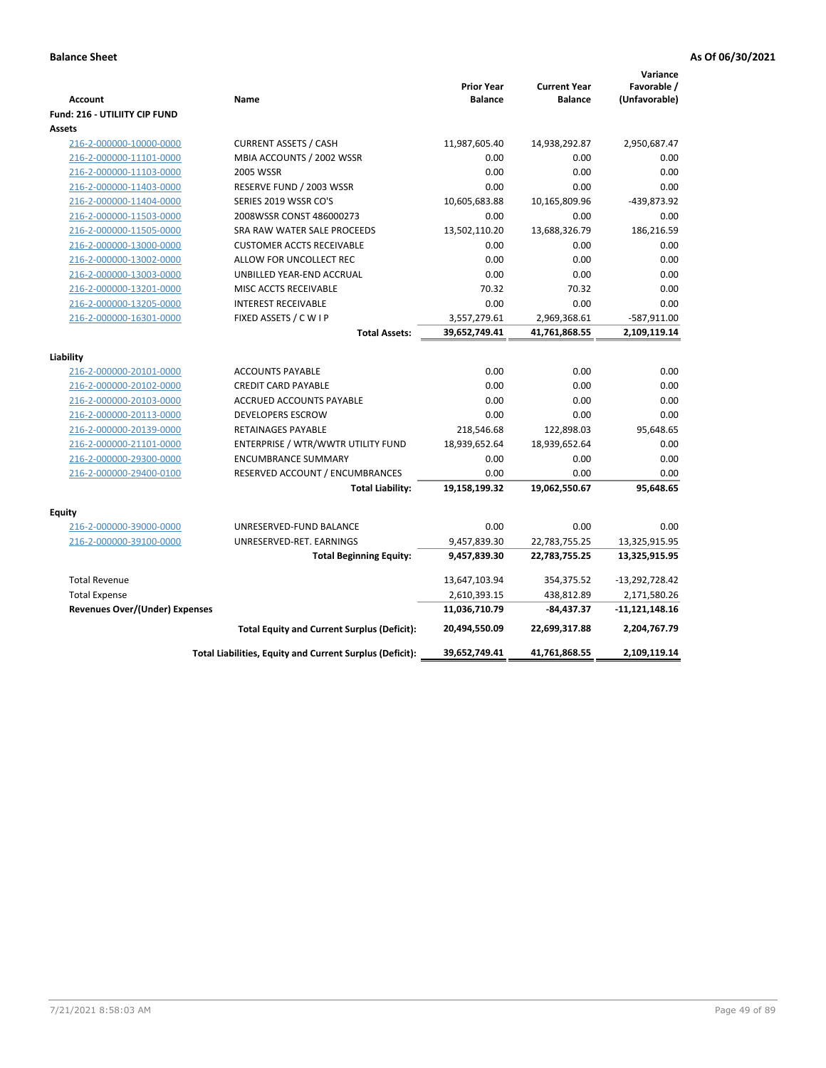| <b>Account</b><br>Fund: 216 - UTILIITY CIP FUND    | Name                                                     | <b>Prior Year</b><br><b>Balance</b> | <b>Current Year</b><br><b>Balance</b> | Variance<br>Favorable /<br>(Unfavorable) |
|----------------------------------------------------|----------------------------------------------------------|-------------------------------------|---------------------------------------|------------------------------------------|
| <b>Assets</b>                                      |                                                          |                                     |                                       |                                          |
| 216-2-000000-10000-0000                            | <b>CURRENT ASSETS / CASH</b>                             | 11,987,605.40                       | 14,938,292.87                         | 2,950,687.47                             |
| 216-2-000000-11101-0000                            | MBIA ACCOUNTS / 2002 WSSR                                | 0.00                                | 0.00                                  | 0.00                                     |
| 216-2-000000-11103-0000                            | 2005 WSSR                                                | 0.00                                | 0.00                                  | 0.00                                     |
| 216-2-000000-11403-0000                            | RESERVE FUND / 2003 WSSR                                 | 0.00                                | 0.00                                  | 0.00                                     |
| 216-2-000000-11404-0000                            | SERIES 2019 WSSR CO'S                                    | 10,605,683.88                       | 10,165,809.96                         | -439,873.92                              |
| 216-2-000000-11503-0000                            | 2008WSSR CONST 486000273                                 | 0.00                                | 0.00                                  | 0.00                                     |
| 216-2-000000-11505-0000                            | SRA RAW WATER SALE PROCEEDS                              | 13,502,110.20                       | 13,688,326.79                         | 186,216.59                               |
| 216-2-000000-13000-0000                            | <b>CUSTOMER ACCTS RECEIVABLE</b>                         | 0.00                                | 0.00                                  | 0.00                                     |
| 216-2-000000-13002-0000                            | ALLOW FOR UNCOLLECT REC                                  | 0.00                                | 0.00                                  | 0.00                                     |
| 216-2-000000-13003-0000                            | UNBILLED YEAR-END ACCRUAL                                | 0.00                                | 0.00                                  | 0.00                                     |
| 216-2-000000-13201-0000                            | MISC ACCTS RECEIVABLE                                    | 70.32                               | 70.32                                 | 0.00                                     |
| 216-2-000000-13205-0000                            | <b>INTEREST RECEIVABLE</b>                               | 0.00                                | 0.00                                  | 0.00                                     |
| 216-2-000000-16301-0000                            | FIXED ASSETS / C W I P                                   | 3,557,279.61                        | 2,969,368.61                          | -587,911.00                              |
|                                                    | <b>Total Assets:</b>                                     | 39,652,749.41                       | 41,761,868.55                         | 2,109,119.14                             |
|                                                    |                                                          |                                     |                                       |                                          |
| Liability                                          | <b>ACCOUNTS PAYABLE</b>                                  | 0.00                                | 0.00                                  | 0.00                                     |
| 216-2-000000-20101-0000                            | <b>CREDIT CARD PAYABLE</b>                               | 0.00                                | 0.00                                  | 0.00                                     |
| 216-2-000000-20102-0000<br>216-2-000000-20103-0000 | <b>ACCRUED ACCOUNTS PAYABLE</b>                          | 0.00                                | 0.00                                  | 0.00                                     |
| 216-2-000000-20113-0000                            | <b>DEVELOPERS ESCROW</b>                                 | 0.00                                | 0.00                                  | 0.00                                     |
| 216-2-000000-20139-0000                            | <b>RETAINAGES PAYABLE</b>                                | 218,546.68                          | 122,898.03                            | 95,648.65                                |
| 216-2-000000-21101-0000                            | ENTERPRISE / WTR/WWTR UTILITY FUND                       | 18,939,652.64                       | 18,939,652.64                         | 0.00                                     |
| 216-2-000000-29300-0000                            | <b>ENCUMBRANCE SUMMARY</b>                               | 0.00                                | 0.00                                  | 0.00                                     |
| 216-2-000000-29400-0100                            | RESERVED ACCOUNT / ENCUMBRANCES                          | 0.00                                | 0.00                                  | 0.00                                     |
|                                                    | <b>Total Liability:</b>                                  | 19,158,199.32                       | 19,062,550.67                         | 95,648.65                                |
|                                                    |                                                          |                                     |                                       |                                          |
| <b>Equity</b>                                      |                                                          |                                     |                                       |                                          |
| 216-2-000000-39000-0000                            | UNRESERVED-FUND BALANCE                                  | 0.00                                | 0.00                                  | 0.00                                     |
| 216-2-000000-39100-0000                            | UNRESERVED-RET. EARNINGS                                 | 9,457,839.30                        | 22,783,755.25                         | 13,325,915.95                            |
|                                                    | <b>Total Beginning Equity:</b>                           | 9,457,839.30                        | 22,783,755.25                         | 13,325,915.95                            |
| <b>Total Revenue</b>                               |                                                          | 13,647,103.94                       | 354,375.52                            | $-13,292,728.42$                         |
| <b>Total Expense</b>                               |                                                          | 2,610,393.15                        | 438,812.89                            | 2,171,580.26                             |
| <b>Revenues Over/(Under) Expenses</b>              |                                                          | 11,036,710.79                       | -84,437.37                            | -11,121,148.16                           |
|                                                    | <b>Total Equity and Current Surplus (Deficit):</b>       | 20,494,550.09                       | 22,699,317.88                         | 2,204,767.79                             |
|                                                    | Total Liabilities, Equity and Current Surplus (Deficit): | 39,652,749.41                       | 41,761,868.55                         | 2,109,119.14                             |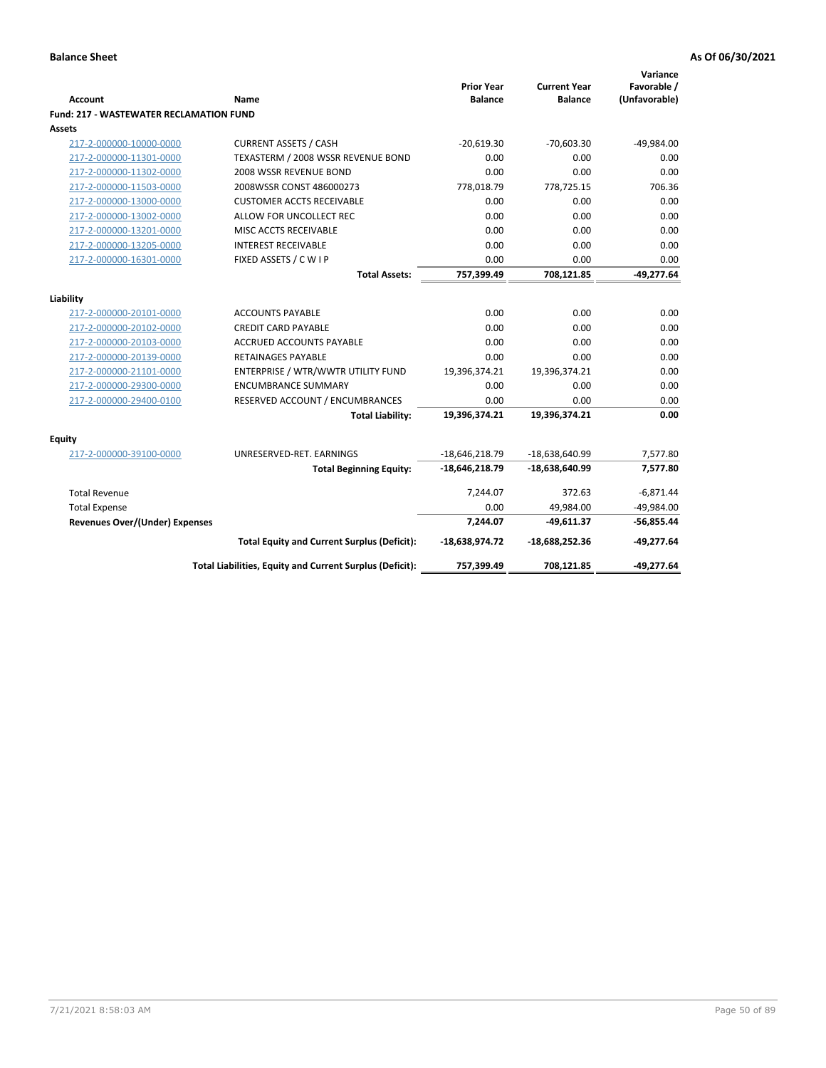| Account                                        | Name                                                     | <b>Prior Year</b><br><b>Balance</b> | <b>Current Year</b><br><b>Balance</b> | Variance<br>Favorable /<br>(Unfavorable) |
|------------------------------------------------|----------------------------------------------------------|-------------------------------------|---------------------------------------|------------------------------------------|
| <b>Fund: 217 - WASTEWATER RECLAMATION FUND</b> |                                                          |                                     |                                       |                                          |
| Assets                                         |                                                          |                                     |                                       |                                          |
| 217-2-000000-10000-0000                        | <b>CURRENT ASSETS / CASH</b>                             | $-20,619.30$                        | $-70,603.30$                          | $-49,984.00$                             |
| 217-2-000000-11301-0000                        | TEXASTERM / 2008 WSSR REVENUE BOND                       | 0.00                                | 0.00                                  | 0.00                                     |
| 217-2-000000-11302-0000                        | 2008 WSSR REVENUE BOND                                   | 0.00                                | 0.00                                  | 0.00                                     |
| 217-2-000000-11503-0000                        | 2008WSSR CONST 486000273                                 | 778,018.79                          | 778,725.15                            | 706.36                                   |
| 217-2-000000-13000-0000                        | <b>CUSTOMER ACCTS RECEIVABLE</b>                         | 0.00                                | 0.00                                  | 0.00                                     |
| 217-2-000000-13002-0000                        | ALLOW FOR UNCOLLECT REC                                  | 0.00                                | 0.00                                  | 0.00                                     |
| 217-2-000000-13201-0000                        | MISC ACCTS RECEIVABLE                                    | 0.00                                | 0.00                                  | 0.00                                     |
| 217-2-000000-13205-0000                        | <b>INTEREST RECEIVABLE</b>                               | 0.00                                | 0.00                                  | 0.00                                     |
| 217-2-000000-16301-0000                        | FIXED ASSETS / C W I P                                   | 0.00                                | 0.00                                  | 0.00                                     |
|                                                | <b>Total Assets:</b>                                     | 757,399.49                          | 708,121.85                            | $-49,277.64$                             |
|                                                |                                                          |                                     |                                       |                                          |
| Liability                                      |                                                          |                                     |                                       |                                          |
| 217-2-000000-20101-0000                        | <b>ACCOUNTS PAYABLE</b>                                  | 0.00                                | 0.00                                  | 0.00                                     |
| 217-2-000000-20102-0000                        | <b>CREDIT CARD PAYABLE</b>                               | 0.00                                | 0.00                                  | 0.00                                     |
| 217-2-000000-20103-0000                        | ACCRUED ACCOUNTS PAYABLE                                 | 0.00                                | 0.00                                  | 0.00                                     |
| 217-2-000000-20139-0000                        | RETAINAGES PAYABLE                                       | 0.00                                | 0.00                                  | 0.00                                     |
| 217-2-000000-21101-0000                        | ENTERPRISE / WTR/WWTR UTILITY FUND                       | 19,396,374.21                       | 19,396,374.21                         | 0.00                                     |
| 217-2-000000-29300-0000                        | <b>ENCUMBRANCE SUMMARY</b>                               | 0.00                                | 0.00                                  | 0.00                                     |
| 217-2-000000-29400-0100                        | RESERVED ACCOUNT / ENCUMBRANCES                          | 0.00                                | 0.00                                  | 0.00                                     |
|                                                | <b>Total Liability:</b>                                  | 19,396,374.21                       | 19,396,374.21                         | 0.00                                     |
| <b>Equity</b>                                  |                                                          |                                     |                                       |                                          |
| 217-2-000000-39100-0000                        | UNRESERVED-RET. EARNINGS                                 | $-18,646,218.79$                    | -18,638,640.99                        | 7,577.80                                 |
|                                                | <b>Total Beginning Equity:</b>                           | $-18,646,218.79$                    | $-18,638,640.99$                      | 7,577.80                                 |
| <b>Total Revenue</b>                           |                                                          | 7,244.07                            | 372.63                                | $-6,871.44$                              |
| <b>Total Expense</b>                           |                                                          | 0.00                                | 49,984.00                             | $-49,984.00$                             |
| <b>Revenues Over/(Under) Expenses</b>          |                                                          | 7,244.07                            | $-49,611.37$                          | $-56,855.44$                             |
|                                                | <b>Total Equity and Current Surplus (Deficit):</b>       | -18,638,974.72                      | -18,688,252.36                        | $-49,277.64$                             |
|                                                | Total Liabilities, Equity and Current Surplus (Deficit): | 757,399.49                          | 708,121.85                            | $-49,277.64$                             |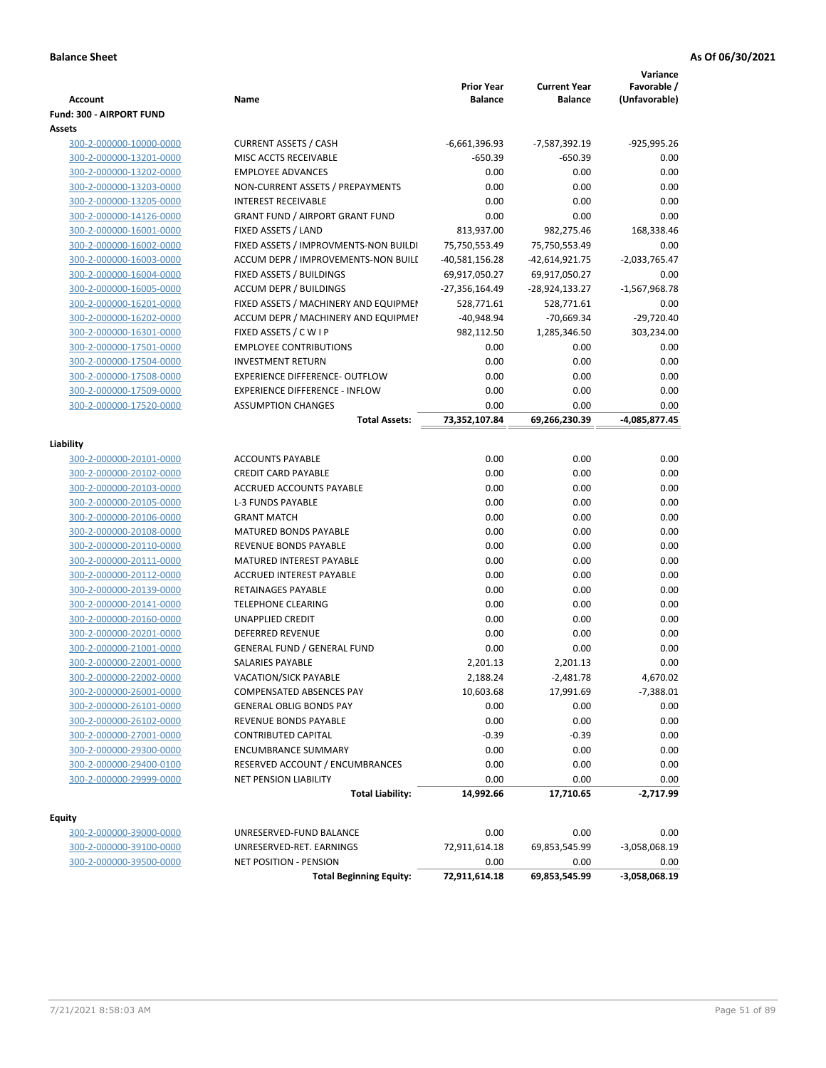|                                                    |                                                       |                   |                     | Variance            |
|----------------------------------------------------|-------------------------------------------------------|-------------------|---------------------|---------------------|
|                                                    |                                                       | <b>Prior Year</b> | <b>Current Year</b> | Favorable /         |
| <b>Account</b>                                     | Name                                                  | <b>Balance</b>    | <b>Balance</b>      | (Unfavorable)       |
| Fund: 300 - AIRPORT FUND                           |                                                       |                   |                     |                     |
| Assets                                             |                                                       |                   |                     |                     |
| 300-2-000000-10000-0000                            | <b>CURRENT ASSETS / CASH</b>                          | $-6,661,396.93$   | -7,587,392.19       | -925,995.26         |
| 300-2-000000-13201-0000                            | MISC ACCTS RECEIVABLE                                 | $-650.39$         | -650.39             | 0.00                |
| 300-2-000000-13202-0000                            | <b>EMPLOYEE ADVANCES</b>                              | 0.00              | 0.00                | 0.00                |
| 300-2-000000-13203-0000                            | NON-CURRENT ASSETS / PREPAYMENTS                      | 0.00              | 0.00                | 0.00                |
| 300-2-000000-13205-0000                            | <b>INTEREST RECEIVABLE</b>                            | 0.00              | 0.00                | 0.00                |
| 300-2-000000-14126-0000                            | <b>GRANT FUND / AIRPORT GRANT FUND</b>                | 0.00              | 0.00                | 0.00                |
| 300-2-000000-16001-0000                            | FIXED ASSETS / LAND                                   | 813,937.00        | 982,275.46          | 168,338.46          |
| 300-2-000000-16002-0000                            | FIXED ASSETS / IMPROVMENTS-NON BUILDI                 | 75,750,553.49     | 75,750,553.49       | 0.00                |
| 300-2-000000-16003-0000                            | ACCUM DEPR / IMPROVEMENTS-NON BUILI                   | $-40,581,156.28$  | -42,614,921.75      | $-2,033,765.47$     |
| 300-2-000000-16004-0000                            | FIXED ASSETS / BUILDINGS                              | 69,917,050.27     | 69,917,050.27       | 0.00                |
| 300-2-000000-16005-0000                            | <b>ACCUM DEPR / BUILDINGS</b>                         | -27,356,164.49    | -28,924,133.27      | $-1,567,968.78$     |
| 300-2-000000-16201-0000                            | FIXED ASSETS / MACHINERY AND EQUIPMEN                 | 528,771.61        | 528,771.61          | 0.00                |
| 300-2-000000-16202-0000                            | ACCUM DEPR / MACHINERY AND EQUIPMEI                   | $-40,948.94$      | $-70,669.34$        | $-29,720.40$        |
| 300-2-000000-16301-0000                            | FIXED ASSETS / C W I P                                | 982,112.50        | 1,285,346.50        | 303,234.00          |
| 300-2-000000-17501-0000                            | <b>EMPLOYEE CONTRIBUTIONS</b>                         | 0.00              | 0.00                | 0.00                |
| 300-2-000000-17504-0000                            | <b>INVESTMENT RETURN</b>                              | 0.00              | 0.00                | 0.00                |
| 300-2-000000-17508-0000                            | <b>EXPERIENCE DIFFERENCE- OUTFLOW</b>                 | 0.00              | 0.00                | 0.00                |
| 300-2-000000-17509-0000                            | <b>EXPERIENCE DIFFERENCE - INFLOW</b>                 | 0.00              | 0.00                | 0.00                |
| 300-2-000000-17520-0000                            | <b>ASSUMPTION CHANGES</b>                             | 0.00              | 0.00                | 0.00                |
|                                                    | <b>Total Assets:</b>                                  | 73,352,107.84     | 69,266,230.39       | -4,085,877.45       |
|                                                    |                                                       |                   |                     |                     |
| Liability                                          |                                                       | 0.00              | 0.00                | 0.00                |
| 300-2-000000-20101-0000                            | <b>ACCOUNTS PAYABLE</b><br><b>CREDIT CARD PAYABLE</b> | 0.00              |                     |                     |
| 300-2-000000-20102-0000                            | ACCRUED ACCOUNTS PAYABLE                              | 0.00              | 0.00<br>0.00        | 0.00                |
| 300-2-000000-20103-0000                            |                                                       |                   |                     | 0.00<br>0.00        |
| 300-2-000000-20105-0000                            | <b>L-3 FUNDS PAYABLE</b><br><b>GRANT MATCH</b>        | 0.00<br>0.00      | 0.00<br>0.00        | 0.00                |
| 300-2-000000-20106-0000                            |                                                       |                   | 0.00                | 0.00                |
| 300-2-000000-20108-0000                            | <b>MATURED BONDS PAYABLE</b>                          | 0.00              |                     |                     |
| 300-2-000000-20110-0000                            | REVENUE BONDS PAYABLE                                 | 0.00              | 0.00                | 0.00                |
| 300-2-000000-20111-0000                            | MATURED INTEREST PAYABLE                              | 0.00              | 0.00                | 0.00                |
| 300-2-000000-20112-0000                            | ACCRUED INTEREST PAYABLE<br>RETAINAGES PAYABLE        | 0.00<br>0.00      | 0.00<br>0.00        | 0.00<br>0.00        |
| 300-2-000000-20139-0000                            | <b>TELEPHONE CLEARING</b>                             | 0.00              | 0.00                | 0.00                |
| 300-2-000000-20141-0000                            | <b>UNAPPLIED CREDIT</b>                               | 0.00              | 0.00                | 0.00                |
| 300-2-000000-20160-0000<br>300-2-000000-20201-0000 | <b>DEFERRED REVENUE</b>                               | 0.00              | 0.00                | 0.00                |
| 300-2-000000-21001-0000                            | <b>GENERAL FUND / GENERAL FUND</b>                    | 0.00              | 0.00                | 0.00                |
|                                                    | SALARIES PAYABLE                                      | 2,201.13          | 2,201.13            | 0.00                |
| 300-2-000000-22001-0000<br>300-2-000000-22002-0000 | VACATION/SICK PAYABLE                                 | 2,188.24          | $-2,481.78$         | 4,670.02            |
| 300-2-000000-26001-0000                            | COMPENSATED ABSENCES PAY                              | 10,603.68         |                     |                     |
|                                                    | <b>GENERAL OBLIG BONDS PAY</b>                        | 0.00              | 17,991.69<br>0.00   | $-7,388.01$<br>0.00 |
| 300-2-000000-26101-0000<br>300-2-000000-26102-0000 | REVENUE BONDS PAYABLE                                 | 0.00              | 0.00                | 0.00                |
| 300-2-000000-27001-0000                            | CONTRIBUTED CAPITAL                                   | $-0.39$           | $-0.39$             | 0.00                |
| 300-2-000000-29300-0000                            | <b>ENCUMBRANCE SUMMARY</b>                            | 0.00              | 0.00                | 0.00                |
| 300-2-000000-29400-0100                            | RESERVED ACCOUNT / ENCUMBRANCES                       | 0.00              | 0.00                | 0.00                |
| 300-2-000000-29999-0000                            | <b>NET PENSION LIABILITY</b>                          | 0.00              | 0.00                | 0.00                |
|                                                    |                                                       |                   |                     |                     |
|                                                    | <b>Total Liability:</b>                               | 14,992.66         | 17,710.65           | $-2,717.99$         |
| <b>Equity</b>                                      |                                                       |                   |                     |                     |
| 300-2-000000-39000-0000                            | UNRESERVED-FUND BALANCE                               | 0.00              | 0.00                | 0.00                |
| 300-2-000000-39100-0000                            | UNRESERVED-RET. EARNINGS                              | 72,911,614.18     | 69,853,545.99       | -3,058,068.19       |
| 300-2-000000-39500-0000                            | NET POSITION - PENSION                                | 0.00              | 0.00                | 0.00                |
|                                                    | <b>Total Beginning Equity:</b>                        | 72,911,614.18     | 69,853,545.99       | $-3,058,068.19$     |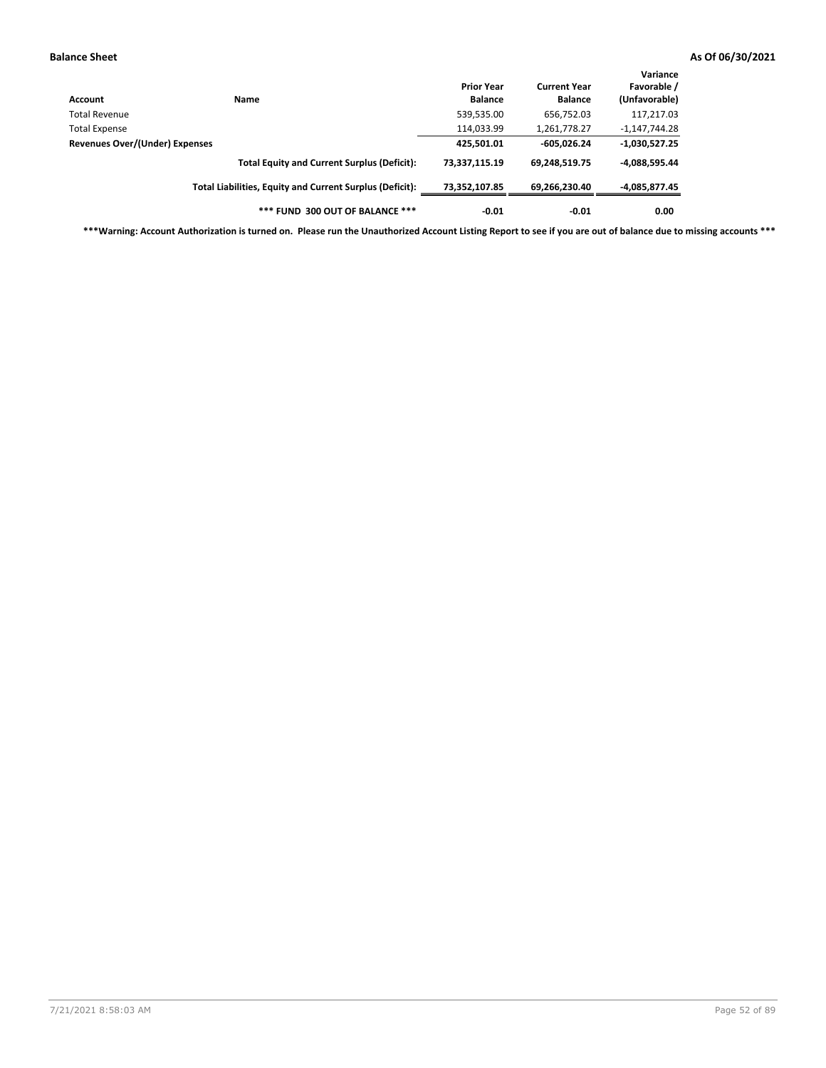| Account                        | Name                                                     | <b>Prior Year</b><br><b>Balance</b> | <b>Current Year</b><br><b>Balance</b> | Variance<br>Favorable /<br>(Unfavorable) |
|--------------------------------|----------------------------------------------------------|-------------------------------------|---------------------------------------|------------------------------------------|
| <b>Total Revenue</b>           |                                                          | 539,535.00                          | 656,752.03                            | 117,217.03                               |
| <b>Total Expense</b>           |                                                          | 114,033.99                          | 1,261,778.27                          | $-1,147,744.28$                          |
| Revenues Over/(Under) Expenses |                                                          | 425,501.01                          | $-605,026.24$                         | $-1,030,527.25$                          |
|                                | <b>Total Equity and Current Surplus (Deficit):</b>       | 73.337.115.19                       | 69,248,519.75                         | -4,088,595.44                            |
|                                | Total Liabilities, Equity and Current Surplus (Deficit): | 73,352,107.85                       | 69,266,230.40                         | -4,085,877.45                            |
|                                | *** FUND 300 OUT OF BALANCE ***                          | $-0.01$                             | $-0.01$                               | 0.00                                     |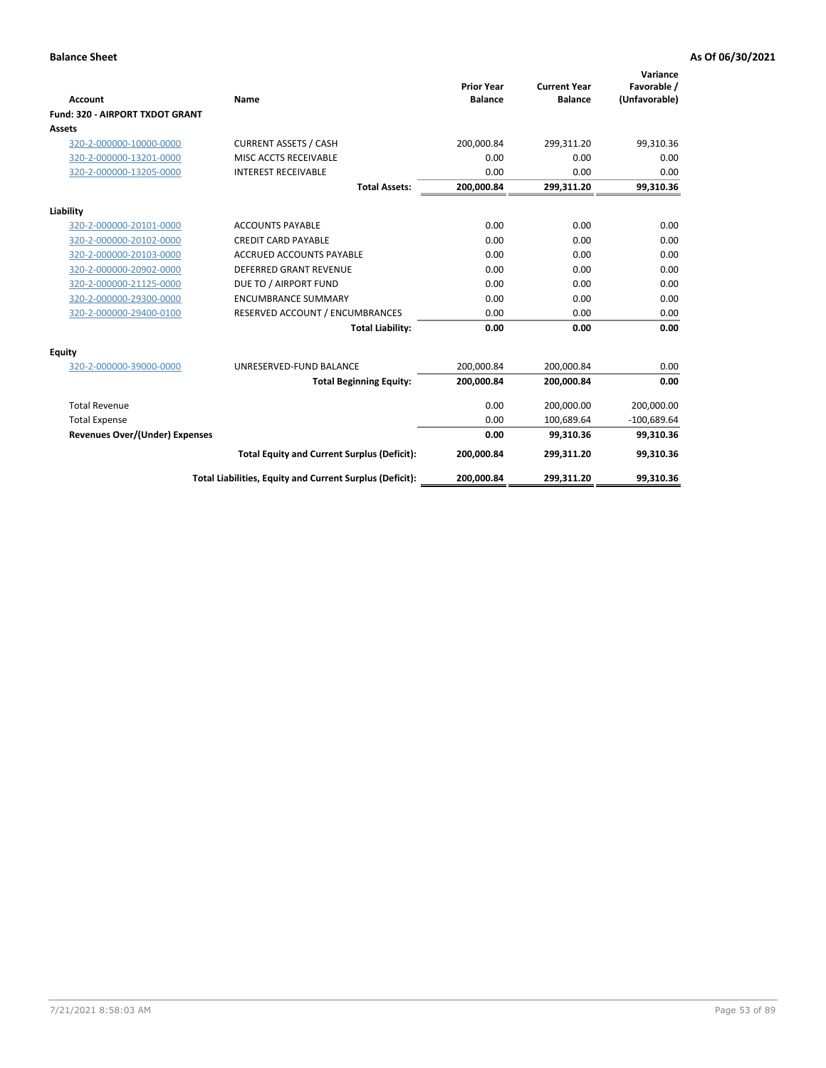|                                 |                                                          |                                     |                                       | Variance                     |
|---------------------------------|----------------------------------------------------------|-------------------------------------|---------------------------------------|------------------------------|
| Account                         | Name                                                     | <b>Prior Year</b><br><b>Balance</b> | <b>Current Year</b><br><b>Balance</b> | Favorable /<br>(Unfavorable) |
| Fund: 320 - AIRPORT TXDOT GRANT |                                                          |                                     |                                       |                              |
| Assets                          |                                                          |                                     |                                       |                              |
| 320-2-000000-10000-0000         | <b>CURRENT ASSETS / CASH</b>                             | 200,000.84                          | 299,311.20                            | 99,310.36                    |
| 320-2-000000-13201-0000         | MISC ACCTS RECEIVABLE                                    | 0.00                                | 0.00                                  | 0.00                         |
| 320-2-000000-13205-0000         | <b>INTEREST RECEIVABLE</b>                               | 0.00                                | 0.00                                  | 0.00                         |
|                                 | <b>Total Assets:</b>                                     | 200,000.84                          | 299,311.20                            | 99,310.36                    |
| Liability                       |                                                          |                                     |                                       |                              |
| 320-2-000000-20101-0000         | <b>ACCOUNTS PAYABLE</b>                                  | 0.00                                | 0.00                                  | 0.00                         |
| 320-2-000000-20102-0000         | <b>CREDIT CARD PAYABLE</b>                               | 0.00                                | 0.00                                  | 0.00                         |
| 320-2-000000-20103-0000         | <b>ACCRUED ACCOUNTS PAYABLE</b>                          | 0.00                                | 0.00                                  | 0.00                         |
| 320-2-000000-20902-0000         | <b>DEFERRED GRANT REVENUE</b>                            | 0.00                                | 0.00                                  | 0.00                         |
| 320-2-000000-21125-0000         | DUE TO / AIRPORT FUND                                    | 0.00                                | 0.00                                  | 0.00                         |
| 320-2-000000-29300-0000         | <b>ENCUMBRANCE SUMMARY</b>                               | 0.00                                | 0.00                                  | 0.00                         |
| 320-2-000000-29400-0100         | RESERVED ACCOUNT / ENCUMBRANCES                          | 0.00                                | 0.00                                  | 0.00                         |
|                                 | <b>Total Liability:</b>                                  | 0.00                                | 0.00                                  | 0.00                         |
| <b>Equity</b>                   |                                                          |                                     |                                       |                              |
| 320-2-000000-39000-0000         | UNRESERVED-FUND BALANCE                                  | 200,000.84                          | 200,000.84                            | 0.00                         |
|                                 | <b>Total Beginning Equity:</b>                           | 200,000.84                          | 200,000.84                            | 0.00                         |
| <b>Total Revenue</b>            |                                                          | 0.00                                | 200.000.00                            | 200,000.00                   |
| <b>Total Expense</b>            |                                                          | 0.00                                | 100,689.64                            | $-100,689.64$                |
| Revenues Over/(Under) Expenses  |                                                          | 0.00                                | 99.310.36                             | 99,310.36                    |
|                                 | <b>Total Equity and Current Surplus (Deficit):</b>       | 200,000.84                          | 299,311.20                            | 99,310.36                    |
|                                 | Total Liabilities, Equity and Current Surplus (Deficit): | 200,000.84                          | 299,311.20                            | 99,310.36                    |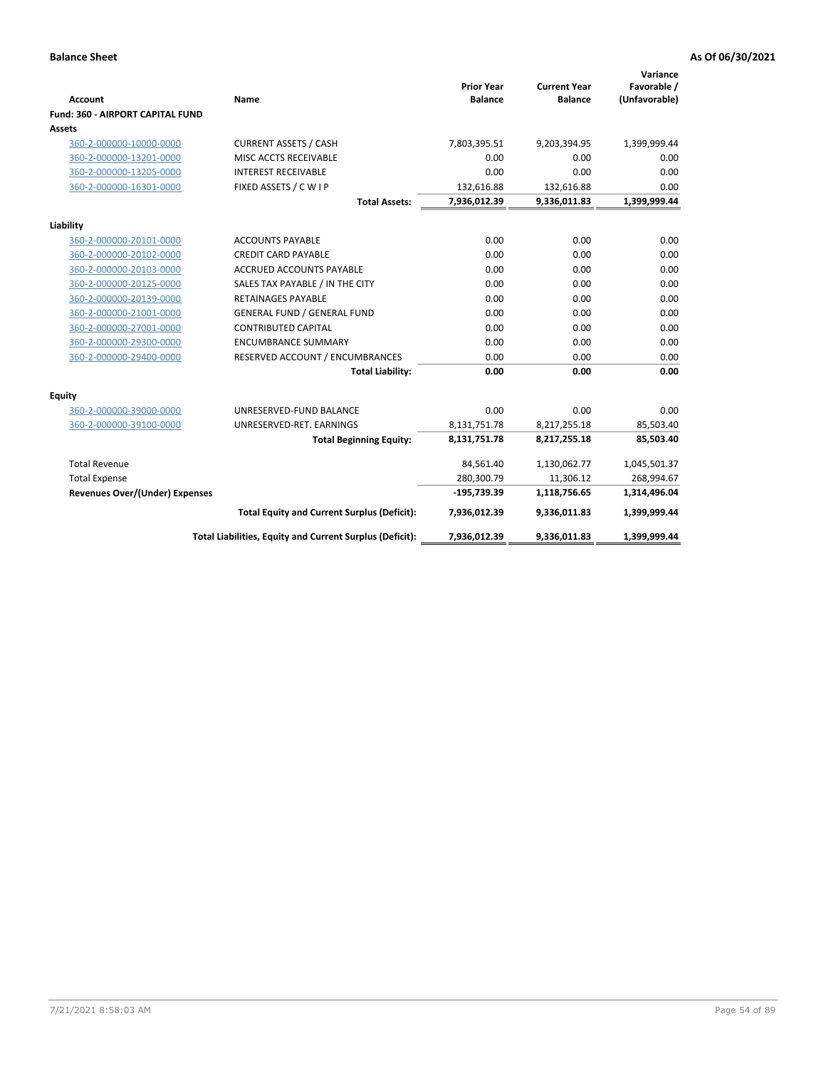|                                         |                                                          |                                     |                                       | Variance                     |
|-----------------------------------------|----------------------------------------------------------|-------------------------------------|---------------------------------------|------------------------------|
| <b>Account</b>                          | Name                                                     | <b>Prior Year</b><br><b>Balance</b> | <b>Current Year</b><br><b>Balance</b> | Favorable /<br>(Unfavorable) |
| <b>Fund: 360 - AIRPORT CAPITAL FUND</b> |                                                          |                                     |                                       |                              |
| Assets                                  |                                                          |                                     |                                       |                              |
| 360-2-000000-10000-0000                 | <b>CURRENT ASSETS / CASH</b>                             | 7,803,395.51                        | 9,203,394.95                          | 1,399,999.44                 |
| 360-2-000000-13201-0000                 | MISC ACCTS RECEIVABLE                                    | 0.00                                | 0.00                                  | 0.00                         |
| 360-2-000000-13205-0000                 | <b>INTEREST RECEIVABLE</b>                               | 0.00                                | 0.00                                  | 0.00                         |
| 360-2-000000-16301-0000                 | FIXED ASSETS / C W I P                                   | 132,616.88                          | 132,616.88                            | 0.00                         |
|                                         | <b>Total Assets:</b>                                     | 7,936,012.39                        | 9,336,011.83                          | 1,399,999.44                 |
| Liability                               |                                                          |                                     |                                       |                              |
| 360-2-000000-20101-0000                 | <b>ACCOUNTS PAYABLE</b>                                  | 0.00                                | 0.00                                  | 0.00                         |
| 360-2-000000-20102-0000                 | <b>CREDIT CARD PAYABLE</b>                               | 0.00                                | 0.00                                  | 0.00                         |
| 360-2-000000-20103-0000                 | <b>ACCRUED ACCOUNTS PAYABLE</b>                          | 0.00                                | 0.00                                  | 0.00                         |
| 360-2-000000-20125-0000                 | SALES TAX PAYABLE / IN THE CITY                          | 0.00                                | 0.00                                  | 0.00                         |
| 360-2-000000-20139-0000                 | <b>RETAINAGES PAYABLE</b>                                | 0.00                                | 0.00                                  | 0.00                         |
| 360-2-000000-21001-0000                 | <b>GENERAL FUND / GENERAL FUND</b>                       | 0.00                                | 0.00                                  | 0.00                         |
| 360-2-000000-27001-0000                 | <b>CONTRIBUTED CAPITAL</b>                               | 0.00                                | 0.00                                  | 0.00                         |
| 360-2-000000-29300-0000                 | <b>ENCUMBRANCE SUMMARY</b>                               | 0.00                                | 0.00                                  | 0.00                         |
| 360-2-000000-29400-0000                 | RESERVED ACCOUNT / ENCUMBRANCES                          | 0.00                                | 0.00                                  | 0.00                         |
|                                         | <b>Total Liability:</b>                                  | 0.00                                | 0.00                                  | 0.00                         |
| Equity                                  |                                                          |                                     |                                       |                              |
| 360-2-000000-39000-0000                 | UNRESERVED-FUND BALANCE                                  | 0.00                                | 0.00                                  | 0.00                         |
| 360-2-000000-39100-0000                 | UNRESERVED-RET. EARNINGS                                 | 8,131,751.78                        | 8,217,255.18                          | 85,503.40                    |
|                                         | <b>Total Beginning Equity:</b>                           | 8,131,751.78                        | 8,217,255.18                          | 85,503.40                    |
|                                         |                                                          |                                     |                                       |                              |
| <b>Total Revenue</b>                    |                                                          | 84,561.40                           | 1,130,062.77                          | 1,045,501.37                 |
| <b>Total Expense</b>                    |                                                          | 280,300.79                          | 11,306.12                             | 268,994.67                   |
| Revenues Over/(Under) Expenses          |                                                          | $-195,739.39$                       | 1,118,756.65                          | 1,314,496.04                 |
|                                         | <b>Total Equity and Current Surplus (Deficit):</b>       | 7,936,012.39                        | 9,336,011.83                          | 1,399,999.44                 |
|                                         | Total Liabilities, Equity and Current Surplus (Deficit): | 7,936,012.39                        | 9,336,011.83                          | 1,399,999.44                 |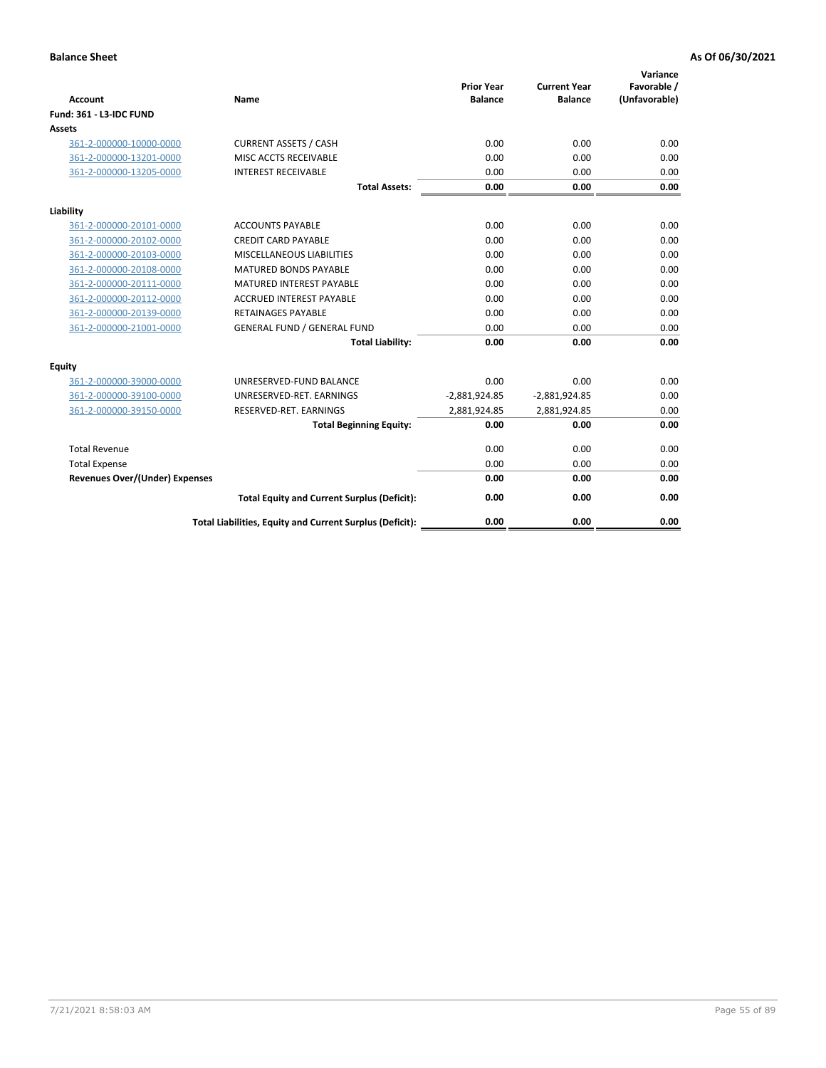| <b>Account</b>                        | Name                                                     | <b>Prior Year</b><br><b>Balance</b> | <b>Current Year</b><br><b>Balance</b> | Variance<br>Favorable /<br>(Unfavorable) |
|---------------------------------------|----------------------------------------------------------|-------------------------------------|---------------------------------------|------------------------------------------|
| Fund: 361 - L3-IDC FUND               |                                                          |                                     |                                       |                                          |
| <b>Assets</b>                         |                                                          |                                     |                                       |                                          |
| 361-2-000000-10000-0000               | <b>CURRENT ASSETS / CASH</b>                             | 0.00                                | 0.00                                  | 0.00                                     |
| 361-2-000000-13201-0000               | MISC ACCTS RECEIVABLE                                    | 0.00                                | 0.00                                  | 0.00                                     |
| 361-2-000000-13205-0000               | <b>INTEREST RECEIVABLE</b>                               | 0.00                                | 0.00                                  | 0.00                                     |
|                                       | <b>Total Assets:</b>                                     | 0.00                                | 0.00                                  | 0.00                                     |
| Liability                             |                                                          |                                     |                                       |                                          |
| 361-2-000000-20101-0000               | <b>ACCOUNTS PAYABLE</b>                                  | 0.00                                | 0.00                                  | 0.00                                     |
| 361-2-000000-20102-0000               | <b>CREDIT CARD PAYABLE</b>                               | 0.00                                | 0.00                                  | 0.00                                     |
| 361-2-000000-20103-0000               | MISCELLANEOUS LIABILITIES                                | 0.00                                | 0.00                                  | 0.00                                     |
| 361-2-000000-20108-0000               | <b>MATURED BONDS PAYABLE</b>                             | 0.00                                | 0.00                                  | 0.00                                     |
| 361-2-000000-20111-0000               | <b>MATURED INTEREST PAYABLE</b>                          | 0.00                                | 0.00                                  | 0.00                                     |
| 361-2-000000-20112-0000               | <b>ACCRUED INTEREST PAYABLE</b>                          | 0.00                                | 0.00                                  | 0.00                                     |
| 361-2-000000-20139-0000               | <b>RETAINAGES PAYABLE</b>                                | 0.00                                | 0.00                                  | 0.00                                     |
| 361-2-000000-21001-0000               | <b>GENERAL FUND / GENERAL FUND</b>                       | 0.00                                | 0.00                                  | 0.00                                     |
|                                       | <b>Total Liability:</b>                                  | 0.00                                | 0.00                                  | 0.00                                     |
| Equity                                |                                                          |                                     |                                       |                                          |
| 361-2-000000-39000-0000               | UNRESERVED-FUND BALANCE                                  | 0.00                                | 0.00                                  | 0.00                                     |
| 361-2-000000-39100-0000               | UNRESERVED-RET. EARNINGS                                 | $-2,881,924.85$                     | $-2,881,924.85$                       | 0.00                                     |
| 361-2-000000-39150-0000               | RESERVED-RET. EARNINGS                                   | 2,881,924.85                        | 2,881,924.85                          | 0.00                                     |
|                                       | <b>Total Beginning Equity:</b>                           | 0.00                                | 0.00                                  | 0.00                                     |
| <b>Total Revenue</b>                  |                                                          | 0.00                                | 0.00                                  | 0.00                                     |
| <b>Total Expense</b>                  |                                                          | 0.00                                | 0.00                                  | 0.00                                     |
| <b>Revenues Over/(Under) Expenses</b> |                                                          | 0.00                                | 0.00                                  | 0.00                                     |
|                                       | <b>Total Equity and Current Surplus (Deficit):</b>       | 0.00                                | 0.00                                  | 0.00                                     |
|                                       | Total Liabilities, Equity and Current Surplus (Deficit): | 0.00                                | 0.00                                  | 0.00                                     |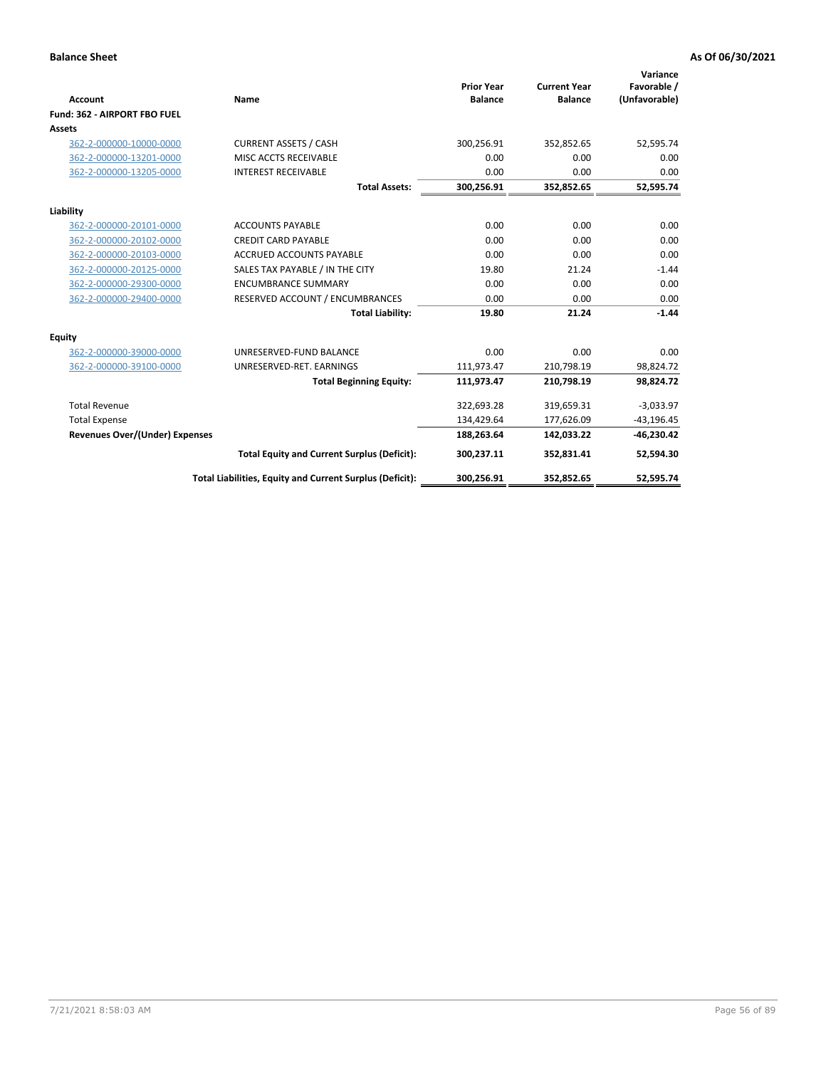|                                       |                                                          |                                     |                                       | Variance                     |
|---------------------------------------|----------------------------------------------------------|-------------------------------------|---------------------------------------|------------------------------|
| <b>Account</b>                        | Name                                                     | <b>Prior Year</b><br><b>Balance</b> | <b>Current Year</b><br><b>Balance</b> | Favorable /<br>(Unfavorable) |
| Fund: 362 - AIRPORT FBO FUEL          |                                                          |                                     |                                       |                              |
| Assets                                |                                                          |                                     |                                       |                              |
| 362-2-000000-10000-0000               | <b>CURRENT ASSETS / CASH</b>                             | 300,256.91                          | 352,852.65                            | 52,595.74                    |
| 362-2-000000-13201-0000               | MISC ACCTS RECEIVABLE                                    | 0.00                                | 0.00                                  | 0.00                         |
| 362-2-000000-13205-0000               | <b>INTEREST RECEIVABLE</b>                               | 0.00                                | 0.00                                  | 0.00                         |
|                                       | <b>Total Assets:</b>                                     | 300,256.91                          | 352,852.65                            | 52,595.74                    |
| Liability                             |                                                          |                                     |                                       |                              |
| 362-2-000000-20101-0000               | <b>ACCOUNTS PAYABLE</b>                                  | 0.00                                | 0.00                                  | 0.00                         |
| 362-2-000000-20102-0000               | <b>CREDIT CARD PAYABLE</b>                               | 0.00                                | 0.00                                  | 0.00                         |
| 362-2-000000-20103-0000               | <b>ACCRUED ACCOUNTS PAYABLE</b>                          | 0.00                                | 0.00                                  | 0.00                         |
| 362-2-000000-20125-0000               | SALES TAX PAYABLE / IN THE CITY                          | 19.80                               | 21.24                                 | $-1.44$                      |
| 362-2-000000-29300-0000               | <b>ENCUMBRANCE SUMMARY</b>                               | 0.00                                | 0.00                                  | 0.00                         |
| 362-2-000000-29400-0000               | RESERVED ACCOUNT / ENCUMBRANCES                          | 0.00                                | 0.00                                  | 0.00                         |
|                                       | <b>Total Liability:</b>                                  | 19.80                               | 21.24                                 | $-1.44$                      |
| <b>Equity</b>                         |                                                          |                                     |                                       |                              |
| 362-2-000000-39000-0000               | UNRESERVED-FUND BALANCE                                  | 0.00                                | 0.00                                  | 0.00                         |
| 362-2-000000-39100-0000               | UNRESERVED-RET. EARNINGS                                 | 111,973.47                          | 210,798.19                            | 98,824.72                    |
|                                       | <b>Total Beginning Equity:</b>                           | 111,973.47                          | 210,798.19                            | 98,824.72                    |
| <b>Total Revenue</b>                  |                                                          | 322,693.28                          | 319,659.31                            | $-3,033.97$                  |
| <b>Total Expense</b>                  |                                                          | 134,429.64                          | 177,626.09                            | $-43,196.45$                 |
| <b>Revenues Over/(Under) Expenses</b> |                                                          | 188,263.64                          | 142,033.22                            | $-46,230.42$                 |
|                                       | <b>Total Equity and Current Surplus (Deficit):</b>       | 300,237.11                          | 352,831.41                            | 52,594.30                    |
|                                       | Total Liabilities, Equity and Current Surplus (Deficit): | 300,256.91                          | 352,852.65                            | 52,595.74                    |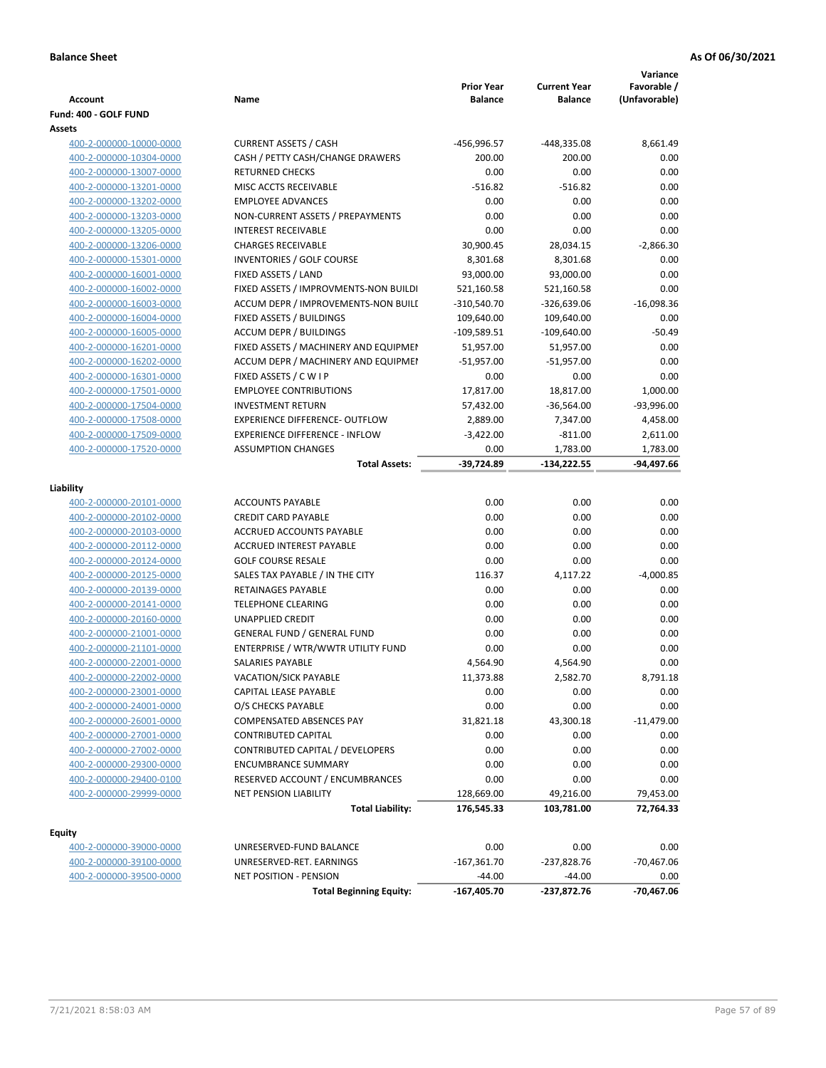| <b>Account</b><br>Fund: 400 - GOLF FUND | Name                                  | <b>Prior Year</b><br><b>Balance</b> | <b>Current Year</b><br><b>Balance</b> | Variance<br>Favorable /<br>(Unfavorable) |
|-----------------------------------------|---------------------------------------|-------------------------------------|---------------------------------------|------------------------------------------|
| Assets                                  |                                       |                                     |                                       |                                          |
| 400-2-000000-10000-0000                 | <b>CURRENT ASSETS / CASH</b>          | -456,996.57                         | -448,335.08                           | 8,661.49                                 |
| 400-2-000000-10304-0000                 | CASH / PETTY CASH/CHANGE DRAWERS      | 200.00                              | 200.00                                | 0.00                                     |
| 400-2-000000-13007-0000                 | <b>RETURNED CHECKS</b>                | 0.00                                | 0.00                                  | 0.00                                     |
| 400-2-000000-13201-0000                 | MISC ACCTS RECEIVABLE                 | $-516.82$                           | $-516.82$                             | 0.00                                     |
| 400-2-000000-13202-0000                 | <b>EMPLOYEE ADVANCES</b>              | 0.00                                | 0.00                                  | 0.00                                     |
| 400-2-000000-13203-0000                 | NON-CURRENT ASSETS / PREPAYMENTS      | 0.00                                | 0.00                                  | 0.00                                     |
| 400-2-000000-13205-0000                 | <b>INTEREST RECEIVABLE</b>            | 0.00                                | 0.00                                  | 0.00                                     |
| 400-2-000000-13206-0000                 | <b>CHARGES RECEIVABLE</b>             | 30,900.45                           | 28,034.15                             | $-2,866.30$                              |
| 400-2-000000-15301-0000                 | <b>INVENTORIES / GOLF COURSE</b>      | 8,301.68                            | 8,301.68                              | 0.00                                     |
| 400-2-000000-16001-0000                 | FIXED ASSETS / LAND                   | 93,000.00                           | 93,000.00                             | 0.00                                     |
| 400-2-000000-16002-0000                 | FIXED ASSETS / IMPROVMENTS-NON BUILDI | 521,160.58                          | 521,160.58                            | 0.00                                     |
| 400-2-000000-16003-0000                 | ACCUM DEPR / IMPROVEMENTS-NON BUILI   | $-310,540.70$                       | $-326,639.06$                         | $-16,098.36$                             |
| 400-2-000000-16004-0000                 | FIXED ASSETS / BUILDINGS              | 109,640.00                          | 109,640.00                            | 0.00                                     |
| 400-2-000000-16005-0000                 | <b>ACCUM DEPR / BUILDINGS</b>         | $-109,589.51$                       | $-109,640.00$                         | $-50.49$                                 |
| 400-2-000000-16201-0000                 | FIXED ASSETS / MACHINERY AND EQUIPMEN | 51,957.00                           | 51,957.00                             | 0.00                                     |
| 400-2-000000-16202-0000                 | ACCUM DEPR / MACHINERY AND EQUIPMEI   | $-51,957.00$                        | $-51,957.00$                          | 0.00                                     |
| 400-2-000000-16301-0000                 | FIXED ASSETS / C W I P                | 0.00                                | 0.00                                  | 0.00                                     |
| 400-2-000000-17501-0000                 | <b>EMPLOYEE CONTRIBUTIONS</b>         | 17,817.00                           | 18,817.00                             | 1,000.00                                 |
| 400-2-000000-17504-0000                 | <b>INVESTMENT RETURN</b>              | 57,432.00                           | $-36,564.00$                          | $-93,996.00$                             |
| 400-2-000000-17508-0000                 | <b>EXPERIENCE DIFFERENCE- OUTFLOW</b> | 2,889.00                            | 7,347.00                              | 4,458.00                                 |
| 400-2-000000-17509-0000                 | <b>EXPERIENCE DIFFERENCE - INFLOW</b> | $-3,422.00$                         | $-811.00$                             | 2,611.00                                 |
| 400-2-000000-17520-0000                 | <b>ASSUMPTION CHANGES</b>             | 0.00                                | 1,783.00                              | 1,783.00                                 |
|                                         | <b>Total Assets:</b>                  | $-39,724.89$                        | $-134,222.55$                         | -94,497.66                               |
| Liability                               |                                       |                                     |                                       |                                          |
| 400-2-000000-20101-0000                 | <b>ACCOUNTS PAYABLE</b>               | 0.00                                | 0.00                                  | 0.00                                     |
| 400-2-000000-20102-0000                 | <b>CREDIT CARD PAYABLE</b>            | 0.00                                | 0.00                                  | 0.00                                     |
| 400-2-000000-20103-0000                 | ACCRUED ACCOUNTS PAYABLE              | 0.00                                | 0.00                                  | 0.00                                     |
| 400-2-000000-20112-0000                 | ACCRUED INTEREST PAYABLE              | 0.00                                | 0.00                                  | 0.00                                     |
| 400-2-000000-20124-0000                 | <b>GOLF COURSE RESALE</b>             | 0.00                                | 0.00                                  | 0.00                                     |
| 400-2-000000-20125-0000                 | SALES TAX PAYABLE / IN THE CITY       | 116.37                              | 4,117.22                              | $-4,000.85$                              |
| 400-2-000000-20139-0000                 | RETAINAGES PAYABLE                    | 0.00                                | 0.00                                  | 0.00                                     |
| 400-2-000000-20141-0000                 | <b>TELEPHONE CLEARING</b>             | 0.00                                | 0.00                                  | 0.00                                     |
| 400-2-000000-20160-0000                 | <b>UNAPPLIED CREDIT</b>               | 0.00                                | 0.00                                  | 0.00                                     |
| 400-2-000000-21001-0000                 | <b>GENERAL FUND / GENERAL FUND</b>    | 0.00                                | 0.00                                  | 0.00                                     |
| 400-2-000000-21101-0000                 | ENTERPRISE / WTR/WWTR UTILITY FUND    | 0.00                                | 0.00                                  | 0.00                                     |
| 400-2-000000-22001-0000                 | SALARIES PAYABLE                      | 4,564.90                            | 4.564.90                              | 0.00                                     |
| 400-2-000000-22002-0000                 | VACATION/SICK PAYABLE                 | 11,373.88                           | 2,582.70                              | 8,791.18                                 |
| 400-2-000000-23001-0000                 | CAPITAL LEASE PAYABLE                 | 0.00                                | 0.00                                  | 0.00                                     |
| 400-2-000000-24001-0000                 | O/S CHECKS PAYABLE                    | 0.00                                | 0.00                                  | 0.00                                     |
| 400-2-000000-26001-0000                 | COMPENSATED ABSENCES PAY              | 31,821.18                           | 43,300.18                             | $-11,479.00$                             |
| 400-2-000000-27001-0000                 | <b>CONTRIBUTED CAPITAL</b>            | 0.00                                | 0.00                                  | 0.00                                     |
| 400-2-000000-27002-0000                 | CONTRIBUTED CAPITAL / DEVELOPERS      | 0.00                                | 0.00                                  | 0.00                                     |
| 400-2-000000-29300-0000                 | <b>ENCUMBRANCE SUMMARY</b>            | 0.00                                | 0.00                                  | 0.00                                     |
| 400-2-000000-29400-0100                 | RESERVED ACCOUNT / ENCUMBRANCES       | 0.00                                | 0.00                                  | 0.00                                     |
| 400-2-000000-29999-0000                 | NET PENSION LIABILITY                 | 128,669.00                          | 49,216.00                             | 79,453.00                                |
|                                         | <b>Total Liability:</b>               | 176,545.33                          | 103,781.00                            | 72,764.33                                |
|                                         |                                       |                                     |                                       |                                          |
| <b>Equity</b>                           |                                       |                                     |                                       |                                          |
| 400-2-000000-39000-0000                 | UNRESERVED-FUND BALANCE               | 0.00                                | 0.00                                  | 0.00                                     |
| 400-2-000000-39100-0000                 | UNRESERVED-RET. EARNINGS              | $-167,361.70$                       | $-237,828.76$                         | $-70,467.06$                             |
| 400-2-000000-39500-0000                 | NET POSITION - PENSION                | $-44.00$                            | $-44.00$                              | 0.00                                     |
|                                         | <b>Total Beginning Equity:</b>        | $-167,405.70$                       | -237,872.76                           | $-70,467.06$                             |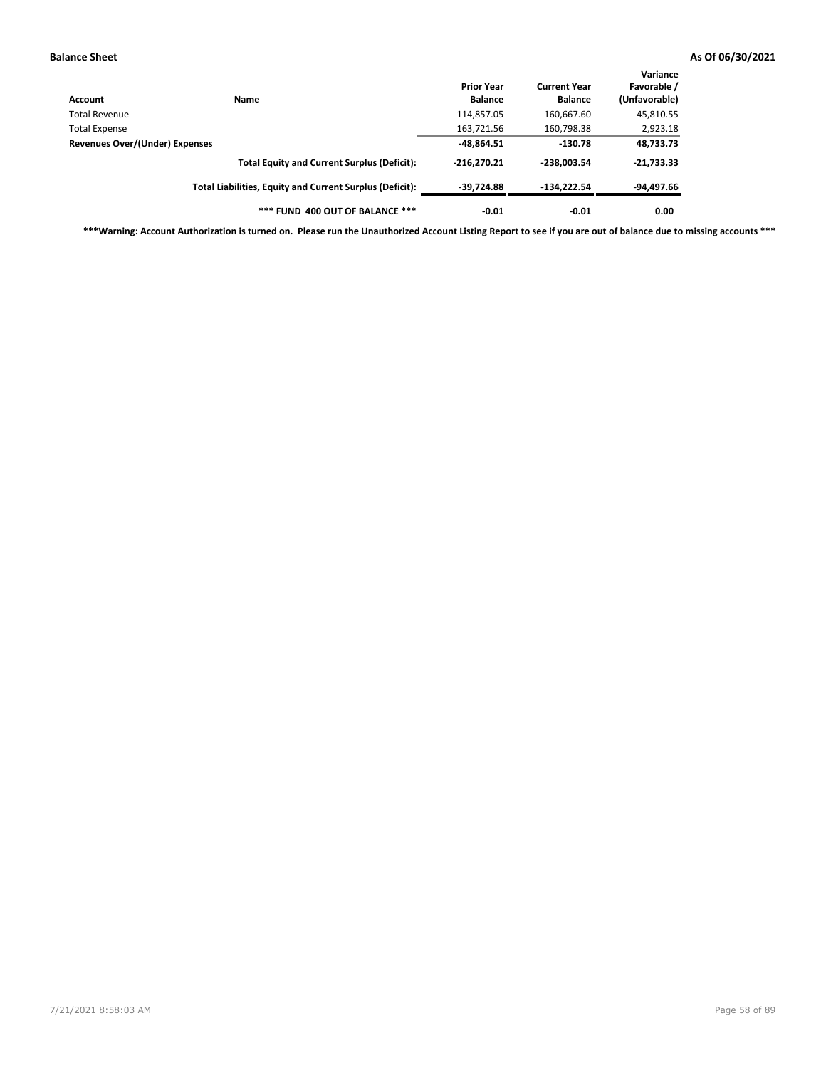| Account                        | Name                                                     | <b>Prior Year</b><br><b>Balance</b> | <b>Current Year</b><br><b>Balance</b> | Variance<br>Favorable /<br>(Unfavorable) |
|--------------------------------|----------------------------------------------------------|-------------------------------------|---------------------------------------|------------------------------------------|
| <b>Total Revenue</b>           |                                                          | 114,857.05                          | 160,667.60                            | 45,810.55                                |
| <b>Total Expense</b>           |                                                          | 163,721.56                          | 160,798.38                            | 2,923.18                                 |
| Revenues Over/(Under) Expenses | $-48,864.51$                                             | $-130.78$                           | 48,733.73                             |                                          |
|                                | <b>Total Equity and Current Surplus (Deficit):</b>       | $-216.270.21$                       | $-238.003.54$                         | $-21,733.33$                             |
|                                | Total Liabilities, Equity and Current Surplus (Deficit): | $-39.724.88$                        | $-134.222.54$                         | -94,497.66                               |
|                                | *** FUND 400 OUT OF BALANCE ***                          | $-0.01$                             | $-0.01$                               | 0.00                                     |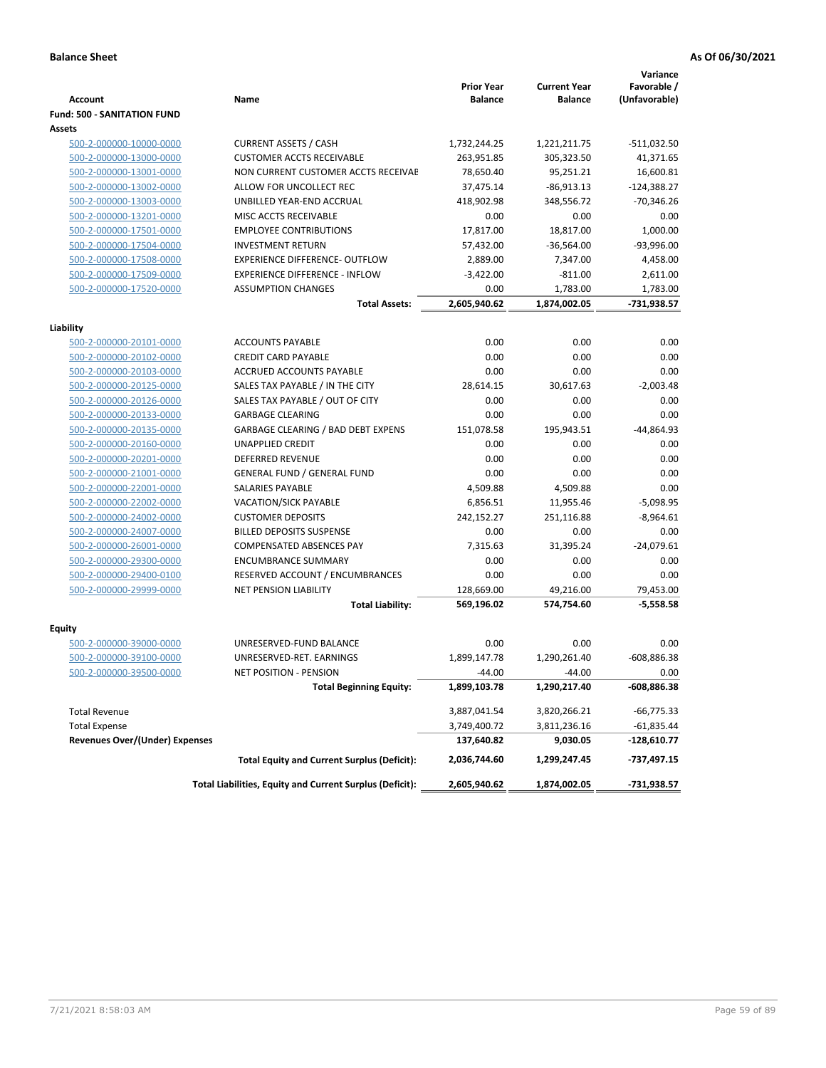|                                                    |                                                          |                                     |                                       | Variance                     |
|----------------------------------------------------|----------------------------------------------------------|-------------------------------------|---------------------------------------|------------------------------|
| Account                                            | Name                                                     | <b>Prior Year</b><br><b>Balance</b> | <b>Current Year</b><br><b>Balance</b> | Favorable /<br>(Unfavorable) |
| <b>Fund: 500 - SANITATION FUND</b>                 |                                                          |                                     |                                       |                              |
| Assets                                             |                                                          |                                     |                                       |                              |
| 500-2-000000-10000-0000                            | <b>CURRENT ASSETS / CASH</b>                             | 1,732,244.25                        | 1,221,211.75                          | -511,032.50                  |
| 500-2-000000-13000-0000                            | <b>CUSTOMER ACCTS RECEIVABLE</b>                         | 263,951.85                          | 305,323.50                            | 41,371.65                    |
| 500-2-000000-13001-0000                            | NON CURRENT CUSTOMER ACCTS RECEIVAE                      | 78,650.40                           | 95,251.21                             | 16,600.81                    |
| 500-2-000000-13002-0000                            | ALLOW FOR UNCOLLECT REC                                  | 37,475.14                           | $-86,913.13$                          | $-124,388.27$                |
| 500-2-000000-13003-0000                            | UNBILLED YEAR-END ACCRUAL                                | 418,902.98                          | 348,556.72                            | $-70,346.26$                 |
| 500-2-000000-13201-0000                            | MISC ACCTS RECEIVABLE                                    | 0.00                                | 0.00                                  | 0.00                         |
| 500-2-000000-17501-0000                            | <b>EMPLOYEE CONTRIBUTIONS</b>                            | 17,817.00                           | 18,817.00                             | 1,000.00                     |
| 500-2-000000-17504-0000                            | <b>INVESTMENT RETURN</b>                                 | 57,432.00                           | $-36,564.00$                          | $-93,996.00$                 |
| 500-2-000000-17508-0000                            | <b>EXPERIENCE DIFFERENCE- OUTFLOW</b>                    | 2,889.00                            | 7,347.00                              | 4,458.00                     |
| 500-2-000000-17509-0000                            | <b>EXPERIENCE DIFFERENCE - INFLOW</b>                    | $-3,422.00$                         | $-811.00$                             | 2,611.00                     |
| 500-2-000000-17520-0000                            | <b>ASSUMPTION CHANGES</b>                                | 0.00                                | 1,783.00                              | 1,783.00                     |
|                                                    | <b>Total Assets:</b>                                     | 2,605,940.62                        | 1,874,002.05                          | -731,938.57                  |
|                                                    |                                                          |                                     |                                       |                              |
| Liability                                          |                                                          |                                     |                                       |                              |
| 500-2-000000-20101-0000                            | <b>ACCOUNTS PAYABLE</b>                                  | 0.00                                | 0.00                                  | 0.00                         |
| 500-2-000000-20102-0000                            | <b>CREDIT CARD PAYABLE</b>                               | 0.00                                | 0.00                                  | 0.00                         |
| 500-2-000000-20103-0000                            | ACCRUED ACCOUNTS PAYABLE                                 | 0.00                                | 0.00                                  | 0.00                         |
| 500-2-000000-20125-0000                            | SALES TAX PAYABLE / IN THE CITY                          | 28,614.15                           | 30,617.63                             | $-2,003.48$                  |
| 500-2-000000-20126-0000                            | SALES TAX PAYABLE / OUT OF CITY                          | 0.00                                | 0.00                                  | 0.00                         |
| 500-2-000000-20133-0000                            | <b>GARBAGE CLEARING</b>                                  | 0.00                                | 0.00                                  | 0.00                         |
| 500-2-000000-20135-0000                            | <b>GARBAGE CLEARING / BAD DEBT EXPENS</b>                | 151,078.58                          | 195,943.51                            | $-44,864.93$                 |
| 500-2-000000-20160-0000                            | UNAPPLIED CREDIT                                         | 0.00                                | 0.00                                  | 0.00                         |
| 500-2-000000-20201-0000                            | <b>DEFERRED REVENUE</b>                                  | 0.00                                | 0.00                                  | 0.00                         |
| 500-2-000000-21001-0000                            | <b>GENERAL FUND / GENERAL FUND</b>                       | 0.00                                | 0.00                                  | 0.00                         |
| 500-2-000000-22001-0000                            | SALARIES PAYABLE                                         | 4,509.88                            | 4,509.88                              | 0.00                         |
| 500-2-000000-22002-0000                            | <b>VACATION/SICK PAYABLE</b>                             | 6,856.51                            | 11,955.46                             | $-5,098.95$                  |
| 500-2-000000-24002-0000                            | <b>CUSTOMER DEPOSITS</b>                                 | 242,152.27                          | 251,116.88                            | $-8,964.61$                  |
| 500-2-000000-24007-0000                            | <b>BILLED DEPOSITS SUSPENSE</b>                          | 0.00                                | 0.00                                  | 0.00                         |
| 500-2-000000-26001-0000                            | <b>COMPENSATED ABSENCES PAY</b>                          | 7,315.63                            | 31,395.24                             | $-24,079.61$                 |
| 500-2-000000-29300-0000                            | <b>ENCUMBRANCE SUMMARY</b>                               | 0.00                                | 0.00                                  | 0.00                         |
| 500-2-000000-29400-0100                            | RESERVED ACCOUNT / ENCUMBRANCES                          | 0.00                                | 0.00                                  | 0.00                         |
| 500-2-000000-29999-0000                            | <b>NET PENSION LIABILITY</b>                             | 128,669.00                          | 49,216.00                             | 79,453.00                    |
|                                                    | <b>Total Liability:</b>                                  | 569,196.02                          | 574,754.60                            | $-5,558.58$                  |
|                                                    |                                                          |                                     |                                       |                              |
| <b>Equity</b>                                      |                                                          |                                     |                                       |                              |
| 500-2-000000-39000-0000<br>500-2-000000-39100-0000 | UNRESERVED-FUND BALANCE                                  | 0.00                                | 0.00                                  | 0.00                         |
|                                                    | UNRESERVED-RET. EARNINGS                                 | 1,899,147.78                        | 1,290,261.40                          | $-608,886.38$                |
| 500-2-000000-39500-0000                            | NET POSITION - PENSION                                   | $-44.00$                            | $-44.00$                              | 0.00                         |
|                                                    | <b>Total Beginning Equity:</b>                           | 1,899,103.78                        | 1,290,217.40                          | -608,886.38                  |
| <b>Total Revenue</b>                               |                                                          | 3,887,041.54                        | 3,820,266.21                          | $-66,775.33$                 |
| <b>Total Expense</b>                               |                                                          | 3,749,400.72                        | 3,811,236.16                          | $-61,835.44$                 |
| <b>Revenues Over/(Under) Expenses</b>              |                                                          | 137,640.82                          | 9,030.05                              | -128,610.77                  |
|                                                    | <b>Total Equity and Current Surplus (Deficit):</b>       | 2,036,744.60                        | 1,299,247.45                          | -737,497.15                  |
|                                                    | Total Liabilities, Equity and Current Surplus (Deficit): | 2,605,940.62                        | 1,874,002.05                          | -731,938.57                  |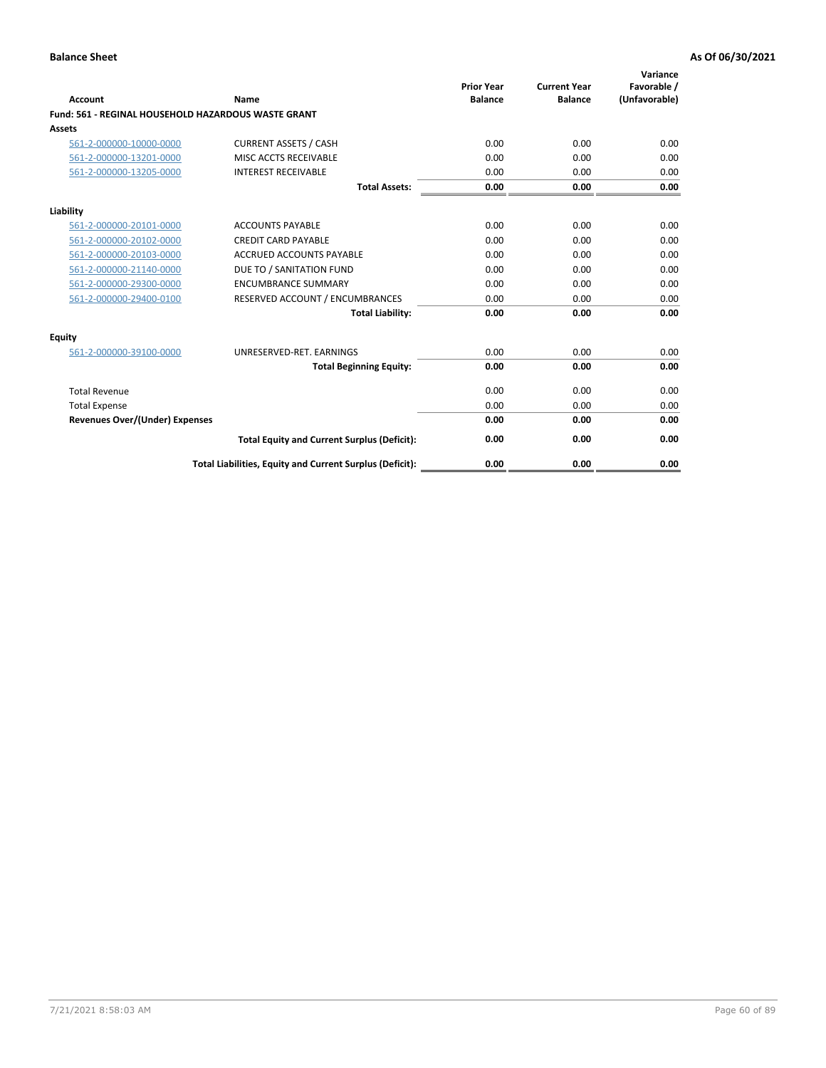| <b>Account</b>                        | Name                                                       | <b>Prior Year</b><br><b>Balance</b> | <b>Current Year</b><br><b>Balance</b> | Variance<br>Favorable /<br>(Unfavorable) |
|---------------------------------------|------------------------------------------------------------|-------------------------------------|---------------------------------------|------------------------------------------|
|                                       | <b>Fund: 561 - REGINAL HOUSEHOLD HAZARDOUS WASTE GRANT</b> |                                     |                                       |                                          |
| Assets                                |                                                            |                                     |                                       |                                          |
| 561-2-000000-10000-0000               | <b>CURRENT ASSETS / CASH</b>                               | 0.00                                | 0.00                                  | 0.00                                     |
| 561-2-000000-13201-0000               | MISC ACCTS RECEIVABLE                                      | 0.00                                | 0.00                                  | 0.00                                     |
| 561-2-000000-13205-0000               | <b>INTEREST RECEIVABLE</b>                                 | 0.00                                | 0.00                                  | 0.00                                     |
|                                       | <b>Total Assets:</b>                                       | 0.00                                | 0.00                                  | 0.00                                     |
| Liability                             |                                                            |                                     |                                       |                                          |
| 561-2-000000-20101-0000               | <b>ACCOUNTS PAYABLE</b>                                    | 0.00                                | 0.00                                  | 0.00                                     |
| 561-2-000000-20102-0000               | <b>CREDIT CARD PAYABLE</b>                                 | 0.00                                | 0.00                                  | 0.00                                     |
| 561-2-000000-20103-0000               | <b>ACCRUED ACCOUNTS PAYABLE</b>                            | 0.00                                | 0.00                                  | 0.00                                     |
| 561-2-000000-21140-0000               | DUE TO / SANITATION FUND                                   | 0.00                                | 0.00                                  | 0.00                                     |
| 561-2-000000-29300-0000               | <b>ENCUMBRANCE SUMMARY</b>                                 | 0.00                                | 0.00                                  | 0.00                                     |
| 561-2-000000-29400-0100               | RESERVED ACCOUNT / ENCUMBRANCES                            | 0.00                                | 0.00                                  | 0.00                                     |
|                                       | <b>Total Liability:</b>                                    | 0.00                                | 0.00                                  | 0.00                                     |
| <b>Equity</b>                         |                                                            |                                     |                                       |                                          |
| 561-2-000000-39100-0000               | UNRESERVED-RET. EARNINGS                                   | 0.00                                | 0.00                                  | 0.00                                     |
|                                       | <b>Total Beginning Equity:</b>                             | 0.00                                | 0.00                                  | 0.00                                     |
| <b>Total Revenue</b>                  |                                                            | 0.00                                | 0.00                                  | 0.00                                     |
| <b>Total Expense</b>                  |                                                            | 0.00                                | 0.00                                  | 0.00                                     |
| <b>Revenues Over/(Under) Expenses</b> |                                                            | 0.00                                | 0.00                                  | 0.00                                     |
|                                       | <b>Total Equity and Current Surplus (Deficit):</b>         | 0.00                                | 0.00                                  | 0.00                                     |
|                                       | Total Liabilities, Equity and Current Surplus (Deficit):   | 0.00                                | 0.00                                  | 0.00                                     |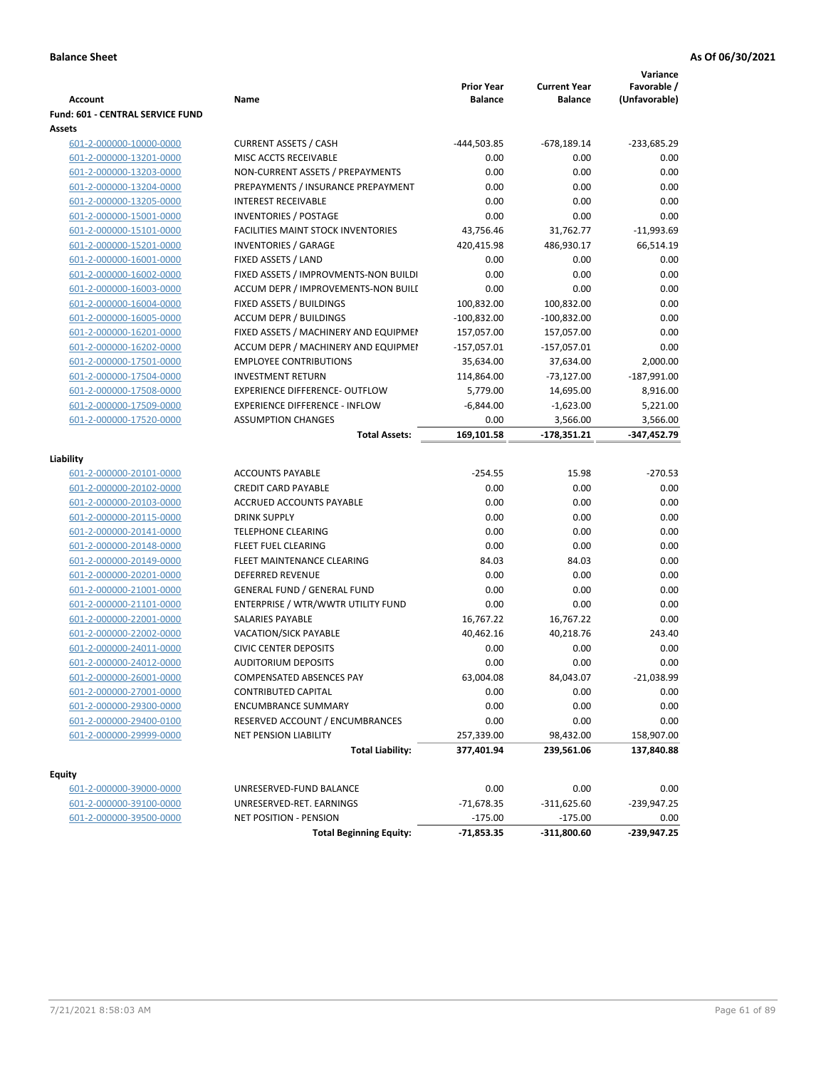|                                                    |                                                                 |                   |                     | Variance           |
|----------------------------------------------------|-----------------------------------------------------------------|-------------------|---------------------|--------------------|
|                                                    |                                                                 | <b>Prior Year</b> | <b>Current Year</b> | Favorable /        |
| <b>Account</b>                                     | Name                                                            | <b>Balance</b>    | <b>Balance</b>      | (Unfavorable)      |
| Fund: 601 - CENTRAL SERVICE FUND                   |                                                                 |                   |                     |                    |
| Assets                                             |                                                                 |                   |                     |                    |
| 601-2-000000-10000-0000                            | <b>CURRENT ASSETS / CASH</b>                                    | -444,503.85       | $-678,189.14$       | $-233,685.29$      |
| 601-2-000000-13201-0000                            | MISC ACCTS RECEIVABLE                                           | 0.00              | 0.00                | 0.00               |
| 601-2-000000-13203-0000                            | NON-CURRENT ASSETS / PREPAYMENTS                                | 0.00              | 0.00                | 0.00               |
| 601-2-000000-13204-0000                            | PREPAYMENTS / INSURANCE PREPAYMENT                              | 0.00              | 0.00                | 0.00               |
| 601-2-000000-13205-0000                            | <b>INTEREST RECEIVABLE</b>                                      | 0.00              | 0.00                | 0.00               |
| 601-2-000000-15001-0000                            | <b>INVENTORIES / POSTAGE</b>                                    | 0.00              | 0.00                | 0.00               |
| 601-2-000000-15101-0000                            | <b>FACILITIES MAINT STOCK INVENTORIES</b>                       | 43,756.46         | 31,762.77           | $-11,993.69$       |
| 601-2-000000-15201-0000                            | <b>INVENTORIES / GARAGE</b>                                     | 420,415.98        | 486,930.17          | 66,514.19          |
| 601-2-000000-16001-0000                            | FIXED ASSETS / LAND                                             | 0.00              | 0.00                | 0.00               |
| 601-2-000000-16002-0000                            | FIXED ASSETS / IMPROVMENTS-NON BUILDI                           | 0.00              | 0.00                | 0.00               |
| 601-2-000000-16003-0000                            | ACCUM DEPR / IMPROVEMENTS-NON BUILI                             | 0.00              | 0.00                | 0.00               |
| 601-2-000000-16004-0000                            | FIXED ASSETS / BUILDINGS                                        | 100,832.00        | 100,832.00          | 0.00               |
| 601-2-000000-16005-0000                            | <b>ACCUM DEPR / BUILDINGS</b>                                   | $-100,832.00$     | $-100,832.00$       | 0.00               |
| 601-2-000000-16201-0000                            | FIXED ASSETS / MACHINERY AND EQUIPMEN                           | 157,057.00        | 157,057.00          | 0.00               |
| 601-2-000000-16202-0000                            | ACCUM DEPR / MACHINERY AND EQUIPMEI                             | $-157,057.01$     | $-157,057.01$       | 0.00               |
| 601-2-000000-17501-0000                            | <b>EMPLOYEE CONTRIBUTIONS</b>                                   | 35,634.00         | 37,634.00           | 2,000.00           |
| 601-2-000000-17504-0000                            | <b>INVESTMENT RETURN</b>                                        | 114,864.00        | $-73,127.00$        | $-187,991.00$      |
| 601-2-000000-17508-0000                            | <b>EXPERIENCE DIFFERENCE- OUTFLOW</b>                           | 5,779.00          | 14,695.00           | 8,916.00           |
| 601-2-000000-17509-0000                            | <b>EXPERIENCE DIFFERENCE - INFLOW</b>                           | $-6,844.00$       | $-1,623.00$         | 5,221.00           |
| 601-2-000000-17520-0000                            | <b>ASSUMPTION CHANGES</b>                                       | 0.00              | 3,566.00            | 3,566.00           |
|                                                    | <b>Total Assets:</b>                                            | 169,101.58        | -178,351.21         | -347,452.79        |
| Liability                                          |                                                                 |                   |                     |                    |
| 601-2-000000-20101-0000                            | <b>ACCOUNTS PAYABLE</b>                                         | $-254.55$         | 15.98               | $-270.53$          |
| 601-2-000000-20102-0000                            | <b>CREDIT CARD PAYABLE</b>                                      | 0.00              | 0.00                | 0.00               |
| 601-2-000000-20103-0000                            | ACCRUED ACCOUNTS PAYABLE                                        | 0.00              | 0.00                | 0.00               |
| 601-2-000000-20115-0000                            | <b>DRINK SUPPLY</b>                                             | 0.00              | 0.00                | 0.00               |
| 601-2-000000-20141-0000                            | <b>TELEPHONE CLEARING</b>                                       | 0.00              | 0.00                | 0.00               |
| 601-2-000000-20148-0000                            | <b>FLEET FUEL CLEARING</b>                                      | 0.00              | 0.00                | 0.00               |
| 601-2-000000-20149-0000                            | FLEET MAINTENANCE CLEARING                                      | 84.03             | 84.03               | 0.00               |
| 601-2-000000-20201-0000                            | <b>DEFERRED REVENUE</b>                                         | 0.00              | 0.00                | 0.00               |
| 601-2-000000-21001-0000                            | <b>GENERAL FUND / GENERAL FUND</b>                              | 0.00              | 0.00                | 0.00               |
| 601-2-000000-21101-0000                            | ENTERPRISE / WTR/WWTR UTILITY FUND                              | 0.00              | 0.00                | 0.00               |
| 601-2-000000-22001-0000                            | <b>SALARIES PAYABLE</b>                                         | 16,767.22         | 16,767.22           | 0.00               |
| 601-2-000000-22002-0000                            | VACATION/SICK PAYABLE                                           | 40,462.16         | 40,218.76           | 243.40             |
| 601-2-000000-24011-0000                            | <b>CIVIC CENTER DEPOSITS</b>                                    | 0.00              | 0.00                | 0.00               |
| 601-2-000000-24012-0000                            | <b>AUDITORIUM DEPOSITS</b>                                      | 0.00              | 0.00                | 0.00               |
| 601-2-000000-26001-0000                            | COMPENSATED ABSENCES PAY                                        | 63,004.08         | 84,043.07           | $-21,038.99$       |
| 601-2-000000-27001-0000                            | CONTRIBUTED CAPITAL                                             | 0.00              | 0.00                | 0.00               |
| 601-2-000000-29300-0000                            | <b>ENCUMBRANCE SUMMARY</b>                                      | 0.00              | 0.00                | 0.00               |
|                                                    |                                                                 |                   |                     |                    |
| 601-2-000000-29400-0100<br>601-2-000000-29999-0000 | RESERVED ACCOUNT / ENCUMBRANCES<br><b>NET PENSION LIABILITY</b> | 0.00              | 0.00                | 0.00<br>158,907.00 |
|                                                    |                                                                 | 257,339.00        | 98,432.00           |                    |
|                                                    | <b>Total Liability:</b>                                         | 377,401.94        | 239,561.06          | 137,840.88         |
| <b>Equity</b>                                      |                                                                 |                   |                     |                    |
| 601-2-000000-39000-0000                            | UNRESERVED-FUND BALANCE                                         | 0.00              | 0.00                | 0.00               |
| 601-2-000000-39100-0000                            | UNRESERVED-RET. EARNINGS                                        | $-71,678.35$      | $-311,625.60$       | -239,947.25        |
| 601-2-000000-39500-0000                            | <b>NET POSITION - PENSION</b>                                   | $-175.00$         | $-175.00$           | 0.00               |
|                                                    | <b>Total Beginning Equity:</b>                                  | $-71,853.35$      | -311,800.60         | $-239,947.25$      |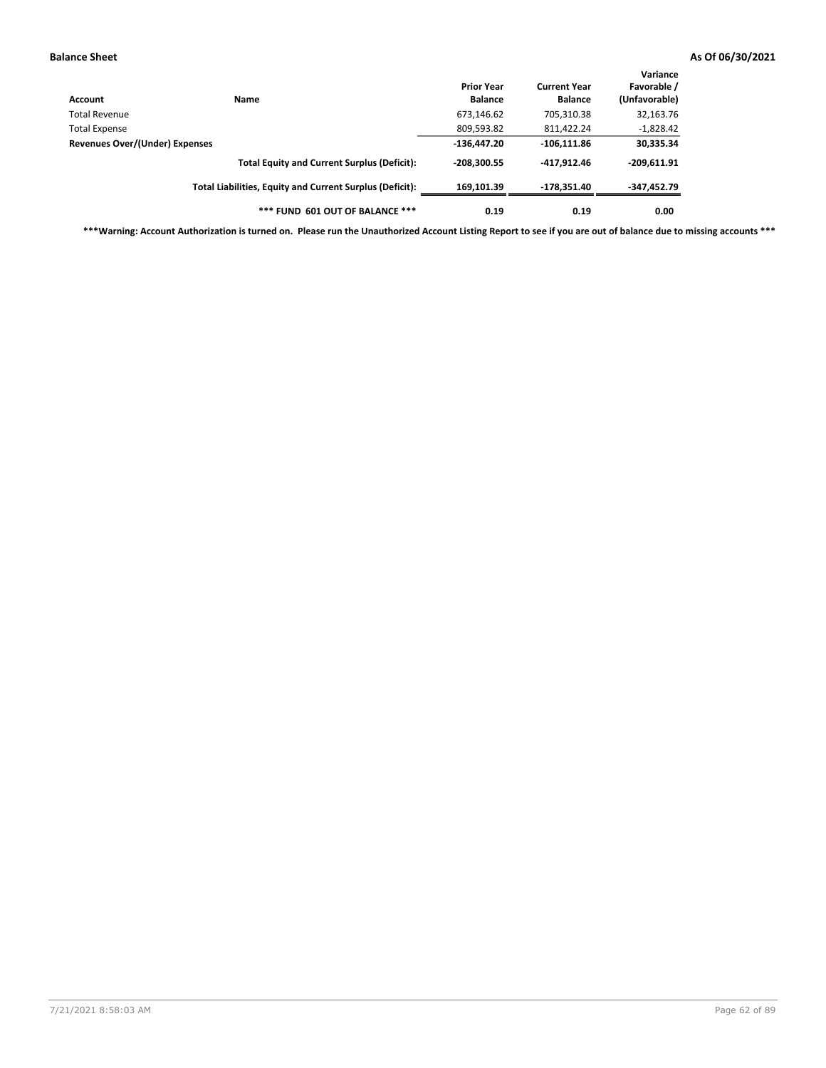| Account                        | Name                                                     | <b>Prior Year</b><br><b>Balance</b> | <b>Current Year</b><br><b>Balance</b> | Variance<br>Favorable /<br>(Unfavorable) |
|--------------------------------|----------------------------------------------------------|-------------------------------------|---------------------------------------|------------------------------------------|
| Total Revenue                  |                                                          | 673,146.62                          | 705,310.38                            | 32,163.76                                |
| <b>Total Expense</b>           |                                                          | 809,593.82                          | 811,422.24                            | $-1,828.42$                              |
| Revenues Over/(Under) Expenses | $-136.447.20$                                            | $-106, 111.86$                      | 30,335.34                             |                                          |
|                                | <b>Total Equity and Current Surplus (Deficit):</b>       | $-208.300.55$                       | -417.912.46                           | $-209,611.91$                            |
|                                | Total Liabilities, Equity and Current Surplus (Deficit): | 169,101.39                          | -178.351.40                           | -347,452.79                              |
|                                | *** FUND 601 OUT OF BALANCE ***                          | 0.19                                | 0.19                                  | 0.00                                     |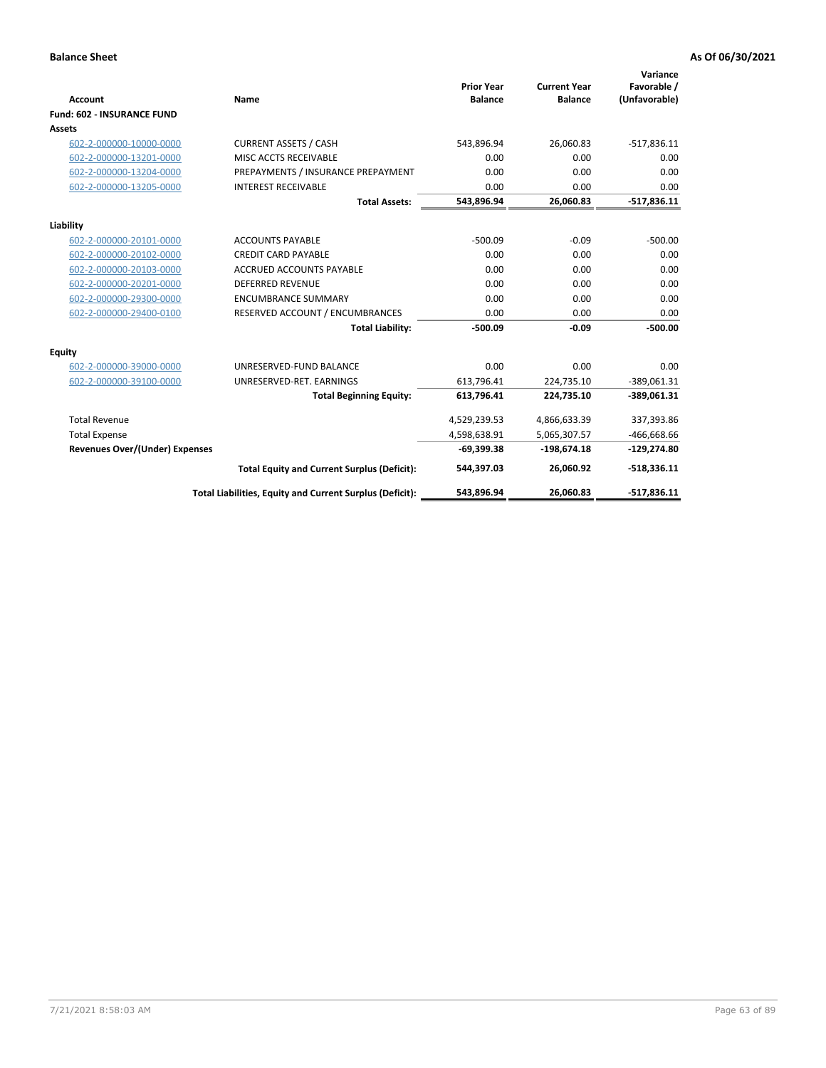|                                       |                                                          |                                     |                                       | Variance                     |
|---------------------------------------|----------------------------------------------------------|-------------------------------------|---------------------------------------|------------------------------|
| <b>Account</b>                        | Name                                                     | <b>Prior Year</b><br><b>Balance</b> | <b>Current Year</b><br><b>Balance</b> | Favorable /<br>(Unfavorable) |
| <b>Fund: 602 - INSURANCE FUND</b>     |                                                          |                                     |                                       |                              |
| <b>Assets</b>                         |                                                          |                                     |                                       |                              |
| 602-2-000000-10000-0000               | <b>CURRENT ASSETS / CASH</b>                             | 543,896.94                          | 26,060.83                             | $-517,836.11$                |
| 602-2-000000-13201-0000               | MISC ACCTS RECEIVABLE                                    | 0.00                                | 0.00                                  | 0.00                         |
| 602-2-000000-13204-0000               | PREPAYMENTS / INSURANCE PREPAYMENT                       | 0.00                                | 0.00                                  | 0.00                         |
| 602-2-000000-13205-0000               | <b>INTEREST RECEIVABLE</b>                               | 0.00                                | 0.00                                  | 0.00                         |
|                                       | <b>Total Assets:</b>                                     | 543,896.94                          | 26,060.83                             | $-517,836.11$                |
| Liability                             |                                                          |                                     |                                       |                              |
| 602-2-000000-20101-0000               | <b>ACCOUNTS PAYABLE</b>                                  | $-500.09$                           | $-0.09$                               | $-500.00$                    |
| 602-2-000000-20102-0000               | <b>CREDIT CARD PAYABLE</b>                               | 0.00                                | 0.00                                  | 0.00                         |
| 602-2-000000-20103-0000               | <b>ACCRUED ACCOUNTS PAYABLE</b>                          | 0.00                                | 0.00                                  | 0.00                         |
| 602-2-000000-20201-0000               | <b>DEFERRED REVENUE</b>                                  | 0.00                                | 0.00                                  | 0.00                         |
| 602-2-000000-29300-0000               | <b>ENCUMBRANCE SUMMARY</b>                               | 0.00                                | 0.00                                  | 0.00                         |
| 602-2-000000-29400-0100               | RESERVED ACCOUNT / ENCUMBRANCES                          | 0.00                                | 0.00                                  | 0.00                         |
|                                       | <b>Total Liability:</b>                                  | $-500.09$                           | $-0.09$                               | $-500.00$                    |
| <b>Equity</b>                         |                                                          |                                     |                                       |                              |
| 602-2-000000-39000-0000               | UNRESERVED-FUND BALANCE                                  | 0.00                                | 0.00                                  | 0.00                         |
| 602-2-000000-39100-0000               | UNRESERVED-RET. EARNINGS                                 | 613,796.41                          | 224,735.10                            | $-389,061.31$                |
|                                       | <b>Total Beginning Equity:</b>                           | 613,796.41                          | 224,735.10                            | $-389,061.31$                |
| <b>Total Revenue</b>                  |                                                          | 4,529,239.53                        | 4,866,633.39                          | 337,393.86                   |
| <b>Total Expense</b>                  |                                                          | 4,598,638.91                        | 5,065,307.57                          | $-466,668.66$                |
| <b>Revenues Over/(Under) Expenses</b> |                                                          | $-69,399.38$                        | $-198,674.18$                         | $-129,274.80$                |
|                                       | <b>Total Equity and Current Surplus (Deficit):</b>       | 544,397.03                          | 26,060.92                             | $-518,336.11$                |
|                                       | Total Liabilities, Equity and Current Surplus (Deficit): | 543,896.94                          | 26,060.83                             | $-517.836.11$                |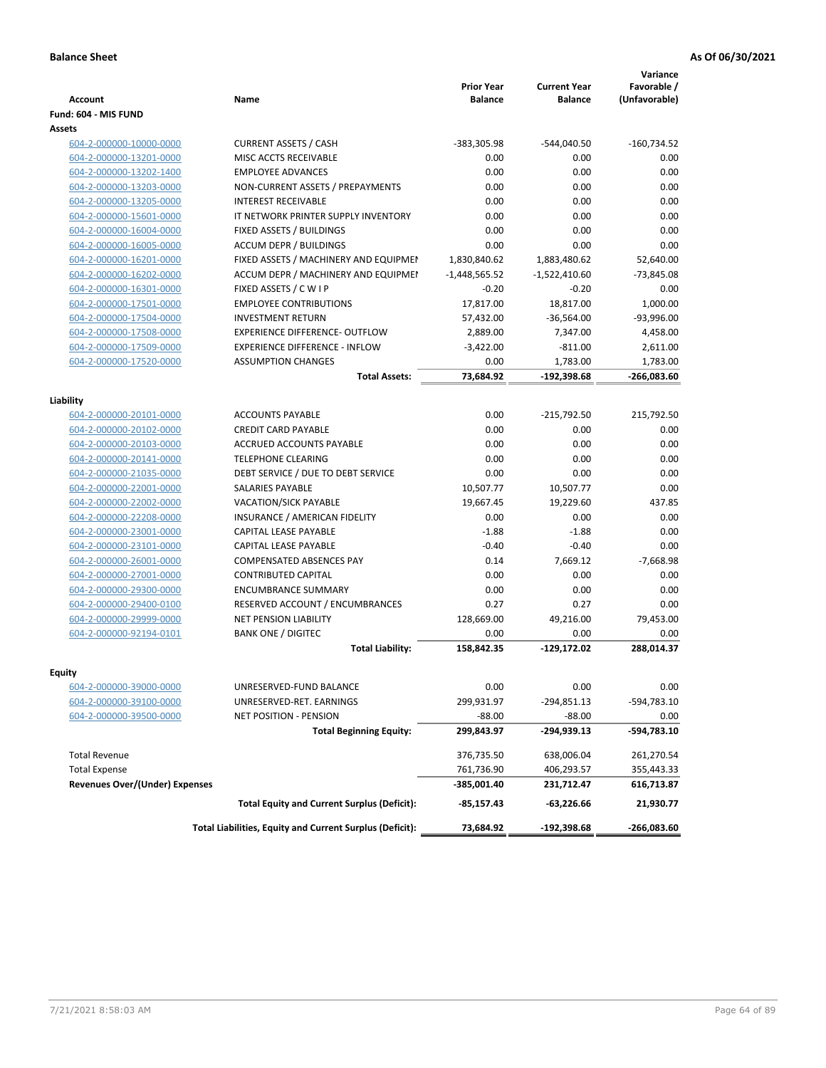| <b>Account</b>                        | Name                                                     | <b>Prior Year</b><br><b>Balance</b> | <b>Current Year</b><br><b>Balance</b> | Variance<br>Favorable /<br>(Unfavorable) |
|---------------------------------------|----------------------------------------------------------|-------------------------------------|---------------------------------------|------------------------------------------|
| Fund: 604 - MIS FUND                  |                                                          |                                     |                                       |                                          |
| Assets                                |                                                          |                                     |                                       |                                          |
| 604-2-000000-10000-0000               | <b>CURRENT ASSETS / CASH</b>                             | -383,305.98                         | -544,040.50                           | $-160,734.52$                            |
| 604-2-000000-13201-0000               | MISC ACCTS RECEIVABLE                                    | 0.00                                | 0.00                                  | 0.00                                     |
| 604-2-000000-13202-1400               | <b>EMPLOYEE ADVANCES</b>                                 | 0.00                                | 0.00                                  | 0.00                                     |
| 604-2-000000-13203-0000               | NON-CURRENT ASSETS / PREPAYMENTS                         | 0.00                                | 0.00                                  | 0.00                                     |
| 604-2-000000-13205-0000               | <b>INTEREST RECEIVABLE</b>                               | 0.00                                | 0.00                                  | 0.00                                     |
| 604-2-000000-15601-0000               | IT NETWORK PRINTER SUPPLY INVENTORY                      | 0.00                                | 0.00                                  | 0.00                                     |
| 604-2-000000-16004-0000               | FIXED ASSETS / BUILDINGS                                 | 0.00                                | 0.00                                  | 0.00                                     |
| 604-2-000000-16005-0000               | <b>ACCUM DEPR / BUILDINGS</b>                            | 0.00                                | 0.00                                  | 0.00                                     |
| 604-2-000000-16201-0000               | FIXED ASSETS / MACHINERY AND EQUIPMEN                    | 1,830,840.62                        | 1,883,480.62                          | 52,640.00                                |
| 604-2-000000-16202-0000               | ACCUM DEPR / MACHINERY AND EQUIPMEI                      | $-1,448,565.52$                     | $-1,522,410.60$                       | $-73,845.08$                             |
| 604-2-000000-16301-0000               | FIXED ASSETS / C W I P                                   | $-0.20$                             | $-0.20$                               | 0.00                                     |
| 604-2-000000-17501-0000               | <b>EMPLOYEE CONTRIBUTIONS</b>                            | 17,817.00                           | 18,817.00                             | 1,000.00                                 |
| 604-2-000000-17504-0000               | <b>INVESTMENT RETURN</b>                                 | 57,432.00                           | $-36,564.00$                          | $-93,996.00$                             |
| 604-2-000000-17508-0000               | <b>EXPERIENCE DIFFERENCE- OUTFLOW</b>                    | 2,889.00                            | 7,347.00                              | 4,458.00                                 |
| 604-2-000000-17509-0000               | <b>EXPERIENCE DIFFERENCE - INFLOW</b>                    | $-3,422.00$                         | $-811.00$                             | 2,611.00                                 |
| 604-2-000000-17520-0000               | <b>ASSUMPTION CHANGES</b>                                | 0.00                                | 1,783.00                              | 1,783.00                                 |
|                                       | <b>Total Assets:</b>                                     | 73,684.92                           | $-192,398.68$                         | $-266,083.60$                            |
|                                       |                                                          |                                     |                                       |                                          |
| Liability                             |                                                          |                                     |                                       |                                          |
| 604-2-000000-20101-0000               | <b>ACCOUNTS PAYABLE</b>                                  | 0.00                                | -215,792.50                           | 215,792.50                               |
| 604-2-000000-20102-0000               | <b>CREDIT CARD PAYABLE</b>                               | 0.00                                | 0.00                                  | 0.00                                     |
| 604-2-000000-20103-0000               | ACCRUED ACCOUNTS PAYABLE                                 | 0.00                                | 0.00                                  | 0.00                                     |
| 604-2-000000-20141-0000               | <b>TELEPHONE CLEARING</b>                                | 0.00                                | 0.00                                  | 0.00                                     |
| 604-2-000000-21035-0000               | DEBT SERVICE / DUE TO DEBT SERVICE                       | 0.00                                | 0.00                                  | 0.00                                     |
| 604-2-000000-22001-0000               | <b>SALARIES PAYABLE</b>                                  | 10,507.77                           | 10,507.77                             | 0.00                                     |
| 604-2-000000-22002-0000               | <b>VACATION/SICK PAYABLE</b>                             | 19,667.45                           | 19,229.60                             | 437.85                                   |
| 604-2-000000-22208-0000               | INSURANCE / AMERICAN FIDELITY                            | 0.00                                | 0.00                                  | 0.00                                     |
| 604-2-000000-23001-0000               | CAPITAL LEASE PAYABLE                                    | $-1.88$                             | $-1.88$                               | 0.00                                     |
| 604-2-000000-23101-0000               | CAPITAL LEASE PAYABLE                                    | $-0.40$                             | $-0.40$                               | 0.00                                     |
| 604-2-000000-26001-0000               | <b>COMPENSATED ABSENCES PAY</b>                          | 0.14                                | 7,669.12                              | $-7,668.98$                              |
| 604-2-000000-27001-0000               | <b>CONTRIBUTED CAPITAL</b>                               | 0.00                                | 0.00                                  | 0.00                                     |
| 604-2-000000-29300-0000               | <b>ENCUMBRANCE SUMMARY</b>                               | 0.00                                | 0.00                                  | 0.00                                     |
| 604-2-000000-29400-0100               | RESERVED ACCOUNT / ENCUMBRANCES                          | 0.27                                | 0.27                                  | 0.00                                     |
| 604-2-000000-29999-0000               | <b>NET PENSION LIABILITY</b>                             | 128,669.00                          | 49,216.00                             | 79,453.00                                |
| 604-2-000000-92194-0101               | <b>BANK ONE / DIGITEC</b>                                | 0.00                                | 0.00                                  | 0.00                                     |
|                                       | <b>Total Liability:</b>                                  | 158,842.35                          | -129,172.02                           | 288,014.37                               |
| Equity                                |                                                          |                                     |                                       |                                          |
| 604-2-000000-39000-0000               | UNRESERVED-FUND BALANCE                                  | 0.00                                | 0.00                                  | 0.00                                     |
| 604-2-000000-39100-0000               | UNRESERVED-RET. EARNINGS                                 | 299,931.97                          | -294,851.13                           | -594,783.10                              |
| 604-2-000000-39500-0000               | NET POSITION - PENSION                                   | $-88.00$                            | $-88.00$                              | 0.00                                     |
|                                       | <b>Total Beginning Equity:</b>                           | 299,843.97                          | -294,939.13                           | -594,783.10                              |
|                                       |                                                          |                                     |                                       |                                          |
| <b>Total Revenue</b>                  |                                                          | 376,735.50                          | 638,006.04                            | 261,270.54                               |
| <b>Total Expense</b>                  |                                                          | 761,736.90                          | 406,293.57                            | 355,443.33                               |
| <b>Revenues Over/(Under) Expenses</b> |                                                          | -385,001.40                         | 231,712.47                            | 616,713.87                               |
|                                       | <b>Total Equity and Current Surplus (Deficit):</b>       | -85,157.43                          | -63,226.66                            | 21,930.77                                |
|                                       | Total Liabilities, Equity and Current Surplus (Deficit): | 73,684.92                           | -192,398.68                           | -266,083.60                              |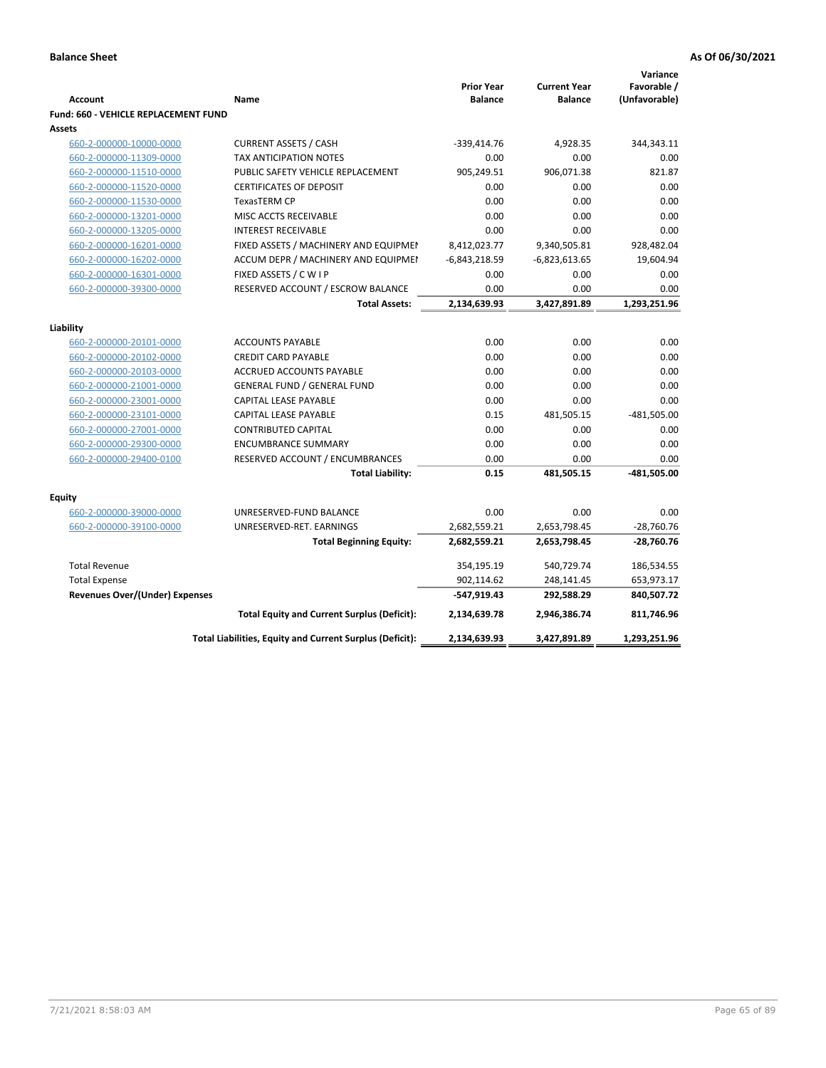|                                             |                                                          |                                     |                                       | Variance                     |
|---------------------------------------------|----------------------------------------------------------|-------------------------------------|---------------------------------------|------------------------------|
| <b>Account</b>                              | Name                                                     | <b>Prior Year</b><br><b>Balance</b> | <b>Current Year</b><br><b>Balance</b> | Favorable /<br>(Unfavorable) |
| <b>Fund: 660 - VEHICLE REPLACEMENT FUND</b> |                                                          |                                     |                                       |                              |
| Assets                                      |                                                          |                                     |                                       |                              |
| 660-2-000000-10000-0000                     | <b>CURRENT ASSETS / CASH</b>                             | -339,414.76                         | 4,928.35                              | 344,343.11                   |
| 660-2-000000-11309-0000                     | TAX ANTICIPATION NOTES                                   | 0.00                                | 0.00                                  | 0.00                         |
| 660-2-000000-11510-0000                     | PUBLIC SAFETY VEHICLE REPLACEMENT                        | 905,249.51                          | 906,071.38                            | 821.87                       |
| 660-2-000000-11520-0000                     | <b>CERTIFICATES OF DEPOSIT</b>                           | 0.00                                | 0.00                                  | 0.00                         |
| 660-2-000000-11530-0000                     | <b>TexasTERM CP</b>                                      | 0.00                                | 0.00                                  | 0.00                         |
| 660-2-000000-13201-0000                     | MISC ACCTS RECEIVABLE                                    | 0.00                                | 0.00                                  | 0.00                         |
| 660-2-000000-13205-0000                     | <b>INTEREST RECEIVABLE</b>                               | 0.00                                | 0.00                                  | 0.00                         |
| 660-2-000000-16201-0000                     | FIXED ASSETS / MACHINERY AND EQUIPMEN                    | 8,412,023.77                        | 9,340,505.81                          | 928,482.04                   |
| 660-2-000000-16202-0000                     | ACCUM DEPR / MACHINERY AND EQUIPMEI                      | $-6,843,218.59$                     | $-6,823,613.65$                       | 19,604.94                    |
| 660-2-000000-16301-0000                     | FIXED ASSETS / C W I P                                   | 0.00                                | 0.00                                  | 0.00                         |
| 660-2-000000-39300-0000                     | RESERVED ACCOUNT / ESCROW BALANCE                        | 0.00                                | 0.00                                  | 0.00                         |
|                                             | <b>Total Assets:</b>                                     | 2,134,639.93                        | 3,427,891.89                          | 1,293,251.96                 |
|                                             |                                                          |                                     |                                       |                              |
| Liability                                   |                                                          |                                     |                                       |                              |
| 660-2-000000-20101-0000                     | <b>ACCOUNTS PAYABLE</b>                                  | 0.00                                | 0.00                                  | 0.00                         |
| 660-2-000000-20102-0000                     | <b>CREDIT CARD PAYABLE</b>                               | 0.00                                | 0.00                                  | 0.00                         |
| 660-2-000000-20103-0000                     | ACCRUED ACCOUNTS PAYABLE                                 | 0.00                                | 0.00                                  | 0.00                         |
| 660-2-000000-21001-0000                     | <b>GENERAL FUND / GENERAL FUND</b>                       | 0.00                                | 0.00                                  | 0.00                         |
| 660-2-000000-23001-0000                     | CAPITAL LEASE PAYABLE                                    | 0.00                                | 0.00                                  | 0.00                         |
| 660-2-000000-23101-0000                     | <b>CAPITAL LEASE PAYABLE</b>                             | 0.15                                | 481,505.15                            | $-481,505.00$                |
| 660-2-000000-27001-0000                     | <b>CONTRIBUTED CAPITAL</b>                               | 0.00                                | 0.00                                  | 0.00                         |
| 660-2-000000-29300-0000                     | <b>ENCUMBRANCE SUMMARY</b>                               | 0.00                                | 0.00                                  | 0.00                         |
| 660-2-000000-29400-0100                     | RESERVED ACCOUNT / ENCUMBRANCES                          | 0.00                                | 0.00                                  | 0.00                         |
|                                             | <b>Total Liability:</b>                                  | 0.15                                | 481,505.15                            | -481,505.00                  |
| <b>Equity</b>                               |                                                          |                                     |                                       |                              |
| 660-2-000000-39000-0000                     | UNRESERVED-FUND BALANCE                                  | 0.00                                | 0.00                                  | 0.00                         |
| 660-2-000000-39100-0000                     | UNRESERVED-RET. EARNINGS                                 | 2,682,559.21                        | 2,653,798.45                          | $-28,760.76$                 |
|                                             | <b>Total Beginning Equity:</b>                           | 2,682,559.21                        | 2,653,798.45                          | $-28,760.76$                 |
|                                             |                                                          |                                     |                                       |                              |
| <b>Total Revenue</b>                        |                                                          | 354,195.19                          | 540,729.74                            | 186,534.55                   |
| <b>Total Expense</b>                        |                                                          | 902,114.62                          | 248,141.45                            | 653,973.17                   |
| Revenues Over/(Under) Expenses              |                                                          | -547,919.43                         | 292,588.29                            | 840,507.72                   |
|                                             | <b>Total Equity and Current Surplus (Deficit):</b>       | 2,134,639.78                        | 2,946,386.74                          | 811,746.96                   |
|                                             | Total Liabilities, Equity and Current Surplus (Deficit): | 2,134,639.93                        | 3,427,891.89                          | 1,293,251.96                 |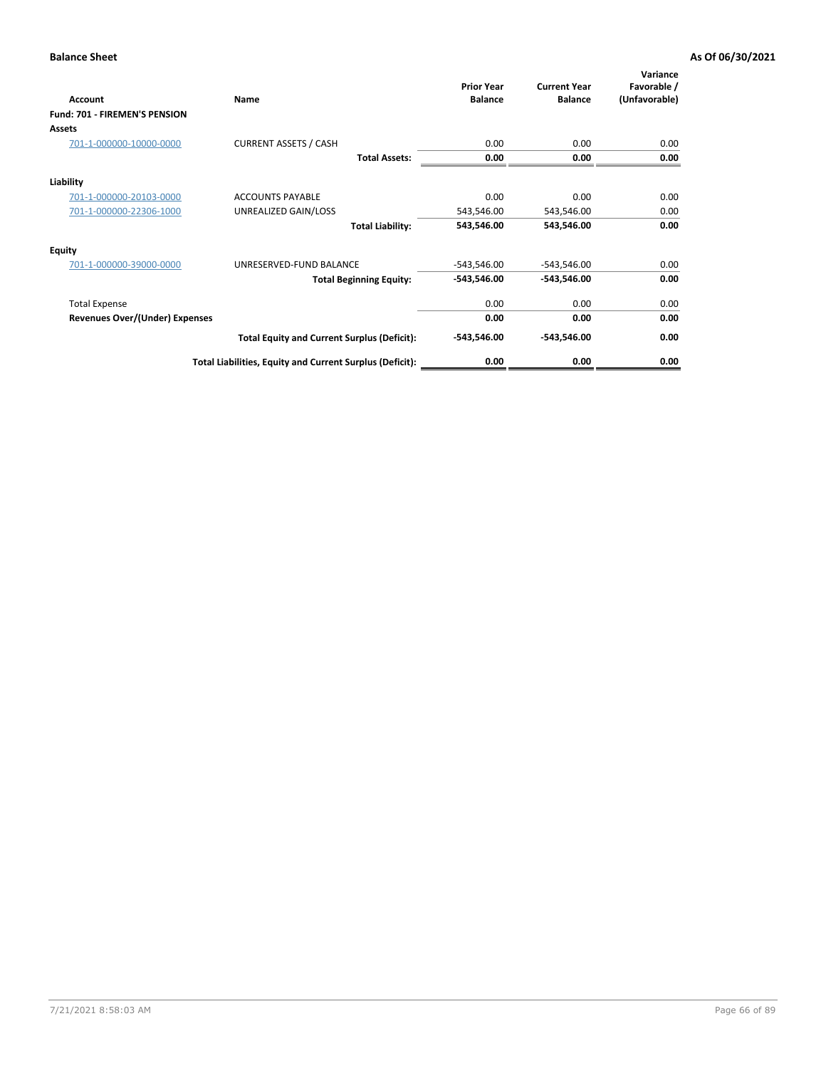| Account                               | Name                                                     | <b>Prior Year</b><br><b>Balance</b> | <b>Current Year</b><br><b>Balance</b> | Variance<br>Favorable /<br>(Unfavorable) |
|---------------------------------------|----------------------------------------------------------|-------------------------------------|---------------------------------------|------------------------------------------|
| <b>Fund: 701 - FIREMEN'S PENSION</b>  |                                                          |                                     |                                       |                                          |
| <b>Assets</b>                         |                                                          |                                     |                                       |                                          |
| 701-1-000000-10000-0000               | <b>CURRENT ASSETS / CASH</b>                             | 0.00                                | 0.00                                  | 0.00                                     |
|                                       | <b>Total Assets:</b>                                     | 0.00                                | 0.00                                  | 0.00                                     |
| Liability                             |                                                          |                                     |                                       |                                          |
| 701-1-000000-20103-0000               | <b>ACCOUNTS PAYABLE</b>                                  | 0.00                                | 0.00                                  | 0.00                                     |
| 701-1-000000-22306-1000               | UNREALIZED GAIN/LOSS                                     | 543,546.00                          | 543,546.00                            | 0.00                                     |
|                                       | <b>Total Liability:</b>                                  | 543,546.00                          | 543,546.00                            | 0.00                                     |
| <b>Equity</b>                         |                                                          |                                     |                                       |                                          |
| 701-1-000000-39000-0000               | UNRESERVED-FUND BALANCE                                  | $-543,546.00$                       | $-543,546.00$                         | 0.00                                     |
|                                       | <b>Total Beginning Equity:</b>                           | $-543,546.00$                       | -543,546.00                           | 0.00                                     |
| <b>Total Expense</b>                  |                                                          | 0.00                                | 0.00                                  | 0.00                                     |
| <b>Revenues Over/(Under) Expenses</b> |                                                          | 0.00                                | 0.00                                  | 0.00                                     |
|                                       | <b>Total Equity and Current Surplus (Deficit):</b>       | $-543,546.00$                       | -543,546.00                           | 0.00                                     |
|                                       | Total Liabilities, Equity and Current Surplus (Deficit): | 0.00                                | 0.00                                  | 0.00                                     |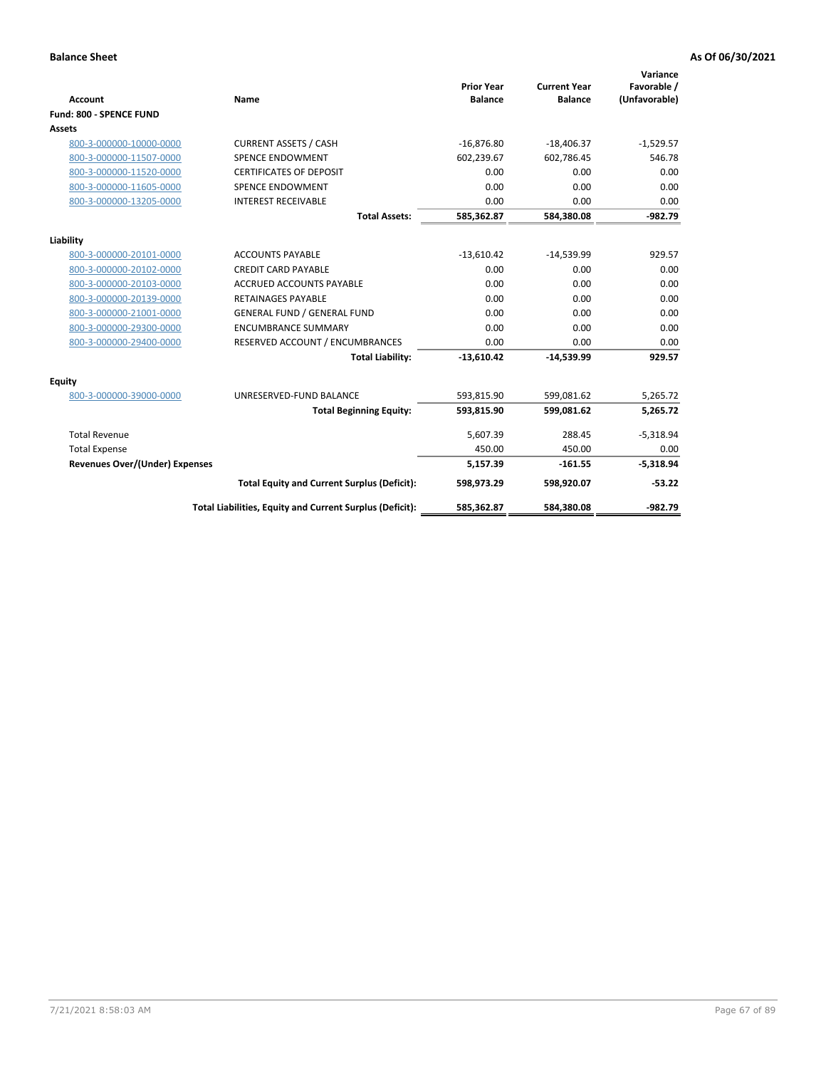|                                       |                                                          |                                     |                                       | Variance                     |
|---------------------------------------|----------------------------------------------------------|-------------------------------------|---------------------------------------|------------------------------|
| <b>Account</b>                        | Name                                                     | <b>Prior Year</b><br><b>Balance</b> | <b>Current Year</b><br><b>Balance</b> | Favorable /<br>(Unfavorable) |
| Fund: 800 - SPENCE FUND               |                                                          |                                     |                                       |                              |
| Assets                                |                                                          |                                     |                                       |                              |
| 800-3-000000-10000-0000               | <b>CURRENT ASSETS / CASH</b>                             | $-16,876.80$                        | $-18,406.37$                          | $-1,529.57$                  |
| 800-3-000000-11507-0000               | <b>SPENCE ENDOWMENT</b>                                  | 602,239.67                          | 602,786.45                            | 546.78                       |
| 800-3-000000-11520-0000               | <b>CERTIFICATES OF DEPOSIT</b>                           | 0.00                                | 0.00                                  | 0.00                         |
| 800-3-000000-11605-0000               | <b>SPENCE ENDOWMENT</b>                                  | 0.00                                | 0.00                                  | 0.00                         |
| 800-3-000000-13205-0000               | <b>INTEREST RECEIVABLE</b>                               | 0.00                                | 0.00                                  | 0.00                         |
|                                       | <b>Total Assets:</b>                                     | 585,362.87                          | 584,380.08                            | $-982.79$                    |
| Liability                             |                                                          |                                     |                                       |                              |
| 800-3-000000-20101-0000               | <b>ACCOUNTS PAYABLE</b>                                  | $-13,610.42$                        | $-14,539.99$                          | 929.57                       |
| 800-3-000000-20102-0000               | <b>CREDIT CARD PAYABLE</b>                               | 0.00                                | 0.00                                  | 0.00                         |
| 800-3-000000-20103-0000               | <b>ACCRUED ACCOUNTS PAYABLE</b>                          | 0.00                                | 0.00                                  | 0.00                         |
| 800-3-000000-20139-0000               | <b>RETAINAGES PAYABLE</b>                                | 0.00                                | 0.00                                  | 0.00                         |
| 800-3-000000-21001-0000               | <b>GENERAL FUND / GENERAL FUND</b>                       | 0.00                                | 0.00                                  | 0.00                         |
| 800-3-000000-29300-0000               | <b>ENCUMBRANCE SUMMARY</b>                               | 0.00                                | 0.00                                  | 0.00                         |
| 800-3-000000-29400-0000               | RESERVED ACCOUNT / ENCUMBRANCES                          | 0.00                                | 0.00                                  | 0.00                         |
|                                       | <b>Total Liability:</b>                                  | $-13,610.42$                        | $-14,539.99$                          | 929.57                       |
| Equity                                |                                                          |                                     |                                       |                              |
| 800-3-000000-39000-0000               | UNRESERVED-FUND BALANCE                                  | 593,815.90                          | 599.081.62                            | 5,265.72                     |
|                                       | <b>Total Beginning Equity:</b>                           | 593,815.90                          | 599,081.62                            | 5,265.72                     |
| <b>Total Revenue</b>                  |                                                          | 5,607.39                            | 288.45                                | $-5,318.94$                  |
| <b>Total Expense</b>                  |                                                          | 450.00                              | 450.00                                | 0.00                         |
| <b>Revenues Over/(Under) Expenses</b> |                                                          | 5,157.39                            | $-161.55$                             | $-5,318.94$                  |
|                                       | <b>Total Equity and Current Surplus (Deficit):</b>       | 598,973.29                          | 598,920.07                            | $-53.22$                     |
|                                       | Total Liabilities, Equity and Current Surplus (Deficit): | 585,362.87                          | 584,380.08                            | $-982.79$                    |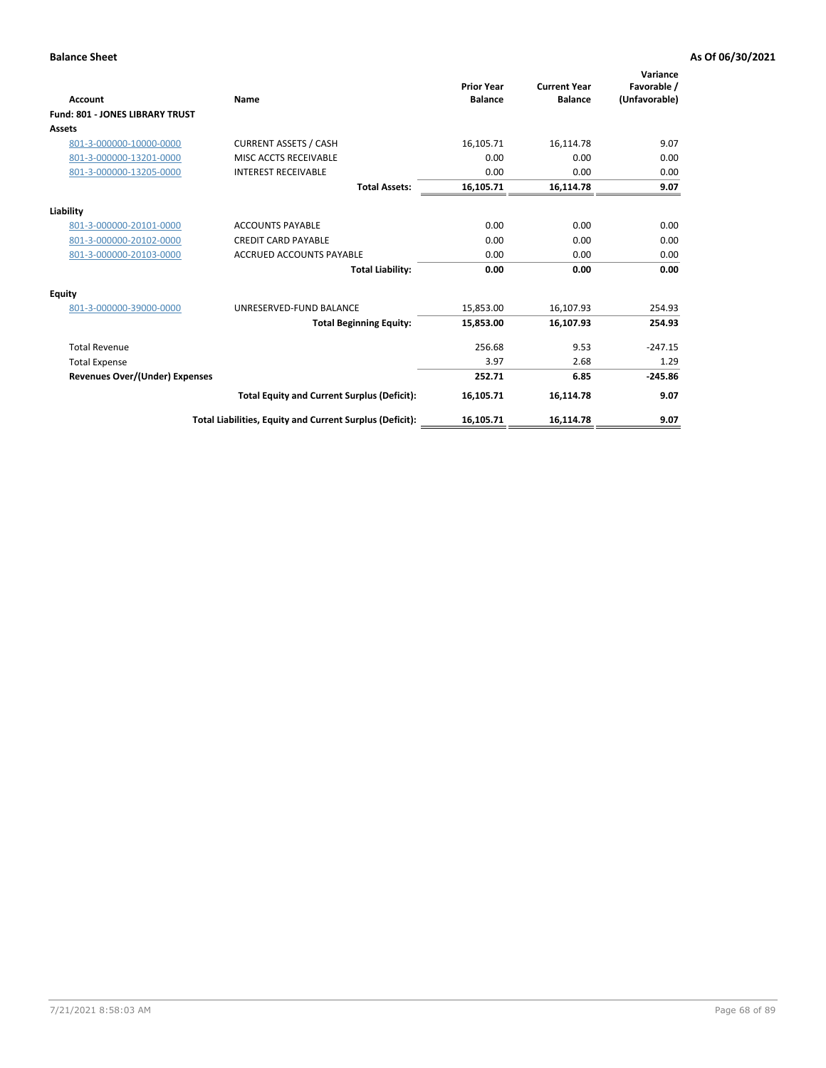| Account                                | Name                                                     | <b>Prior Year</b><br><b>Balance</b> | <b>Current Year</b><br><b>Balance</b> | Variance<br>Favorable /<br>(Unfavorable) |
|----------------------------------------|----------------------------------------------------------|-------------------------------------|---------------------------------------|------------------------------------------|
| <b>Fund: 801 - JONES LIBRARY TRUST</b> |                                                          |                                     |                                       |                                          |
| <b>Assets</b>                          |                                                          |                                     |                                       |                                          |
| 801-3-000000-10000-0000                | <b>CURRENT ASSETS / CASH</b>                             | 16,105.71                           | 16,114.78                             | 9.07                                     |
| 801-3-000000-13201-0000                | MISC ACCTS RECEIVABLE                                    | 0.00                                | 0.00                                  | 0.00                                     |
| 801-3-000000-13205-0000                | <b>INTEREST RECEIVABLE</b>                               | 0.00                                | 0.00                                  | 0.00                                     |
|                                        | <b>Total Assets:</b>                                     | 16,105.71                           | 16,114.78                             | 9.07                                     |
| Liability                              |                                                          |                                     |                                       |                                          |
| 801-3-000000-20101-0000                | <b>ACCOUNTS PAYABLE</b>                                  | 0.00                                | 0.00                                  | 0.00                                     |
| 801-3-000000-20102-0000                | <b>CREDIT CARD PAYABLE</b>                               | 0.00                                | 0.00                                  | 0.00                                     |
| 801-3-000000-20103-0000                | <b>ACCRUED ACCOUNTS PAYABLE</b>                          | 0.00                                | 0.00                                  | 0.00                                     |
|                                        | <b>Total Liability:</b>                                  | 0.00                                | 0.00                                  | 0.00                                     |
| Equity                                 |                                                          |                                     |                                       |                                          |
| 801-3-000000-39000-0000                | UNRESERVED-FUND BALANCE                                  | 15,853.00                           | 16,107.93                             | 254.93                                   |
|                                        | <b>Total Beginning Equity:</b>                           | 15,853.00                           | 16,107.93                             | 254.93                                   |
| <b>Total Revenue</b>                   |                                                          | 256.68                              | 9.53                                  | $-247.15$                                |
| <b>Total Expense</b>                   |                                                          | 3.97                                | 2.68                                  | 1.29                                     |
| Revenues Over/(Under) Expenses         |                                                          | 252.71                              | 6.85                                  | $-245.86$                                |
|                                        | <b>Total Equity and Current Surplus (Deficit):</b>       | 16,105.71                           | 16,114.78                             | 9.07                                     |
|                                        | Total Liabilities, Equity and Current Surplus (Deficit): | 16,105.71                           | 16,114.78                             | 9.07                                     |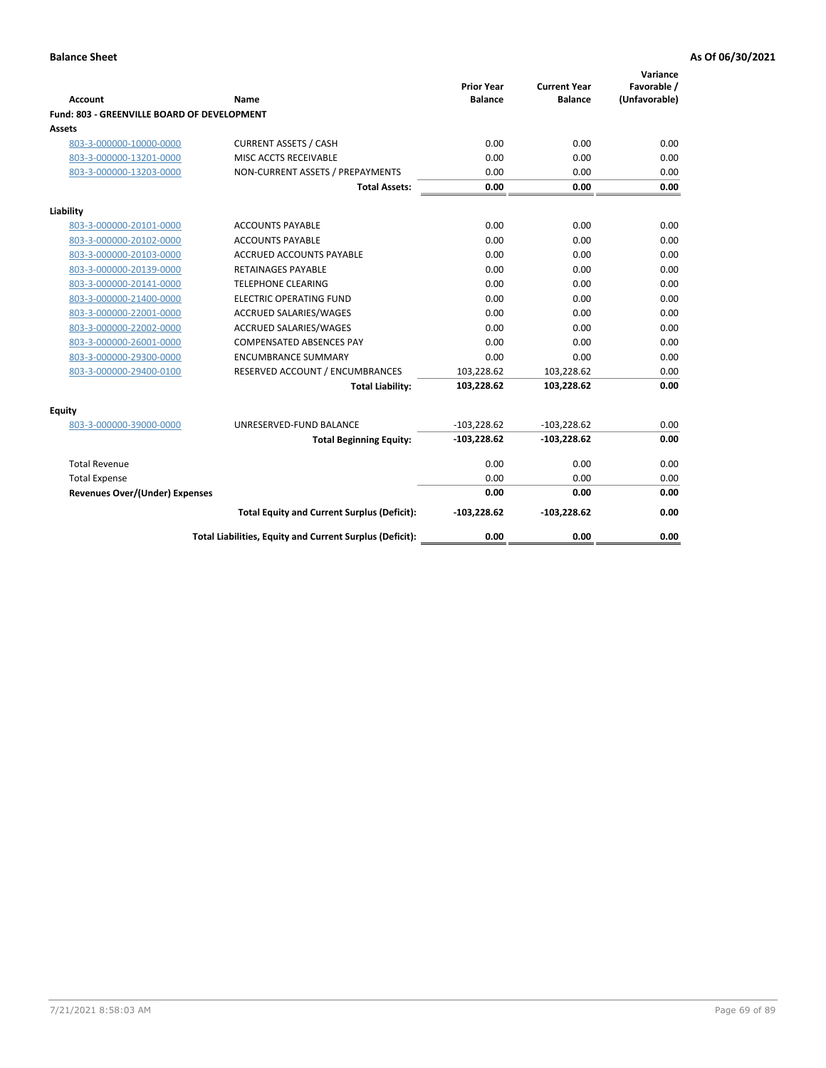| <b>Account</b>                              | Name                                                     | <b>Prior Year</b><br><b>Balance</b> | <b>Current Year</b><br><b>Balance</b> | Variance<br>Favorable /<br>(Unfavorable) |
|---------------------------------------------|----------------------------------------------------------|-------------------------------------|---------------------------------------|------------------------------------------|
| Fund: 803 - GREENVILLE BOARD OF DEVELOPMENT |                                                          |                                     |                                       |                                          |
| Assets                                      |                                                          |                                     |                                       |                                          |
| 803-3-000000-10000-0000                     | <b>CURRENT ASSETS / CASH</b>                             | 0.00                                | 0.00                                  | 0.00                                     |
| 803-3-000000-13201-0000                     | MISC ACCTS RECEIVABLE                                    | 0.00                                | 0.00                                  | 0.00                                     |
| 803-3-000000-13203-0000                     | NON-CURRENT ASSETS / PREPAYMENTS                         | 0.00                                | 0.00                                  | 0.00                                     |
|                                             | <b>Total Assets:</b>                                     | 0.00                                | 0.00                                  | 0.00                                     |
| Liability                                   |                                                          |                                     |                                       |                                          |
| 803-3-000000-20101-0000                     | <b>ACCOUNTS PAYABLE</b>                                  | 0.00                                | 0.00                                  | 0.00                                     |
| 803-3-000000-20102-0000                     | <b>ACCOUNTS PAYABLE</b>                                  | 0.00                                | 0.00                                  | 0.00                                     |
| 803-3-000000-20103-0000                     | ACCRUED ACCOUNTS PAYABLE                                 | 0.00                                | 0.00                                  | 0.00                                     |
| 803-3-000000-20139-0000                     | RETAINAGES PAYABLE                                       | 0.00                                | 0.00                                  | 0.00                                     |
| 803-3-000000-20141-0000                     | <b>TELEPHONE CLEARING</b>                                | 0.00                                | 0.00                                  | 0.00                                     |
| 803-3-000000-21400-0000                     | <b>ELECTRIC OPERATING FUND</b>                           | 0.00                                | 0.00                                  | 0.00                                     |
| 803-3-000000-22001-0000                     | <b>ACCRUED SALARIES/WAGES</b>                            | 0.00                                | 0.00                                  | 0.00                                     |
| 803-3-000000-22002-0000                     | <b>ACCRUED SALARIES/WAGES</b>                            | 0.00                                | 0.00                                  | 0.00                                     |
| 803-3-000000-26001-0000                     | <b>COMPENSATED ABSENCES PAY</b>                          | 0.00                                | 0.00                                  | 0.00                                     |
| 803-3-000000-29300-0000                     | <b>ENCUMBRANCE SUMMARY</b>                               | 0.00                                | 0.00                                  | 0.00                                     |
| 803-3-000000-29400-0100                     | RESERVED ACCOUNT / ENCUMBRANCES                          | 103,228.62                          | 103,228.62                            | 0.00                                     |
|                                             | <b>Total Liability:</b>                                  | 103,228.62                          | 103,228.62                            | 0.00                                     |
| <b>Equity</b>                               |                                                          |                                     |                                       |                                          |
| 803-3-000000-39000-0000                     | UNRESERVED-FUND BALANCE                                  | $-103,228.62$                       | $-103,228.62$                         | 0.00                                     |
|                                             | <b>Total Beginning Equity:</b>                           | $-103,228.62$                       | $-103,228.62$                         | 0.00                                     |
| <b>Total Revenue</b>                        |                                                          | 0.00                                | 0.00                                  | 0.00                                     |
| <b>Total Expense</b>                        |                                                          | 0.00                                | 0.00                                  | 0.00                                     |
| <b>Revenues Over/(Under) Expenses</b>       |                                                          | 0.00                                | 0.00                                  | 0.00                                     |
|                                             | <b>Total Equity and Current Surplus (Deficit):</b>       | $-103,228.62$                       | $-103,228.62$                         | 0.00                                     |
|                                             | Total Liabilities, Equity and Current Surplus (Deficit): | 0.00                                | 0.00                                  | 0.00                                     |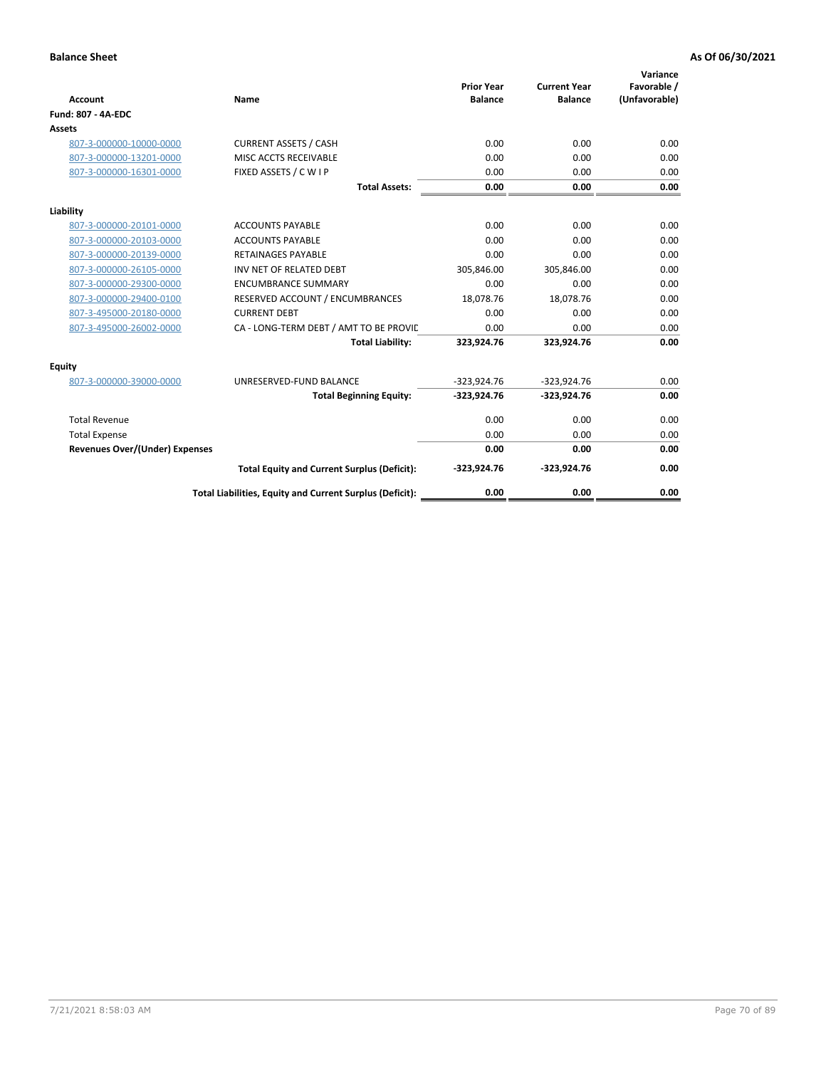| <b>Account</b>                        | Name                                                     | <b>Prior Year</b><br><b>Balance</b> | <b>Current Year</b><br><b>Balance</b> | Variance<br>Favorable /<br>(Unfavorable) |
|---------------------------------------|----------------------------------------------------------|-------------------------------------|---------------------------------------|------------------------------------------|
| <b>Fund: 807 - 4A-EDC</b>             |                                                          |                                     |                                       |                                          |
| <b>Assets</b>                         |                                                          |                                     |                                       |                                          |
| 807-3-000000-10000-0000               | <b>CURRENT ASSETS / CASH</b>                             | 0.00                                | 0.00                                  | 0.00                                     |
| 807-3-000000-13201-0000               | MISC ACCTS RECEIVABLE                                    | 0.00                                | 0.00                                  | 0.00                                     |
| 807-3-000000-16301-0000               | FIXED ASSETS / C W I P                                   | 0.00                                | 0.00                                  | 0.00                                     |
|                                       | <b>Total Assets:</b>                                     | 0.00                                | 0.00                                  | 0.00                                     |
| Liability                             |                                                          |                                     |                                       |                                          |
| 807-3-000000-20101-0000               | <b>ACCOUNTS PAYABLE</b>                                  | 0.00                                | 0.00                                  | 0.00                                     |
| 807-3-000000-20103-0000               | <b>ACCOUNTS PAYABLE</b>                                  | 0.00                                | 0.00                                  | 0.00                                     |
| 807-3-000000-20139-0000               | <b>RETAINAGES PAYABLE</b>                                | 0.00                                | 0.00                                  | 0.00                                     |
| 807-3-000000-26105-0000               | INV NET OF RELATED DEBT                                  | 305,846.00                          | 305,846.00                            | 0.00                                     |
| 807-3-000000-29300-0000               | <b>ENCUMBRANCE SUMMARY</b>                               | 0.00                                | 0.00                                  | 0.00                                     |
| 807-3-000000-29400-0100               | RESERVED ACCOUNT / ENCUMBRANCES                          | 18,078.76                           | 18,078.76                             | 0.00                                     |
| 807-3-495000-20180-0000               | <b>CURRENT DEBT</b>                                      | 0.00                                | 0.00                                  | 0.00                                     |
| 807-3-495000-26002-0000               | CA - LONG-TERM DEBT / AMT TO BE PROVIL                   | 0.00                                | 0.00                                  | 0.00                                     |
|                                       | <b>Total Liability:</b>                                  | 323,924.76                          | 323,924.76                            | 0.00                                     |
| Equity                                |                                                          |                                     |                                       |                                          |
| 807-3-000000-39000-0000               | UNRESERVED-FUND BALANCE                                  | $-323,924.76$                       | $-323,924.76$                         | 0.00                                     |
|                                       | <b>Total Beginning Equity:</b>                           | $-323,924.76$                       | $-323,924.76$                         | 0.00                                     |
| <b>Total Revenue</b>                  |                                                          | 0.00                                | 0.00                                  | 0.00                                     |
| <b>Total Expense</b>                  |                                                          | 0.00                                | 0.00                                  | 0.00                                     |
| <b>Revenues Over/(Under) Expenses</b> |                                                          | 0.00                                | 0.00                                  | 0.00                                     |
|                                       | <b>Total Equity and Current Surplus (Deficit):</b>       | $-323,924.76$                       | $-323,924.76$                         | 0.00                                     |
|                                       | Total Liabilities, Equity and Current Surplus (Deficit): | 0.00                                | 0.00                                  | 0.00                                     |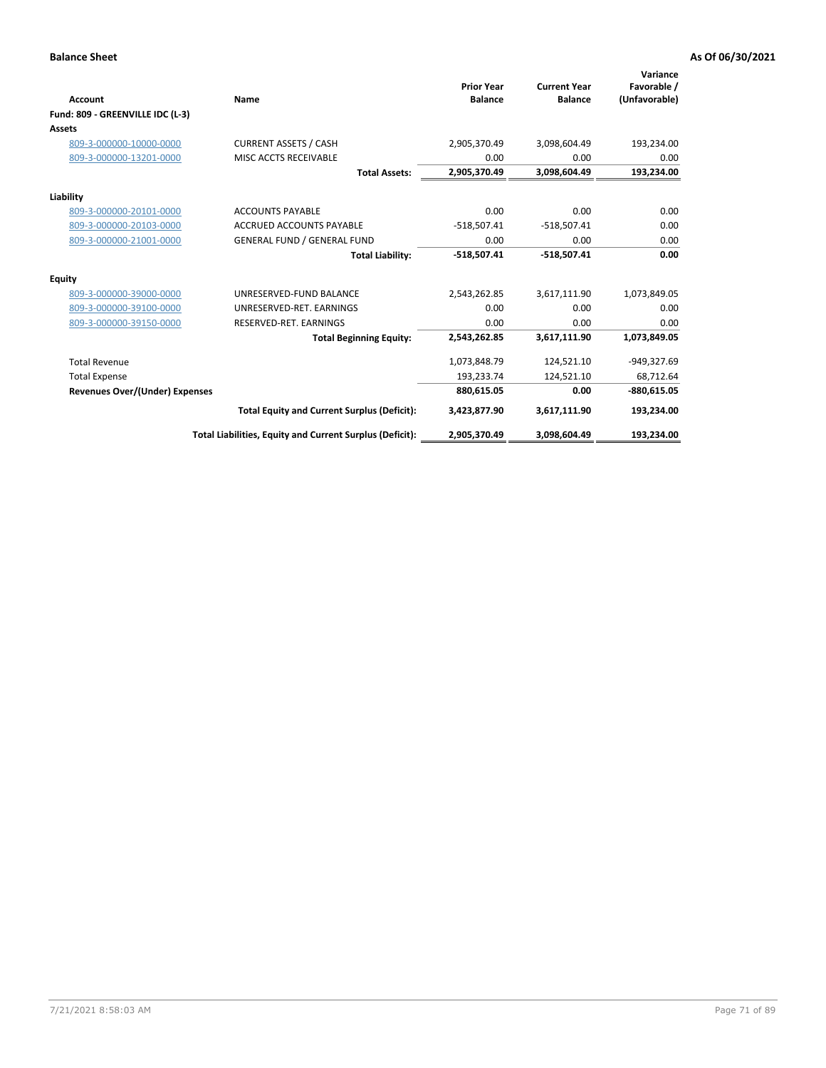| Account                               | Name                                                     | <b>Prior Year</b><br><b>Balance</b> | <b>Current Year</b><br><b>Balance</b> | Variance<br>Favorable /<br>(Unfavorable) |
|---------------------------------------|----------------------------------------------------------|-------------------------------------|---------------------------------------|------------------------------------------|
| Fund: 809 - GREENVILLE IDC (L-3)      |                                                          |                                     |                                       |                                          |
| Assets                                |                                                          |                                     |                                       |                                          |
| 809-3-000000-10000-0000               | <b>CURRENT ASSETS / CASH</b>                             | 2,905,370.49                        | 3,098,604.49                          | 193,234.00                               |
| 809-3-000000-13201-0000               | MISC ACCTS RECEIVABLE                                    | 0.00                                | 0.00                                  | 0.00                                     |
|                                       | <b>Total Assets:</b>                                     | 2,905,370.49                        | 3,098,604.49                          | 193,234.00                               |
| Liability                             |                                                          |                                     |                                       |                                          |
| 809-3-000000-20101-0000               | <b>ACCOUNTS PAYABLE</b>                                  | 0.00                                | 0.00                                  | 0.00                                     |
| 809-3-000000-20103-0000               | ACCRUED ACCOUNTS PAYABLE                                 | $-518,507.41$                       | $-518,507.41$                         | 0.00                                     |
| 809-3-000000-21001-0000               | <b>GENERAL FUND / GENERAL FUND</b>                       | 0.00                                | 0.00                                  | 0.00                                     |
|                                       | <b>Total Liability:</b>                                  | $-518,507.41$                       | $-518,507.41$                         | 0.00                                     |
| Equity                                |                                                          |                                     |                                       |                                          |
| 809-3-000000-39000-0000               | UNRESERVED-FUND BALANCE                                  | 2,543,262.85                        | 3,617,111.90                          | 1,073,849.05                             |
| 809-3-000000-39100-0000               | UNRESERVED-RET, EARNINGS                                 | 0.00                                | 0.00                                  | 0.00                                     |
| 809-3-000000-39150-0000               | RESERVED-RET. EARNINGS                                   | 0.00                                | 0.00                                  | 0.00                                     |
|                                       | <b>Total Beginning Equity:</b>                           | 2,543,262.85                        | 3,617,111.90                          | 1,073,849.05                             |
| <b>Total Revenue</b>                  |                                                          | 1,073,848.79                        | 124,521.10                            | -949,327.69                              |
| <b>Total Expense</b>                  |                                                          | 193,233.74                          | 124,521.10                            | 68,712.64                                |
| <b>Revenues Over/(Under) Expenses</b> |                                                          | 880,615.05                          | 0.00                                  | $-880,615.05$                            |
|                                       | <b>Total Equity and Current Surplus (Deficit):</b>       | 3,423,877.90                        | 3,617,111.90                          | 193,234.00                               |
|                                       | Total Liabilities, Equity and Current Surplus (Deficit): | 2,905,370.49                        | 3,098,604.49                          | 193,234.00                               |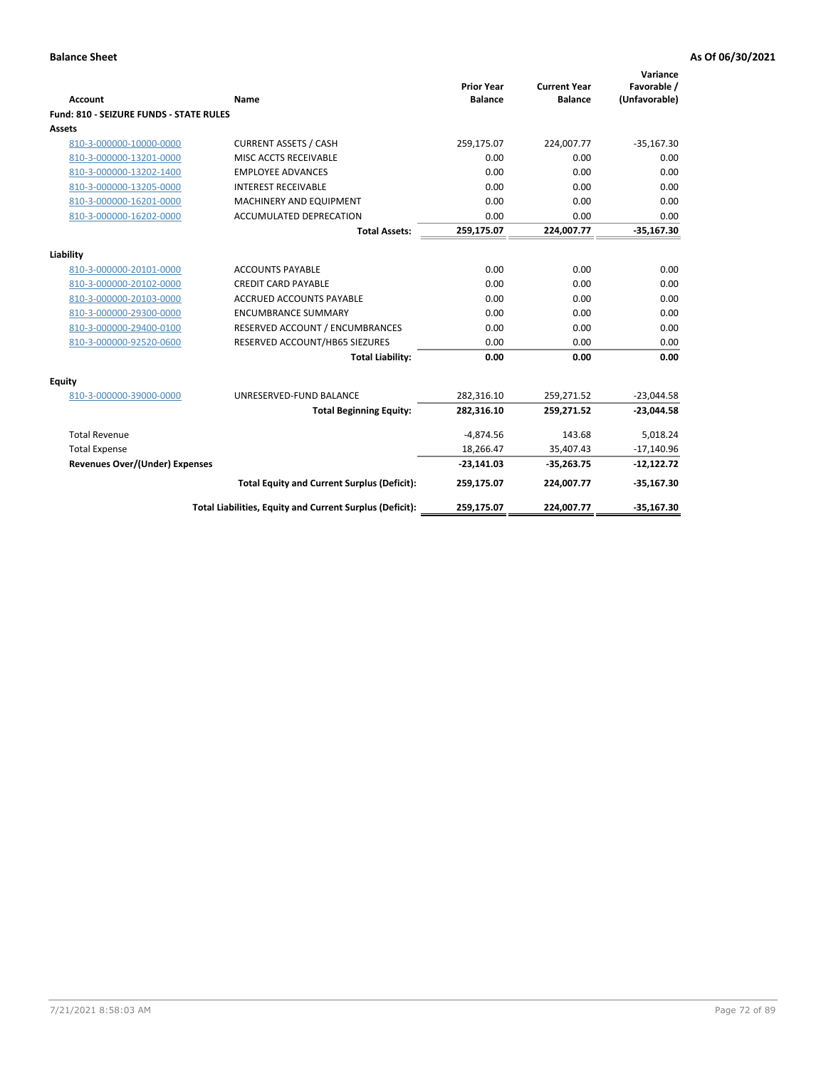| <b>Account</b>                          | Name                                                     | <b>Prior Year</b><br><b>Balance</b> | <b>Current Year</b><br><b>Balance</b> | Variance<br>Favorable /<br>(Unfavorable) |
|-----------------------------------------|----------------------------------------------------------|-------------------------------------|---------------------------------------|------------------------------------------|
| Fund: 810 - SEIZURE FUNDS - STATE RULES |                                                          |                                     |                                       |                                          |
| Assets                                  |                                                          |                                     |                                       |                                          |
| 810-3-000000-10000-0000                 | <b>CURRENT ASSETS / CASH</b>                             | 259,175.07                          | 224,007.77                            | $-35,167.30$                             |
| 810-3-000000-13201-0000                 | MISC ACCTS RECEIVABLE                                    | 0.00                                | 0.00                                  | 0.00                                     |
| 810-3-000000-13202-1400                 | <b>EMPLOYEE ADVANCES</b>                                 | 0.00                                | 0.00                                  | 0.00                                     |
| 810-3-000000-13205-0000                 | <b>INTEREST RECEIVABLE</b>                               | 0.00                                | 0.00                                  | 0.00                                     |
| 810-3-000000-16201-0000                 | MACHINERY AND EQUIPMENT                                  | 0.00                                | 0.00                                  | 0.00                                     |
| 810-3-000000-16202-0000                 | ACCUMULATED DEPRECATION                                  | 0.00                                | 0.00                                  | 0.00                                     |
|                                         | <b>Total Assets:</b>                                     | 259,175.07                          | 224,007.77                            | $-35,167.30$                             |
|                                         |                                                          |                                     |                                       |                                          |
| Liability                               |                                                          |                                     |                                       |                                          |
| 810-3-000000-20101-0000                 | <b>ACCOUNTS PAYABLE</b>                                  | 0.00                                | 0.00                                  | 0.00                                     |
| 810-3-000000-20102-0000                 | <b>CREDIT CARD PAYABLE</b>                               | 0.00                                | 0.00                                  | 0.00                                     |
| 810-3-000000-20103-0000                 | <b>ACCRUED ACCOUNTS PAYABLE</b>                          | 0.00                                | 0.00                                  | 0.00                                     |
| 810-3-000000-29300-0000                 | <b>ENCUMBRANCE SUMMARY</b>                               | 0.00                                | 0.00                                  | 0.00                                     |
| 810-3-000000-29400-0100                 | RESERVED ACCOUNT / ENCUMBRANCES                          | 0.00                                | 0.00                                  | 0.00                                     |
| 810-3-000000-92520-0600                 | RESERVED ACCOUNT/HB65 SIEZURES                           | 0.00                                | 0.00                                  | 0.00                                     |
|                                         | <b>Total Liability:</b>                                  | 0.00                                | 0.00                                  | 0.00                                     |
| <b>Equity</b>                           |                                                          |                                     |                                       |                                          |
| 810-3-000000-39000-0000                 | UNRESERVED-FUND BALANCE                                  | 282,316.10                          | 259,271.52                            | $-23,044.58$                             |
|                                         | <b>Total Beginning Equity:</b>                           | 282,316.10                          | 259,271.52                            | $-23,044.58$                             |
| <b>Total Revenue</b>                    |                                                          | $-4,874.56$                         | 143.68                                | 5,018.24                                 |
| <b>Total Expense</b>                    |                                                          | 18,266.47                           | 35,407.43                             | $-17,140.96$                             |
| <b>Revenues Over/(Under) Expenses</b>   |                                                          | $-23,141.03$                        | $-35,263.75$                          | $-12,122.72$                             |
|                                         | <b>Total Equity and Current Surplus (Deficit):</b>       | 259,175.07                          | 224,007.77                            | $-35,167.30$                             |
|                                         | Total Liabilities, Equity and Current Surplus (Deficit): | 259,175.07                          | 224,007.77                            | $-35,167.30$                             |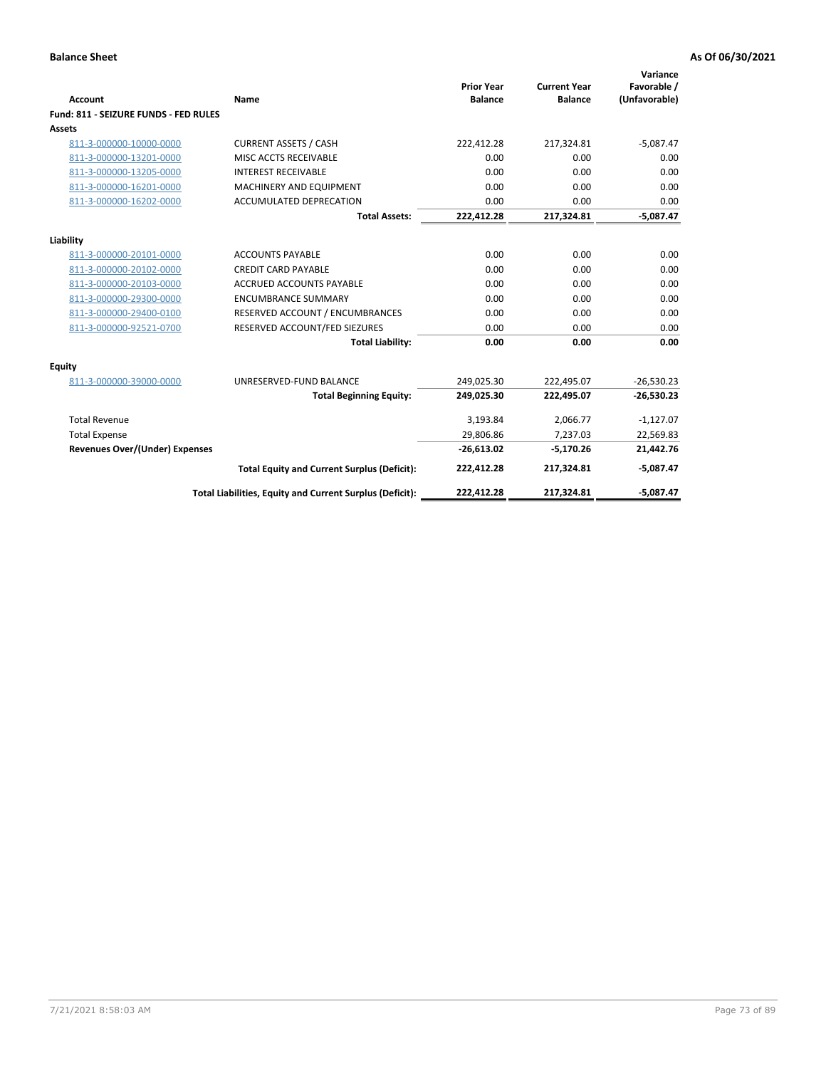| <b>Account</b>                        | Name                                                     | <b>Prior Year</b><br><b>Balance</b> | <b>Current Year</b><br><b>Balance</b> | Variance<br>Favorable /<br>(Unfavorable) |
|---------------------------------------|----------------------------------------------------------|-------------------------------------|---------------------------------------|------------------------------------------|
| Fund: 811 - SEIZURE FUNDS - FED RULES |                                                          |                                     |                                       |                                          |
| <b>Assets</b>                         |                                                          |                                     |                                       |                                          |
| 811-3-000000-10000-0000               | <b>CURRENT ASSETS / CASH</b>                             | 222,412.28                          | 217,324.81                            | $-5,087.47$                              |
| 811-3-000000-13201-0000               | MISC ACCTS RECEIVABLE                                    | 0.00                                | 0.00                                  | 0.00                                     |
| 811-3-000000-13205-0000               | <b>INTEREST RECEIVABLE</b>                               | 0.00                                | 0.00                                  | 0.00                                     |
| 811-3-000000-16201-0000               | <b>MACHINERY AND EQUIPMENT</b>                           | 0.00                                | 0.00                                  | 0.00                                     |
| 811-3-000000-16202-0000               | <b>ACCUMULATED DEPRECATION</b>                           | 0.00                                | 0.00                                  | 0.00                                     |
|                                       | <b>Total Assets:</b>                                     | 222,412.28                          | 217,324.81                            | $-5,087.47$                              |
| Liability                             |                                                          |                                     |                                       |                                          |
| 811-3-000000-20101-0000               | <b>ACCOUNTS PAYABLE</b>                                  | 0.00                                | 0.00                                  | 0.00                                     |
| 811-3-000000-20102-0000               | <b>CREDIT CARD PAYABLE</b>                               | 0.00                                | 0.00                                  | 0.00                                     |
| 811-3-000000-20103-0000               | <b>ACCRUED ACCOUNTS PAYABLE</b>                          | 0.00                                | 0.00                                  | 0.00                                     |
| 811-3-000000-29300-0000               | <b>ENCUMBRANCE SUMMARY</b>                               | 0.00                                | 0.00                                  | 0.00                                     |
| 811-3-000000-29400-0100               | RESERVED ACCOUNT / ENCUMBRANCES                          | 0.00                                | 0.00                                  | 0.00                                     |
| 811-3-000000-92521-0700               | RESERVED ACCOUNT/FED SIEZURES                            | 0.00                                | 0.00                                  | 0.00                                     |
|                                       | <b>Total Liability:</b>                                  | 0.00                                | 0.00                                  | 0.00                                     |
| Equity                                |                                                          |                                     |                                       |                                          |
| 811-3-000000-39000-0000               | UNRESERVED-FUND BALANCE                                  | 249,025.30                          | 222,495.07                            | $-26,530.23$                             |
|                                       | <b>Total Beginning Equity:</b>                           | 249,025.30                          | 222,495.07                            | $-26,530.23$                             |
| <b>Total Revenue</b>                  |                                                          | 3,193.84                            | 2,066.77                              | $-1,127.07$                              |
| <b>Total Expense</b>                  |                                                          | 29,806.86                           | 7,237.03                              | 22,569.83                                |
| Revenues Over/(Under) Expenses        |                                                          | $-26,613.02$                        | $-5,170.26$                           | 21,442.76                                |
|                                       | <b>Total Equity and Current Surplus (Deficit):</b>       | 222,412.28                          | 217,324.81                            | $-5,087.47$                              |
|                                       | Total Liabilities, Equity and Current Surplus (Deficit): | 222,412.28                          | 217,324.81                            | $-5.087.47$                              |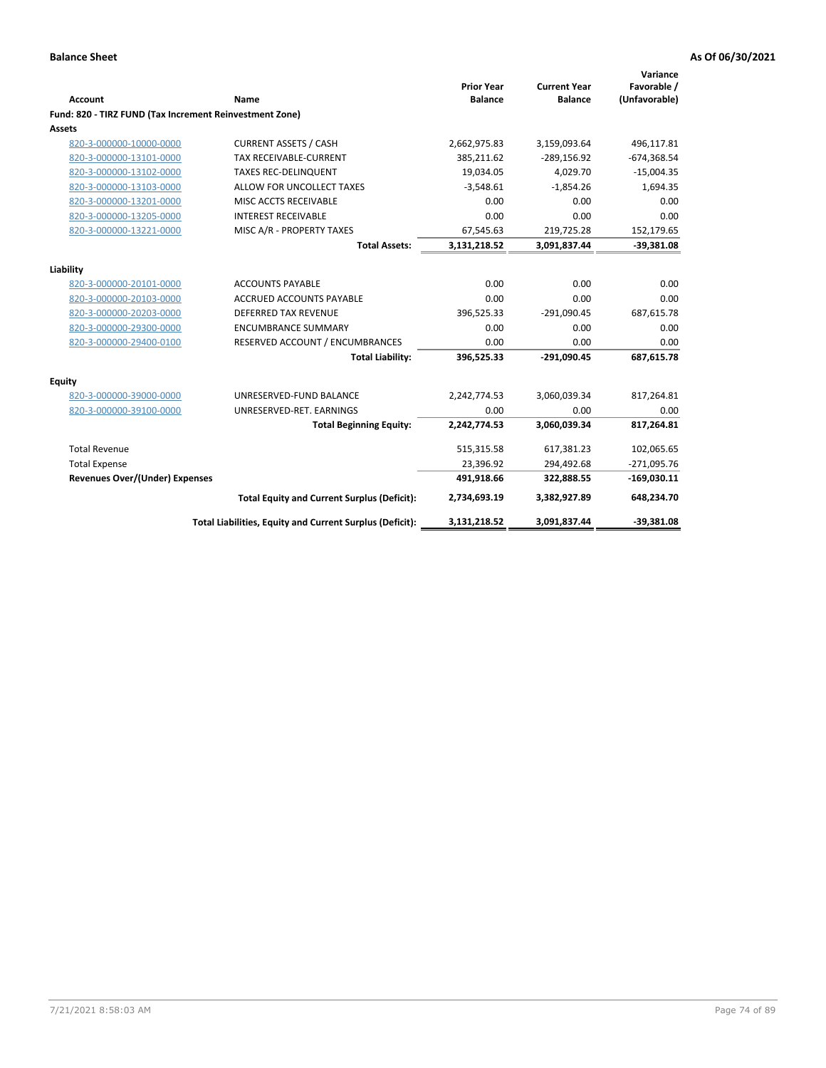| <b>Account</b>                                          | <b>Name</b>                                              | <b>Prior Year</b><br><b>Balance</b> | <b>Current Year</b><br><b>Balance</b> | Variance<br>Favorable /<br>(Unfavorable) |
|---------------------------------------------------------|----------------------------------------------------------|-------------------------------------|---------------------------------------|------------------------------------------|
| Fund: 820 - TIRZ FUND (Tax Increment Reinvestment Zone) |                                                          |                                     |                                       |                                          |
| Assets                                                  |                                                          |                                     |                                       |                                          |
| 820-3-000000-10000-0000                                 | <b>CURRENT ASSETS / CASH</b>                             | 2,662,975.83                        | 3,159,093.64                          | 496,117.81                               |
| 820-3-000000-13101-0000                                 | TAX RECEIVABLE-CURRENT                                   | 385,211.62                          | $-289,156.92$                         | $-674,368.54$                            |
| 820-3-000000-13102-0000                                 | <b>TAXES REC-DELINQUENT</b>                              | 19,034.05                           | 4,029.70                              | $-15,004.35$                             |
| 820-3-000000-13103-0000                                 | ALLOW FOR UNCOLLECT TAXES                                | $-3,548.61$                         | $-1,854.26$                           | 1,694.35                                 |
| 820-3-000000-13201-0000                                 | MISC ACCTS RECEIVABLE                                    | 0.00                                | 0.00                                  | 0.00                                     |
| 820-3-000000-13205-0000                                 | <b>INTEREST RECEIVABLE</b>                               | 0.00                                | 0.00                                  | 0.00                                     |
| 820-3-000000-13221-0000                                 | MISC A/R - PROPERTY TAXES                                | 67,545.63                           | 219,725.28                            | 152,179.65                               |
|                                                         | <b>Total Assets:</b>                                     | 3,131,218.52                        | 3,091,837.44                          | $-39,381.08$                             |
| Liability                                               |                                                          |                                     |                                       |                                          |
| 820-3-000000-20101-0000                                 | <b>ACCOUNTS PAYABLE</b>                                  | 0.00                                | 0.00                                  | 0.00                                     |
| 820-3-000000-20103-0000                                 | ACCRUED ACCOUNTS PAYABLE                                 | 0.00                                | 0.00                                  | 0.00                                     |
| 820-3-000000-20203-0000                                 | DEFERRED TAX REVENUE                                     | 396,525.33                          | $-291,090.45$                         | 687,615.78                               |
| 820-3-000000-29300-0000                                 | <b>ENCUMBRANCE SUMMARY</b>                               | 0.00                                | 0.00                                  | 0.00                                     |
| 820-3-000000-29400-0100                                 | RESERVED ACCOUNT / ENCUMBRANCES                          | 0.00                                | 0.00                                  | 0.00                                     |
|                                                         | <b>Total Liability:</b>                                  | 396,525.33                          | $-291,090.45$                         | 687,615.78                               |
| <b>Equity</b>                                           |                                                          |                                     |                                       |                                          |
| 820-3-000000-39000-0000                                 | UNRESERVED-FUND BALANCE                                  | 2,242,774.53                        | 3,060,039.34                          | 817,264.81                               |
| 820-3-000000-39100-0000                                 | UNRESERVED-RET. EARNINGS                                 | 0.00                                | 0.00                                  | 0.00                                     |
|                                                         | <b>Total Beginning Equity:</b>                           | 2,242,774.53                        | 3,060,039.34                          | 817,264.81                               |
| <b>Total Revenue</b>                                    |                                                          | 515,315.58                          | 617,381.23                            | 102,065.65                               |
| <b>Total Expense</b>                                    |                                                          | 23,396.92                           | 294,492.68                            | $-271,095.76$                            |
| <b>Revenues Over/(Under) Expenses</b>                   |                                                          | 491,918.66                          | 322,888.55                            | $-169,030.11$                            |
|                                                         | <b>Total Equity and Current Surplus (Deficit):</b>       | 2,734,693.19                        | 3,382,927.89                          | 648,234.70                               |
|                                                         | Total Liabilities, Equity and Current Surplus (Deficit): | 3,131,218.52                        | 3,091,837.44                          | $-39,381.08$                             |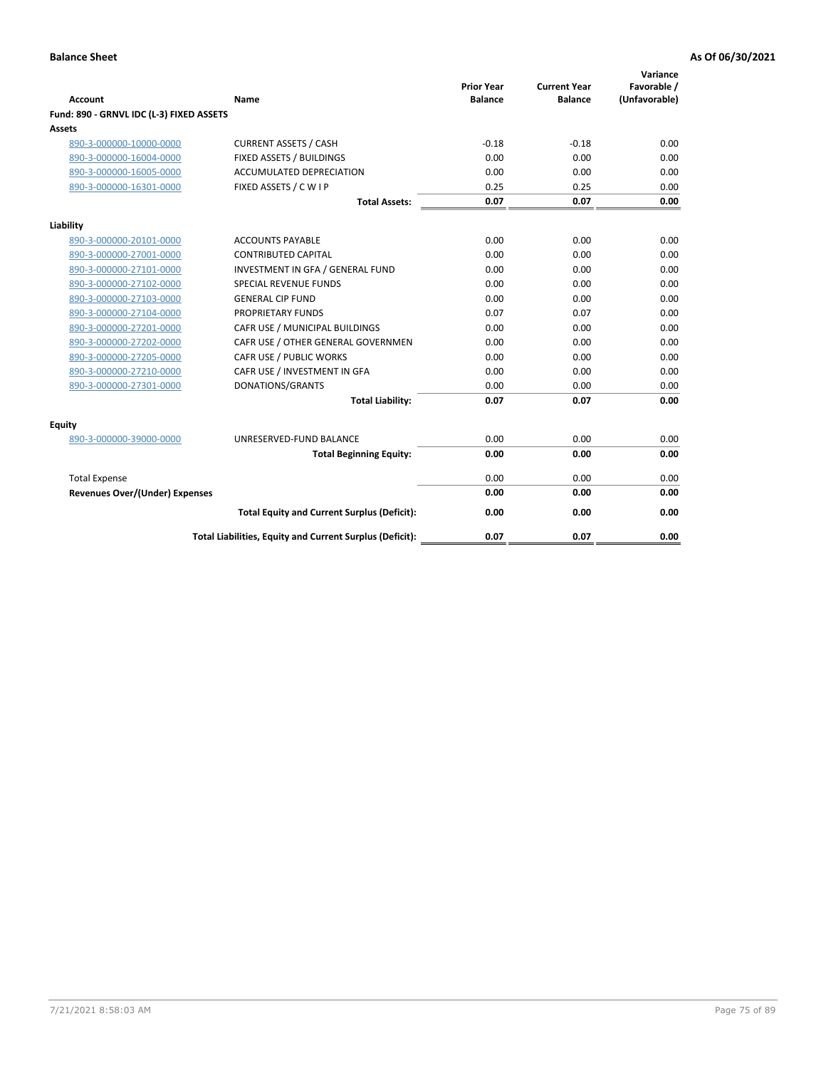| <b>Account</b>                           | Name                                                     | <b>Prior Year</b><br><b>Balance</b> | <b>Current Year</b><br><b>Balance</b> | Variance<br>Favorable /<br>(Unfavorable) |
|------------------------------------------|----------------------------------------------------------|-------------------------------------|---------------------------------------|------------------------------------------|
| Fund: 890 - GRNVL IDC (L-3) FIXED ASSETS |                                                          |                                     |                                       |                                          |
| <b>Assets</b>                            |                                                          |                                     |                                       |                                          |
| 890-3-000000-10000-0000                  | <b>CURRENT ASSETS / CASH</b>                             | $-0.18$                             | $-0.18$                               | 0.00                                     |
| 890-3-000000-16004-0000                  | FIXED ASSETS / BUILDINGS                                 | 0.00                                | 0.00                                  | 0.00                                     |
| 890-3-000000-16005-0000                  | <b>ACCUMULATED DEPRECIATION</b>                          | 0.00                                | 0.00                                  | 0.00                                     |
| 890-3-000000-16301-0000                  | FIXED ASSETS / C W I P                                   | 0.25                                | 0.25                                  | 0.00                                     |
|                                          | <b>Total Assets:</b>                                     | 0.07                                | 0.07                                  | 0.00                                     |
| Liability                                |                                                          |                                     |                                       |                                          |
| 890-3-000000-20101-0000                  | <b>ACCOUNTS PAYABLE</b>                                  | 0.00                                | 0.00                                  | 0.00                                     |
| 890-3-000000-27001-0000                  | <b>CONTRIBUTED CAPITAL</b>                               | 0.00                                | 0.00                                  | 0.00                                     |
| 890-3-000000-27101-0000                  | INVESTMENT IN GFA / GENERAL FUND                         | 0.00                                | 0.00                                  | 0.00                                     |
| 890-3-000000-27102-0000                  | <b>SPECIAL REVENUE FUNDS</b>                             | 0.00                                | 0.00                                  | 0.00                                     |
| 890-3-000000-27103-0000                  | <b>GENERAL CIP FUND</b>                                  | 0.00                                | 0.00                                  | 0.00                                     |
| 890-3-000000-27104-0000                  | PROPRIETARY FUNDS                                        | 0.07                                | 0.07                                  | 0.00                                     |
| 890-3-000000-27201-0000                  | CAFR USE / MUNICIPAL BUILDINGS                           | 0.00                                | 0.00                                  | 0.00                                     |
| 890-3-000000-27202-0000                  | CAFR USE / OTHER GENERAL GOVERNMEN                       | 0.00                                | 0.00                                  | 0.00                                     |
| 890-3-000000-27205-0000                  | CAFR USE / PUBLIC WORKS                                  | 0.00                                | 0.00                                  | 0.00                                     |
| 890-3-000000-27210-0000                  | CAFR USE / INVESTMENT IN GFA                             | 0.00                                | 0.00                                  | 0.00                                     |
| 890-3-000000-27301-0000                  | DONATIONS/GRANTS                                         | 0.00                                | 0.00                                  | 0.00                                     |
|                                          | <b>Total Liability:</b>                                  | 0.07                                | 0.07                                  | 0.00                                     |
| Equity                                   |                                                          |                                     |                                       |                                          |
| 890-3-000000-39000-0000                  | UNRESERVED-FUND BALANCE                                  | 0.00                                | 0.00                                  | 0.00                                     |
|                                          | <b>Total Beginning Equity:</b>                           | 0.00                                | 0.00                                  | 0.00                                     |
| <b>Total Expense</b>                     |                                                          | 0.00                                | 0.00                                  | 0.00                                     |
| <b>Revenues Over/(Under) Expenses</b>    |                                                          | 0.00                                | 0.00                                  | 0.00                                     |
|                                          | <b>Total Equity and Current Surplus (Deficit):</b>       | 0.00                                | 0.00                                  | 0.00                                     |
|                                          | Total Liabilities, Equity and Current Surplus (Deficit): | 0.07                                | 0.07                                  | 0.00                                     |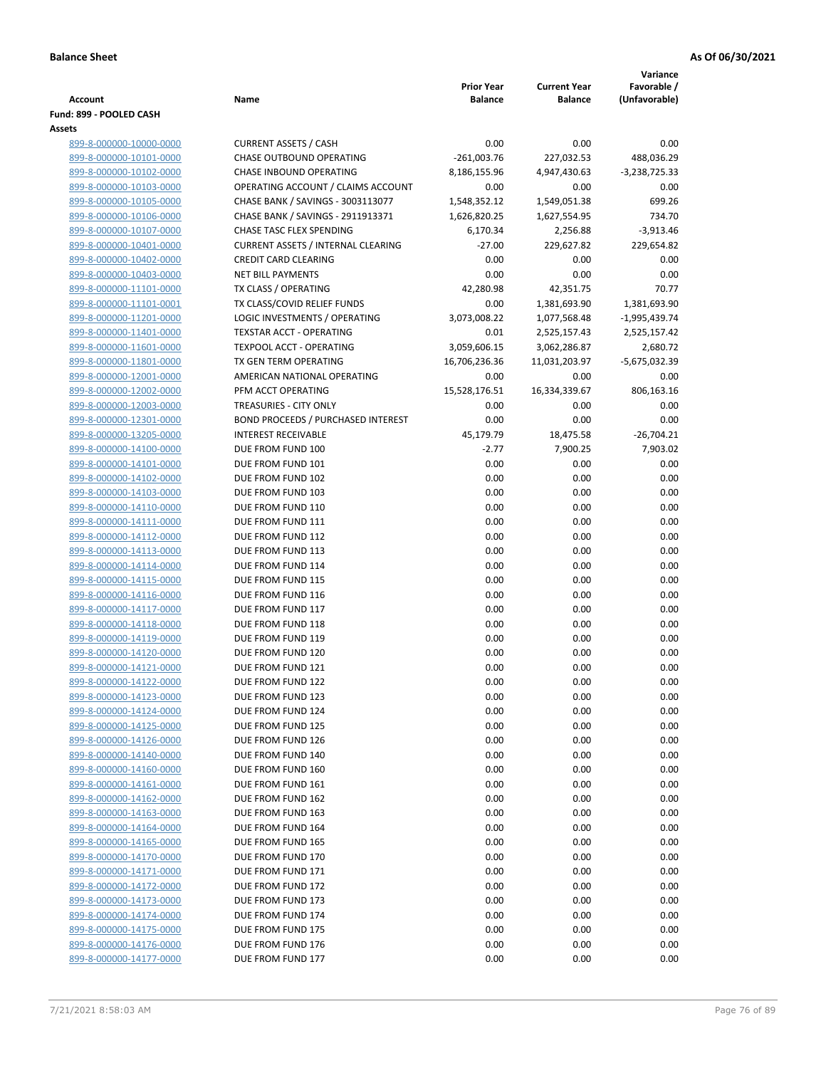|                                                    |                                                                  |                                     |                                       | Variance                      |
|----------------------------------------------------|------------------------------------------------------------------|-------------------------------------|---------------------------------------|-------------------------------|
| <b>Account</b>                                     | Name                                                             | <b>Prior Year</b><br><b>Balance</b> | <b>Current Year</b><br><b>Balance</b> | Favorable /<br>(Unfavorable)  |
| Fund: 899 - POOLED CASH                            |                                                                  |                                     |                                       |                               |
| Assets                                             |                                                                  |                                     |                                       |                               |
| 899-8-000000-10000-0000                            | <b>CURRENT ASSETS / CASH</b>                                     | 0.00                                | 0.00                                  | 0.00                          |
| 899-8-000000-10101-0000                            | CHASE OUTBOUND OPERATING                                         | $-261,003.76$                       | 227,032.53                            | 488,036.29                    |
| 899-8-000000-10102-0000                            | CHASE INBOUND OPERATING                                          | 8,186,155.96                        | 4,947,430.63                          | $-3,238,725.33$               |
| 899-8-000000-10103-0000                            | OPERATING ACCOUNT / CLAIMS ACCOUNT                               | 0.00                                | 0.00                                  | 0.00                          |
| 899-8-000000-10105-0000                            | CHASE BANK / SAVINGS - 3003113077                                | 1,548,352.12                        | 1,549,051.38                          | 699.26                        |
| 899-8-000000-10106-0000                            | CHASE BANK / SAVINGS - 2911913371                                | 1,626,820.25                        | 1,627,554.95                          | 734.70                        |
| 899-8-000000-10107-0000                            | CHASE TASC FLEX SPENDING                                         | 6,170.34                            | 2,256.88                              | $-3,913.46$                   |
| 899-8-000000-10401-0000                            | <b>CURRENT ASSETS / INTERNAL CLEARING</b>                        | $-27.00$                            | 229,627.82                            | 229,654.82                    |
| 899-8-000000-10402-0000                            | <b>CREDIT CARD CLEARING</b>                                      | 0.00                                | 0.00                                  | 0.00                          |
| 899-8-000000-10403-0000                            | <b>NET BILL PAYMENTS</b>                                         | 0.00                                | 0.00                                  | 0.00                          |
| 899-8-000000-11101-0000                            | TX CLASS / OPERATING                                             | 42,280.98                           | 42,351.75                             | 70.77                         |
| 899-8-000000-11101-0001                            | TX CLASS/COVID RELIEF FUNDS                                      | 0.00                                | 1,381,693.90                          | 1,381,693.90                  |
| 899-8-000000-11201-0000<br>899-8-000000-11401-0000 | LOGIC INVESTMENTS / OPERATING<br><b>TEXSTAR ACCT - OPERATING</b> | 3,073,008.22<br>0.01                | 1,077,568.48<br>2,525,157.43          | -1,995,439.74<br>2,525,157.42 |
| 899-8-000000-11601-0000                            | <b>TEXPOOL ACCT - OPERATING</b>                                  | 3,059,606.15                        | 3,062,286.87                          | 2,680.72                      |
| 899-8-000000-11801-0000                            | TX GEN TERM OPERATING                                            | 16,706,236.36                       | 11,031,203.97                         | -5,675,032.39                 |
| 899-8-000000-12001-0000                            | AMERICAN NATIONAL OPERATING                                      | 0.00                                | 0.00                                  | 0.00                          |
| 899-8-000000-12002-0000                            | PFM ACCT OPERATING                                               | 15,528,176.51                       | 16,334,339.67                         | 806,163.16                    |
| 899-8-000000-12003-0000                            | TREASURIES - CITY ONLY                                           | 0.00                                | 0.00                                  | 0.00                          |
| 899-8-000000-12301-0000                            | <b>BOND PROCEEDS / PURCHASED INTEREST</b>                        | 0.00                                | 0.00                                  | 0.00                          |
| 899-8-000000-13205-0000                            | <b>INTEREST RECEIVABLE</b>                                       | 45,179.79                           | 18,475.58                             | $-26,704.21$                  |
| 899-8-000000-14100-0000                            | DUE FROM FUND 100                                                | $-2.77$                             | 7,900.25                              | 7,903.02                      |
| 899-8-000000-14101-0000                            | DUE FROM FUND 101                                                | 0.00                                | 0.00                                  | 0.00                          |
| 899-8-000000-14102-0000                            | DUE FROM FUND 102                                                | 0.00                                | 0.00                                  | 0.00                          |
| 899-8-000000-14103-0000                            | DUE FROM FUND 103                                                | 0.00                                | 0.00                                  | 0.00                          |
| 899-8-000000-14110-0000                            | DUE FROM FUND 110                                                | 0.00                                | 0.00                                  | 0.00                          |
| 899-8-000000-14111-0000                            | DUE FROM FUND 111                                                | 0.00                                | 0.00                                  | 0.00                          |
| 899-8-000000-14112-0000                            | DUE FROM FUND 112                                                | 0.00                                | 0.00                                  | 0.00                          |
| 899-8-000000-14113-0000                            | DUE FROM FUND 113                                                | 0.00                                | 0.00                                  | 0.00                          |
| 899-8-000000-14114-0000                            | DUE FROM FUND 114                                                | 0.00                                | 0.00                                  | 0.00                          |
| 899-8-000000-14115-0000                            | DUE FROM FUND 115                                                | 0.00                                | 0.00                                  | 0.00                          |
| 899-8-000000-14116-0000                            | DUE FROM FUND 116                                                | 0.00                                | 0.00                                  | 0.00                          |
| 899-8-000000-14117-0000                            | DUE FROM FUND 117                                                | 0.00                                | 0.00                                  | 0.00                          |
| 899-8-000000-14118-0000                            | DUE FROM FUND 118                                                | 0.00                                | 0.00                                  | 0.00                          |
| 899-8-000000-14119-0000<br>899-8-000000-14120-0000 | DUE FROM FUND 119<br>DUE FROM FUND 120                           | 0.00<br>0.00                        | 0.00<br>0.00                          | 0.00<br>0.00                  |
| 899-8-000000-14121-0000                            | DUE FROM FUND 121                                                | 0.00                                | 0.00                                  | 0.00                          |
| 899-8-000000-14122-0000                            | DUE FROM FUND 122                                                | 0.00                                | 0.00                                  | 0.00                          |
| 899-8-000000-14123-0000                            | DUE FROM FUND 123                                                | 0.00                                | 0.00                                  | 0.00                          |
| 899-8-000000-14124-0000                            | DUE FROM FUND 124                                                | 0.00                                | 0.00                                  | 0.00                          |
| 899-8-000000-14125-0000                            | DUE FROM FUND 125                                                | 0.00                                | 0.00                                  | 0.00                          |
| 899-8-000000-14126-0000                            | DUE FROM FUND 126                                                | 0.00                                | 0.00                                  | 0.00                          |
| 899-8-000000-14140-0000                            | DUE FROM FUND 140                                                | 0.00                                | 0.00                                  | 0.00                          |
| 899-8-000000-14160-0000                            | DUE FROM FUND 160                                                | 0.00                                | 0.00                                  | 0.00                          |
| 899-8-000000-14161-0000                            | DUE FROM FUND 161                                                | 0.00                                | 0.00                                  | 0.00                          |
| 899-8-000000-14162-0000                            | DUE FROM FUND 162                                                | 0.00                                | 0.00                                  | 0.00                          |
| 899-8-000000-14163-0000                            | DUE FROM FUND 163                                                | 0.00                                | 0.00                                  | 0.00                          |
| 899-8-000000-14164-0000                            | DUE FROM FUND 164                                                | 0.00                                | 0.00                                  | 0.00                          |
| 899-8-000000-14165-0000                            | DUE FROM FUND 165                                                | 0.00                                | 0.00                                  | 0.00                          |
| 899-8-000000-14170-0000                            | DUE FROM FUND 170                                                | 0.00                                | 0.00                                  | 0.00                          |
| 899-8-000000-14171-0000                            | DUE FROM FUND 171                                                | 0.00                                | 0.00                                  | 0.00                          |
| 899-8-000000-14172-0000                            | DUE FROM FUND 172                                                | 0.00                                | 0.00                                  | 0.00                          |
| 899-8-000000-14173-0000                            | DUE FROM FUND 173                                                | 0.00                                | 0.00                                  | 0.00                          |
| 899-8-000000-14174-0000                            | DUE FROM FUND 174                                                | 0.00                                | 0.00                                  | 0.00                          |
| 899-8-000000-14175-0000                            | DUE FROM FUND 175                                                | 0.00                                | 0.00                                  | 0.00                          |
| 899-8-000000-14176-0000                            | DUE FROM FUND 176                                                | 0.00                                | 0.00                                  | 0.00                          |
| 899-8-000000-14177-0000                            | DUE FROM FUND 177                                                | 0.00                                | 0.00                                  | 0.00                          |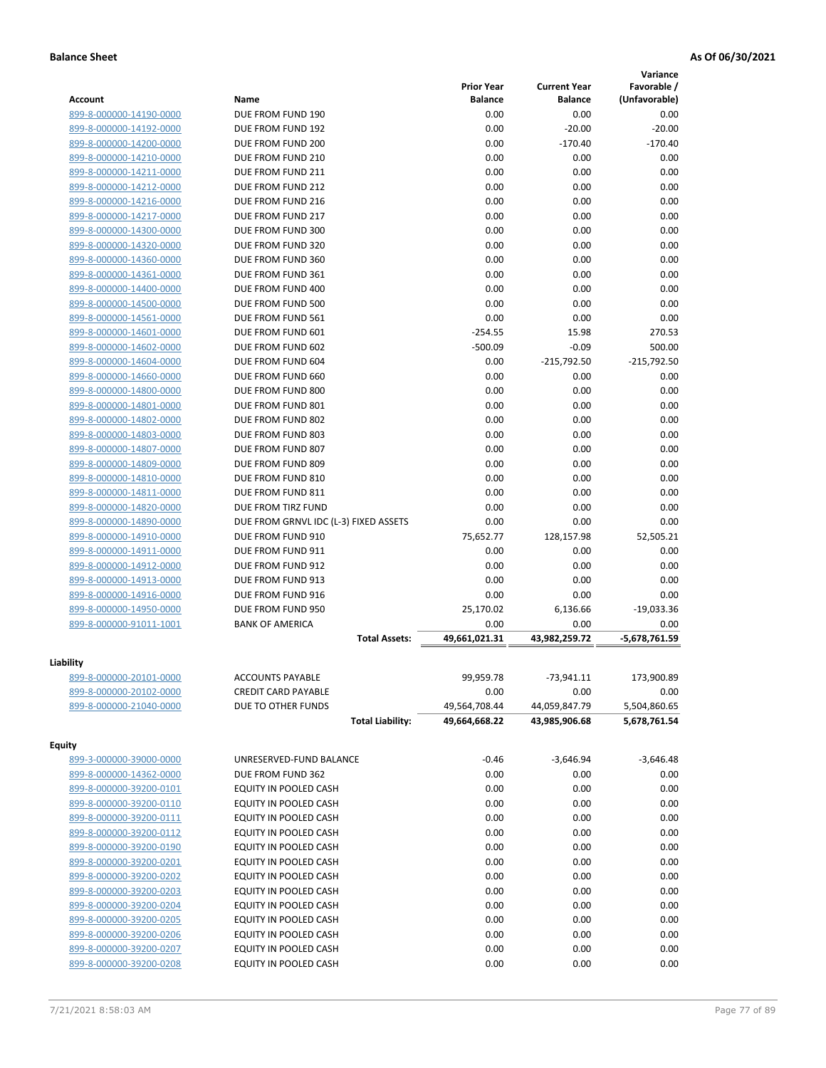|                         |                                                  |                                |                                | Variance      |
|-------------------------|--------------------------------------------------|--------------------------------|--------------------------------|---------------|
|                         |                                                  | <b>Prior Year</b>              | <b>Current Year</b>            | Favorable /   |
| <b>Account</b>          | Name                                             | <b>Balance</b>                 | <b>Balance</b>                 | (Unfavorable) |
| 899-8-000000-14190-0000 | DUE FROM FUND 190                                | 0.00                           | 0.00                           | 0.00          |
| 899-8-000000-14192-0000 | DUE FROM FUND 192                                | 0.00                           | $-20.00$                       | $-20.00$      |
| 899-8-000000-14200-0000 | DUE FROM FUND 200                                | 0.00                           | $-170.40$                      | $-170.40$     |
| 899-8-000000-14210-0000 | DUE FROM FUND 210                                | 0.00                           | 0.00                           | 0.00          |
| 899-8-000000-14211-0000 | DUE FROM FUND 211                                | 0.00                           | 0.00                           | 0.00          |
| 899-8-000000-14212-0000 | DUE FROM FUND 212                                | 0.00                           | 0.00                           | 0.00          |
| 899-8-000000-14216-0000 | DUE FROM FUND 216                                | 0.00                           | 0.00                           | 0.00          |
| 899-8-000000-14217-0000 | DUE FROM FUND 217                                | 0.00                           | 0.00                           | 0.00          |
| 899-8-000000-14300-0000 | DUE FROM FUND 300                                | 0.00                           | 0.00                           | 0.00          |
| 899-8-000000-14320-0000 | DUE FROM FUND 320                                | 0.00                           | 0.00                           | 0.00          |
| 899-8-000000-14360-0000 | DUE FROM FUND 360                                | 0.00                           | 0.00                           | 0.00          |
| 899-8-000000-14361-0000 | DUE FROM FUND 361                                | 0.00                           | 0.00                           | 0.00          |
| 899-8-000000-14400-0000 | DUE FROM FUND 400                                | 0.00                           | 0.00                           | 0.00          |
| 899-8-000000-14500-0000 | DUE FROM FUND 500                                | 0.00                           | 0.00                           | 0.00          |
| 899-8-000000-14561-0000 | DUE FROM FUND 561                                | 0.00                           | 0.00                           | 0.00          |
| 899-8-000000-14601-0000 | DUE FROM FUND 601                                | $-254.55$                      | 15.98                          | 270.53        |
| 899-8-000000-14602-0000 | DUE FROM FUND 602                                | $-500.09$                      | $-0.09$                        | 500.00        |
| 899-8-000000-14604-0000 | DUE FROM FUND 604                                | 0.00                           | $-215,792.50$                  | $-215,792.50$ |
| 899-8-000000-14660-0000 | DUE FROM FUND 660                                | 0.00                           | 0.00                           | 0.00          |
| 899-8-000000-14800-0000 | DUE FROM FUND 800                                | 0.00                           | 0.00                           | 0.00          |
| 899-8-000000-14801-0000 | DUE FROM FUND 801                                | 0.00                           | 0.00                           | 0.00          |
| 899-8-000000-14802-0000 | DUE FROM FUND 802                                | 0.00                           | 0.00                           | 0.00          |
| 899-8-000000-14803-0000 | DUE FROM FUND 803                                | 0.00                           | 0.00                           | 0.00          |
| 899-8-000000-14807-0000 | DUE FROM FUND 807                                | 0.00                           | 0.00                           | 0.00          |
| 899-8-000000-14809-0000 | DUE FROM FUND 809                                | 0.00                           | 0.00                           | 0.00          |
| 899-8-000000-14810-0000 | DUE FROM FUND 810                                | 0.00                           | 0.00                           | 0.00          |
| 899-8-000000-14811-0000 | DUE FROM FUND 811                                | 0.00                           | 0.00                           | 0.00          |
| 899-8-000000-14820-0000 | DUE FROM TIRZ FUND                               | 0.00                           | 0.00                           | 0.00          |
| 899-8-000000-14890-0000 | DUE FROM GRNVL IDC (L-3) FIXED ASSETS            | 0.00                           | 0.00                           | 0.00          |
| 899-8-000000-14910-0000 | DUE FROM FUND 910                                | 75,652.77                      | 128,157.98                     | 52,505.21     |
| 899-8-000000-14911-0000 | DUE FROM FUND 911                                | 0.00                           | 0.00                           | 0.00          |
| 899-8-000000-14912-0000 | DUE FROM FUND 912                                | 0.00                           | 0.00                           | 0.00          |
| 899-8-000000-14913-0000 | DUE FROM FUND 913                                | 0.00                           | 0.00                           | 0.00          |
| 899-8-000000-14916-0000 | DUE FROM FUND 916                                | 0.00                           | 0.00                           | 0.00          |
| 899-8-000000-14950-0000 | DUE FROM FUND 950                                | 25,170.02                      | 6,136.66                       | $-19,033.36$  |
| 899-8-000000-91011-1001 | <b>BANK OF AMERICA</b>                           | 0.00                           | 0.00                           | 0.00          |
|                         | <b>Total Assets:</b>                             | 49,661,021.31                  | 43.982.259.72                  | -5,678,761.59 |
|                         |                                                  |                                |                                |               |
| Liability               |                                                  |                                | $-73,941.11$                   |               |
| 899-8-000000-20101-0000 | <b>ACCOUNTS PAYABLE</b>                          | 99,959.78                      |                                | 173,900.89    |
| 899-8-000000-20102-0000 | <b>CREDIT CARD PAYABLE</b><br>DUE TO OTHER FUNDS | 0.00                           | 0.00                           | 0.00          |
| 899-8-000000-21040-0000 | <b>Total Liability:</b>                          | 49,564,708.44<br>49,664,668.22 | 44,059,847.79<br>43,985,906.68 | 5,504,860.65  |
|                         |                                                  |                                |                                | 5,678,761.54  |
| <b>Equity</b>           |                                                  |                                |                                |               |
| 899-3-000000-39000-0000 | UNRESERVED-FUND BALANCE                          | $-0.46$                        | $-3,646.94$                    | $-3,646.48$   |
| 899-8-000000-14362-0000 | DUE FROM FUND 362                                | 0.00                           | 0.00                           | 0.00          |
| 899-8-000000-39200-0101 | EQUITY IN POOLED CASH                            | 0.00                           | 0.00                           | 0.00          |
| 899-8-000000-39200-0110 | EQUITY IN POOLED CASH                            | 0.00                           | 0.00                           | 0.00          |
| 899-8-000000-39200-0111 | EQUITY IN POOLED CASH                            | 0.00                           | 0.00                           | 0.00          |
| 899-8-000000-39200-0112 | EQUITY IN POOLED CASH                            | 0.00                           | 0.00                           | 0.00          |
| 899-8-000000-39200-0190 | EQUITY IN POOLED CASH                            | 0.00                           | 0.00                           | 0.00          |
| 899-8-000000-39200-0201 | EQUITY IN POOLED CASH                            | 0.00                           | 0.00                           | 0.00          |
| 899-8-000000-39200-0202 | EQUITY IN POOLED CASH                            | 0.00                           | 0.00                           | 0.00          |
| 899-8-000000-39200-0203 | EQUITY IN POOLED CASH                            | 0.00                           | 0.00                           | 0.00          |
| 899-8-000000-39200-0204 | EQUITY IN POOLED CASH                            | 0.00                           | 0.00                           | 0.00          |
| 899-8-000000-39200-0205 | EQUITY IN POOLED CASH                            | 0.00                           | 0.00                           | 0.00          |
| 899-8-000000-39200-0206 | EQUITY IN POOLED CASH                            | 0.00                           | 0.00                           | 0.00          |
| 899-8-000000-39200-0207 | EQUITY IN POOLED CASH                            | 0.00                           | 0.00                           | 0.00          |
| 899-8-000000-39200-0208 | EQUITY IN POOLED CASH                            | 0.00                           | 0.00                           | 0.00          |
|                         |                                                  |                                |                                |               |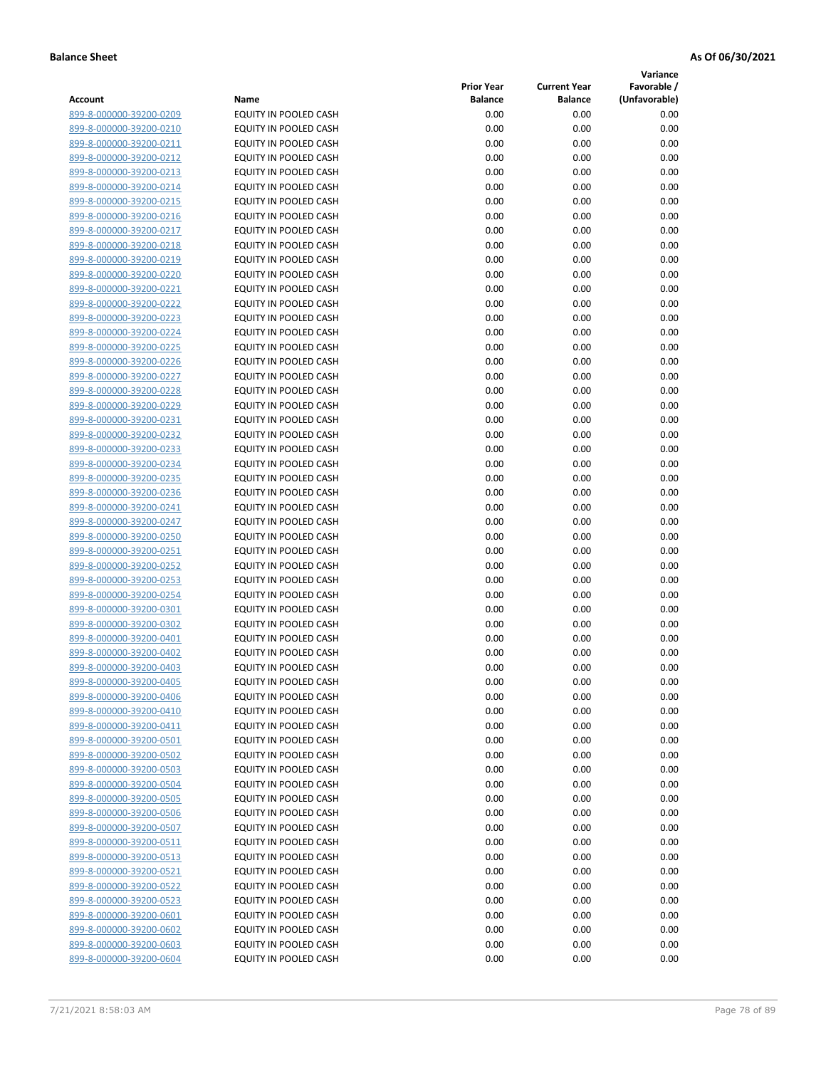**Variance**

| Account                                            | Name                                           | <b>Prior Year</b><br><b>Balance</b> | <b>Current Year</b><br><b>Balance</b> | Favorable /<br>(Unfavorable) |
|----------------------------------------------------|------------------------------------------------|-------------------------------------|---------------------------------------|------------------------------|
| 899-8-000000-39200-0209                            | EQUITY IN POOLED CASH                          | 0.00                                | 0.00                                  | 0.00                         |
| 899-8-000000-39200-0210                            | EQUITY IN POOLED CASH                          | 0.00                                | 0.00                                  | 0.00                         |
| 899-8-000000-39200-0211                            | EQUITY IN POOLED CASH                          | 0.00                                | 0.00                                  | 0.00                         |
| 899-8-000000-39200-0212                            | EQUITY IN POOLED CASH                          | 0.00                                | 0.00                                  | 0.00                         |
| 899-8-000000-39200-0213                            | EQUITY IN POOLED CASH                          | 0.00                                | 0.00                                  | 0.00                         |
| 899-8-000000-39200-0214                            | EQUITY IN POOLED CASH                          | 0.00                                | 0.00                                  | 0.00                         |
| 899-8-000000-39200-0215                            | EQUITY IN POOLED CASH                          | 0.00                                | 0.00                                  | 0.00                         |
| 899-8-000000-39200-0216                            | EQUITY IN POOLED CASH                          | 0.00                                | 0.00                                  | 0.00                         |
| 899-8-000000-39200-0217                            | EQUITY IN POOLED CASH                          | 0.00                                | 0.00                                  | 0.00                         |
| 899-8-000000-39200-0218                            | <b>EQUITY IN POOLED CASH</b>                   | 0.00                                | 0.00                                  | 0.00                         |
| 899-8-000000-39200-0219                            | EQUITY IN POOLED CASH                          | 0.00                                | 0.00                                  | 0.00                         |
| 899-8-000000-39200-0220                            | EQUITY IN POOLED CASH                          | 0.00                                | 0.00                                  | 0.00                         |
| 899-8-000000-39200-0221                            | EQUITY IN POOLED CASH                          | 0.00                                | 0.00                                  | 0.00                         |
| 899-8-000000-39200-0222                            | EQUITY IN POOLED CASH                          | 0.00                                | 0.00                                  | 0.00                         |
| 899-8-000000-39200-0223                            | EQUITY IN POOLED CASH                          | 0.00                                | 0.00                                  | 0.00                         |
| 899-8-000000-39200-0224                            | EQUITY IN POOLED CASH                          | 0.00                                | 0.00                                  | 0.00                         |
| 899-8-000000-39200-0225                            | EQUITY IN POOLED CASH                          | 0.00                                | 0.00                                  | 0.00                         |
| 899-8-000000-39200-0226                            | EQUITY IN POOLED CASH                          | 0.00                                | 0.00                                  | 0.00                         |
| 899-8-000000-39200-0227                            | EQUITY IN POOLED CASH                          | 0.00                                | 0.00                                  | 0.00                         |
| 899-8-000000-39200-0228                            | <b>EQUITY IN POOLED CASH</b>                   | 0.00                                | 0.00                                  | 0.00                         |
| 899-8-000000-39200-0229                            | EQUITY IN POOLED CASH                          | 0.00                                | 0.00                                  | 0.00                         |
| 899-8-000000-39200-0231                            | EQUITY IN POOLED CASH                          | 0.00                                | 0.00                                  | 0.00                         |
| 899-8-000000-39200-0232                            | EQUITY IN POOLED CASH                          | 0.00                                | 0.00                                  | 0.00                         |
| 899-8-000000-39200-0233                            | EQUITY IN POOLED CASH                          | 0.00                                | 0.00                                  | 0.00                         |
| 899-8-000000-39200-0234                            | <b>EQUITY IN POOLED CASH</b>                   | 0.00                                | 0.00                                  | 0.00                         |
| 899-8-000000-39200-0235                            | EQUITY IN POOLED CASH                          | 0.00                                | 0.00                                  | 0.00                         |
| 899-8-000000-39200-0236                            | EQUITY IN POOLED CASH                          | 0.00                                | 0.00                                  | 0.00                         |
| 899-8-000000-39200-0241                            | EQUITY IN POOLED CASH                          | 0.00                                | 0.00                                  | 0.00                         |
| 899-8-000000-39200-0247                            | EQUITY IN POOLED CASH                          | 0.00                                | 0.00                                  | 0.00                         |
| 899-8-000000-39200-0250                            | EQUITY IN POOLED CASH                          | 0.00                                | 0.00                                  | 0.00                         |
| 899-8-000000-39200-0251                            | EQUITY IN POOLED CASH                          | 0.00                                | 0.00                                  | 0.00                         |
| 899-8-000000-39200-0252                            | EQUITY IN POOLED CASH                          | 0.00                                | 0.00                                  | 0.00                         |
| 899-8-000000-39200-0253                            | EQUITY IN POOLED CASH                          | 0.00                                | 0.00                                  | 0.00                         |
| 899-8-000000-39200-0254                            | EQUITY IN POOLED CASH                          | 0.00                                | 0.00                                  | 0.00                         |
| 899-8-000000-39200-0301                            | EQUITY IN POOLED CASH                          | 0.00                                | 0.00                                  | 0.00                         |
| 899-8-000000-39200-0302                            | EQUITY IN POOLED CASH                          | 0.00<br>0.00                        | 0.00<br>0.00                          | 0.00<br>0.00                 |
| 899-8-000000-39200-0401<br>899-8-000000-39200-0402 | EQUITY IN POOLED CASH<br>EQUITY IN POOLED CASH | 0.00                                | 0.00                                  | 0.00                         |
| 899-8-000000-39200-0403                            | <b>EQUITY IN POOLED CASH</b>                   | 0.00                                | 0.00                                  | 0.00                         |
| 899-8-000000-39200-0405                            | EQUITY IN POOLED CASH                          | 0.00                                | 0.00                                  | 0.00                         |
| 899-8-000000-39200-0406                            | EQUITY IN POOLED CASH                          | 0.00                                | 0.00                                  | 0.00                         |
| 899-8-000000-39200-0410                            | EQUITY IN POOLED CASH                          | 0.00                                | 0.00                                  | 0.00                         |
| 899-8-000000-39200-0411                            | EQUITY IN POOLED CASH                          | 0.00                                | 0.00                                  | 0.00                         |
| 899-8-000000-39200-0501                            | EQUITY IN POOLED CASH                          | 0.00                                | 0.00                                  | 0.00                         |
| 899-8-000000-39200-0502                            | EQUITY IN POOLED CASH                          | 0.00                                | 0.00                                  | 0.00                         |
| 899-8-000000-39200-0503                            | <b>EQUITY IN POOLED CASH</b>                   | 0.00                                | 0.00                                  | 0.00                         |
| 899-8-000000-39200-0504                            | EQUITY IN POOLED CASH                          | 0.00                                | 0.00                                  | 0.00                         |
| 899-8-000000-39200-0505                            | EQUITY IN POOLED CASH                          | 0.00                                | 0.00                                  | 0.00                         |
| 899-8-000000-39200-0506                            | EQUITY IN POOLED CASH                          | 0.00                                | 0.00                                  | 0.00                         |
| 899-8-000000-39200-0507                            | EQUITY IN POOLED CASH                          | 0.00                                | 0.00                                  | 0.00                         |
| 899-8-000000-39200-0511                            | <b>EQUITY IN POOLED CASH</b>                   | 0.00                                | 0.00                                  | 0.00                         |
| 899-8-000000-39200-0513                            | EQUITY IN POOLED CASH                          | 0.00                                | 0.00                                  | 0.00                         |
| 899-8-000000-39200-0521                            | EQUITY IN POOLED CASH                          | 0.00                                | 0.00                                  | 0.00                         |
| 899-8-000000-39200-0522                            | EQUITY IN POOLED CASH                          | 0.00                                | 0.00                                  | 0.00                         |
| 899-8-000000-39200-0523                            | EQUITY IN POOLED CASH                          | 0.00                                | 0.00                                  | 0.00                         |
| 899-8-000000-39200-0601                            | EQUITY IN POOLED CASH                          | 0.00                                | 0.00                                  | 0.00                         |
| 899-8-000000-39200-0602                            | EQUITY IN POOLED CASH                          | 0.00                                | 0.00                                  | 0.00                         |
| 899-8-000000-39200-0603                            | EQUITY IN POOLED CASH                          | 0.00                                | 0.00                                  | 0.00                         |
| 899-8-000000-39200-0604                            | EQUITY IN POOLED CASH                          | 0.00                                | 0.00                                  | 0.00                         |
|                                                    |                                                |                                     |                                       |                              |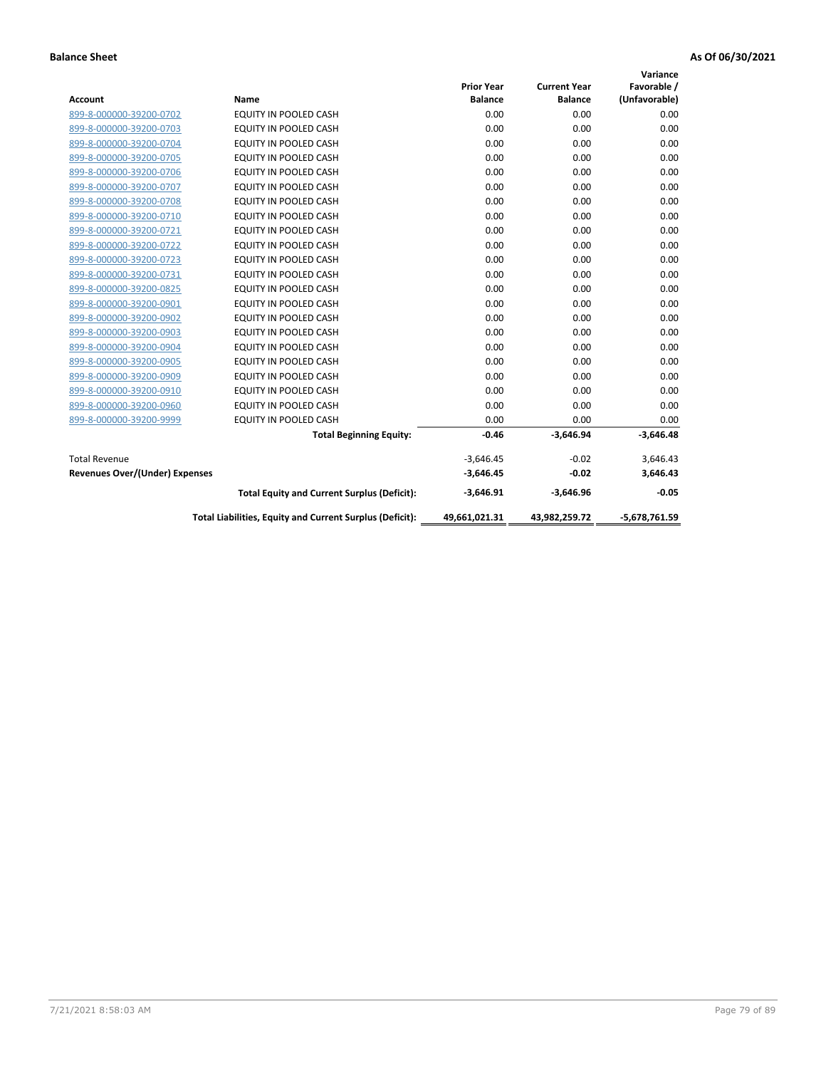|                                       |                                                          |                   |                     | Variance        |
|---------------------------------------|----------------------------------------------------------|-------------------|---------------------|-----------------|
|                                       |                                                          | <b>Prior Year</b> | <b>Current Year</b> | Favorable /     |
| <b>Account</b>                        | Name                                                     | <b>Balance</b>    | <b>Balance</b>      | (Unfavorable)   |
| 899-8-000000-39200-0702               | <b>EQUITY IN POOLED CASH</b>                             | 0.00              | 0.00                | 0.00            |
| 899-8-000000-39200-0703               | EQUITY IN POOLED CASH                                    | 0.00              | 0.00                | 0.00            |
| 899-8-000000-39200-0704               | <b>EQUITY IN POOLED CASH</b>                             | 0.00              | 0.00                | 0.00            |
| 899-8-000000-39200-0705               | <b>EQUITY IN POOLED CASH</b>                             | 0.00              | 0.00                | 0.00            |
| 899-8-000000-39200-0706               | <b>EQUITY IN POOLED CASH</b>                             | 0.00              | 0.00                | 0.00            |
| 899-8-000000-39200-0707               | <b>EQUITY IN POOLED CASH</b>                             | 0.00              | 0.00                | 0.00            |
| 899-8-000000-39200-0708               | EQUITY IN POOLED CASH                                    | 0.00              | 0.00                | 0.00            |
| 899-8-000000-39200-0710               | <b>EQUITY IN POOLED CASH</b>                             | 0.00              | 0.00                | 0.00            |
| 899-8-000000-39200-0721               | <b>EQUITY IN POOLED CASH</b>                             | 0.00              | 0.00                | 0.00            |
| 899-8-000000-39200-0722               | <b>EQUITY IN POOLED CASH</b>                             | 0.00              | 0.00                | 0.00            |
| 899-8-000000-39200-0723               | <b>EQUITY IN POOLED CASH</b>                             | 0.00              | 0.00                | 0.00            |
| 899-8-000000-39200-0731               | EQUITY IN POOLED CASH                                    | 0.00              | 0.00                | 0.00            |
| 899-8-000000-39200-0825               | EQUITY IN POOLED CASH                                    | 0.00              | 0.00                | 0.00            |
| 899-8-000000-39200-0901               | <b>EQUITY IN POOLED CASH</b>                             | 0.00              | 0.00                | 0.00            |
| 899-8-000000-39200-0902               | <b>EQUITY IN POOLED CASH</b>                             | 0.00              | 0.00                | 0.00            |
| 899-8-000000-39200-0903               | <b>EQUITY IN POOLED CASH</b>                             | 0.00              | 0.00                | 0.00            |
| 899-8-000000-39200-0904               | EQUITY IN POOLED CASH                                    | 0.00              | 0.00                | 0.00            |
| 899-8-000000-39200-0905               | <b>EQUITY IN POOLED CASH</b>                             | 0.00              | 0.00                | 0.00            |
| 899-8-000000-39200-0909               | EQUITY IN POOLED CASH                                    | 0.00              | 0.00                | 0.00            |
| 899-8-000000-39200-0910               | <b>EQUITY IN POOLED CASH</b>                             | 0.00              | 0.00                | 0.00            |
| 899-8-000000-39200-0960               | EQUITY IN POOLED CASH                                    | 0.00              | 0.00                | 0.00            |
| 899-8-000000-39200-9999               | EQUITY IN POOLED CASH                                    | 0.00              | 0.00                | 0.00            |
|                                       | <b>Total Beginning Equity:</b>                           | $-0.46$           | $-3,646.94$         | $-3,646.48$     |
| <b>Total Revenue</b>                  |                                                          | $-3,646.45$       | $-0.02$             | 3,646.43        |
| <b>Revenues Over/(Under) Expenses</b> |                                                          | $-3,646.45$       | $-0.02$             | 3,646.43        |
|                                       | <b>Total Equity and Current Surplus (Deficit):</b>       | $-3,646.91$       | $-3,646.96$         | $-0.05$         |
|                                       | Total Liabilities, Equity and Current Surplus (Deficit): | 49,661,021.31     | 43,982,259.72       | $-5,678,761.59$ |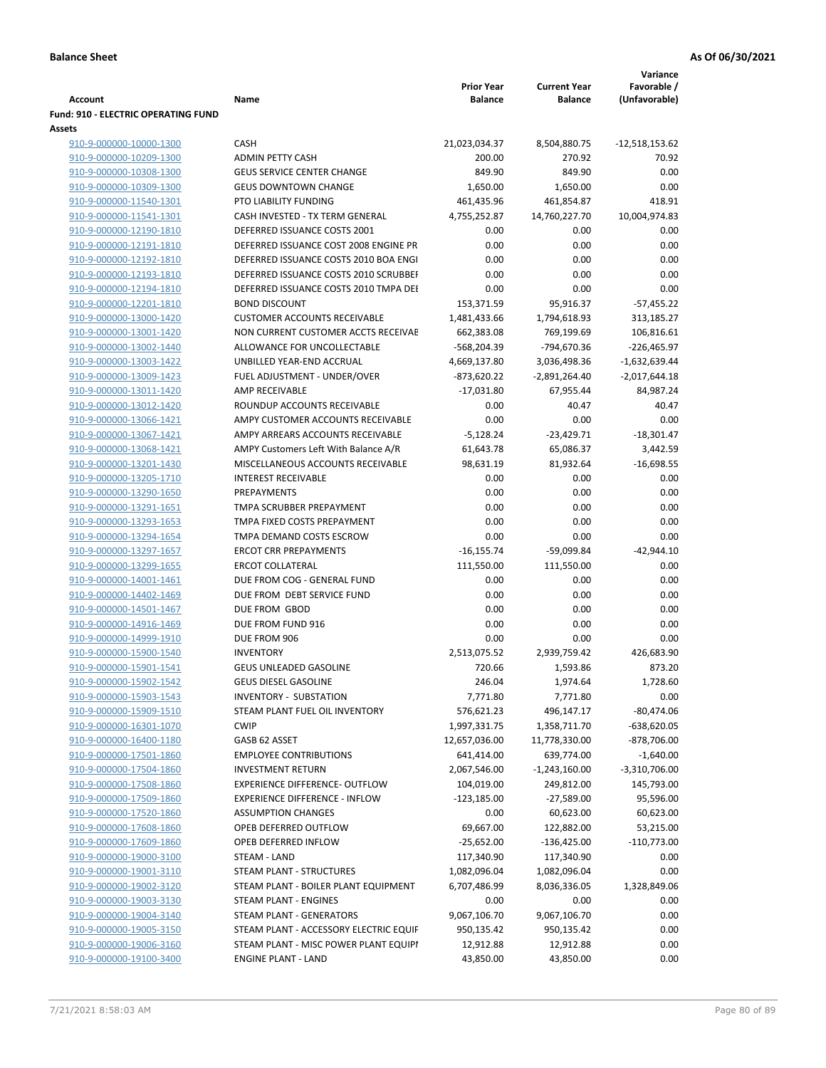|                                            |                                        |                   |                     | Variance        |
|--------------------------------------------|----------------------------------------|-------------------|---------------------|-----------------|
|                                            |                                        | <b>Prior Year</b> | <b>Current Year</b> | Favorable /     |
| Account                                    | Name                                   | <b>Balance</b>    | <b>Balance</b>      | (Unfavorable)   |
| <b>Fund: 910 - ELECTRIC OPERATING FUND</b> |                                        |                   |                     |                 |
| Assets                                     |                                        |                   |                     |                 |
| 910-9-000000-10000-1300                    | <b>CASH</b>                            | 21,023,034.37     | 8,504,880.75        | -12,518,153.62  |
| 910-9-000000-10209-1300                    | <b>ADMIN PETTY CASH</b>                | 200.00            | 270.92              | 70.92           |
| 910-9-000000-10308-1300                    | <b>GEUS SERVICE CENTER CHANGE</b>      | 849.90            | 849.90              | 0.00            |
| 910-9-000000-10309-1300                    | <b>GEUS DOWNTOWN CHANGE</b>            | 1,650.00          | 1,650.00            | 0.00            |
| 910-9-000000-11540-1301                    | PTO LIABILITY FUNDING                  | 461,435.96        | 461,854.87          | 418.91          |
| 910-9-000000-11541-1301                    | CASH INVESTED - TX TERM GENERAL        | 4,755,252.87      | 14,760,227.70       | 10,004,974.83   |
| 910-9-000000-12190-1810                    | DEFERRED ISSUANCE COSTS 2001           | 0.00              | 0.00                | 0.00            |
| 910-9-000000-12191-1810                    | DEFERRED ISSUANCE COST 2008 ENGINE PR  | 0.00              | 0.00                | 0.00            |
| 910-9-000000-12192-1810                    | DEFERRED ISSUANCE COSTS 2010 BOA ENGI  | 0.00              | 0.00                | 0.00            |
| 910-9-000000-12193-1810                    | DEFERRED ISSUANCE COSTS 2010 SCRUBBEI  | 0.00              | 0.00                | 0.00            |
| 910-9-000000-12194-1810                    | DEFERRED ISSUANCE COSTS 2010 TMPA DEI  | 0.00              | 0.00                | 0.00            |
| 910-9-000000-12201-1810                    | <b>BOND DISCOUNT</b>                   | 153,371.59        | 95,916.37           | $-57,455.22$    |
| 910-9-000000-13000-1420                    | <b>CUSTOMER ACCOUNTS RECEIVABLE</b>    | 1,481,433.66      | 1,794,618.93        | 313,185.27      |
| 910-9-000000-13001-1420                    | NON CURRENT CUSTOMER ACCTS RECEIVAE    | 662,383.08        | 769,199.69          | 106,816.61      |
| 910-9-000000-13002-1440                    | ALLOWANCE FOR UNCOLLECTABLE            | -568,204.39       | -794,670.36         | $-226,465.97$   |
| 910-9-000000-13003-1422                    | UNBILLED YEAR-END ACCRUAL              | 4,669,137.80      | 3,036,498.36        | $-1,632,639.44$ |
|                                            | FUEL ADJUSTMENT - UNDER/OVER           | $-873,620.22$     |                     |                 |
| 910-9-000000-13009-1423                    |                                        |                   | $-2,891,264.40$     | $-2,017,644.18$ |
| 910-9-000000-13011-1420                    | AMP RECEIVABLE                         | $-17,031.80$      | 67,955.44           | 84,987.24       |
| 910-9-000000-13012-1420                    | ROUNDUP ACCOUNTS RECEIVABLE            | 0.00              | 40.47               | 40.47           |
| 910-9-000000-13066-1421                    | AMPY CUSTOMER ACCOUNTS RECEIVABLE      | 0.00              | 0.00                | 0.00            |
| 910-9-000000-13067-1421                    | AMPY ARREARS ACCOUNTS RECEIVABLE       | $-5,128.24$       | $-23,429.71$        | $-18,301.47$    |
| 910-9-000000-13068-1421                    | AMPY Customers Left With Balance A/R   | 61,643.78         | 65,086.37           | 3,442.59        |
| 910-9-000000-13201-1430                    | MISCELLANEOUS ACCOUNTS RECEIVABLE      | 98,631.19         | 81,932.64           | $-16,698.55$    |
| 910-9-000000-13205-1710                    | <b>INTEREST RECEIVABLE</b>             | 0.00              | 0.00                | 0.00            |
| 910-9-000000-13290-1650                    | PREPAYMENTS                            | 0.00              | 0.00                | 0.00            |
| 910-9-000000-13291-1651                    | TMPA SCRUBBER PREPAYMENT               | 0.00              | 0.00                | 0.00            |
| 910-9-000000-13293-1653                    | TMPA FIXED COSTS PREPAYMENT            | 0.00              | 0.00                | 0.00            |
| 910-9-000000-13294-1654                    | TMPA DEMAND COSTS ESCROW               | 0.00              | 0.00                | 0.00            |
| 910-9-000000-13297-1657                    | <b>ERCOT CRR PREPAYMENTS</b>           | $-16, 155.74$     | $-59,099.84$        | $-42,944.10$    |
| 910-9-000000-13299-1655                    | <b>ERCOT COLLATERAL</b>                | 111,550.00        | 111,550.00          | 0.00            |
| 910-9-000000-14001-1461                    | DUE FROM COG - GENERAL FUND            | 0.00              | 0.00                | 0.00            |
| 910-9-000000-14402-1469                    | DUE FROM DEBT SERVICE FUND             | 0.00              | 0.00                | 0.00            |
| 910-9-000000-14501-1467                    | DUE FROM GBOD                          | 0.00              | 0.00                | 0.00            |
| 910-9-000000-14916-1469                    | DUE FROM FUND 916                      | 0.00              | 0.00                | 0.00            |
| 910-9-000000-14999-1910                    | DUE FROM 906                           | 0.00              | 0.00                | 0.00            |
| 910-9-000000-15900-1540                    | <b>INVENTORY</b>                       | 2,513,075.52      | 2,939,759.42        | 426,683.90      |
| 910-9-000000-15901-1541                    | <b>GEUS UNLEADED GASOLINE</b>          | 720.66            | 1,593.86            | 873.20          |
| 910-9-000000-15902-1542                    | <b>GEUS DIESEL GASOLINE</b>            | 246.04            | 1,974.64            | 1,728.60        |
| 910-9-000000-15903-1543                    | INVENTORY - SUBSTATION                 | 7,771.80          | 7,771.80            | 0.00            |
| 910-9-000000-15909-1510                    | STEAM PLANT FUEL OIL INVENTORY         | 576,621.23        | 496,147.17          | $-80,474.06$    |
| 910-9-000000-16301-1070                    | <b>CWIP</b>                            | 1,997,331.75      | 1,358,711.70        | -638,620.05     |
| 910-9-000000-16400-1180                    | GASB 62 ASSET                          | 12,657,036.00     | 11,778,330.00       | -878,706.00     |
| 910-9-000000-17501-1860                    | <b>EMPLOYEE CONTRIBUTIONS</b>          | 641,414.00        | 639,774.00          | $-1,640.00$     |
| 910-9-000000-17504-1860                    | <b>INVESTMENT RETURN</b>               | 2,067,546.00      | $-1,243,160.00$     | $-3,310,706.00$ |
| 910-9-000000-17508-1860                    | EXPERIENCE DIFFERENCE- OUTFLOW         | 104,019.00        | 249,812.00          | 145,793.00      |
| 910-9-000000-17509-1860                    | <b>EXPERIENCE DIFFERENCE - INFLOW</b>  | $-123,185.00$     | $-27,589.00$        | 95,596.00       |
| 910-9-000000-17520-1860                    | <b>ASSUMPTION CHANGES</b>              | 0.00              | 60,623.00           | 60,623.00       |
| 910-9-000000-17608-1860                    | OPEB DEFERRED OUTFLOW                  | 69,667.00         | 122,882.00          | 53,215.00       |
| 910-9-000000-17609-1860                    | OPEB DEFERRED INFLOW                   | $-25,652.00$      | $-136,425.00$       | $-110,773.00$   |
| 910-9-000000-19000-3100                    | STEAM - LAND                           | 117,340.90        | 117,340.90          | 0.00            |
|                                            |                                        |                   |                     |                 |
| 910-9-000000-19001-3110                    | STEAM PLANT - STRUCTURES               | 1,082,096.04      | 1,082,096.04        | 0.00            |
| 910-9-000000-19002-3120                    | STEAM PLANT - BOILER PLANT EQUIPMENT   | 6,707,486.99      | 8,036,336.05        | 1,328,849.06    |
| 910-9-000000-19003-3130                    | STEAM PLANT - ENGINES                  | 0.00              | 0.00                | 0.00            |
| 910-9-000000-19004-3140                    | STEAM PLANT - GENERATORS               | 9,067,106.70      | 9,067,106.70        | 0.00            |
| 910-9-000000-19005-3150                    | STEAM PLANT - ACCESSORY ELECTRIC EQUIF | 950,135.42        | 950,135.42          | 0.00            |
| 910-9-000000-19006-3160                    | STEAM PLANT - MISC POWER PLANT EQUIPI  | 12,912.88         | 12,912.88           | 0.00            |
| 910-9-000000-19100-3400                    | <b>ENGINE PLANT - LAND</b>             | 43,850.00         | 43,850.00           | 0.00            |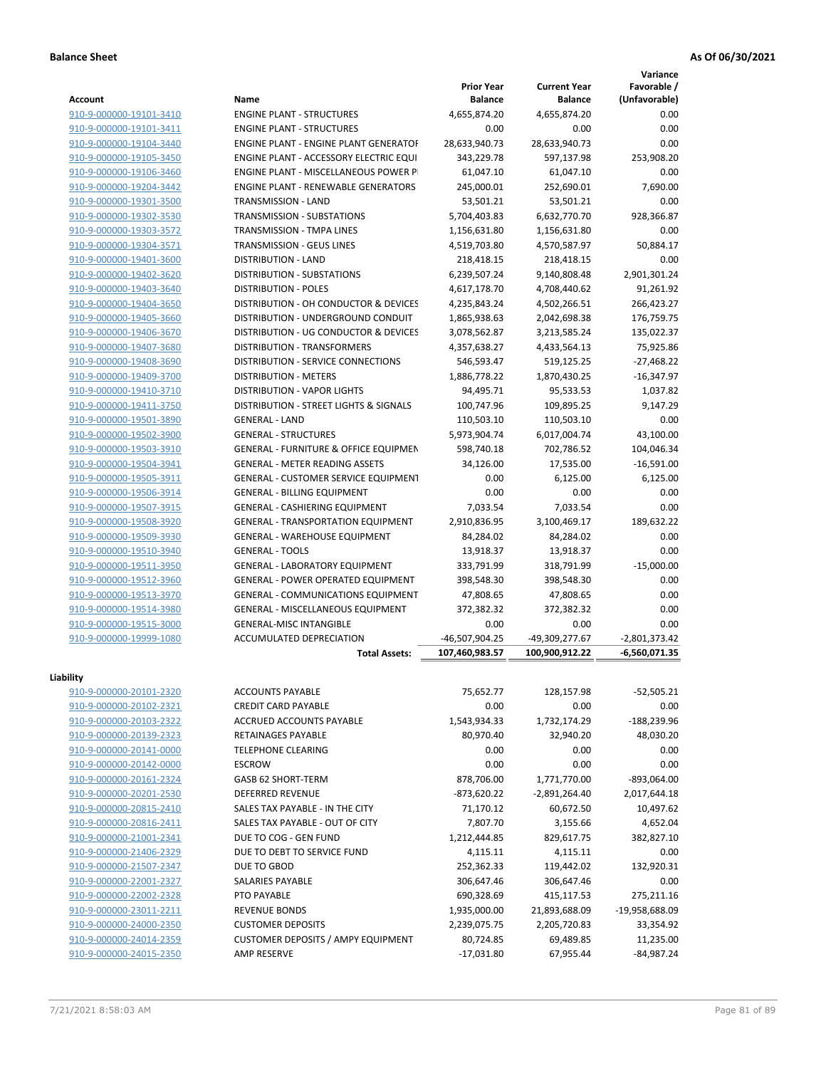|                         |                                                  |                                     |                                       | Variance                     |
|-------------------------|--------------------------------------------------|-------------------------------------|---------------------------------------|------------------------------|
| Account                 | Name                                             | <b>Prior Year</b><br><b>Balance</b> | <b>Current Year</b><br><b>Balance</b> | Favorable /<br>(Unfavorable) |
| 910-9-000000-19101-3410 | <b>ENGINE PLANT - STRUCTURES</b>                 | 4,655,874.20                        | 4,655,874.20                          | 0.00                         |
| 910-9-000000-19101-3411 | <b>ENGINE PLANT - STRUCTURES</b>                 | 0.00                                | 0.00                                  | 0.00                         |
| 910-9-000000-19104-3440 | <b>ENGINE PLANT - ENGINE PLANT GENERATOF</b>     | 28,633,940.73                       | 28,633,940.73                         | 0.00                         |
| 910-9-000000-19105-3450 | ENGINE PLANT - ACCESSORY ELECTRIC EQUI           | 343,229.78                          | 597,137.98                            | 253,908.20                   |
| 910-9-000000-19106-3460 | ENGINE PLANT - MISCELLANEOUS POWER P             | 61,047.10                           | 61,047.10                             | 0.00                         |
| 910-9-000000-19204-3442 | <b>ENGINE PLANT - RENEWABLE GENERATORS</b>       | 245,000.01                          | 252,690.01                            | 7,690.00                     |
| 910-9-000000-19301-3500 | TRANSMISSION - LAND                              | 53,501.21                           | 53,501.21                             | 0.00                         |
| 910-9-000000-19302-3530 | <b>TRANSMISSION - SUBSTATIONS</b>                | 5,704,403.83                        | 6,632,770.70                          | 928,366.87                   |
| 910-9-000000-19303-3572 | <b>TRANSMISSION - TMPA LINES</b>                 | 1,156,631.80                        | 1,156,631.80                          | 0.00                         |
| 910-9-000000-19304-3571 | <b>TRANSMISSION - GEUS LINES</b>                 | 4,519,703.80                        | 4,570,587.97                          | 50,884.17                    |
| 910-9-000000-19401-3600 | <b>DISTRIBUTION - LAND</b>                       | 218,418.15                          | 218,418.15                            | 0.00                         |
| 910-9-000000-19402-3620 | DISTRIBUTION - SUBSTATIONS                       | 6,239,507.24                        | 9,140,808.48                          | 2,901,301.24                 |
| 910-9-000000-19403-3640 | <b>DISTRIBUTION - POLES</b>                      | 4,617,178.70                        | 4,708,440.62                          | 91,261.92                    |
| 910-9-000000-19404-3650 | DISTRIBUTION - OH CONDUCTOR & DEVICES            | 4,235,843.24                        | 4,502,266.51                          | 266,423.27                   |
| 910-9-000000-19405-3660 | DISTRIBUTION - UNDERGROUND CONDUIT               | 1,865,938.63                        | 2,042,698.38                          | 176,759.75                   |
| 910-9-000000-19406-3670 | DISTRIBUTION - UG CONDUCTOR & DEVICES            | 3,078,562.87                        | 3,213,585.24                          | 135,022.37                   |
| 910-9-000000-19407-3680 | <b>DISTRIBUTION - TRANSFORMERS</b>               | 4,357,638.27                        | 4,433,564.13                          | 75,925.86                    |
| 910-9-000000-19408-3690 | <b>DISTRIBUTION - SERVICE CONNECTIONS</b>        | 546,593.47                          | 519,125.25                            | $-27,468.22$                 |
| 910-9-000000-19409-3700 | <b>DISTRIBUTION - METERS</b>                     | 1,886,778.22                        | 1,870,430.25                          | $-16,347.97$                 |
| 910-9-000000-19410-3710 | <b>DISTRIBUTION - VAPOR LIGHTS</b>               | 94,495.71                           | 95,533.53                             | 1,037.82                     |
| 910-9-000000-19411-3750 | DISTRIBUTION - STREET LIGHTS & SIGNALS           | 100,747.96                          | 109,895.25                            | 9,147.29                     |
| 910-9-000000-19501-3890 | <b>GENERAL - LAND</b>                            | 110,503.10                          | 110,503.10                            | 0.00                         |
| 910-9-000000-19502-3900 | <b>GENERAL - STRUCTURES</b>                      | 5,973,904.74                        | 6,017,004.74                          | 43,100.00                    |
| 910-9-000000-19503-3910 | <b>GENERAL - FURNITURE &amp; OFFICE EQUIPMEN</b> | 598,740.18                          | 702,786.52                            | 104,046.34                   |
| 910-9-000000-19504-3941 | <b>GENERAL - METER READING ASSETS</b>            | 34,126.00                           | 17,535.00                             | $-16,591.00$                 |
| 910-9-000000-19505-3911 | <b>GENERAL - CUSTOMER SERVICE EQUIPMENT</b>      | 0.00                                | 6,125.00                              | 6,125.00                     |
| 910-9-000000-19506-3914 | <b>GENERAL - BILLING EQUIPMENT</b>               | 0.00                                | 0.00                                  | 0.00                         |
| 910-9-000000-19507-3915 | <b>GENERAL - CASHIERING EQUIPMENT</b>            | 7,033.54                            | 7,033.54                              | 0.00                         |
| 910-9-000000-19508-3920 | <b>GENERAL - TRANSPORTATION EQUIPMENT</b>        | 2,910,836.95                        | 3,100,469.17                          | 189,632.22                   |
| 910-9-000000-19509-3930 | <b>GENERAL - WAREHOUSE EQUIPMENT</b>             | 84,284.02                           | 84,284.02                             | 0.00                         |
| 910-9-000000-19510-3940 | <b>GENERAL - TOOLS</b>                           | 13,918.37                           | 13,918.37                             | 0.00                         |
| 910-9-000000-19511-3950 | <b>GENERAL - LABORATORY EQUIPMENT</b>            | 333,791.99                          | 318,791.99                            | $-15,000.00$                 |
| 910-9-000000-19512-3960 | <b>GENERAL - POWER OPERATED EQUIPMENT</b>        | 398,548.30                          | 398,548.30                            | 0.00                         |
| 910-9-000000-19513-3970 | <b>GENERAL - COMMUNICATIONS EQUIPMENT</b>        | 47,808.65                           | 47,808.65                             | 0.00                         |
| 910-9-000000-19514-3980 | <b>GENERAL - MISCELLANEOUS EQUIPMENT</b>         | 372,382.32                          | 372,382.32                            | 0.00                         |
| 910-9-000000-19515-3000 | <b>GENERAL-MISC INTANGIBLE</b>                   | 0.00                                | 0.00                                  | 0.00                         |
| 910-9-000000-19999-1080 | ACCUMULATED DEPRECIATION                         | -46,507,904.25                      | -49,309,277.67                        | $-2,801,373.42$              |
|                         | <b>Total Assets:</b>                             | 107,460,983.57                      | 100,900,912.22                        | $-6,560,071.35$              |
|                         |                                                  |                                     |                                       |                              |
| Liability               |                                                  |                                     |                                       |                              |
| 910-9-000000-20101-2320 | <b>ACCOUNTS PAYABLE</b>                          | 75,652.77                           | 128,157.98                            | -52,505.21                   |
| 910-9-000000-20102-2321 | <b>CREDIT CARD PAYABLE</b>                       | 0.00                                | 0.00                                  | 0.00                         |
| 910-9-000000-20103-2322 | ACCRUED ACCOUNTS PAYABLE                         | 1,543,934.33                        | 1,732,174.29                          | -188,239.96                  |
| 910-9-000000-20139-2323 | RETAINAGES PAYABLE                               | 80,970.40                           | 32,940.20                             | 48,030.20                    |
| 910-9-000000-20141-0000 | <b>TELEPHONE CLEARING</b>                        | 0.00                                | 0.00                                  | 0.00                         |
| 910-9-000000-20142-0000 | <b>ESCROW</b>                                    | 0.00                                | 0.00                                  | 0.00                         |
| 910-9-000000-20161-2324 | <b>GASB 62 SHORT-TERM</b>                        | 878,706.00                          | 1,771,770.00                          | $-893,064.00$                |
| 910-9-000000-20201-2530 | <b>DEFERRED REVENUE</b>                          | -873,620.22                         | $-2,891,264.40$                       | 2,017,644.18                 |
| 910-9-000000-20815-2410 | SALES TAX PAYABLE - IN THE CITY                  | 71,170.12                           | 60,672.50                             | 10,497.62                    |
| 910-9-000000-20816-2411 | SALES TAX PAYABLE - OUT OF CITY                  | 7,807.70                            | 3,155.66                              | 4,652.04                     |
| 910-9-000000-21001-2341 | DUE TO COG - GEN FUND                            | 1,212,444.85                        | 829,617.75                            | 382,827.10                   |
| 910-9-000000-21406-2329 | DUE TO DEBT TO SERVICE FUND                      | 4,115.11                            | 4,115.11                              | 0.00                         |
| 910-9-000000-21507-2347 | DUE TO GBOD                                      | 252,362.33                          | 119,442.02                            | 132,920.31                   |
| 910-9-000000-22001-2327 | SALARIES PAYABLE                                 | 306,647.46                          | 306,647.46                            | 0.00                         |
| 910-9-000000-22002-2328 | PTO PAYABLE                                      | 690,328.69                          | 415,117.53                            | 275,211.16                   |
| 910-9-000000-23011-2211 | <b>REVENUE BONDS</b>                             | 1,935,000.00                        | 21,893,688.09                         | -19,958,688.09               |
| 910-9-000000-24000-2350 | <b>CUSTOMER DEPOSITS</b>                         | 2,239,075.75                        | 2,205,720.83                          | 33,354.92                    |
| 910-9-000000-24014-2359 | <b>CUSTOMER DEPOSITS / AMPY EQUIPMENT</b>        | 80,724.85                           | 69,489.85                             | 11,235.00                    |
| 910-9-000000-24015-2350 | AMP RESERVE                                      | $-17,031.80$                        | 67,955.44                             | $-84,987.24$                 |
|                         |                                                  |                                     |                                       |                              |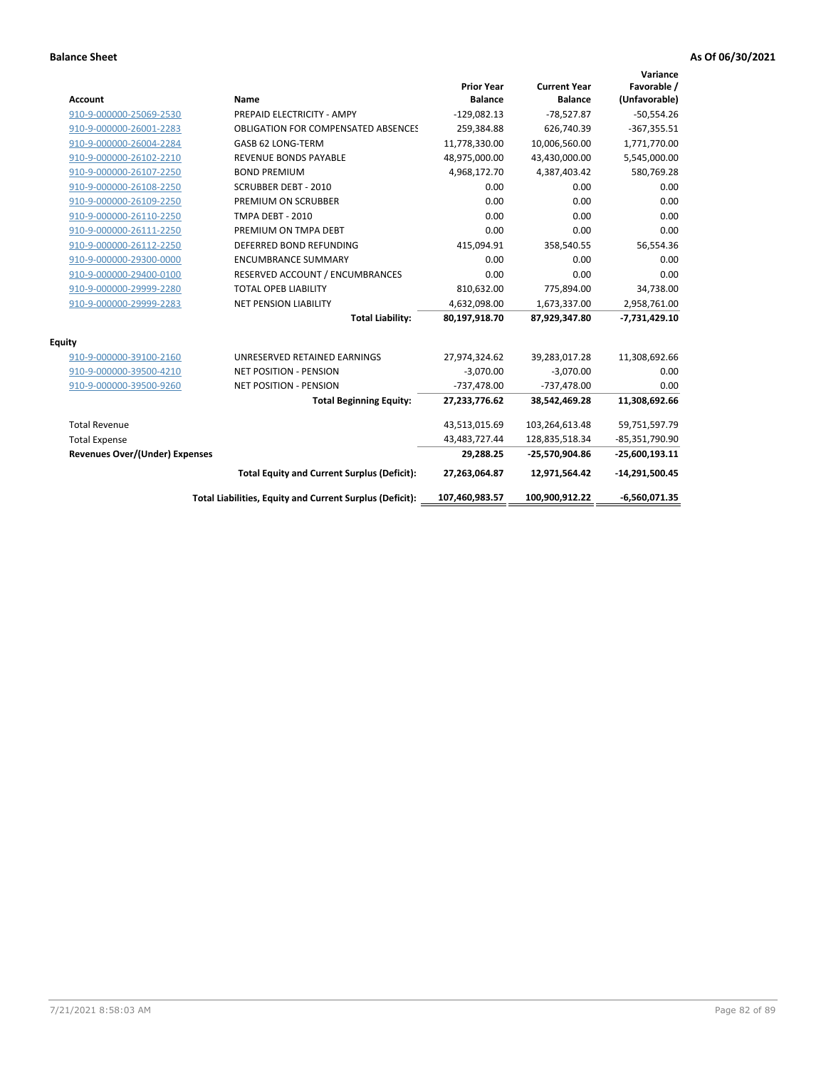| Account                               | Name                                                     | <b>Prior Year</b><br><b>Balance</b> | <b>Current Year</b><br><b>Balance</b> | Variance<br>Favorable /<br>(Unfavorable) |
|---------------------------------------|----------------------------------------------------------|-------------------------------------|---------------------------------------|------------------------------------------|
| 910-9-000000-25069-2530               | PREPAID ELECTRICITY - AMPY                               | $-129,082.13$                       | $-78,527.87$                          | $-50,554.26$                             |
| 910-9-000000-26001-2283               | <b>OBLIGATION FOR COMPENSATED ABSENCES</b>               | 259,384.88                          | 626,740.39                            | $-367,355.51$                            |
| 910-9-000000-26004-2284               | GASB 62 LONG-TERM                                        | 11,778,330.00                       | 10,006,560.00                         | 1,771,770.00                             |
| 910-9-000000-26102-2210               | <b>REVENUE BONDS PAYABLE</b>                             | 48,975,000.00                       | 43,430,000.00                         | 5,545,000.00                             |
| 910-9-000000-26107-2250               | <b>BOND PREMIUM</b>                                      | 4,968,172.70                        | 4,387,403.42                          | 580,769.28                               |
| 910-9-000000-26108-2250               | <b>SCRUBBER DEBT - 2010</b>                              | 0.00                                | 0.00                                  | 0.00                                     |
| 910-9-000000-26109-2250               | PREMIUM ON SCRUBBER                                      | 0.00                                | 0.00                                  | 0.00                                     |
| 910-9-000000-26110-2250               | <b>TMPA DEBT - 2010</b>                                  | 0.00                                | 0.00                                  | 0.00                                     |
| 910-9-000000-26111-2250               | PREMIUM ON TMPA DEBT                                     | 0.00                                | 0.00                                  | 0.00                                     |
| 910-9-000000-26112-2250               | DEFERRED BOND REFUNDING                                  | 415,094.91                          | 358,540.55                            | 56,554.36                                |
| 910-9-000000-29300-0000               | <b>ENCUMBRANCE SUMMARY</b>                               | 0.00                                | 0.00                                  | 0.00                                     |
| 910-9-000000-29400-0100               | RESERVED ACCOUNT / ENCUMBRANCES                          | 0.00                                | 0.00                                  | 0.00                                     |
| 910-9-000000-29999-2280               | <b>TOTAL OPEB LIABILITY</b>                              | 810,632.00                          | 775,894.00                            | 34,738.00                                |
| 910-9-000000-29999-2283               | NET PENSION LIABILITY                                    | 4,632,098.00                        | 1,673,337.00                          | 2,958,761.00                             |
|                                       | <b>Total Liability:</b>                                  | 80,197,918.70                       | 87,929,347.80                         | $-7,731,429.10$                          |
| Equity                                |                                                          |                                     |                                       |                                          |
| 910-9-000000-39100-2160               | UNRESERVED RETAINED EARNINGS                             | 27,974,324.62                       | 39,283,017.28                         | 11,308,692.66                            |
| 910-9-000000-39500-4210               | <b>NET POSITION - PENSION</b>                            | $-3,070.00$                         | $-3,070.00$                           | 0.00                                     |
| 910-9-000000-39500-9260               | <b>NET POSITION - PENSION</b>                            | $-737,478.00$                       | $-737,478.00$                         | 0.00                                     |
|                                       | <b>Total Beginning Equity:</b>                           | 27,233,776.62                       | 38,542,469.28                         | 11,308,692.66                            |
| <b>Total Revenue</b>                  |                                                          | 43,513,015.69                       | 103,264,613.48                        | 59,751,597.79                            |
| <b>Total Expense</b>                  |                                                          | 43,483,727.44                       | 128,835,518.34                        | $-85,351,790.90$                         |
| <b>Revenues Over/(Under) Expenses</b> |                                                          | 29,288.25                           | -25,570,904.86                        | $-25,600,193.11$                         |
|                                       | <b>Total Equity and Current Surplus (Deficit):</b>       | 27,263,064.87                       | 12,971,564.42                         | $-14,291,500.45$                         |
|                                       | Total Liabilities, Equity and Current Surplus (Deficit): | 107,460,983.57                      | 100,900,912.22                        | $-6,560,071.35$                          |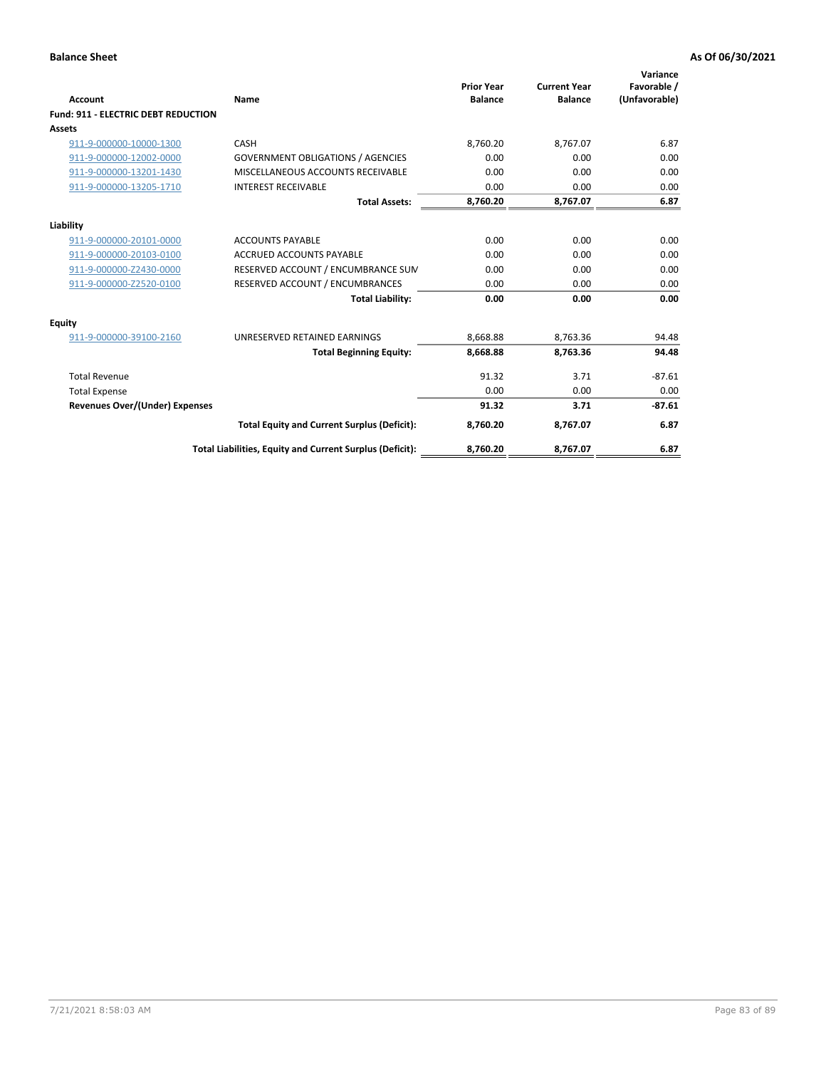| Account                                    | Name                                                     | <b>Prior Year</b><br><b>Balance</b> | <b>Current Year</b><br><b>Balance</b> | Variance<br>Favorable /<br>(Unfavorable) |
|--------------------------------------------|----------------------------------------------------------|-------------------------------------|---------------------------------------|------------------------------------------|
| <b>Fund: 911 - ELECTRIC DEBT REDUCTION</b> |                                                          |                                     |                                       |                                          |
| <b>Assets</b>                              |                                                          |                                     |                                       |                                          |
| 911-9-000000-10000-1300                    | CASH                                                     | 8.760.20                            | 8.767.07                              | 6.87                                     |
| 911-9-000000-12002-0000                    | <b>GOVERNMENT OBLIGATIONS / AGENCIES</b>                 | 0.00                                | 0.00                                  | 0.00                                     |
| 911-9-000000-13201-1430                    | MISCELLANEOUS ACCOUNTS RECEIVABLE                        | 0.00                                | 0.00                                  | 0.00                                     |
| 911-9-000000-13205-1710                    | <b>INTEREST RECEIVABLE</b>                               | 0.00                                | 0.00                                  | 0.00                                     |
|                                            | <b>Total Assets:</b>                                     | 8,760.20                            | 8,767.07                              | 6.87                                     |
| Liability                                  |                                                          |                                     |                                       |                                          |
| 911-9-000000-20101-0000                    | <b>ACCOUNTS PAYABLE</b>                                  | 0.00                                | 0.00                                  | 0.00                                     |
| 911-9-000000-20103-0100                    | <b>ACCRUED ACCOUNTS PAYABLE</b>                          | 0.00                                | 0.00                                  | 0.00                                     |
| 911-9-000000-Z2430-0000                    | RESERVED ACCOUNT / ENCUMBRANCE SUM                       | 0.00                                | 0.00                                  | 0.00                                     |
| 911-9-000000-Z2520-0100                    | RESERVED ACCOUNT / ENCUMBRANCES                          | 0.00                                | 0.00                                  | 0.00                                     |
|                                            | <b>Total Liability:</b>                                  | 0.00                                | 0.00                                  | 0.00                                     |
| <b>Equity</b>                              |                                                          |                                     |                                       |                                          |
| 911-9-000000-39100-2160                    | UNRESERVED RETAINED EARNINGS                             | 8,668.88                            | 8,763.36                              | 94.48                                    |
|                                            | <b>Total Beginning Equity:</b>                           | 8,668.88                            | 8,763.36                              | 94.48                                    |
| <b>Total Revenue</b>                       |                                                          | 91.32                               | 3.71                                  | $-87.61$                                 |
| <b>Total Expense</b>                       |                                                          | 0.00                                | 0.00                                  | 0.00                                     |
| Revenues Over/(Under) Expenses             |                                                          | 91.32                               | 3.71                                  | $-87.61$                                 |
|                                            | <b>Total Equity and Current Surplus (Deficit):</b>       | 8,760.20                            | 8,767.07                              | 6.87                                     |
|                                            | Total Liabilities, Equity and Current Surplus (Deficit): | 8,760.20                            | 8,767.07                              | 6.87                                     |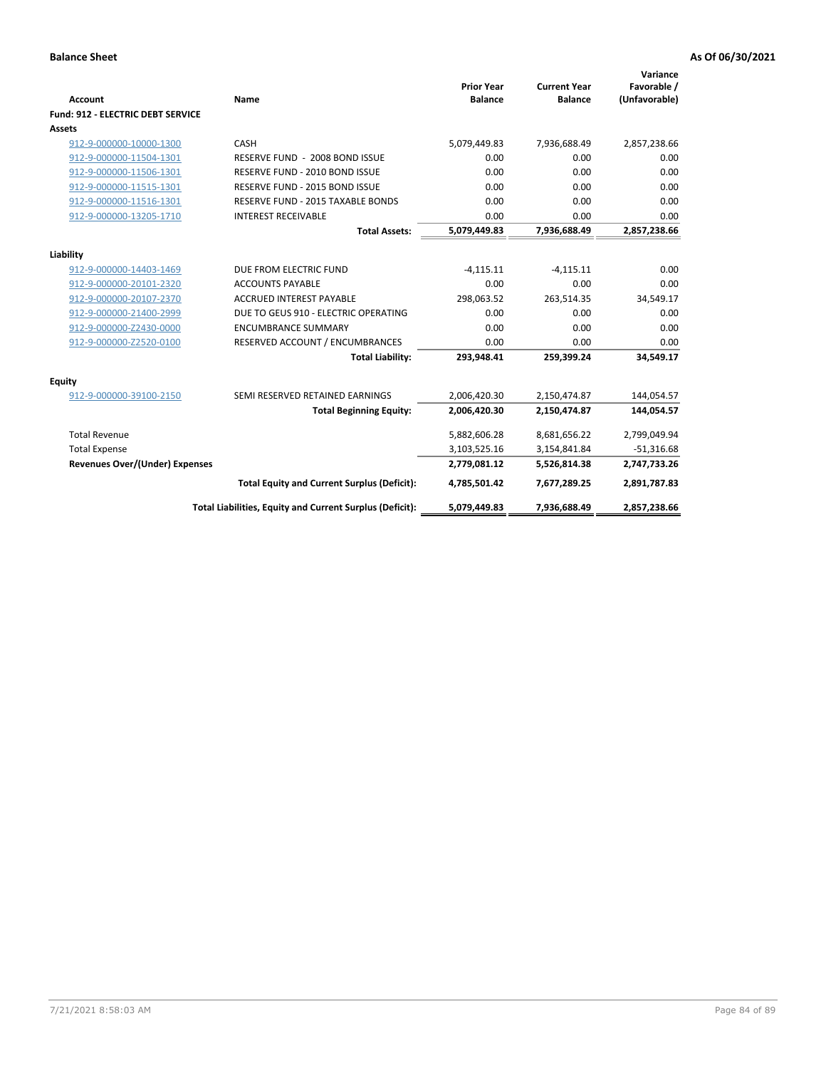| <b>Account</b>                        | Name                                                     | <b>Prior Year</b><br><b>Balance</b> | <b>Current Year</b><br><b>Balance</b> | Variance<br>Favorable /<br>(Unfavorable) |
|---------------------------------------|----------------------------------------------------------|-------------------------------------|---------------------------------------|------------------------------------------|
| Fund: 912 - ELECTRIC DEBT SERVICE     |                                                          |                                     |                                       |                                          |
| Assets                                |                                                          |                                     |                                       |                                          |
| 912-9-000000-10000-1300               | CASH                                                     | 5,079,449.83                        | 7,936,688.49                          | 2,857,238.66                             |
| 912-9-000000-11504-1301               | RESERVE FUND - 2008 BOND ISSUE                           | 0.00                                | 0.00                                  | 0.00                                     |
| 912-9-000000-11506-1301               | RESERVE FUND - 2010 BOND ISSUE                           | 0.00                                | 0.00                                  | 0.00                                     |
| 912-9-000000-11515-1301               | RESERVE FUND - 2015 BOND ISSUE                           | 0.00                                | 0.00                                  | 0.00                                     |
| 912-9-000000-11516-1301               | RESERVE FUND - 2015 TAXABLE BONDS                        | 0.00                                | 0.00                                  | 0.00                                     |
| 912-9-000000-13205-1710               | <b>INTEREST RECEIVABLE</b>                               | 0.00                                | 0.00                                  | 0.00                                     |
|                                       | <b>Total Assets:</b>                                     | 5,079,449.83                        | 7,936,688.49                          | 2,857,238.66                             |
|                                       |                                                          |                                     |                                       |                                          |
| Liability                             |                                                          |                                     |                                       |                                          |
| 912-9-000000-14403-1469               | DUE FROM ELECTRIC FUND                                   | $-4,115.11$                         | $-4.115.11$                           | 0.00                                     |
| 912-9-000000-20101-2320               | <b>ACCOUNTS PAYABLE</b>                                  | 0.00                                | 0.00                                  | 0.00                                     |
| 912-9-000000-20107-2370               | <b>ACCRUED INTEREST PAYABLE</b>                          | 298,063.52                          | 263,514.35                            | 34,549.17                                |
| 912-9-000000-21400-2999               | DUE TO GEUS 910 - ELECTRIC OPERATING                     | 0.00                                | 0.00                                  | 0.00                                     |
| 912-9-000000-Z2430-0000               | <b>ENCUMBRANCE SUMMARY</b>                               | 0.00                                | 0.00                                  | 0.00                                     |
| 912-9-000000-Z2520-0100               | RESERVED ACCOUNT / ENCUMBRANCES                          | 0.00                                | 0.00                                  | 0.00                                     |
|                                       | <b>Total Liability:</b>                                  | 293,948.41                          | 259,399.24                            | 34,549.17                                |
| <b>Equity</b>                         |                                                          |                                     |                                       |                                          |
| 912-9-000000-39100-2150               | SEMI RESERVED RETAINED EARNINGS                          | 2,006,420.30                        | 2,150,474.87                          | 144,054.57                               |
|                                       | <b>Total Beginning Equity:</b>                           | 2,006,420.30                        | 2,150,474.87                          | 144,054.57                               |
|                                       |                                                          |                                     |                                       |                                          |
| <b>Total Revenue</b>                  |                                                          | 5,882,606.28                        | 8,681,656.22                          | 2,799,049.94                             |
| <b>Total Expense</b>                  |                                                          | 3,103,525.16                        | 3,154,841.84                          | $-51,316.68$                             |
| <b>Revenues Over/(Under) Expenses</b> |                                                          | 2,779,081.12                        | 5,526,814.38                          | 2,747,733.26                             |
|                                       | <b>Total Equity and Current Surplus (Deficit):</b>       | 4,785,501.42                        | 7,677,289.25                          | 2,891,787.83                             |
|                                       | Total Liabilities, Equity and Current Surplus (Deficit): | 5,079,449.83                        | 7,936,688.49                          | 2,857,238.66                             |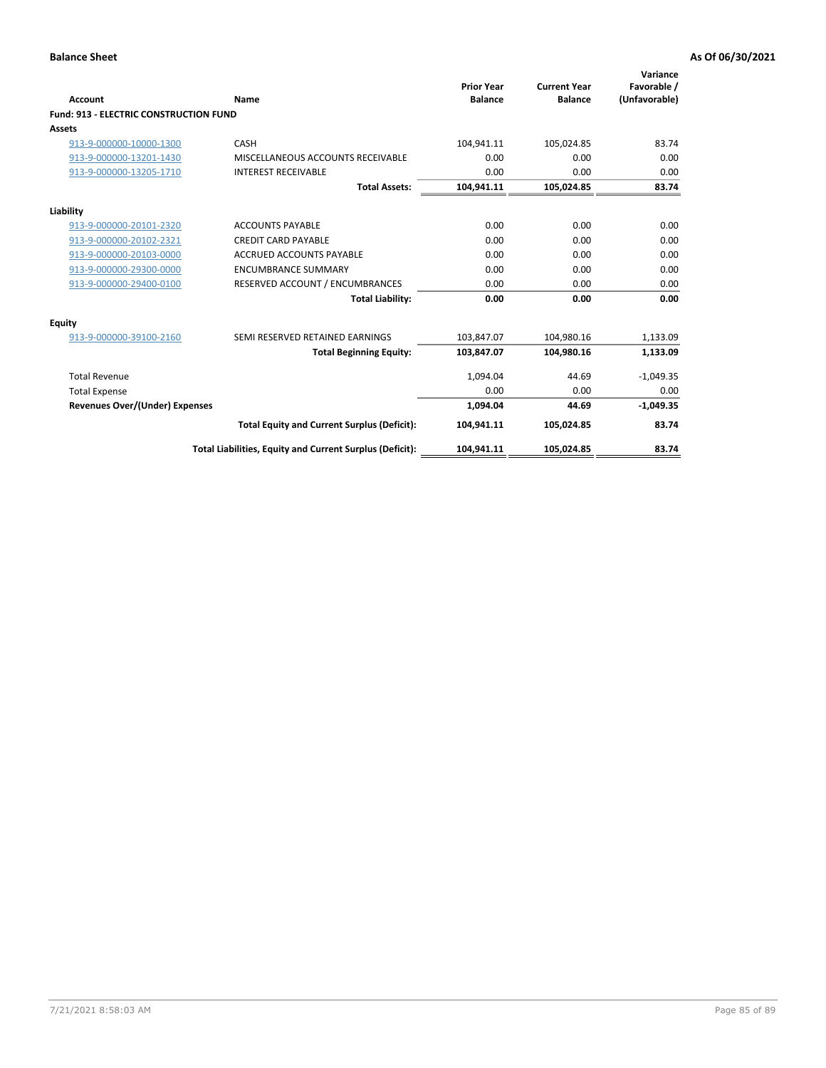| Account                                       | Name                                                     | <b>Prior Year</b><br><b>Balance</b> | <b>Current Year</b><br><b>Balance</b> | Variance<br>Favorable /<br>(Unfavorable) |
|-----------------------------------------------|----------------------------------------------------------|-------------------------------------|---------------------------------------|------------------------------------------|
| <b>Fund: 913 - ELECTRIC CONSTRUCTION FUND</b> |                                                          |                                     |                                       |                                          |
| <b>Assets</b>                                 |                                                          |                                     |                                       |                                          |
| 913-9-000000-10000-1300                       | CASH                                                     | 104,941.11                          | 105,024.85                            | 83.74                                    |
| 913-9-000000-13201-1430                       | MISCELLANEOUS ACCOUNTS RECEIVABLE                        | 0.00                                | 0.00                                  | 0.00                                     |
| 913-9-000000-13205-1710                       | <b>INTEREST RECEIVABLE</b>                               | 0.00                                | 0.00                                  | 0.00                                     |
|                                               | <b>Total Assets:</b>                                     | 104,941.11                          | 105,024.85                            | 83.74                                    |
| Liability                                     |                                                          |                                     |                                       |                                          |
| 913-9-000000-20101-2320                       | <b>ACCOUNTS PAYABLE</b>                                  | 0.00                                | 0.00                                  | 0.00                                     |
| 913-9-000000-20102-2321                       | <b>CREDIT CARD PAYABLE</b>                               | 0.00                                | 0.00                                  | 0.00                                     |
| 913-9-000000-20103-0000                       | <b>ACCRUED ACCOUNTS PAYABLE</b>                          | 0.00                                | 0.00                                  | 0.00                                     |
| 913-9-000000-29300-0000                       | <b>ENCUMBRANCE SUMMARY</b>                               | 0.00                                | 0.00                                  | 0.00                                     |
| 913-9-000000-29400-0100                       | RESERVED ACCOUNT / ENCUMBRANCES                          | 0.00                                | 0.00                                  | 0.00                                     |
|                                               | <b>Total Liability:</b>                                  | 0.00                                | 0.00                                  | 0.00                                     |
| <b>Equity</b>                                 |                                                          |                                     |                                       |                                          |
| 913-9-000000-39100-2160                       | SEMI RESERVED RETAINED EARNINGS                          | 103,847.07                          | 104,980.16                            | 1,133.09                                 |
|                                               | <b>Total Beginning Equity:</b>                           | 103,847.07                          | 104,980.16                            | 1,133.09                                 |
| <b>Total Revenue</b>                          |                                                          | 1,094.04                            | 44.69                                 | $-1,049.35$                              |
| <b>Total Expense</b>                          |                                                          | 0.00                                | 0.00                                  | 0.00                                     |
| Revenues Over/(Under) Expenses                |                                                          | 1,094.04                            | 44.69                                 | $-1,049.35$                              |
|                                               | <b>Total Equity and Current Surplus (Deficit):</b>       | 104,941.11                          | 105,024.85                            | 83.74                                    |
|                                               | Total Liabilities, Equity and Current Surplus (Deficit): | 104,941.11                          | 105,024.85                            | 83.74                                    |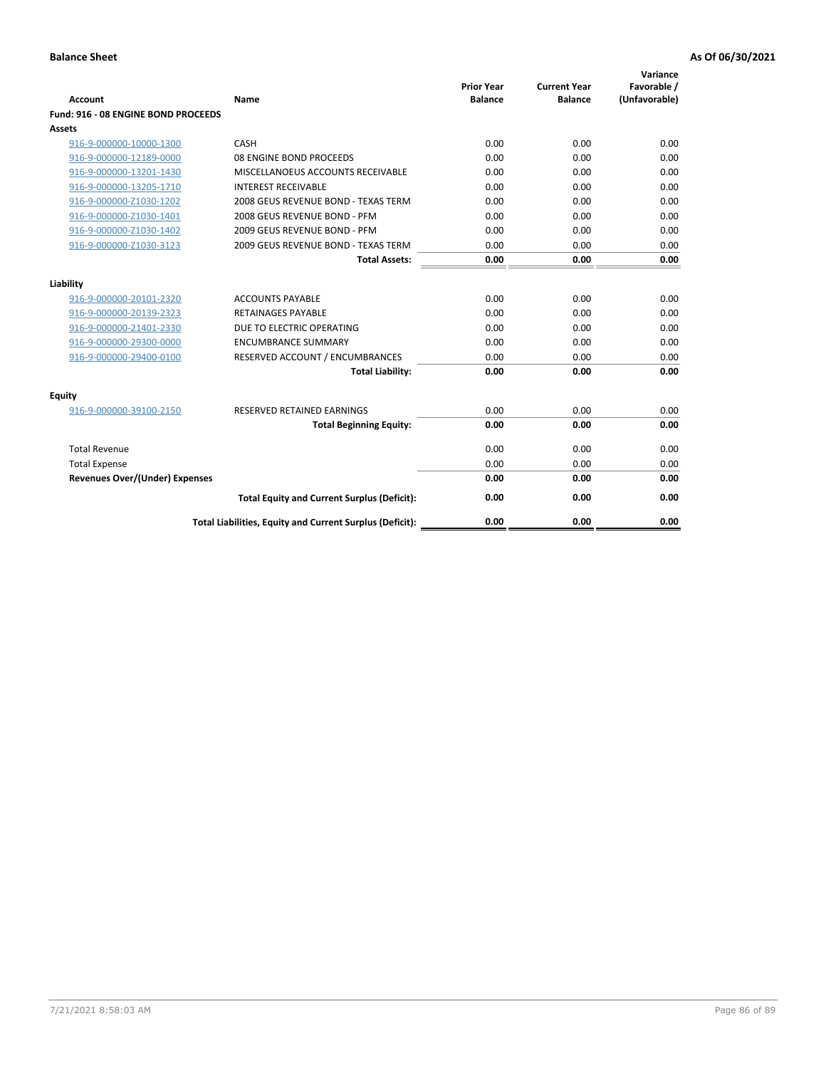| <b>Account</b>                        | Name                                                     | <b>Prior Year</b><br><b>Balance</b> | <b>Current Year</b><br><b>Balance</b> | Variance<br>Favorable /<br>(Unfavorable) |
|---------------------------------------|----------------------------------------------------------|-------------------------------------|---------------------------------------|------------------------------------------|
| Fund: 916 - 08 ENGINE BOND PROCEEDS   |                                                          |                                     |                                       |                                          |
| Assets                                |                                                          |                                     |                                       |                                          |
| 916-9-000000-10000-1300               | CASH                                                     | 0.00                                | 0.00                                  | 0.00                                     |
| 916-9-000000-12189-0000               | 08 ENGINE BOND PROCEEDS                                  | 0.00                                | 0.00                                  | 0.00                                     |
| 916-9-000000-13201-1430               | MISCELLANOEUS ACCOUNTS RECEIVABLE                        | 0.00                                | 0.00                                  | 0.00                                     |
| 916-9-000000-13205-1710               | <b>INTEREST RECEIVABLE</b>                               | 0.00                                | 0.00                                  | 0.00                                     |
| 916-9-000000-Z1030-1202               | 2008 GEUS REVENUE BOND - TEXAS TERM                      | 0.00                                | 0.00                                  | 0.00                                     |
| 916-9-000000-Z1030-1401               | 2008 GEUS REVENUE BOND - PFM                             | 0.00                                | 0.00                                  | 0.00                                     |
| 916-9-000000-Z1030-1402               | 2009 GEUS REVENUE BOND - PFM                             | 0.00                                | 0.00                                  | 0.00                                     |
| 916-9-000000-Z1030-3123               | 2009 GEUS REVENUE BOND - TEXAS TERM                      | 0.00                                | 0.00                                  | 0.00                                     |
|                                       | <b>Total Assets:</b>                                     | 0.00                                | 0.00                                  | 0.00                                     |
| Liability                             |                                                          |                                     |                                       |                                          |
| 916-9-000000-20101-2320               | <b>ACCOUNTS PAYABLE</b>                                  | 0.00                                | 0.00                                  | 0.00                                     |
| 916-9-000000-20139-2323               | RETAINAGES PAYABLE                                       | 0.00                                | 0.00                                  | 0.00                                     |
| 916-9-000000-21401-2330               | DUE TO ELECTRIC OPERATING                                | 0.00                                | 0.00                                  | 0.00                                     |
| 916-9-000000-29300-0000               | <b>ENCUMBRANCE SUMMARY</b>                               | 0.00                                | 0.00                                  | 0.00                                     |
| 916-9-000000-29400-0100               | RESERVED ACCOUNT / ENCUMBRANCES                          | 0.00                                | 0.00                                  | 0.00                                     |
|                                       | <b>Total Liability:</b>                                  | 0.00                                | 0.00                                  | 0.00                                     |
| Equity                                |                                                          |                                     |                                       |                                          |
| 916-9-000000-39100-2150               | <b>RESERVED RETAINED EARNINGS</b>                        | 0.00                                | 0.00                                  | 0.00                                     |
|                                       | <b>Total Beginning Equity:</b>                           | 0.00                                | 0.00                                  | 0.00                                     |
| <b>Total Revenue</b>                  |                                                          | 0.00                                | 0.00                                  | 0.00                                     |
| <b>Total Expense</b>                  |                                                          | 0.00                                | 0.00                                  | 0.00                                     |
| <b>Revenues Over/(Under) Expenses</b> |                                                          | 0.00                                | 0.00                                  | 0.00                                     |
|                                       | <b>Total Equity and Current Surplus (Deficit):</b>       | 0.00                                | 0.00                                  | 0.00                                     |
|                                       | Total Liabilities, Equity and Current Surplus (Deficit): | 0.00                                | 0.00                                  | 0.00                                     |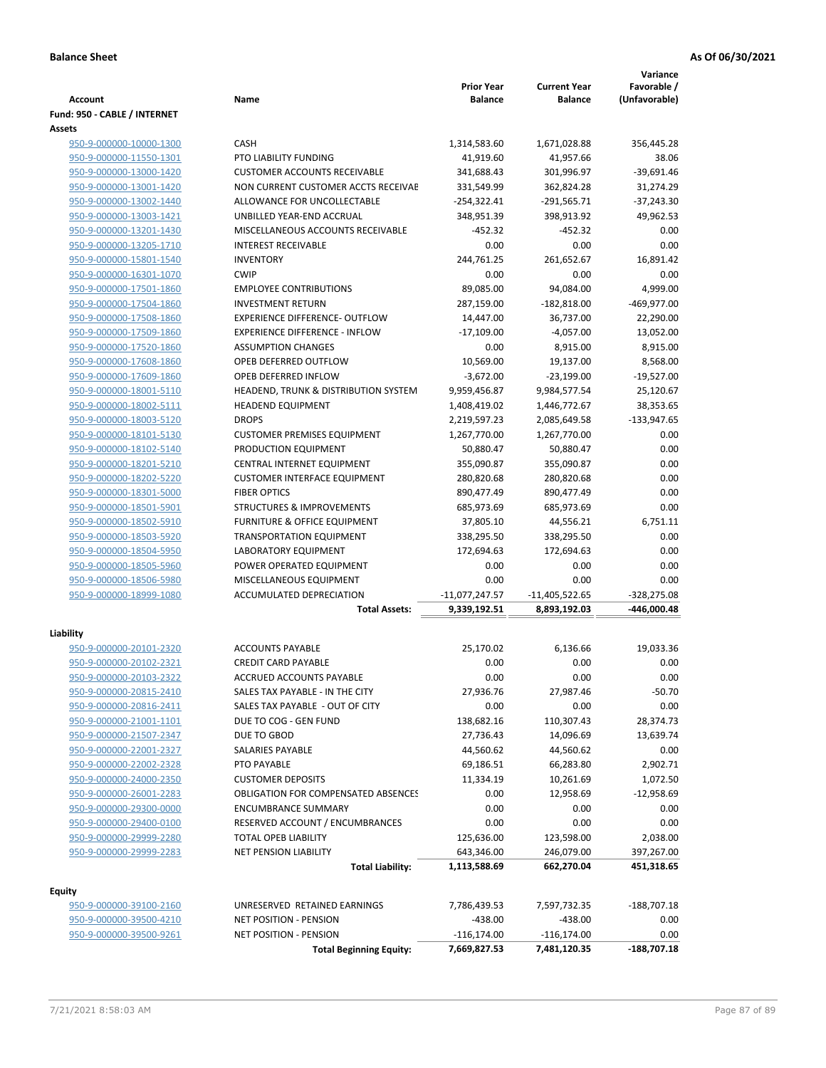|                              |                                            |                   |                     | Variance      |
|------------------------------|--------------------------------------------|-------------------|---------------------|---------------|
|                              |                                            | <b>Prior Year</b> | <b>Current Year</b> | Favorable /   |
| Account                      | Name                                       | <b>Balance</b>    | <b>Balance</b>      | (Unfavorable) |
| Fund: 950 - CABLE / INTERNET |                                            |                   |                     |               |
| Assets                       |                                            |                   |                     |               |
| 950-9-000000-10000-1300      | <b>CASH</b>                                | 1,314,583.60      | 1,671,028.88        | 356,445.28    |
| 950-9-000000-11550-1301      | PTO LIABILITY FUNDING                      | 41,919.60         | 41,957.66           | 38.06         |
| 950-9-000000-13000-1420      | <b>CUSTOMER ACCOUNTS RECEIVABLE</b>        | 341,688.43        | 301,996.97          | $-39,691.46$  |
| 950-9-000000-13001-1420      | NON CURRENT CUSTOMER ACCTS RECEIVAE        | 331,549.99        | 362,824.28          | 31,274.29     |
| 950-9-000000-13002-1440      | ALLOWANCE FOR UNCOLLECTABLE                | $-254,322.41$     | $-291,565.71$       | $-37,243.30$  |
| 950-9-000000-13003-1421      | UNBILLED YEAR-END ACCRUAL                  | 348,951.39        | 398,913.92          | 49,962.53     |
| 950-9-000000-13201-1430      | MISCELLANEOUS ACCOUNTS RECEIVABLE          | $-452.32$         | $-452.32$           | 0.00          |
| 950-9-000000-13205-1710      | <b>INTEREST RECEIVABLE</b>                 | 0.00              | 0.00                | 0.00          |
| 950-9-000000-15801-1540      | <b>INVENTORY</b>                           | 244,761.25        | 261,652.67          | 16.891.42     |
| 950-9-000000-16301-1070      | <b>CWIP</b>                                | 0.00              | 0.00                | 0.00          |
| 950-9-000000-17501-1860      | <b>EMPLOYEE CONTRIBUTIONS</b>              | 89,085.00         | 94,084.00           | 4,999.00      |
| 950-9-000000-17504-1860      | <b>INVESTMENT RETURN</b>                   | 287,159.00        | $-182,818.00$       | -469,977.00   |
| 950-9-000000-17508-1860      | <b>EXPERIENCE DIFFERENCE- OUTFLOW</b>      | 14,447.00         | 36,737.00           | 22,290.00     |
| 950-9-000000-17509-1860      | <b>EXPERIENCE DIFFERENCE - INFLOW</b>      | $-17,109.00$      | $-4.057.00$         | 13,052.00     |
| 950-9-000000-17520-1860      | <b>ASSUMPTION CHANGES</b>                  | 0.00              | 8,915.00            | 8,915.00      |
| 950-9-000000-17608-1860      | OPEB DEFERRED OUTFLOW                      | 10,569.00         | 19,137.00           | 8,568.00      |
| 950-9-000000-17609-1860      | OPEB DEFERRED INFLOW                       | $-3,672.00$       | -23,199.00          | $-19,527.00$  |
| 950-9-000000-18001-5110      | HEADEND, TRUNK & DISTRIBUTION SYSTEM       | 9,959,456.87      | 9,984,577.54        | 25,120.67     |
| 950-9-000000-18002-5111      | <b>HEADEND EQUIPMENT</b>                   | 1,408,419.02      | 1,446,772.67        | 38,353.65     |
| 950-9-000000-18003-5120      | <b>DROPS</b>                               | 2,219,597.23      | 2,085,649.58        | $-133,947.65$ |
| 950-9-000000-18101-5130      | <b>CUSTOMER PREMISES EQUIPMENT</b>         | 1,267,770.00      | 1,267,770.00        | 0.00          |
| 950-9-000000-18102-5140      | PRODUCTION EQUIPMENT                       | 50,880.47         | 50,880.47           | 0.00          |
| 950-9-000000-18201-5210      | CENTRAL INTERNET EQUIPMENT                 | 355,090.87        | 355,090.87          | 0.00          |
| 950-9-000000-18202-5220      | <b>CUSTOMER INTERFACE EQUIPMENT</b>        | 280,820.68        | 280,820.68          | 0.00          |
| 950-9-000000-18301-5000      | <b>FIBER OPTICS</b>                        | 890,477.49        | 890,477.49          | 0.00          |
| 950-9-000000-18501-5901      | <b>STRUCTURES &amp; IMPROVEMENTS</b>       | 685,973.69        | 685,973.69          | 0.00          |
|                              |                                            |                   |                     |               |
| 950-9-000000-18502-5910      | FURNITURE & OFFICE EQUIPMENT               | 37,805.10         | 44,556.21           | 6,751.11      |
| 950-9-000000-18503-5920      | <b>TRANSPORTATION EQUIPMENT</b>            | 338,295.50        | 338,295.50          | 0.00          |
| 950-9-000000-18504-5950      | <b>LABORATORY EQUIPMENT</b>                | 172,694.63        | 172,694.63          | 0.00          |
| 950-9-000000-18505-5960      | POWER OPERATED EQUIPMENT                   | 0.00              | 0.00                | 0.00          |
| 950-9-000000-18506-5980      | MISCELLANEOUS EQUIPMENT                    | 0.00              | 0.00                | 0.00          |
| 950-9-000000-18999-1080      | <b>ACCUMULATED DEPRECIATION</b>            | $-11,077,247.57$  | $-11,405,522.65$    | $-328,275.08$ |
|                              | <b>Total Assets:</b>                       | 9,339,192.51      | 8,893,192.03        | -446,000.48   |
| Liability                    |                                            |                   |                     |               |
| 950-9-000000-20101-2320      | <b>ACCOUNTS PAYABLE</b>                    | 25,170.02         | 6,136.66            | 19,033.36     |
| 950-9-000000-20102-2321      | <b>CREDIT CARD PAYABLE</b>                 | 0.00              | 0.00                | 0.00          |
| 950-9-000000-20103-2322      | ACCRUED ACCOUNTS PAYABLE                   | 0.00              | 0.00                | 0.00          |
|                              | SALES TAX PAYABLE - IN THE CITY            |                   |                     | $-50.70$      |
| 950-9-000000-20815-2410      |                                            | 27,936.76         | 27,987.46           |               |
| 950-9-000000-20816-2411      | SALES TAX PAYABLE - OUT OF CITY            | 0.00              | 0.00                | 0.00          |
| 950-9-000000-21001-1101      | DUE TO COG - GEN FUND                      | 138,682.16        | 110,307.43          | 28,374.73     |
| 950-9-000000-21507-2347      | DUE TO GBOD                                | 27,736.43         | 14,096.69           | 13,639.74     |
| 950-9-000000-22001-2327      | SALARIES PAYABLE                           | 44,560.62         | 44,560.62           | 0.00          |
| 950-9-000000-22002-2328      | PTO PAYABLE                                | 69,186.51         | 66,283.80           | 2,902.71      |
| 950-9-000000-24000-2350      | <b>CUSTOMER DEPOSITS</b>                   | 11,334.19         | 10,261.69           | 1,072.50      |
| 950-9-000000-26001-2283      | <b>OBLIGATION FOR COMPENSATED ABSENCES</b> | 0.00              | 12,958.69           | $-12,958.69$  |
| 950-9-000000-29300-0000      | <b>ENCUMBRANCE SUMMARY</b>                 | 0.00              | 0.00                | 0.00          |
| 950-9-000000-29400-0100      | RESERVED ACCOUNT / ENCUMBRANCES            | 0.00              | 0.00                | 0.00          |
| 950-9-000000-29999-2280      | TOTAL OPEB LIABILITY                       | 125,636.00        | 123,598.00          | 2,038.00      |
| 950-9-000000-29999-2283      | NET PENSION LIABILITY                      | 643,346.00        | 246,079.00          | 397,267.00    |
|                              | <b>Total Liability:</b>                    | 1,113,588.69      | 662,270.04          | 451,318.65    |
|                              |                                            |                   |                     |               |
| <b>Equity</b>                |                                            |                   |                     |               |
| 950-9-000000-39100-2160      | UNRESERVED RETAINED EARNINGS               | 7,786,439.53      | 7,597,732.35        | $-188,707.18$ |
| 950-9-000000-39500-4210      | <b>NET POSITION - PENSION</b>              | $-438.00$         | $-438.00$           | 0.00          |
| 950-9-000000-39500-9261      | <b>NET POSITION - PENSION</b>              | $-116, 174.00$    | $-116,174.00$       | 0.00          |
|                              | <b>Total Beginning Equity:</b>             | 7,669,827.53      | 7,481,120.35        | -188,707.18   |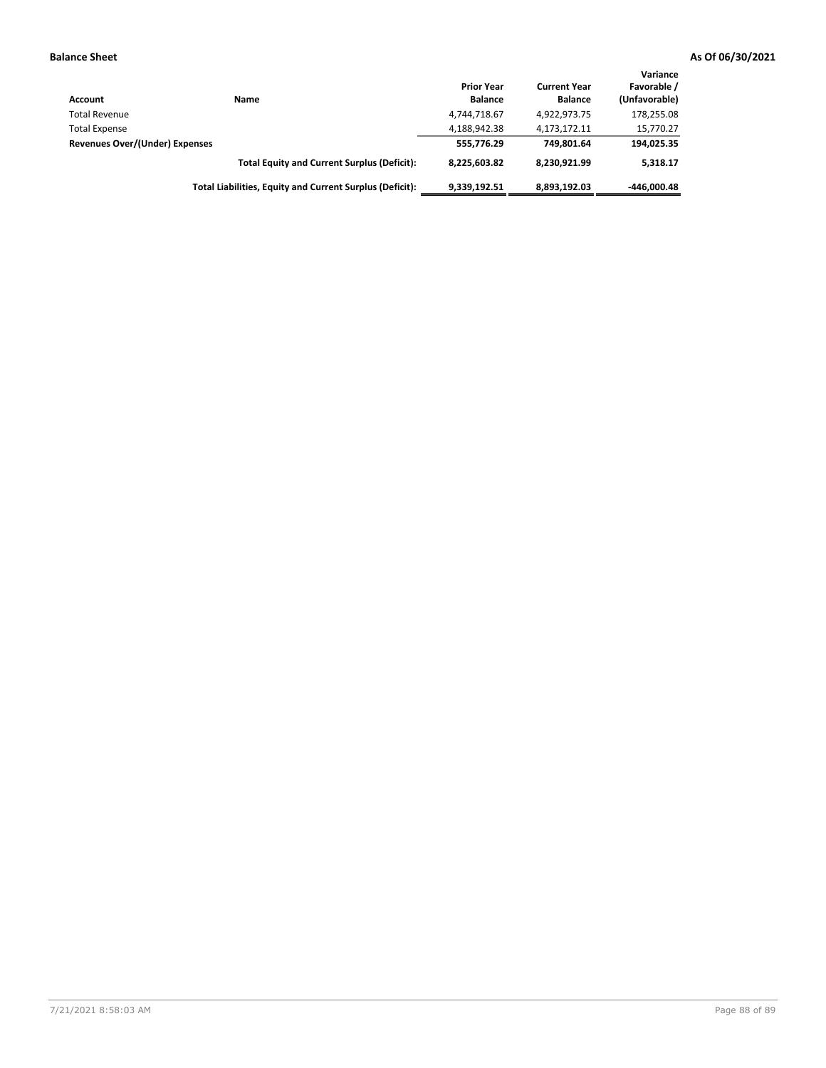| Account                        | Name                                                     | <b>Prior Year</b><br><b>Balance</b> | <b>Current Year</b><br><b>Balance</b> | Variance<br>Favorable /<br>(Unfavorable) |
|--------------------------------|----------------------------------------------------------|-------------------------------------|---------------------------------------|------------------------------------------|
| <b>Total Revenue</b>           |                                                          | 4,744,718.67                        | 4,922,973.75                          | 178,255.08                               |
| <b>Total Expense</b>           |                                                          | 4,188,942.38                        | 4,173,172.11                          | 15,770.27                                |
| Revenues Over/(Under) Expenses |                                                          | 555,776.29                          | 749.801.64                            | 194,025.35                               |
|                                | <b>Total Equity and Current Surplus (Deficit):</b>       | 8.225.603.82                        | 8.230.921.99                          | 5.318.17                                 |
|                                | Total Liabilities, Equity and Current Surplus (Deficit): | 9,339,192.51                        | 8,893,192.03                          | $-446.000.48$                            |